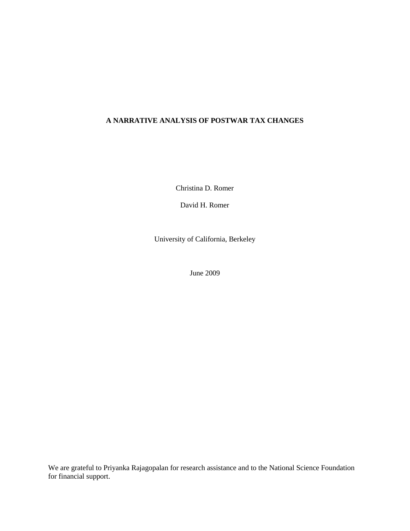# **A NARRATIVE ANALYSIS OF POSTWAR TAX CHANGES**

Christina D. Romer

David H. Romer

University of California, Berkeley

June 2009

We are grateful to Priyanka Rajagopalan for research assistance and to the National Science Foundation for financial support.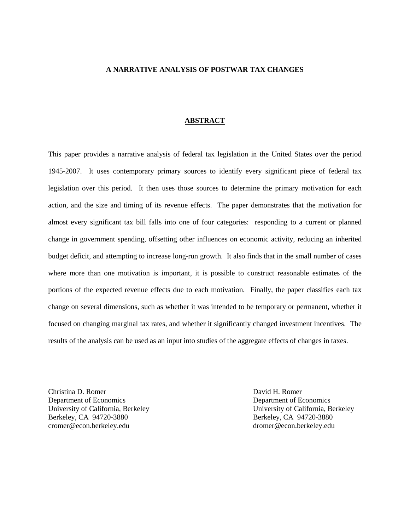## **A NARRATIVE ANALYSIS OF POSTWAR TAX CHANGES**

#### **ABSTRACT**

This paper provides a narrative analysis of federal tax legislation in the United States over the period 1945-2007. It uses contemporary primary sources to identify every significant piece of federal tax legislation over this period. It then uses those sources to determine the primary motivation for each action, and the size and timing of its revenue effects. The paper demonstrates that the motivation for almost every significant tax bill falls into one of four categories: responding to a current or planned change in government spending, offsetting other influences on economic activity, reducing an inherited budget deficit, and attempting to increase long-run growth. It also finds that in the small number of cases where more than one motivation is important, it is possible to construct reasonable estimates of the portions of the expected revenue effects due to each motivation. Finally, the paper classifies each tax change on several dimensions, such as whether it was intended to be temporary or permanent, whether it focused on changing marginal tax rates, and whether it significantly changed investment incentives. The results of the analysis can be used as an input into studies of the aggregate effects of changes in taxes.

Christina D. Romer David H. Romer Department of Economics Department of Economics University of California, Berkeley University of California, Berkeley Berkeley, CA 94720-3880 Berkeley, CA 94720-3880 cromer@econ.berkeley.edu dromer@econ.berkeley.edu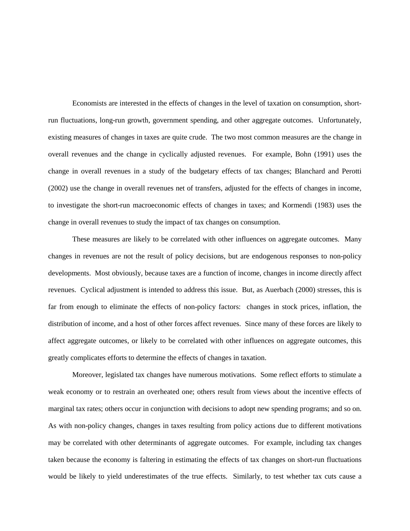Economists are interested in the effects of changes in the level of taxation on consumption, shortrun fluctuations, long-run growth, government spending, and other aggregate outcomes. Unfortunately, existing measures of changes in taxes are quite crude. The two most common measures are the change in overall revenues and the change in cyclically adjusted revenues. For example, Bohn (1991) uses the change in overall revenues in a study of the budgetary effects of tax changes; Blanchard and Perotti (2002) use the change in overall revenues net of transfers, adjusted for the effects of changes in income, to investigate the short-run macroeconomic effects of changes in taxes; and Kormendi (1983) uses the change in overall revenues to study the impact of tax changes on consumption.

These measures are likely to be correlated with other influences on aggregate outcomes. Many changes in revenues are not the result of policy decisions, but are endogenous responses to non-policy developments. Most obviously, because taxes are a function of income, changes in income directly affect revenues. Cyclical adjustment is intended to address this issue. But, as Auerbach (2000) stresses, this is far from enough to eliminate the effects of non-policy factors: changes in stock prices, inflation, the distribution of income, and a host of other forces affect revenues. Since many of these forces are likely to affect aggregate outcomes, or likely to be correlated with other influences on aggregate outcomes, this greatly complicates efforts to determine the effects of changes in taxation.

Moreover, legislated tax changes have numerous motivations. Some reflect efforts to stimulate a weak economy or to restrain an overheated one; others result from views about the incentive effects of marginal tax rates; others occur in conjunction with decisions to adopt new spending programs; and so on. As with non-policy changes, changes in taxes resulting from policy actions due to different motivations may be correlated with other determinants of aggregate outcomes. For example, including tax changes taken because the economy is faltering in estimating the effects of tax changes on short-run fluctuations would be likely to yield underestimates of the true effects. Similarly, to test whether tax cuts cause a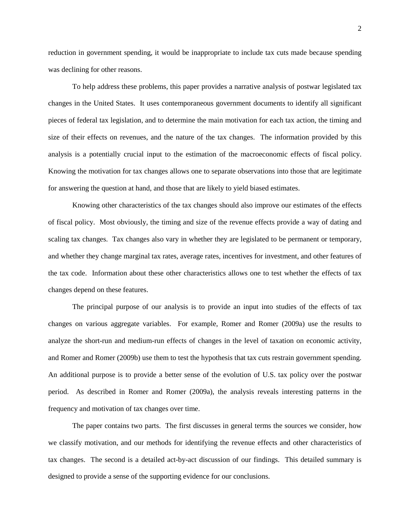reduction in government spending, it would be inappropriate to include tax cuts made because spending was declining for other reasons.

To help address these problems, this paper provides a narrative analysis of postwar legislated tax changes in the United States. It uses contemporaneous government documents to identify all significant pieces of federal tax legislation, and to determine the main motivation for each tax action, the timing and size of their effects on revenues, and the nature of the tax changes. The information provided by this analysis is a potentially crucial input to the estimation of the macroeconomic effects of fiscal policy. Knowing the motivation for tax changes allows one to separate observations into those that are legitimate for answering the question at hand, and those that are likely to yield biased estimates.

Knowing other characteristics of the tax changes should also improve our estimates of the effects of fiscal policy. Most obviously, the timing and size of the revenue effects provide a way of dating and scaling tax changes. Tax changes also vary in whether they are legislated to be permanent or temporary, and whether they change marginal tax rates, average rates, incentives for investment, and other features of the tax code. Information about these other characteristics allows one to test whether the effects of tax changes depend on these features.

The principal purpose of our analysis is to provide an input into studies of the effects of tax changes on various aggregate variables. For example, Romer and Romer (2009a) use the results to analyze the short-run and medium-run effects of changes in the level of taxation on economic activity, and Romer and Romer (2009b) use them to test the hypothesis that tax cuts restrain government spending. An additional purpose is to provide a better sense of the evolution of U.S. tax policy over the postwar period. As described in Romer and Romer (2009a), the analysis reveals interesting patterns in the frequency and motivation of tax changes over time.

The paper contains two parts. The first discusses in general terms the sources we consider, how we classify motivation, and our methods for identifying the revenue effects and other characteristics of tax changes. The second is a detailed act-by-act discussion of our findings. This detailed summary is designed to provide a sense of the supporting evidence for our conclusions.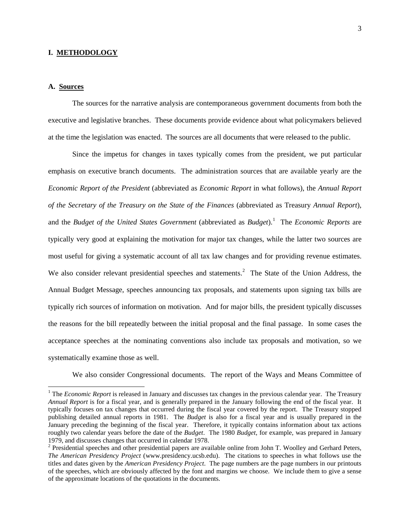## **I. METHODOLOGY**

# **A. Sources**

The sources for the narrative analysis are contemporaneous government documents from both the executive and legislative branches. These documents provide evidence about what policymakers believed at the time the legislation was enacted. The sources are all documents that were released to the public.

Since the impetus for changes in taxes typically comes from the president, we put particular emphasis on executive branch documents. The administration sources that are available yearly are the *Economic Report of the President* (abbreviated as *Economic Report* in what follows), the *Annual Report of the Secretary of the Treasury on the State of the Finances* (abbreviated as Treasury *Annual Report*), and the *Budget of the United States Government* (abbreviated as *Budget*).<sup>[1](#page-4-0)</sup> The *Economic Reports* are typically very good at explaining the motivation for major tax changes, while the latter two sources are most useful for giving a systematic account of all tax law changes and for providing revenue estimates. We also consider relevant presidential speeches and statements.<sup>[2](#page-4-1)</sup> The State of the Union Address, the Annual Budget Message, speeches announcing tax proposals, and statements upon signing tax bills are typically rich sources of information on motivation. And for major bills, the president typically discusses the reasons for the bill repeatedly between the initial proposal and the final passage. In some cases the acceptance speeches at the nominating conventions also include tax proposals and motivation, so we systematically examine those as well.

We also consider Congressional documents. The report of the Ways and Means Committee of

<span id="page-4-0"></span> <sup>1</sup> The *Economic Report* is released in January and discusses tax changes in the previous calendar year. The Treasury *Annual Report* is for a fiscal year, and is generally prepared in the January following the end of the fiscal year. It typically focuses on tax changes that occurred during the fiscal year covered by the report. The Treasury stopped publishing detailed annual reports in 1981. The *Budget* is also for a fiscal year and is usually prepared in the January preceding the beginning of the fiscal year. Therefore, it typically contains information about tax actions roughly two calendar years before the date of the *Budget*. The 1980 *Budget*, for example, was prepared in January 1979, and discusses changes that occurred in calendar 1978.

<span id="page-4-1"></span><sup>&</sup>lt;sup>2</sup> Presidential speeches and other presidential papers are available online from John T. Woolley and Gerhard Peters, *The American Presidency Project* (www.presidency.ucsb.edu). The citations to speeches in what follows use the titles and dates given by the *American Presidency Project*. The page numbers are the page numbers in our printouts of the speeches, which are obviously affected by the font and margins we choose. We include them to give a sense of the approximate locations of the quotations in the documents.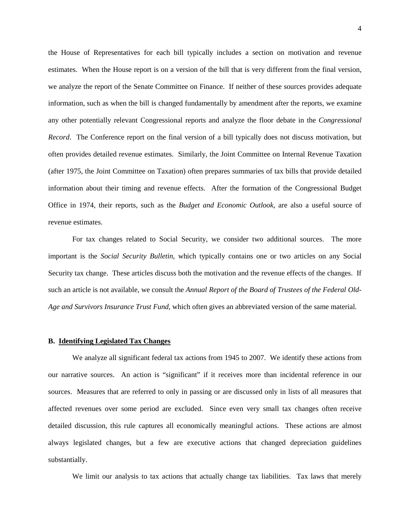the House of Representatives for each bill typically includes a section on motivation and revenue estimates. When the House report is on a version of the bill that is very different from the final version, we analyze the report of the Senate Committee on Finance. If neither of these sources provides adequate information, such as when the bill is changed fundamentally by amendment after the reports, we examine any other potentially relevant Congressional reports and analyze the floor debate in the *Congressional Record*. The Conference report on the final version of a bill typically does not discuss motivation, but often provides detailed revenue estimates. Similarly, the Joint Committee on Internal Revenue Taxation (after 1975, the Joint Committee on Taxation) often prepares summaries of tax bills that provide detailed information about their timing and revenue effects. After the formation of the Congressional Budget Office in 1974, their reports, such as the *Budget and Economic Outlook*, are also a useful source of revenue estimates.

For tax changes related to Social Security, we consider two additional sources. The more important is the *Social Security Bulletin*, which typically contains one or two articles on any Social Security tax change. These articles discuss both the motivation and the revenue effects of the changes. If such an article is not available, we consult the *Annual Report of the Board of Trustees of the Federal Old-Age and Survivors Insurance Trust Fund*, which often gives an abbreviated version of the same material.

# **B. Identifying Legislated Tax Changes**

We analyze all significant federal tax actions from 1945 to 2007. We identify these actions from our narrative sources. An action is "significant" if it receives more than incidental reference in our sources. Measures that are referred to only in passing or are discussed only in lists of all measures that affected revenues over some period are excluded. Since even very small tax changes often receive detailed discussion, this rule captures all economically meaningful actions. These actions are almost always legislated changes, but a few are executive actions that changed depreciation guidelines substantially.

We limit our analysis to tax actions that actually change tax liabilities. Tax laws that merely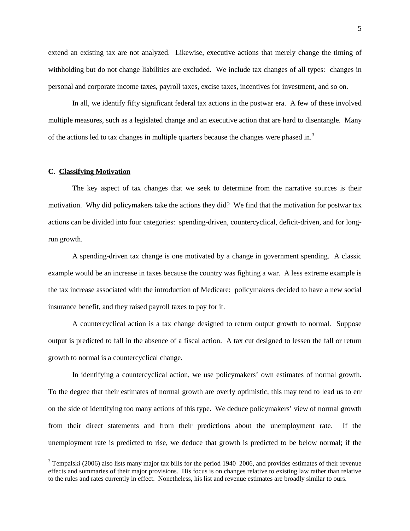extend an existing tax are not analyzed. Likewise, executive actions that merely change the timing of withholding but do not change liabilities are excluded. We include tax changes of all types: changes in personal and corporate income taxes, payroll taxes, excise taxes, incentives for investment, and so on.

In all, we identify fifty significant federal tax actions in the postwar era. A few of these involved multiple measures, such as a legislated change and an executive action that are hard to disentangle. Many of the actions led to tax changes in multiple quarters because the changes were phased in.<sup>[3](#page-6-0)</sup>

## **C. Classifying Motivation**

The key aspect of tax changes that we seek to determine from the narrative sources is their motivation. Why did policymakers take the actions they did? We find that the motivation for postwar tax actions can be divided into four categories: spending-driven, countercyclical, deficit-driven, and for longrun growth.

A spending-driven tax change is one motivated by a change in government spending. A classic example would be an increase in taxes because the country was fighting a war. A less extreme example is the tax increase associated with the introduction of Medicare: policymakers decided to have a new social insurance benefit, and they raised payroll taxes to pay for it.

A countercyclical action is a tax change designed to return output growth to normal. Suppose output is predicted to fall in the absence of a fiscal action. A tax cut designed to lessen the fall or return growth to normal is a countercyclical change.

In identifying a countercyclical action, we use policymakers' own estimates of normal growth. To the degree that their estimates of normal growth are overly optimistic, this may tend to lead us to err on the side of identifying too many actions of this type. We deduce policymakers' view of normal growth from their direct statements and from their predictions about the unemployment rate. If the unemployment rate is predicted to rise, we deduce that growth is predicted to be below normal; if the

<span id="page-6-0"></span> $3$  Tempalski (2006) also lists many major tax bills for the period 1940–2006, and provides estimates of their revenue effects and summaries of their major provisions. His focus is on changes relative to existing law rather than relative to the rules and rates currently in effect. Nonetheless, his list and revenue estimates are broadly similar to ours.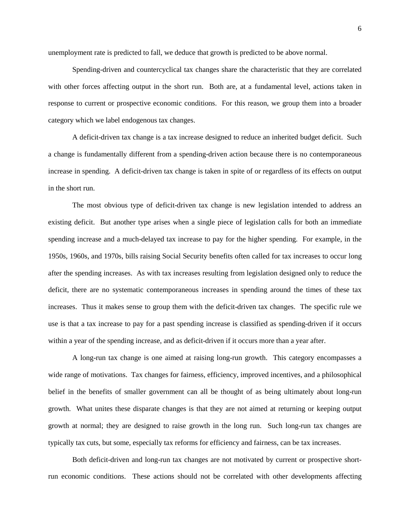unemployment rate is predicted to fall, we deduce that growth is predicted to be above normal.

Spending-driven and countercyclical tax changes share the characteristic that they are correlated with other forces affecting output in the short run. Both are, at a fundamental level, actions taken in response to current or prospective economic conditions. For this reason, we group them into a broader category which we label endogenous tax changes.

A deficit-driven tax change is a tax increase designed to reduce an inherited budget deficit. Such a change is fundamentally different from a spending-driven action because there is no contemporaneous increase in spending. A deficit-driven tax change is taken in spite of or regardless of its effects on output in the short run.

The most obvious type of deficit-driven tax change is new legislation intended to address an existing deficit. But another type arises when a single piece of legislation calls for both an immediate spending increase and a much-delayed tax increase to pay for the higher spending. For example, in the 1950s, 1960s, and 1970s, bills raising Social Security benefits often called for tax increases to occur long after the spending increases. As with tax increases resulting from legislation designed only to reduce the deficit, there are no systematic contemporaneous increases in spending around the times of these tax increases. Thus it makes sense to group them with the deficit-driven tax changes. The specific rule we use is that a tax increase to pay for a past spending increase is classified as spending-driven if it occurs within a year of the spending increase, and as deficit-driven if it occurs more than a year after.

A long-run tax change is one aimed at raising long-run growth. This category encompasses a wide range of motivations. Tax changes for fairness, efficiency, improved incentives, and a philosophical belief in the benefits of smaller government can all be thought of as being ultimately about long-run growth. What unites these disparate changes is that they are not aimed at returning or keeping output growth at normal; they are designed to raise growth in the long run. Such long-run tax changes are typically tax cuts, but some, especially tax reforms for efficiency and fairness, can be tax increases.

Both deficit-driven and long-run tax changes are not motivated by current or prospective shortrun economic conditions. These actions should not be correlated with other developments affecting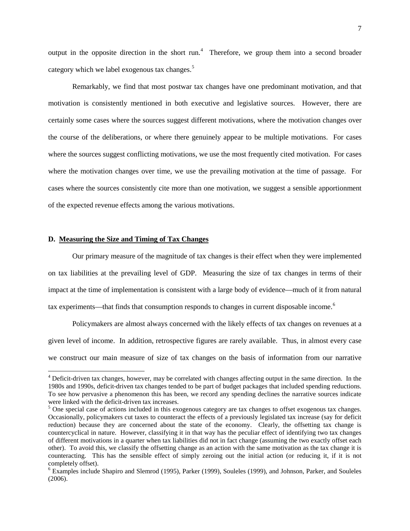output in the opposite direction in the short run.<sup>[4](#page-8-0)</sup> Therefore, we group them into a second broader category which we label exogenous tax changes.<sup>[5](#page-8-1)</sup>

Remarkably, we find that most postwar tax changes have one predominant motivation, and that motivation is consistently mentioned in both executive and legislative sources. However, there are certainly some cases where the sources suggest different motivations, where the motivation changes over the course of the deliberations, or where there genuinely appear to be multiple motivations. For cases where the sources suggest conflicting motivations, we use the most frequently cited motivation. For cases where the motivation changes over time, we use the prevailing motivation at the time of passage. For cases where the sources consistently cite more than one motivation, we suggest a sensible apportionment of the expected revenue effects among the various motivations.

# **D. Measuring the Size and Timing of Tax Changes**

Our primary measure of the magnitude of tax changes is their effect when they were implemented on tax liabilities at the prevailing level of GDP. Measuring the size of tax changes in terms of their impact at the time of implementation is consistent with a large body of evidence—much of it from natural tax experiments—that finds that consumption responds to changes in current disposable income.<sup>[6](#page-8-2)</sup>

Policymakers are almost always concerned with the likely effects of tax changes on revenues at a given level of income. In addition, retrospective figures are rarely available. Thus, in almost every case we construct our main measure of size of tax changes on the basis of information from our narrative

<span id="page-8-0"></span><sup>&</sup>lt;sup>4</sup> Deficit-driven tax changes, however, may be correlated with changes affecting output in the same direction. In the 1980s and 1990s, deficit-driven tax changes tended to be part of budget packages that included spending reductions. To see how pervasive a phenomenon this has been, we record any spending declines the narrative sources indicate

<span id="page-8-1"></span> $5$  One special case of actions included in this exogenous category are tax changes to offset exogenous tax changes. Occasionally, policymakers cut taxes to counteract the effects of a previously legislated tax increase (say for deficit reduction) because they are concerned about the state of the economy. Clearly, the offsetting tax change is countercyclical in nature. However, classifying it in that way has the peculiar effect of identifying two tax changes of different motivations in a quarter when tax liabilities did not in fact change (assuming the two exactly offset each other). To avoid this, we classify the offsetting change as an action with the same motivation as the tax change it is counteracting. This has the sensible effect of simply zeroing out the initial action (or reducing it, if it is not completely offset).<br><sup>6</sup> Examples include Shapiro and Slemrod (1995), Parker (1999), Souleles (1999), and Johnson, Parker, and Souleles

<span id="page-8-2"></span><sup>(2006).</sup>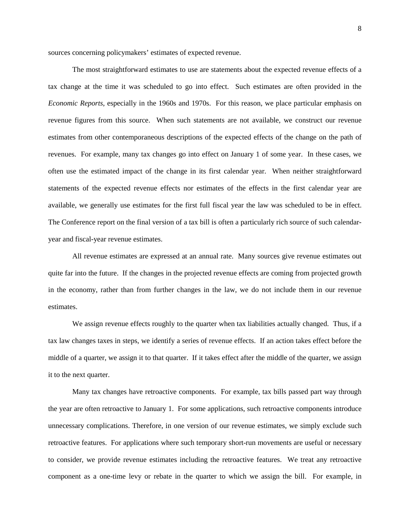sources concerning policymakers' estimates of expected revenue.

The most straightforward estimates to use are statements about the expected revenue effects of a tax change at the time it was scheduled to go into effect. Such estimates are often provided in the *Economic Reports*, especially in the 1960s and 1970s. For this reason, we place particular emphasis on revenue figures from this source. When such statements are not available, we construct our revenue estimates from other contemporaneous descriptions of the expected effects of the change on the path of revenues. For example, many tax changes go into effect on January 1 of some year. In these cases, we often use the estimated impact of the change in its first calendar year. When neither straightforward statements of the expected revenue effects nor estimates of the effects in the first calendar year are available, we generally use estimates for the first full fiscal year the law was scheduled to be in effect. The Conference report on the final version of a tax bill is often a particularly rich source of such calendaryear and fiscal-year revenue estimates.

All revenue estimates are expressed at an annual rate. Many sources give revenue estimates out quite far into the future. If the changes in the projected revenue effects are coming from projected growth in the economy, rather than from further changes in the law, we do not include them in our revenue estimates.

We assign revenue effects roughly to the quarter when tax liabilities actually changed. Thus, if a tax law changes taxes in steps, we identify a series of revenue effects. If an action takes effect before the middle of a quarter, we assign it to that quarter. If it takes effect after the middle of the quarter, we assign it to the next quarter.

Many tax changes have retroactive components. For example, tax bills passed part way through the year are often retroactive to January 1. For some applications, such retroactive components introduce unnecessary complications. Therefore, in one version of our revenue estimates, we simply exclude such retroactive features. For applications where such temporary short-run movements are useful or necessary to consider, we provide revenue estimates including the retroactive features. We treat any retroactive component as a one-time levy or rebate in the quarter to which we assign the bill. For example, in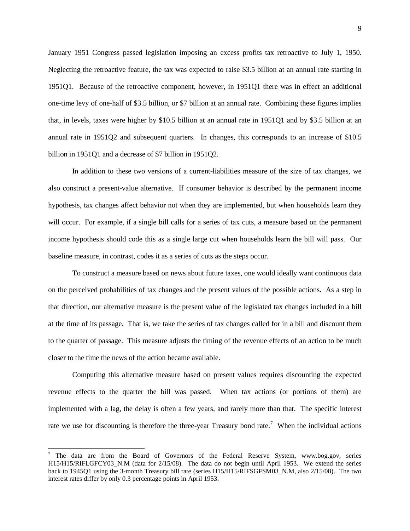January 1951 Congress passed legislation imposing an excess profits tax retroactive to July 1, 1950. Neglecting the retroactive feature, the tax was expected to raise \$3.5 billion at an annual rate starting in 1951Q1. Because of the retroactive component, however, in 1951Q1 there was in effect an additional one-time levy of one-half of \$3.5 billion, or \$7 billion at an annual rate. Combining these figures implies that, in levels, taxes were higher by \$10.5 billion at an annual rate in 1951Q1 and by \$3.5 billion at an annual rate in 1951Q2 and subsequent quarters. In changes, this corresponds to an increase of \$10.5 billion in 1951Q1 and a decrease of \$7 billion in 1951Q2.

In addition to these two versions of a current-liabilities measure of the size of tax changes, we also construct a present-value alternative. If consumer behavior is described by the permanent income hypothesis, tax changes affect behavior not when they are implemented, but when households learn they will occur. For example, if a single bill calls for a series of tax cuts, a measure based on the permanent income hypothesis should code this as a single large cut when households learn the bill will pass. Our baseline measure, in contrast, codes it as a series of cuts as the steps occur.

To construct a measure based on news about future taxes, one would ideally want continuous data on the perceived probabilities of tax changes and the present values of the possible actions. As a step in that direction, our alternative measure is the present value of the legislated tax changes included in a bill at the time of its passage. That is, we take the series of tax changes called for in a bill and discount them to the quarter of passage. This measure adjusts the timing of the revenue effects of an action to be much closer to the time the news of the action became available.

Computing this alternative measure based on present values requires discounting the expected revenue effects to the quarter the bill was passed. When tax actions (or portions of them) are implemented with a lag, the delay is often a few years, and rarely more than that. The specific interest rate we use for discounting is therefore the three-year Treasury bond rate.<sup>[7](#page-10-0)</sup> When the individual actions

<span id="page-10-0"></span><sup>&</sup>lt;sup>7</sup> The data are from the Board of Governors of the Federal Reserve System, www.bog.gov, series H15/H15/RIFLGFCY03 N.M (data for 2/15/08). The data do not begin until April 1953. We extend the series back to 1945Q1 using the 3-month Treasury bill rate (series H15/H15/RIFSGFSM03\_N.M, also 2/15/08). The two interest rates differ by only 0.3 percentage points in April 1953.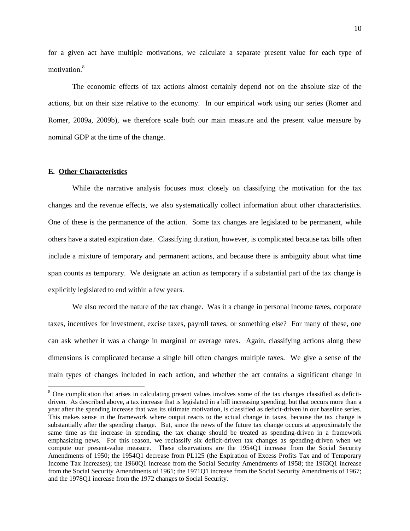for a given act have multiple motivations, we calculate a separate present value for each type of motivation.<sup>[8](#page-11-0)</sup>

The economic effects of tax actions almost certainly depend not on the absolute size of the actions, but on their size relative to the economy. In our empirical work using our series (Romer and Romer, 2009a, 2009b), we therefore scale both our main measure and the present value measure by nominal GDP at the time of the change.

## **E. Other Characteristics**

While the narrative analysis focuses most closely on classifying the motivation for the tax changes and the revenue effects, we also systematically collect information about other characteristics. One of these is the permanence of the action. Some tax changes are legislated to be permanent, while others have a stated expiration date. Classifying duration, however, is complicated because tax bills often include a mixture of temporary and permanent actions, and because there is ambiguity about what time span counts as temporary. We designate an action as temporary if a substantial part of the tax change is explicitly legislated to end within a few years.

We also record the nature of the tax change. Was it a change in personal income taxes, corporate taxes, incentives for investment, excise taxes, payroll taxes, or something else? For many of these, one can ask whether it was a change in marginal or average rates. Again, classifying actions along these dimensions is complicated because a single bill often changes multiple taxes. We give a sense of the main types of changes included in each action, and whether the act contains a significant change in

<span id="page-11-0"></span><sup>&</sup>lt;sup>8</sup> One complication that arises in calculating present values involves some of the tax changes classified as deficitdriven. As described above, a tax increase that is legislated in a bill increasing spending, but that occurs more than a year after the spending increase that was its ultimate motivation, is classified as deficit-driven in our baseline series. This makes sense in the framework where output reacts to the actual change in taxes, because the tax change is substantially after the spending change. But, since the news of the future tax change occurs at approximately the same time as the increase in spending, the tax change should be treated as spending-driven in a framework emphasizing news. For this reason, we reclassify six deficit-driven tax changes as spending-driven when we compute our present-value measure. These observations are the 1954Q1 increase from the Social Security Amendments of 1950; the 1954Q1 decrease from PL125 (the Expiration of Excess Profits Tax and of Temporary Income Tax Increases); the 1960Q1 increase from the Social Security Amendments of 1958; the 1963Q1 increase from the Social Security Amendments of 1961; the 1971Q1 increase from the Social Security Amendments of 1967; and the 1978Q1 increase from the 1972 changes to Social Security.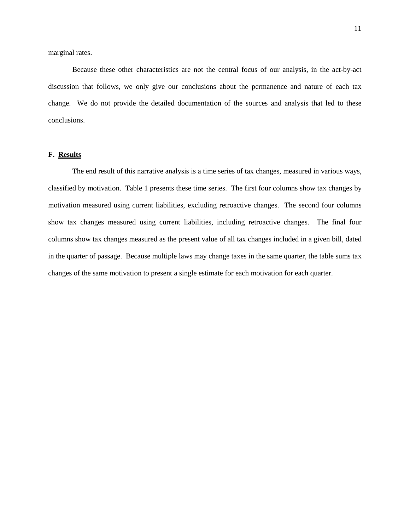marginal rates.

Because these other characteristics are not the central focus of our analysis, in the act-by-act discussion that follows, we only give our conclusions about the permanence and nature of each tax change. We do not provide the detailed documentation of the sources and analysis that led to these conclusions.

# **F. Results**

The end result of this narrative analysis is a time series of tax changes, measured in various ways, classified by motivation. Table 1 presents these time series. The first four columns show tax changes by motivation measured using current liabilities, excluding retroactive changes. The second four columns show tax changes measured using current liabilities, including retroactive changes. The final four columns show tax changes measured as the present value of all tax changes included in a given bill, dated in the quarter of passage. Because multiple laws may change taxes in the same quarter, the table sums tax changes of the same motivation to present a single estimate for each motivation for each quarter.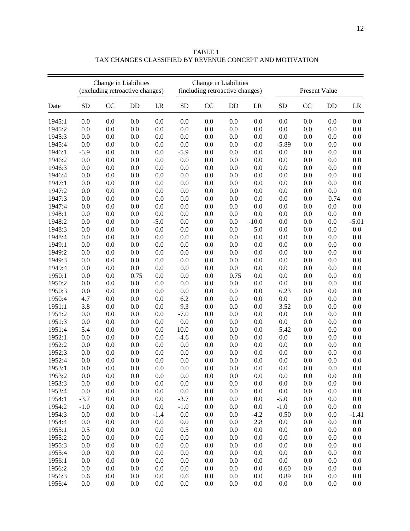|        | Change in Liabilities<br>(excluding retroactive changes) |     |           |         | Change in Liabilities<br>(including retroactive changes) |     |           | <b>Present Value</b> |           |         |         |         |
|--------|----------------------------------------------------------|-----|-----------|---------|----------------------------------------------------------|-----|-----------|----------------------|-----------|---------|---------|---------|
| Date   | <b>SD</b>                                                | CC  | <b>DD</b> | LR      | <b>SD</b>                                                | CC  | <b>DD</b> | LR                   | <b>SD</b> | CC      | DD      | LR      |
| 1945:1 | 0.0                                                      | 0.0 | 0.0       | 0.0     | 0.0                                                      | 0.0 | 0.0       | 0.0                  | 0.0       | 0.0     | 0.0     | 0.0     |
| 1945:2 | 0.0                                                      | 0.0 | 0.0       | 0.0     | 0.0                                                      | 0.0 | 0.0       | 0.0                  | 0.0       | 0.0     | 0.0     | 0.0     |
| 1945:3 | 0.0                                                      | 0.0 | 0.0       | 0.0     | 0.0                                                      | 0.0 | 0.0       | 0.0                  | 0.0       | 0.0     | 0.0     | 0.0     |
| 1945:4 | 0.0                                                      | 0.0 | 0.0       | 0.0     | 0.0                                                      | 0.0 | 0.0       | 0.0                  | $-5.89$   | 0.0     | 0.0     | 0.0     |
| 1946:1 | $-5.9$                                                   | 0.0 | 0.0       | 0.0     | $-5.9$                                                   | 0.0 | 0.0       | 0.0                  | 0.0       | 0.0     | 0.0     | 0.0     |
| 1946:2 | 0.0                                                      | 0.0 | 0.0       | 0.0     | 0.0                                                      | 0.0 | 0.0       | 0.0                  | 0.0       | 0.0     | $0.0\,$ | 0.0     |
| 1946:3 | 0.0                                                      | 0.0 | 0.0       | 0.0     | 0.0                                                      | 0.0 | 0.0       | 0.0                  | 0.0       | $0.0\,$ | 0.0     | 0.0     |
| 1946:4 | 0.0                                                      | 0.0 | 0.0       | 0.0     | 0.0                                                      | 0.0 | 0.0       | 0.0                  | 0.0       | 0.0     | 0.0     | 0.0     |
| 1947:1 | 0.0                                                      | 0.0 | 0.0       | 0.0     | 0.0                                                      | 0.0 | 0.0       | 0.0                  | 0.0       | 0.0     | $0.0\,$ | 0.0     |
| 1947:2 | 0.0                                                      | 0.0 | 0.0       | 0.0     | 0.0                                                      | 0.0 | 0.0       | 0.0                  | 0.0       | 0.0     | $0.0\,$ | 0.0     |
| 1947:3 | 0.0                                                      | 0.0 | 0.0       | 0.0     | 0.0                                                      | 0.0 | 0.0       | 0.0                  | 0.0       | 0.0     | 0.74    | 0.0     |
| 1947:4 | 0.0                                                      | 0.0 | 0.0       | 0.0     | 0.0                                                      | 0.0 | 0.0       | 0.0                  | 0.0       | 0.0     | 0.0     | 0.0     |
| 1948:1 | 0.0                                                      | 0.0 | 0.0       | 0.0     | 0.0                                                      | 0.0 | 0.0       | 0.0                  | 0.0       | 0.0     | 0.0     | 0.0     |
| 1948:2 | 0.0                                                      | 0.0 | 0.0       | $-5.0$  | 0.0                                                      | 0.0 | 0.0       | $-10.0$              | 0.0       | 0.0     | 0.0     | $-5.01$ |
| 1948:3 | 0.0                                                      | 0.0 | 0.0       | 0.0     | 0.0                                                      | 0.0 | 0.0       | 5.0                  | 0.0       | 0.0     | 0.0     | 0.0     |
| 1948:4 | 0.0                                                      | 0.0 | 0.0       | 0.0     | 0.0                                                      | 0.0 | 0.0       | 0.0                  | 0.0       | 0.0     | $0.0\,$ | 0.0     |
| 1949:1 | 0.0                                                      | 0.0 | 0.0       | 0.0     | 0.0                                                      | 0.0 | 0.0       | 0.0                  | 0.0       | 0.0     | $0.0\,$ | 0.0     |
| 1949:2 | 0.0                                                      | 0.0 | $0.0\,$   | $0.0\,$ | 0.0                                                      | 0.0 | 0.0       | 0.0                  | 0.0       | $0.0\,$ | $0.0\,$ | $0.0\,$ |
| 1949:3 | 0.0                                                      | 0.0 | 0.0       | 0.0     | 0.0                                                      | 0.0 | 0.0       | 0.0                  | 0.0       | $0.0\,$ | 0.0     | $0.0\,$ |
| 1949:4 | 0.0                                                      | 0.0 | 0.0       | 0.0     | 0.0                                                      | 0.0 | 0.0       | 0.0                  | 0.0       | 0.0     | $0.0\,$ | 0.0     |
| 1950:1 | 0.0                                                      | 0.0 | 0.75      | 0.0     | 0.0                                                      | 0.0 | 0.75      | 0.0                  | 0.0       | 0.0     | $0.0\,$ | $0.0\,$ |
| 1950:2 | 0.0                                                      | 0.0 | 0.0       | 0.0     | 0.0                                                      | 0.0 | 0.0       | 0.0                  | 0.0       | 0.0     | $0.0\,$ | $0.0\,$ |
| 1950:3 | 0.0                                                      | 0.0 | 0.0       | 0.0     | 0.0                                                      | 0.0 | 0.0       | 0.0                  | 6.23      | 0.0     | 0.0     | 0.0     |
| 1950:4 | 4.7                                                      | 0.0 | 0.0       | 0.0     | 6.2                                                      | 0.0 | 0.0       | 0.0                  | 0.0       | 0.0     | 0.0     | 0.0     |
| 1951:1 | 3.8                                                      | 0.0 | 0.0       | 0.0     | 9.3                                                      | 0.0 | 0.0       | 0.0                  | 3.52      | 0.0     | 0.0     | 0.0     |
| 1951:2 | 0.0                                                      | 0.0 | 0.0       | 0.0     | $-7.0$                                                   | 0.0 | 0.0       | 0.0                  | 0.0       | 0.0     | 0.0     | 0.0     |
| 1951:3 | 0.0                                                      | 0.0 | 0.0       | 0.0     | 0.0                                                      | 0.0 | 0.0       | 0.0                  | 0.0       | 0.0     | $0.0\,$ | 0.0     |
| 1951:4 | 5.4                                                      | 0.0 | 0.0       | 0.0     | 10.0                                                     | 0.0 | 0.0       | 0.0                  | 5.42      | 0.0     | 0.0     | 0.0     |
| 1952:1 | 0.0                                                      | 0.0 | 0.0       | 0.0     | $-4.6$                                                   | 0.0 | 0.0       | 0.0                  | 0.0       | 0.0     | $0.0\,$ | 0.0     |
| 1952:2 | 0.0                                                      | 0.0 | 0.0       | 0.0     | 0.0                                                      | 0.0 | 0.0       | 0.0                  | 0.0       | 0.0     | $0.0\,$ | 0.0     |
| 1952:3 | 0.0                                                      | 0.0 | 0.0       | 0.0     | 0.0                                                      | 0.0 | 0.0       | 0.0                  | 0.0       | 0.0     | 0.0     | 0.0     |
| 1952:4 | 0.0                                                      | 0.0 | 0.0       | 0.0     | 0.0                                                      | 0.0 | 0.0       | 0.0                  | 0.0       | 0.0     | 0.0     | 0.0     |
| 1953:1 | 0.0                                                      | 0.0 | 0.0       | 0.0     | 0.0                                                      | 0.0 | 0.0       | 0.0                  | 0.0       | 0.0     | 0.0     | 0.0     |
| 1953:2 | 0.0                                                      | 0.0 | 0.0       | 0.0     | 0.0                                                      | 0.0 | 0.0       | 0.0                  | 0.0       | 0.0     | 0.0     | 0.0     |
| 1953:3 | 0.0                                                      | 0.0 | 0.0       | 0.0     | 0.0                                                      | 0.0 | 0.0       | 0.0                  | 0.0       | 0.0     | $0.0\,$ | 0.0     |
| 1953:4 | 0.0                                                      | 0.0 | 0.0       | 0.0     | 0.0                                                      | 0.0 | 0.0       | 0.0                  | $0.0\,$   | $0.0\,$ | $0.0\,$ | 0.0     |
| 1954:1 | $-3.7$                                                   | 0.0 | 0.0       | 0.0     | $-3.7$                                                   | 0.0 | 0.0       | 0.0                  | $-5.0$    | 0.0     | 0.0     | 0.0     |
| 1954:2 | $-1.0$                                                   | 0.0 | 0.0       | 0.0     | $-1.0$                                                   | 0.0 | 0.0       | 0.0                  | $-1.0$    | 0.0     | 0.0     | 0.0     |
| 1954:3 | 0.0                                                      | 0.0 | 0.0       | $-1.4$  | 0.0                                                      | 0.0 | 0.0       | $-4.2$               | 0.50      | $0.0\,$ | 0.0     | $-1.41$ |
| 1954:4 | 0.0                                                      | 0.0 | 0.0       | 0.0     | 0.0                                                      | 0.0 | 0.0       | 2.8                  | 0.0       | 0.0     | 0.0     | 0.0     |
| 1955:1 | 0.5                                                      | 0.0 | 0.0       | 0.0     | 0.5                                                      | 0.0 | 0.0       | 0.0                  | 0.0       | $0.0\,$ | 0.0     | 0.0     |
| 1955:2 | 0.0                                                      | 0.0 | 0.0       | 0.0     | 0.0                                                      | 0.0 | 0.0       | 0.0                  | 0.0       | $0.0\,$ | $0.0\,$ | 0.0     |
| 1955:3 | 0.0                                                      | 0.0 | 0.0       | 0.0     | 0.0                                                      | 0.0 | 0.0       | 0.0                  | 0.0       | $0.0\,$ | 0.0     | 0.0     |
| 1955:4 | 0.0                                                      | 0.0 | 0.0       | 0.0     | 0.0                                                      | 0.0 | 0.0       | 0.0                  | 0.0       | 0.0     | 0.0     | 0.0     |
| 1956:1 | 0.0                                                      | 0.0 | 0.0       | 0.0     | 0.0                                                      | 0.0 | 0.0       | 0.0                  | 0.0       | 0.0     | 0.0     | 0.0     |
| 1956:2 | 0.0                                                      | 0.0 | 0.0       | 0.0     | 0.0                                                      | 0.0 | 0.0       | 0.0                  | 0.60      | 0.0     | 0.0     | 0.0     |
| 1956:3 | 0.6                                                      | 0.0 | 0.0       | 0.0     | 0.6                                                      | 0.0 | 0.0       | 0.0                  | 0.89      | 0.0     | 0.0     | 0.0     |
| 1956:4 | 0.0                                                      | 0.0 | $0.0\,$   | 0.0     | 0.0                                                      | 0.0 | 0.0       | 0.0                  | $0.0\,$   | $0.0\,$ | 0.0     | 0.0     |

TABLE 1 TAX CHANGES CLASSIFIED BY REVENUE CONCEPT AND MOTIVATION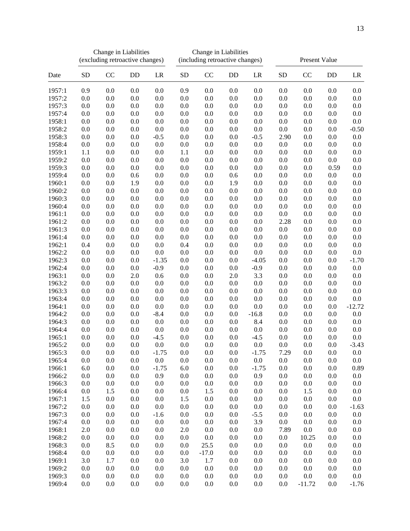|        |           | Change in Liabilities<br>(excluding retroactive changes) |     |         | Change in Liabilities<br>(including retroactive changes) |         |     |         | Present Value |          |         |          |
|--------|-----------|----------------------------------------------------------|-----|---------|----------------------------------------------------------|---------|-----|---------|---------------|----------|---------|----------|
| Date   | <b>SD</b> | CC                                                       | DD  | LR      | <b>SD</b>                                                | CC      | DD  | LR      | ${\rm SD}$    | CC       | DD      | LR       |
| 1957:1 | 0.9       | 0.0                                                      | 0.0 | 0.0     | 0.9                                                      | 0.0     | 0.0 | 0.0     | 0.0           | 0.0      | 0.0     | 0.0      |
| 1957:2 | 0.0       | 0.0                                                      | 0.0 | 0.0     | 0.0                                                      | 0.0     | 0.0 | 0.0     | 0.0           | 0.0      | 0.0     | 0.0      |
| 1957:3 | 0.0       | 0.0                                                      | 0.0 | 0.0     | 0.0                                                      | 0.0     | 0.0 | 0.0     | 0.0           | 0.0      | 0.0     | 0.0      |
| 1957:4 | 0.0       | 0.0                                                      | 0.0 | 0.0     | 0.0                                                      | 0.0     | 0.0 | 0.0     | 0.0           | 0.0      | 0.0     | 0.0      |
| 1958:1 | 0.0       | 0.0                                                      | 0.0 | 0.0     | 0.0                                                      | 0.0     | 0.0 | 0.0     | 0.0           | 0.0      | 0.0     | 0.0      |
| 1958:2 | $0.0\,$   | 0.0                                                      | 0.0 | 0.0     | 0.0                                                      | 0.0     | 0.0 | 0.0     | $0.0\,$       | 0.0      | 0.0     | $-0.50$  |
| 1958:3 | $0.0\,$   | 0.0                                                      | 0.0 | $-0.5$  | 0.0                                                      | 0.0     | 0.0 | $-0.5$  | 2.90          | 0.0      | $0.0\,$ | $0.0\,$  |
| 1958:4 | 0.0       | 0.0                                                      | 0.0 | 0.0     | 0.0                                                      | 0.0     | 0.0 | 0.0     | 0.0           | 0.0      | 0.0     | 0.0      |
| 1959:1 | 1.1       | 0.0                                                      | 0.0 | 0.0     | 1.1                                                      | 0.0     | 0.0 | 0.0     | 0.0           | 0.0      | 0.0     | 0.0      |
| 1959:2 | 0.0       | 0.0                                                      | 0.0 | 0.0     | 0.0                                                      | 0.0     | 0.0 | 0.0     | 0.0           | 0.0      | 0.0     | 0.0      |
| 1959:3 | 0.0       | 0.0                                                      | 0.0 | 0.0     | 0.0                                                      | 0.0     | 0.0 | 0.0     | 0.0           | 0.0      | 0.59    | 0.0      |
| 1959:4 | 0.0       | 0.0                                                      | 0.6 | 0.0     | 0.0                                                      | 0.0     | 0.6 | 0.0     | 0.0           | 0.0      | 0.0     | 0.0      |
| 1960:1 | 0.0       | 0.0                                                      | 1.9 | 0.0     | 0.0                                                      | 0.0     | 1.9 | 0.0     | 0.0           | 0.0      | 0.0     | 0.0      |
| 1960:2 | 0.0       | 0.0                                                      | 0.0 | 0.0     | 0.0                                                      | 0.0     | 0.0 | 0.0     | 0.0           | 0.0      | 0.0     | 0.0      |
| 1960:3 | 0.0       | 0.0                                                      | 0.0 | 0.0     | 0.0                                                      | 0.0     | 0.0 | 0.0     | 0.0           | 0.0      | 0.0     | 0.0      |
| 1960:4 | $0.0\,$   | 0.0                                                      | 0.0 | 0.0     | 0.0                                                      | 0.0     | 0.0 | 0.0     | 0.0           | 0.0      | 0.0     | 0.0      |
| 1961:1 | 0.0       | 0.0                                                      | 0.0 | 0.0     | 0.0                                                      | 0.0     | 0.0 | 0.0     | 0.0           | 0.0      | 0.0     | 0.0      |
| 1961:2 | $0.0\,$   | 0.0                                                      | 0.0 | 0.0     | 0.0                                                      | 0.0     | 0.0 | 0.0     | 2.28          | 0.0      | $0.0\,$ | $0.0\,$  |
| 1961:3 | $0.0\,$   | $0.0\,$                                                  | 0.0 | 0.0     | 0.0                                                      | $0.0\,$ | 0.0 | 0.0     | 0.0           | 0.0      | $0.0\,$ | $0.0\,$  |
| 1961:4 | 0.0       | 0.0                                                      | 0.0 | 0.0     | 0.0                                                      | 0.0     | 0.0 | 0.0     | 0.0           | 0.0      | 0.0     | 0.0      |
| 1962:1 | 0.4       | 0.0                                                      | 0.0 | 0.0     | 0.4                                                      | 0.0     | 0.0 | 0.0     | 0.0           | 0.0      | 0.0     | $0.0\,$  |
| 1962:2 | $0.0\,$   | 0.0                                                      | 0.0 | 0.0     | 0.0                                                      | 0.0     | 0.0 | 0.0     | 0.0           | 0.0      | 0.0     | 0.0      |
| 1962:3 | 0.0       | 0.0                                                      | 0.0 | $-1.35$ | 0.0                                                      | 0.0     | 0.0 | $-4.05$ | 0.0           | 0.0      | 0.0     | $-1.70$  |
| 1962:4 | 0.0       | 0.0                                                      | 0.0 | $-0.9$  | 0.0                                                      | 0.0     | 0.0 | $-0.9$  | 0.0           | 0.0      | 0.0     | 0.0      |
| 1963:1 | $0.0\,$   | 0.0                                                      | 2.0 | 0.6     | 0.0                                                      | 0.0     | 2.0 | 3.3     | 0.0           | 0.0      | $0.0\,$ | 0.0      |
| 1963:2 | 0.0       | 0.0                                                      | 0.0 | 0.0     | 0.0                                                      | 0.0     | 0.0 | 0.0     | 0.0           | 0.0      | 0.0     | 0.0      |
| 1963:3 | 0.0       | 0.0                                                      | 0.0 | 0.0     | 0.0                                                      | 0.0     | 0.0 | 0.0     | 0.0           | 0.0      | 0.0     | 0.0      |
| 1963:4 | $0.0\,$   | 0.0                                                      | 0.0 | 0.0     | 0.0                                                      | 0.0     | 0.0 | 0.0     | 0.0           | 0.0      | $0.0\,$ | 0.0      |
| 1964:1 | 0.0       | 0.0                                                      | 0.0 | 0.0     | 0.0                                                      | 0.0     | 0.0 | 0.0     | 0.0           | 0.0      | $0.0\,$ | $-12.72$ |
| 1964:2 | 0.0       | 0.0                                                      | 0.0 | $-8.4$  | 0.0                                                      | 0.0     | 0.0 | $-16.8$ | 0.0           | 0.0      | 0.0     | $0.0\,$  |
| 1964:3 | $0.0\,$   | 0.0                                                      | 0.0 | 0.0     | 0.0                                                      | 0.0     | 0.0 | 8.4     | 0.0           | 0.0      | 0.0     | $0.0\,$  |
| 1964:4 | 0.0       | 0.0                                                      | 0.0 | 0.0     | 0.0                                                      | 0.0     | 0.0 | 0.0     | 0.0           | 0.0      | 0.0     | 0.0      |
| 1965:1 | 0.0       | 0.0                                                      | 0.0 | $-4.5$  | 0.0                                                      | 0.0     | 0.0 | $-4.5$  | 0.0           | 0.0      | 0.0     | 0.0      |
| 1965:2 | 0.0       | 0.0                                                      | 0.0 | 0.0     | 0.0                                                      | 0.0     | 0.0 | 0.0     | 0.0           | 0.0      | 0.0     | $-3.43$  |
| 1965:3 | 0.0       | 0.0                                                      | 0.0 | $-1.75$ | 0.0                                                      | 0.0     | 0.0 | $-1.75$ | 7.29          | 0.0      | 0.0     | 0.0      |
| 1965:4 | 0.0       | 0.0                                                      | 0.0 | 0.0     | 0.0                                                      | 0.0     | 0.0 | $0.0\,$ | 0.0           | 0.0      | 0.0     | 0.0      |
| 1966:1 | 6.0       | 0.0                                                      | 0.0 | $-1.75$ | 6.0                                                      | 0.0     | 0.0 | $-1.75$ | 0.0           | 0.0      | 0.0     | 0.89     |
| 1966:2 | 0.0       | 0.0                                                      | 0.0 | 0.9     | 0.0                                                      | 0.0     | 0.0 | 0.9     | 0.0           | 0.0      | 0.0     | 0.0      |
| 1966:3 | 0.0       | 0.0                                                      | 0.0 | 0.0     | 0.0                                                      | 0.0     | 0.0 | 0.0     | 0.0           | 0.0      | 0.0     | 0.0      |
| 1966:4 | 0.0       | 1.5                                                      | 0.0 | 0.0     | 0.0                                                      | 1.5     | 0.0 | 0.0     | 0.0           | 1.5      | 0.0     | 0.0      |
| 1967:1 | 1.5       | 0.0                                                      | 0.0 | 0.0     | 1.5                                                      | 0.0     | 0.0 | 0.0     | 0.0           | 0.0      | 0.0     | 0.0      |
| 1967:2 | 0.0       | 0.0                                                      | 0.0 | 0.0     | 0.0                                                      | 0.0     | 0.0 | 0.0     | 0.0           | 0.0      | 0.0     | $-1.63$  |
| 1967:3 | 0.0       | 0.0                                                      | 0.0 | $-1.6$  | 0.0                                                      | 0.0     | 0.0 | $-5.5$  | 0.0           | 0.0      | 0.0     | $0.0\,$  |
| 1967:4 | 0.0       | 0.0                                                      | 0.0 | 0.0     | 0.0                                                      | 0.0     | 0.0 | 3.9     | 0.0           | 0.0      | 0.0     | 0.0      |
| 1968:1 | 2.0       | 0.0                                                      | 0.0 | 0.0     | 2.0                                                      | 0.0     | 0.0 | 0.0     | 7.89          | 0.0      | 0.0     | 0.0      |
| 1968:2 | 0.0       | 0.0                                                      | 0.0 | 0.0     | 0.0                                                      | 0.0     | 0.0 | 0.0     | 0.0           | 10.25    | 0.0     | 0.0      |
| 1968:3 | 0.0       | 8.5                                                      | 0.0 | 0.0     | 0.0                                                      | 25.5    | 0.0 | 0.0     | 0.0           | 0.0      | 0.0     | 0.0      |
| 1968:4 | 0.0       | 0.0                                                      | 0.0 | 0.0     | 0.0                                                      | $-17.0$ | 0.0 | 0.0     | 0.0           | 0.0      | 0.0     | 0.0      |
| 1969:1 | 3.0       | 1.7                                                      | 0.0 | 0.0     | 3.0                                                      | 1.7     | 0.0 | 0.0     | 0.0           | 0.0      | 0.0     | 0.0      |
| 1969:2 | 0.0       | 0.0                                                      | 0.0 | 0.0     | 0.0                                                      | 0.0     | 0.0 | 0.0     | 0.0           | 0.0      | 0.0     | 0.0      |
| 1969:3 | 0.0       | 0.0                                                      | 0.0 | 0.0     | 0.0                                                      | 0.0     | 0.0 | 0.0     | 0.0           | 0.0      | 0.0     | 0.0      |
| 1969:4 | 0.0       | 0.0                                                      | 0.0 | 0.0     | 0.0                                                      | 0.0     | 0.0 | 0.0     | 0.0           | $-11.72$ | 0.0     | $-1.76$  |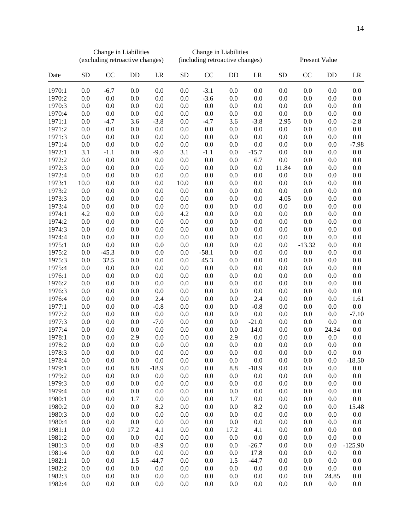|        |           | Change in Liabilities<br>(excluding retroactive changes) |      |         | Change in Liabilities<br>(including retroactive changes) |         |      |         | Present Value |          |         |           |
|--------|-----------|----------------------------------------------------------|------|---------|----------------------------------------------------------|---------|------|---------|---------------|----------|---------|-----------|
| Date   | <b>SD</b> | CC                                                       | DD   | LR      | <b>SD</b>                                                | CC      | DD   | LR      | ${\rm SD}$    | CC       | DD      | LR        |
| 1970:1 | 0.0       | $-6.7$                                                   | 0.0  | 0.0     | 0.0                                                      | $-3.1$  | 0.0  | 0.0     | 0.0           | 0.0      | 0.0     | 0.0       |
| 1970:2 | 0.0       | 0.0                                                      | 0.0  | 0.0     | 0.0                                                      | $-3.6$  | 0.0  | 0.0     | 0.0           | 0.0      | 0.0     | 0.0       |
| 1970:3 | 0.0       | 0.0                                                      | 0.0  | 0.0     | 0.0                                                      | 0.0     | 0.0  | 0.0     | 0.0           | 0.0      | 0.0     | 0.0       |
| 1970:4 | 0.0       | 0.0                                                      | 0.0  | 0.0     | 0.0                                                      | 0.0     | 0.0  | 0.0     | 0.0           | 0.0      | 0.0     | 0.0       |
| 1971:1 | 0.0       | $-4.7$                                                   | 3.6  | $-3.8$  | 0.0                                                      | $-4.7$  | 3.6  | $-3.8$  | 2.95          | 0.0      | 0.0     | $-2.8$    |
| 1971:2 | $0.0\,$   | 0.0                                                      | 0.0  | 0.0     | 0.0                                                      | 0.0     | 0.0  | 0.0     | 0.0           | 0.0      | 0.0     | $0.0\,$   |
| 1971:3 | $0.0\,$   | 0.0                                                      | 0.0  | 0.0     | 0.0                                                      | 0.0     | 0.0  | 0.0     | 0.0           | 0.0      | $0.0\,$ | 0.0       |
| 1971:4 | 0.0       | 0.0                                                      | 0.0  | 0.0     | 0.0                                                      | 0.0     | 0.0  | 0.0     | 0.0           | 0.0      | 0.0     | $-7.98$   |
| 1972:1 | 3.1       | $-1.1$                                                   | 0.0  | $-9.0$  | 3.1                                                      | $-1.1$  | 0.0  | $-15.7$ | 0.0           | 0.0      | 0.0     | 0.0       |
| 1972:2 | 0.0       | 0.0                                                      | 0.0  | 0.0     | 0.0                                                      | 0.0     | 0.0  | 6.7     | $0.0\,$       | 0.0      | 0.0     | 0.0       |
| 1972:3 | 0.0       | 0.0                                                      | 0.0  | 0.0     | 0.0                                                      | 0.0     | 0.0  | 0.0     | 11.84         | 0.0      | 0.0     | 0.0       |
| 1972:4 | 0.0       | 0.0                                                      | 0.0  | 0.0     | 0.0                                                      | 0.0     | 0.0  | 0.0     | $0.0\,$       | 0.0      | 0.0     | 0.0       |
| 1973:1 | 10.0      | 0.0                                                      | 0.0  | 0.0     | 10.0                                                     | 0.0     | 0.0  | 0.0     | 0.0           | 0.0      | 0.0     | 0.0       |
| 1973:2 | 0.0       | 0.0                                                      | 0.0  | 0.0     | 0.0                                                      | 0.0     | 0.0  | 0.0     | 0.0           | 0.0      | 0.0     | 0.0       |
| 1973:3 | 0.0       | 0.0                                                      | 0.0  | 0.0     | 0.0                                                      | 0.0     | 0.0  | 0.0     | 4.05          | 0.0      | 0.0     | 0.0       |
| 1973:4 | $0.0\,$   | 0.0                                                      | 0.0  | 0.0     | 0.0                                                      | 0.0     | 0.0  | 0.0     | 0.0           | 0.0      | 0.0     | 0.0       |
| 1974:1 | 4.2       | 0.0                                                      | 0.0  | 0.0     | 4.2                                                      | 0.0     | 0.0  | 0.0     | 0.0           | 0.0      | 0.0     | 0.0       |
| 1974:2 | $0.0\,$   | 0.0                                                      | 0.0  | 0.0     | $0.0\,$                                                  | 0.0     | 0.0  | 0.0     | $0.0\,$       | 0.0      | $0.0\,$ | $0.0\,$   |
| 1974:3 | $0.0\,$   | 0.0                                                      | 0.0  | 0.0     | 0.0                                                      | 0.0     | 0.0  | 0.0     | 0.0           | 0.0      | $0.0\,$ | $0.0\,$   |
| 1974:4 | 0.0       | 0.0                                                      | 0.0  | 0.0     | 0.0                                                      | 0.0     | 0.0  | 0.0     | 0.0           | 0.0      | 0.0     | 0.0       |
| 1975:1 | $0.0\,$   | 0.0                                                      | 0.0  | 0.0     | 0.0                                                      | 0.0     | 0.0  | 0.0     | 0.0           | $-13.32$ | 0.0     | 0.0       |
| 1975:2 | $0.0\,$   | $-45.3$                                                  | 0.0  | 0.0     | 0.0                                                      | $-58.1$ | 0.0  | 0.0     | 0.0           | 0.0      | 0.0     | $0.0\,$   |
| 1975:3 | 0.0       | 32.5                                                     | 0.0  | 0.0     | 0.0                                                      | 45.3    | 0.0  | 0.0     | 0.0           | 0.0      | 0.0     | 0.0       |
| 1975:4 | 0.0       | 0.0                                                      | 0.0  | 0.0     | 0.0                                                      | 0.0     | 0.0  | 0.0     | 0.0           | 0.0      | 0.0     | 0.0       |
| 1976:1 | $0.0\,$   | 0.0                                                      | 0.0  | 0.0     | 0.0                                                      | 0.0     | 0.0  | 0.0     | 0.0           | 0.0      | $0.0\,$ | 0.0       |
| 1976:2 | 0.0       | 0.0                                                      | 0.0  | 0.0     | 0.0                                                      | 0.0     | 0.0  | 0.0     | 0.0           | 0.0      | 0.0     | 0.0       |
| 1976:3 | 0.0       | 0.0                                                      | 0.0  | 0.0     | 0.0                                                      | 0.0     | 0.0  | 0.0     | 0.0           | 0.0      | 0.0     | 0.0       |
| 1976:4 | $0.0\,$   | 0.0                                                      | 0.0  | 2.4     | 0.0                                                      | 0.0     | 0.0  | 2.4     | 0.0           | 0.0      | 0.0     | 1.61      |
| 1977:1 | 0.0       | 0.0                                                      | 0.0  | $-0.8$  | 0.0                                                      | 0.0     | 0.0  | $-0.8$  | 0.0           | 0.0      | 0.0     | 0.0       |
| 1977:2 | 0.0       | 0.0                                                      | 0.0  | 0.0     | 0.0                                                      | 0.0     | 0.0  | 0.0     | 0.0           | 0.0      | 0.0     | $-7.10$   |
| 1977:3 | $0.0\,$   | 0.0                                                      | 0.0  | $-7.0$  | 0.0                                                      | 0.0     | 0.0  | $-21.0$ | 0.0           | 0.0      | 0.0     | $0.0\,$   |
| 1977:4 | 0.0       | 0.0                                                      | 0.0  | 0.0     | 0.0                                                      | 0.0     | 0.0  | 14.0    | 0.0           | 0.0      | 24.34   | 0.0       |
| 1978:1 | 0.0       | 0.0                                                      | 2.9  | 0.0     | 0.0                                                      | 0.0     | 2.9  | 0.0     | 0.0           | 0.0      | 0.0     | 0.0       |
| 1978:2 | 0.0       | 0.0                                                      | 0.0  | 0.0     | 0.0                                                      | 0.0     | 0.0  | 0.0     | 0.0           | 0.0      | 0.0     | 0.0       |
| 1978:3 | 0.0       | 0.0                                                      | 0.0  | 0.0     | 0.0                                                      | 0.0     | 0.0  | 0.0     | 0.0           | 0.0      | 0.0     | 0.0       |
| 1978:4 | 0.0       | 0.0                                                      | 0.0  | 0.0     | 0.0                                                      | 0.0     | 0.0  | 0.0     | 0.0           | 0.0      | 0.0     | $-18.50$  |
| 1979:1 | 0.0       | 0.0                                                      | 8.8  | $-18.9$ | 0.0                                                      | 0.0     | 8.8  | $-18.9$ | 0.0           | 0.0      | 0.0     | 0.0       |
| 1979:2 | 0.0       | 0.0                                                      | 0.0  | 0.0     | 0.0                                                      | 0.0     | 0.0  | 0.0     | 0.0           | 0.0      | 0.0     | 0.0       |
| 1979:3 | 0.0       | 0.0                                                      | 0.0  | 0.0     | 0.0                                                      | 0.0     | 0.0  | 0.0     | 0.0           | 0.0      | 0.0     | 0.0       |
| 1979:4 | 0.0       | 0.0                                                      | 0.0  | 0.0     | 0.0                                                      | 0.0     | 0.0  | 0.0     | 0.0           | 0.0      | 0.0     | 0.0       |
| 1980:1 | 0.0       | 0.0                                                      | 1.7  | 0.0     | 0.0                                                      | 0.0     | 1.7  | 0.0     | 0.0           | 0.0      | 0.0     | 0.0       |
| 1980:2 | $0.0\,$   | 0.0                                                      | 0.0  | 8.2     | 0.0                                                      | 0.0     | 0.0  | 8.2     | 0.0           | 0.0      | 0.0     | 15.48     |
| 1980:3 | $0.0\,$   | 0.0                                                      | 0.0  | 0.0     | 0.0                                                      | 0.0     | 0.0  | 0.0     | 0.0           | 0.0      | 0.0     | $0.0\,$   |
| 1980:4 | 0.0       | 0.0                                                      | 0.0  | 0.0     | 0.0                                                      | 0.0     | 0.0  | 0.0     | 0.0           | 0.0      | 0.0     | 0.0       |
| 1981:1 | 0.0       | 0.0                                                      | 17.2 | 4.1     | 0.0                                                      | 0.0     | 17.2 | 4.1     | 0.0           | 0.0      | 0.0     | 0.0       |
| 1981:2 | 0.0       | 0.0                                                      | 0.0  | 0.0     | 0.0                                                      | 0.0     | 0.0  | 0.0     | 0.0           | 0.0      | 0.0     | 0.0       |
| 1981:3 | 0.0       | 0.0                                                      | 0.0  | $-8.9$  | 0.0                                                      | 0.0     | 0.0  | $-26.7$ | 0.0           | 0.0      | 0.0     | $-125.90$ |
| 1981:4 | 0.0       | 0.0                                                      | 0.0  | 0.0     | 0.0                                                      | 0.0     | 0.0  | 17.8    | 0.0           | 0.0      | 0.0     | 0.0       |
| 1982:1 | 0.0       | 0.0                                                      | 1.5  | $-44.7$ | 0.0                                                      | 0.0     | 1.5  | $-44.7$ | 0.0           | 0.0      | 0.0     | 0.0       |
| 1982:2 | 0.0       | 0.0                                                      | 0.0  | 0.0     | 0.0                                                      | 0.0     | 0.0  | 0.0     | 0.0           | 0.0      | 0.0     | 0.0       |
| 1982:3 | 0.0       | 0.0                                                      | 0.0  | 0.0     | 0.0                                                      | 0.0     | 0.0  | 0.0     | 0.0           | 0.0      | 24.85   | 0.0       |
| 1982:4 | 0.0       | 0.0                                                      | 0.0  | 0.0     | 0.0                                                      | 0.0     | 0.0  | 0.0     | 0.0           | 0.0      | 0.0     | 0.0       |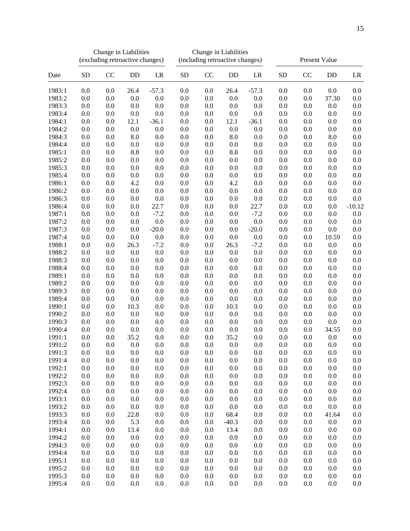|        |           |     | Change in Liabilities<br>(excluding retroactive changes) |         | Change in Liabilities<br>(including retroactive changes) |         |         |         | Present Value |     |                    |          |
|--------|-----------|-----|----------------------------------------------------------|---------|----------------------------------------------------------|---------|---------|---------|---------------|-----|--------------------|----------|
| Date   | <b>SD</b> | CC  | DD                                                       | LR      | <b>SD</b>                                                | CC      | DD      | LR      | <b>SD</b>     | CC  | DD                 | LR       |
| 1983:1 | 0.0       | 0.0 | 26.4                                                     | $-57.3$ | 0.0                                                      | 0.0     | 26.4    | $-57.3$ | 0.0           | 0.0 | 0.0                | 0.0      |
| 1983:2 | 0.0       | 0.0 | 0.0                                                      | 0.0     | 0.0                                                      | 0.0     | 0.0     | 0.0     | 0.0           | 0.0 | 37.30              | 0.0      |
| 1983:3 | 0.0       | 0.0 | 0.0                                                      | 0.0     | 0.0                                                      | 0.0     | 0.0     | 0.0     | 0.0           | 0.0 | 0.0                | 0.0      |
| 1983:4 | $0.0\,$   | 0.0 | 0.0                                                      | 0.0     | 0.0                                                      | 0.0     | 0.0     | 0.0     | 0.0           | 0.0 | 0.0                | $0.0\,$  |
| 1984:1 | $0.0\,$   | 0.0 | 12.1                                                     | $-36.1$ | 0.0                                                      | 0.0     | 12.1    | $-36.1$ | 0.0           | 0.0 | $0.0\,$            | $0.0\,$  |
| 1984:2 | 0.0       | 0.0 | 0.0                                                      | 0.0     | 0.0                                                      | 0.0     | 0.0     | 0.0     | 0.0           | 0.0 | 0.0                | 0.0      |
| 1984:3 | $0.0\,$   | 0.0 | 8.0                                                      | 0.0     | $0.0\,$                                                  | $0.0\,$ | 8.0     | 0.0     | 0.0           | 0.0 | $\boldsymbol{8.0}$ | $0.0\,$  |
| 1984:4 | $0.0\,$   | 0.0 | 0.0                                                      | 0.0     | $0.0\,$                                                  | 0.0     | 0.0     | 0.0     | 0.0           | 0.0 | $0.0\,$            | $0.0\,$  |
| 1985:1 | 0.0       | 0.0 | 8.8                                                      | 0.0     | 0.0                                                      | 0.0     | 8.8     | 0.0     | 0.0           | 0.0 | 0.0                | 0.0      |
| 1985:2 | 0.0       | 0.0 | 0.0                                                      | 0.0     | 0.0                                                      | 0.0     | 0.0     | 0.0     | 0.0           | 0.0 | 0.0                | 0.0      |
| 1985:3 | $0.0\,$   | 0.0 | 0.0                                                      | 0.0     | 0.0                                                      | 0.0     | 0.0     | 0.0     | 0.0           | 0.0 | 0.0                | $0.0\,$  |
| 1985:4 | 0.0       | 0.0 | 0.0                                                      | 0.0     | 0.0                                                      | 0.0     | 0.0     | 0.0     | 0.0           | 0.0 | 0.0                | 0.0      |
| 1986:1 | 0.0       | 0.0 | 4.2                                                      | 0.0     | 0.0                                                      | 0.0     | 4.2     | 0.0     | 0.0           | 0.0 | 0.0                | $0.0\,$  |
| 1986:2 | 0.0       | 0.0 | 0.0                                                      | 0.0     | 0.0                                                      | 0.0     | 0.0     | 0.0     | 0.0           | 0.0 | 0.0                | $0.0\,$  |
| 1986:3 | 0.0       | 0.0 | 0.0                                                      | 0.0     | 0.0                                                      | 0.0     | 0.0     | 0.0     | 0.0           | 0.0 | 0.0                | 0.0      |
| 1986:4 | $0.0\,$   | 0.0 | 0.0                                                      | 22.7    | 0.0                                                      | 0.0     | 0.0     | 22.7    | 0.0           | 0.0 | $0.0\,$            | $-10.12$ |
| 1987:1 | $0.0\,$   | 0.0 | 0.0                                                      | $-7.2$  | 0.0                                                      | 0.0     | 0.0     | $-7.2$  | 0.0           | 0.0 | 0.0                | 0.0      |
| 1987:2 | 0.0       | 0.0 | 0.0                                                      | 0.0     | 0.0                                                      | 0.0     | 0.0     | 0.0     | 0.0           | 0.0 | 0.0                | $0.0\,$  |
| 1987:3 | $0.0\,$   | 0.0 | $0.0\,$                                                  | $-20.0$ | $0.0\,$                                                  | $0.0\,$ | 0.0     | $-20.0$ | 0.0           | 0.0 | $0.0\,$            | $0.0\,$  |
| 1987:4 | $0.0\,$   | 0.0 | 0.0                                                      | 0.0     | $0.0\,$                                                  | 0.0     | 0.0     | 0.0     | 0.0           | 0.0 | 10.59              | $0.0\,$  |
| 1988:1 | 0.0       | 0.0 | 26.3                                                     | $-7.2$  | 0.0                                                      | 0.0     | 26.3    | $-7.2$  | 0.0           | 0.0 | 0.0                | 0.0      |
| 1988:2 | $0.0\,$   | 0.0 | 0.0                                                      | 0.0     | 0.0                                                      | 0.0     | 0.0     | 0.0     | 0.0           | 0.0 | $0.0\,$            | $0.0\,$  |
| 1988:3 | $0.0\,$   | 0.0 | 0.0                                                      | 0.0     | 0.0                                                      | 0.0     | 0.0     | 0.0     | 0.0           | 0.0 | 0.0                | $0.0\,$  |
| 1988:4 | 0.0       | 0.0 | 0.0                                                      | 0.0     | 0.0                                                      | 0.0     | 0.0     | 0.0     | 0.0           | 0.0 | 0.0                | 0.0      |
| 1989:1 | $0.0\,$   | 0.0 | 0.0                                                      | 0.0     | 0.0                                                      | 0.0     | 0.0     | 0.0     | 0.0           | 0.0 | $0.0\,$            | $0.0\,$  |
| 1989:2 | 0.0       | 0.0 | 0.0                                                      | 0.0     | 0.0                                                      | 0.0     | 0.0     | 0.0     | 0.0           | 0.0 | $0.0\,$            | $0.0\,$  |
| 1989:3 | 0.0       | 0.0 | 0.0                                                      | 0.0     | 0.0                                                      | 0.0     | 0.0     | 0.0     | 0.0           | 0.0 | 0.0                | 0.0      |
| 1989:4 | $0.0\,$   | 0.0 | 0.0                                                      | 0.0     | 0.0                                                      | 0.0     | 0.0     | 0.0     | 0.0           | 0.0 | 0.0                | $0.0\,$  |
| 1990:1 | $0.0\,$   | 0.0 | 10.3                                                     | 0.0     | 0.0                                                      | 0.0     | 10.3    | 0.0     | 0.0           | 0.0 | 0.0                | $0.0\,$  |
| 1990:2 | 0.0       | 0.0 | 0.0                                                      | 0.0     | 0.0                                                      | 0.0     | 0.0     | 0.0     | 0.0           | 0.0 | 0.0                | 0.0      |
| 1990:3 | $0.0\,$   | 0.0 | 0.0                                                      | 0.0     | $0.0\,$                                                  | 0.0     | 0.0     | 0.0     | 0.0           | 0.0 | 0.0                | $0.0\,$  |
| 1990:4 | $0.0\,$   | 0.0 | 0.0                                                      | 0.0     | 0.0                                                      | 0.0     | 0.0     | 0.0     | 0.0           | 0.0 | 34.55              | 0.0      |
| 1991:1 | 0.0       | 0.0 | 35.2                                                     | 0.0     | 0.0                                                      | 0.0     | 35.2    | 0.0     | 0.0           | 0.0 | 0.0                | 0.0      |
| 1991:2 | 0.0       | 0.0 | 0.0                                                      | 0.0     | 0.0                                                      | 0.0     | 0.0     | 0.0     | 0.0           | 0.0 | 0.0                | 0.0      |
| 1991:3 | 0.0       | 0.0 | 0.0                                                      | 0.0     | 0.0                                                      | 0.0     | 0.0     | 0.0     | 0.0           | 0.0 | 0.0                | 0.0      |
| 1991:4 | 0.0       | 0.0 | 0.0                                                      | 0.0     | 0.0                                                      | 0.0     | 0.0     | 0.0     | 0.0           | 0.0 | 0.0                | 0.0      |
| 1992:1 | $0.0\,$   | 0.0 | 0.0                                                      | 0.0     | $0.0\,$                                                  | 0.0     | 0.0     | 0.0     | 0.0           | 0.0 | $0.0\,$            | 0.0      |
| 1992:2 | 0.0       | 0.0 | 0.0                                                      | 0.0     | 0.0                                                      | 0.0     | 0.0     | 0.0     | 0.0           | 0.0 | 0.0                | $0.0\,$  |
| 1992:3 | 0.0       | 0.0 | 0.0                                                      | 0.0     | 0.0                                                      | 0.0     | 0.0     | 0.0     | 0.0           | 0.0 | 0.0                | 0.0      |
| 1992:4 | 0.0       | 0.0 | 0.0                                                      | 0.0     | 0.0                                                      | 0.0     | 0.0     | 0.0     | 0.0           | 0.0 | 0.0                | 0.0      |
| 1993:1 | 0.0       | 0.0 | 0.0                                                      | 0.0     | 0.0                                                      | 0.0     | 0.0     | 0.0     | 0.0           | 0.0 | 0.0                | 0.0      |
| 1993:2 | 0.0       | 0.0 | 0.0                                                      | 0.0     | 0.0                                                      | 0.0     | 0.0     | 0.0     | 0.0           | 0.0 | $0.0\,$            | 0.0      |
| 1993:3 | $0.0\,$   | 0.0 | 22.8                                                     | 0.0     | $0.0\,$                                                  | 0.0     | 68.4    | 0.0     | 0.0           | 0.0 | 41.64              | 0.0      |
| 1993:4 | 0.0       | 0.0 | 5.3                                                      | 0.0     | 0.0                                                      | 0.0     | $-40.3$ | 0.0     | 0.0           | 0.0 | 0.0                | 0.0      |
| 1994:1 | 0.0       | 0.0 | 13.4                                                     | 0.0     | 0.0                                                      | 0.0     | 13.4    | 0.0     | 0.0           | 0.0 | 0.0                | 0.0      |
| 1994:2 | 0.0       | 0.0 | 0.0                                                      | 0.0     | 0.0                                                      | 0.0     | 0.0     | 0.0     | 0.0           | 0.0 | 0.0                | 0.0      |
| 1994:3 | 0.0       | 0.0 | 0.0                                                      | 0.0     | 0.0                                                      | 0.0     | 0.0     | 0.0     | 0.0           | 0.0 | 0.0                | 0.0      |
| 1994:4 | 0.0       | 0.0 | 0.0                                                      | 0.0     | 0.0                                                      | 0.0     | 0.0     | 0.0     | 0.0           | 0.0 | 0.0                | 0.0      |
| 1995:1 | 0.0       | 0.0 | 0.0                                                      | 0.0     | 0.0                                                      | 0.0     | 0.0     | 0.0     | 0.0           | 0.0 | 0.0                | 0.0      |
| 1995:2 | 0.0       | 0.0 | 0.0                                                      | 0.0     | 0.0                                                      | 0.0     | 0.0     | 0.0     | 0.0           | 0.0 | 0.0                | 0.0      |
| 1995:3 | 0.0       | 0.0 | 0.0                                                      | 0.0     | 0.0                                                      | 0.0     | 0.0     | 0.0     | 0.0           | 0.0 | 0.0                | 0.0      |
| 1995:4 | 0.0       | 0.0 | 0.0                                                      | 0.0     | $0.0\,$                                                  | 0.0     | 0.0     | 0.0     | 0.0           | 0.0 | 0.0                | 0.0      |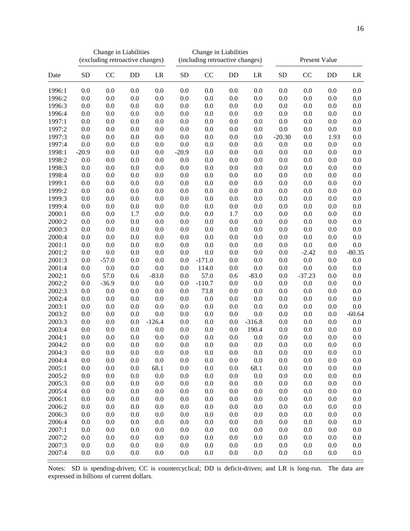|                  | Change in Liabilities<br>(excluding retroactive changes) |            |            |                 | Change in Liabilities<br>(including retroactive changes) |            |            |            | Present Value |            |            |                 |
|------------------|----------------------------------------------------------|------------|------------|-----------------|----------------------------------------------------------|------------|------------|------------|---------------|------------|------------|-----------------|
| Date             | <b>SD</b>                                                | CC         | DD         | LR              | <b>SD</b>                                                | CC         | DD         | LR         | ${\rm SD}$    | CC         | DD         | LR              |
| 1996:1           | 0.0                                                      | 0.0        | 0.0        | 0.0             | 0.0                                                      | 0.0        | 0.0        | 0.0        | 0.0           | 0.0        | 0.0        | 0.0             |
| 1996:2           | 0.0                                                      | 0.0        | 0.0        | 0.0             | 0.0                                                      | 0.0        | 0.0        | 0.0        | 0.0           | 0.0        | 0.0        | 0.0             |
| 1996:3           | 0.0                                                      | 0.0        | 0.0        | 0.0             | 0.0                                                      | 0.0        | 0.0        | 0.0        | 0.0           | 0.0        | 0.0        | 0.0             |
| 1996:4           | 0.0                                                      | 0.0        | 0.0        | 0.0             | 0.0                                                      | 0.0        | 0.0        | 0.0        | 0.0           | 0.0        | 0.0        | 0.0             |
| 1997:1           | 0.0                                                      | 0.0        | 0.0        | 0.0             | 0.0                                                      | 0.0        | 0.0        | 0.0        | 0.0           | 0.0        | 0.0        | 0.0             |
| 1997:2           | 0.0                                                      | 0.0        | 0.0        | 0.0             | 0.0                                                      | 0.0        | 0.0        | 0.0        | $0.0\,$       | 0.0        | 0.0        | 0.0             |
| 1997:3           | 0.0                                                      | 0.0        | 0.0        | 0.0             | 0.0                                                      | 0.0        | 0.0        | 0.0        | $-20.30$      | 0.0        | 1.93       | 0.0             |
| 1997:4           | 0.0                                                      | 0.0        | 0.0        | 0.0             | 0.0                                                      | 0.0        | 0.0        | 0.0        | 0.0           | 0.0        | 0.0        | 0.0             |
| 1998:1           | $-20.9$                                                  | 0.0        | 0.0        | 0.0             | $-20.9$                                                  | 0.0        | 0.0        | 0.0        | 0.0           | 0.0        | 0.0        | 0.0             |
| 1998:2           | 0.0                                                      | 0.0        | 0.0        | 0.0             | 0.0                                                      | 0.0        | 0.0        | 0.0        | 0.0           | 0.0        | 0.0        | 0.0             |
| 1998:3           | 0.0                                                      | 0.0        | 0.0        | 0.0             | 0.0                                                      | 0.0        | 0.0        | 0.0        | 0.0           | 0.0        | 0.0        | 0.0             |
| 1998:4           | 0.0                                                      | 0.0        | 0.0        | 0.0             | 0.0                                                      | 0.0        | 0.0        | 0.0        | 0.0           | 0.0        | 0.0        | 0.0             |
| 1999:1           | 0.0                                                      | 0.0        | 0.0        | 0.0             | 0.0                                                      | 0.0        | 0.0        | 0.0        | 0.0           | 0.0        | 0.0        | 0.0             |
| 1999:2           | 0.0                                                      | 0.0        | 0.0        | 0.0             | 0.0                                                      | 0.0        | 0.0        | 0.0        | 0.0           | 0.0        | 0.0        | 0.0             |
| 1999:3           | 0.0                                                      | 0.0        | 0.0        | 0.0             | 0.0                                                      | 0.0        | 0.0        | 0.0        | 0.0           | 0.0        | 0.0        | 0.0             |
| 1999:4           | 0.0                                                      | 0.0        | 0.0        | 0.0             | 0.0                                                      | 0.0        | 0.0        | 0.0        | 0.0           | 0.0        | 0.0        | 0.0             |
| 2000:1           | 0.0                                                      | 0.0        | 1.7        | 0.0             | 0.0                                                      | 0.0        | 1.7        | 0.0        | 0.0           | 0.0        | 0.0        | 0.0             |
| 2000:2           | 0.0                                                      | 0.0        | 0.0        | 0.0             | 0.0                                                      | 0.0        | 0.0        | 0.0        | $0.0\,$       | 0.0        | 0.0        | 0.0             |
| 2000:3           | $0.0\,$                                                  | 0.0        | 0.0        | 0.0             | 0.0                                                      | 0.0        | 0.0        | 0.0        | 0.0           | 0.0        | 0.0        | $0.0\,$         |
| 2000:4           | 0.0                                                      | 0.0        | 0.0        | 0.0             | 0.0                                                      | 0.0        | 0.0        | 0.0        | 0.0           | 0.0        | 0.0        | $0.0\,$         |
| 2001:1           | 0.0                                                      | 0.0        | 0.0        | 0.0             | 0.0                                                      | 0.0        | 0.0        | 0.0        | 0.0           | 0.0        | 0.0        | $0.0\,$         |
| 2001:2           | $0.0\,$                                                  | 0.0        | 0.0        | 0.0             | 0.0                                                      | 0.0        | 0.0        | 0.0        | 0.0           | $-2.42$    | 0.0        | $-80.35$        |
| 2001:3           | $0.0\,$                                                  | $-57.0$    | 0.0        | 0.0             | 0.0                                                      | $-171.0$   | 0.0        | 0.0        | 0.0           | 0.0        | 0.0        | 0.0             |
| 2001:4           | 0.0                                                      | 0.0        | 0.0        | 0.0             | 0.0                                                      | 114.0      | 0.0        | 0.0        | 0.0           | 0.0        | 0.0        | 0.0             |
| 2002:1           | 0.0                                                      | 57.0       | 0.6        | $-83.0$         | 0.0                                                      | 57.0       | 0.6        | $-83.0$    | 0.0           | $-37.23$   | 0.0        | 0.0             |
| 2002:2           | 0.0                                                      | $-36.9$    | 0.0        | 0.0             | 0.0                                                      | $-110.7$   | 0.0        | 0.0        | 0.0           | 0.0        | 0.0        | 0.0             |
| 2002:3           | 0.0                                                      | 0.0        | 0.0        | 0.0             | 0.0                                                      | 73.8       | 0.0        | 0.0        | 0.0           | 0.0        | 0.0        | 0.0             |
| 2002:4           | 0.0                                                      | 0.0        | 0.0        | 0.0             | 0.0                                                      | 0.0        | 0.0        | 0.0        | 0.0           | 0.0        | 0.0        | 0.0             |
| 2003:1           | 0.0<br>0.0                                               | 0.0<br>0.0 | 0.0        | 0.0             | 0.0                                                      | 0.0<br>0.0 | 0.0<br>0.0 | 0.0<br>0.0 | 0.0           | 0.0        | 0.0<br>0.0 | 0.0<br>$-60.64$ |
| 2003:2<br>2003:3 | $0.0\,$                                                  | 0.0        | 0.0<br>0.0 | 0.0<br>$-126.4$ | 0.0<br>0.0                                               | 0.0        | 0.0        | $-316.8$   | 0.0<br>0.0    | 0.0<br>0.0 | 0.0        | $0.0\,$         |
| 2003:4           | 0.0                                                      | 0.0        | 0.0        | 0.0             | 0.0                                                      | 0.0        | 0.0        | 190.4      | 0.0           | 0.0        | 0.0        | 0.0             |
| 2004:1           | 0.0                                                      | 0.0        | 0.0        | 0.0             | 0.0                                                      | 0.0        | 0.0        | 0.0        | 0.0           | 0.0        | 0.0        | 0.0             |
| 2004:2           | 0.0                                                      | 0.0        | 0.0        | 0.0             | 0.0                                                      | 0.0        | 0.0        | 0.0        | 0.0           | 0.0        | 0.0        | 0.0             |
| 2004:3           | 0.0                                                      | 0.0        | 0.0        | 0.0             | 0.0                                                      | 0.0        | 0.0        | 0.0        | 0.0           | 0.0        | 0.0        | 0.0             |
| 2004:4           | 0.0                                                      | 0.0        | 0.0        | 0.0             | 0.0                                                      | 0.0        | 0.0        | 0.0        | 0.0           | 0.0        | 0.0        | 0.0             |
| 2005:1           | 0.0                                                      | 0.0        | 0.0        | 68.1            | 0.0                                                      | 0.0        | 0.0        | 68.1       | 0.0           | $0.0\,$    | $0.0\,$    | 0.0             |
| 2005:2           | 0.0                                                      | 0.0        | 0.0        | 0.0             | 0.0                                                      | 0.0        | 0.0        | 0.0        | 0.0           | 0.0        | 0.0        | 0.0             |
| 2005:3           | 0.0                                                      | 0.0        | 0.0        | 0.0             | 0.0                                                      | $0.0\,$    | 0.0        | 0.0        | 0.0           | 0.0        | 0.0        | 0.0             |
| 2005:4           | 0.0                                                      | 0.0        | 0.0        | 0.0             | 0.0                                                      | 0.0        | 0.0        | 0.0        | 0.0           | 0.0        | 0.0        | $0.0\,$         |
| 2006:1           | 0.0                                                      | 0.0        | 0.0        | 0.0             | 0.0                                                      | 0.0        | 0.0        | 0.0        | 0.0           | 0.0        | 0.0        | 0.0             |
| 2006:2           | $0.0\,$                                                  | 0.0        | 0.0        | 0.0             | 0.0                                                      | 0.0        | 0.0        | 0.0        | 0.0           | 0.0        | 0.0        | 0.0             |
| 2006:3           | $0.0\,$                                                  | 0.0        | 0.0        | 0.0             | 0.0                                                      | 0.0        | 0.0        | 0.0        | 0.0           | 0.0        | 0.0        | $0.0\,$         |
| 2006:4           | 0.0                                                      | 0.0        | 0.0        | 0.0             | 0.0                                                      | 0.0        | 0.0        | 0.0        | 0.0           | 0.0        | 0.0        | 0.0             |
| 2007:1           | 0.0                                                      | 0.0        | 0.0        | 0.0             | 0.0                                                      | 0.0        | 0.0        | 0.0        | 0.0           | 0.0        | 0.0        | 0.0             |
| 2007:2           | 0.0                                                      | 0.0        | 0.0        | 0.0             | 0.0                                                      | 0.0        | 0.0        | 0.0        | 0.0           | 0.0        | 0.0        | 0.0             |
| 2007:3           | 0.0                                                      | 0.0        | 0.0        | 0.0             | 0.0                                                      | 0.0        | 0.0        | 0.0        | 0.0           | 0.0        | 0.0        | 0.0             |
| 2007:4           | 0.0                                                      | 0.0        | $0.0\,$    | 0.0             | 0.0                                                      | $0.0\,$    | 0.0        | 0.0        | 0.0           | $0.0\,$    | $0.0\,$    | 0.0             |

Notes: SD is spending-driven; CC is countercyclical; DD is deficit-driven; and LR is long-run. The data are expressed in billions of current dollars.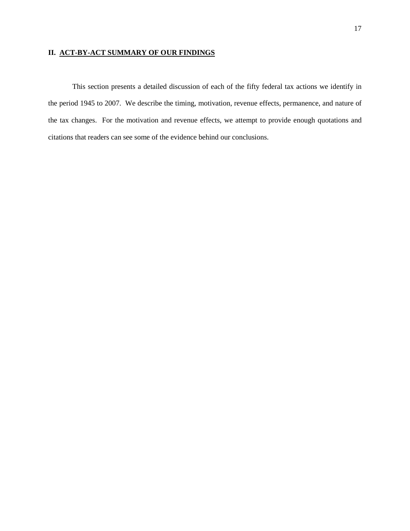# **II. ACT-BY-ACT SUMMARY OF OUR FINDINGS**

This section presents a detailed discussion of each of the fifty federal tax actions we identify in the period 1945 to 2007. We describe the timing, motivation, revenue effects, permanence, and nature of the tax changes. For the motivation and revenue effects, we attempt to provide enough quotations and citations that readers can see some of the evidence behind our conclusions.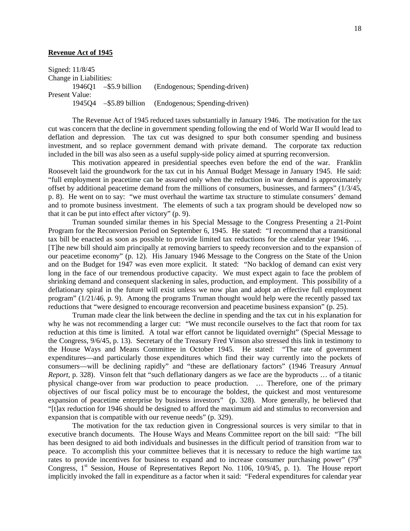## **Revenue Act of 1945**

Signed: 11/8/45 Change in Liabilities: 1946Q1 –\$5.9 billion (Endogenous; Spending-driven) Present Value:<br>194504 - \$5.89 billion (Endogenous; Spending-driven)

The Revenue Act of 1945 reduced taxes substantially in January 1946. The motivation for the tax cut was concern that the decline in government spending following the end of World War II would lead to deflation and depression. The tax cut was designed to spur both consumer spending and business investment, and so replace government demand with private demand. The corporate tax reduction included in the bill was also seen as a useful supply-side policy aimed at spurring reconversion.

This motivation appeared in presidential speeches even before the end of the war. Franklin Roosevelt laid the groundwork for the tax cut in his Annual Budget Message in January 1945. He said: "full employment in peacetime can be assured only when the reduction in war demand is approximately offset by additional peacetime demand from the millions of consumers, businesses, and farmers" (1/3/45, p. 8). He went on to say: "we must overhaul the wartime tax structure to stimulate consumers' demand and to promote business investment. The elements of such a tax program should be developed now so that it can be put into effect after victory" (p. 9).

Truman sounded similar themes in his Special Message to the Congress Presenting a 21-Point Program for the Reconversion Period on September 6, 1945. He stated: "I recommend that a transitional tax bill be enacted as soon as possible to provide limited tax reductions for the calendar year 1946. … [T]he new bill should aim principally at removing barriers to speedy reconversion and to the expansion of our peacetime economy" (p. 12). His January 1946 Message to the Congress on the State of the Union and on the Budget for 1947 was even more explicit. It stated: "No backlog of demand can exist very long in the face of our tremendous productive capacity. We must expect again to face the problem of shrinking demand and consequent slackening in sales, production, and employment. This possibility of a deflationary spiral in the future will exist unless we now plan and adopt an effective full employment program" (1/21/46, p. 9). Among the programs Truman thought would help were the recently passed tax reductions that "were designed to encourage reconversion and peacetime business expansion" (p. 25).

Truman made clear the link between the decline in spending and the tax cut in his explanation for why he was not recommending a larger cut: "We must reconcile ourselves to the fact that room for tax reduction at this time is limited. A total war effort cannot be liquidated overnight" (Special Message to the Congress, 9/6/45, p. 13). Secretary of the Treasury Fred Vinson also stressed this link in testimony to the House Ways and Means Committee in October 1945. He stated: "The rate of government expenditures—and particularly those expenditures which find their way currently into the pockets of consumers—will be declining rapidly" and "these are deflationary factors" (1946 Treasury *Annual Report*, p. 328). Vinson felt that "such deflationary dangers as we face are the byproducts … of a titanic physical change-over from war production to peace production. … Therefore, one of the primary objectives of our fiscal policy must be to encourage the boldest, the quickest and most venturesome expansion of peacetime enterprise by business investors" (p. 328). More generally, he believed that "[t]ax reduction for 1946 should be designed to afford the maximum aid and stimulus to reconversion and expansion that is compatible with our revenue needs" (p. 329).

The motivation for the tax reduction given in Congressional sources is very similar to that in executive branch documents. The House Ways and Means Committee report on the bill said: "The bill has been designed to aid both individuals and businesses in the difficult period of transition from war to peace. To accomplish this your committee believes that it is necessary to reduce the high wartime tax rates to provide incentives for business to expand and to increase consumer purchasing power"  $(79<sup>th</sup>$ Congress, 1<sup>st</sup> Session, House of Representatives Report No. 1106, 10/9/45, p. 1). The House report implicitly invoked the fall in expenditure as a factor when it said: "Federal expenditures for calendar year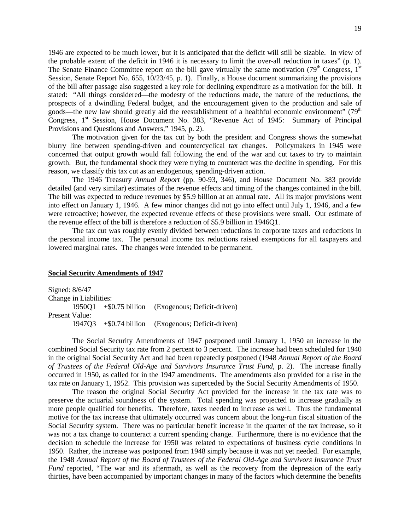1946 are expected to be much lower, but it is anticipated that the deficit will still be sizable. In view of the probable extent of the deficit in 1946 it is necessary to limit the over-all reduction in taxes" (p. 1). The Senate Finance Committee report on the bill gave virtually the same motivation  $(79<sup>th</sup> Congress, 1<sup>st</sup>)$ Session, Senate Report No. 655, 10/23/45, p. 1). Finally, a House document summarizing the provisions of the bill after passage also suggested a key role for declining expenditure as a motivation for the bill. It stated: "All things considered—the modesty of the reductions made, the nature of the reductions, the prospects of a dwindling Federal budget, and the encouragement given to the production and sale of goods—the new law should greatly aid the reestablishment of a healthful economic environment" ( $79<sup>th</sup>$ Congress, 1<sup>st</sup> Session, House Document No. 383, "Revenue Act of 1945: Summary of Principal Provisions and Questions and Answers," 1945, p. 2).

The motivation given for the tax cut by both the president and Congress shows the somewhat blurry line between spending-driven and countercyclical tax changes. Policymakers in 1945 were concerned that output growth would fall following the end of the war and cut taxes to try to maintain growth. But, the fundamental shock they were trying to counteract was the decline in spending. For this reason, we classify this tax cut as an endogenous, spending-driven action.

The 1946 Treasury *Annual Report* (pp. 90-93, 346), and House Document No. 383 provide detailed (and very similar) estimates of the revenue effects and timing of the changes contained in the bill. The bill was expected to reduce revenues by \$5.9 billion at an annual rate. All its major provisions went into effect on January 1, 1946. A few minor changes did not go into effect until July 1, 1946, and a few were retroactive; however, the expected revenue effects of these provisions were small. Our estimate of the revenue effect of the bill is therefore a reduction of \$5.9 billion in 1946Q1.

The tax cut was roughly evenly divided between reductions in corporate taxes and reductions in the personal income tax. The personal income tax reductions raised exemptions for all taxpayers and lowered marginal rates. The changes were intended to be permanent.

## **Social Security Amendments of 1947**

Signed: 8/6/47 Change in Liabilities: 1950Q1 +\$0.75 billion (Exogenous; Deficit-driven) Present Value: 1947Q3 +\$0.74 billion (Exogenous; Deficit-driven)

The Social Security Amendments of 1947 postponed until January 1, 1950 an increase in the combined Social Security tax rate from 2 percent to 3 percent. The increase had been scheduled for 1940 in the original Social Security Act and had been repeatedly postponed (1948 *Annual Report of the Board of Trustees of the Federal Old-Age and Survivors Insurance Trust Fund*, p. 2). The increase finally occurred in 1950, as called for in the 1947 amendments. The amendments also provided for a rise in the tax rate on January 1, 1952. This provision was superceded by the Social Security Amendments of 1950.

The reason the original Social Security Act provided for the increase in the tax rate was to preserve the actuarial soundness of the system. Total spending was projected to increase gradually as more people qualified for benefits. Therefore, taxes needed to increase as well. Thus the fundamental motive for the tax increase that ultimately occurred was concern about the long-run fiscal situation of the Social Security system. There was no particular benefit increase in the quarter of the tax increase, so it was not a tax change to counteract a current spending change. Furthermore, there is no evidence that the decision to schedule the increase for 1950 was related to expectations of business cycle conditions in 1950. Rather, the increase was postponed from 1948 simply because it was not yet needed. For example, the 1948 *Annual Report of the Board of Trustees of the Federal Old-Age and Survivors Insurance Trust Fund* reported, "The war and its aftermath, as well as the recovery from the depression of the early thirties, have been accompanied by important changes in many of the factors which determine the benefits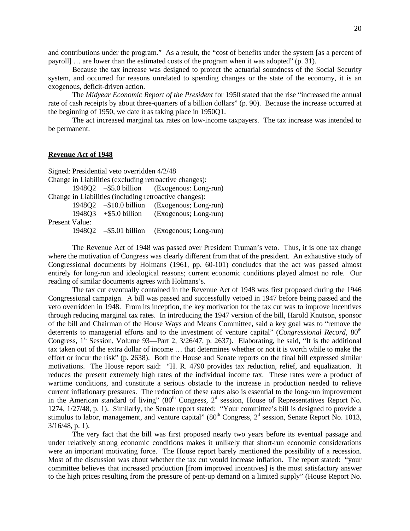and contributions under the program." As a result, the "cost of benefits under the system [as a percent of payroll] … are lower than the estimated costs of the program when it was adopted" (p. 31).

Because the tax increase was designed to protect the actuarial soundness of the Social Security system, and occurred for reasons unrelated to spending changes or the state of the economy, it is an exogenous, deficit-driven action.

The *Midyear Economic Report of the President* for 1950 stated that the rise "increased the annual rate of cash receipts by about three-quarters of a billion dollars" (p. 90). Because the increase occurred at the beginning of 1950, we date it as taking place in 1950Q1.

The act increased marginal tax rates on low-income taxpayers. The tax increase was intended to be permanent.

# **Revenue Act of 1948**

Signed: Presidential veto overridden 4/2/48 Change in Liabilities (excluding retroactive changes): 1948Q2 –\$5.0 billion (Exogenous: Long-run) Change in Liabilities (including retroactive changes): 1948Q2 –\$10.0 billion (Exogenous; Long-run) 1948Q3 +\$5.0 billion (Exogenous; Long-run) Present Value: 1948Q2 –\$5.01 billion (Exogenous; Long-run)

The Revenue Act of 1948 was passed over President Truman's veto. Thus, it is one tax change where the motivation of Congress was clearly different from that of the president. An exhaustive study of Congressional documents by Holmans (1961, pp. 60-101) concludes that the act was passed almost entirely for long-run and ideological reasons; current economic conditions played almost no role. Our reading of similar documents agrees with Holmans's.

The tax cut eventually contained in the Revenue Act of 1948 was first proposed during the 1946 Congressional campaign. A bill was passed and successfully vetoed in 1947 before being passed and the veto overridden in 1948. From its inception, the key motivation for the tax cut was to improve incentives through reducing marginal tax rates. In introducing the 1947 version of the bill, Harold Knutson, sponsor of the bill and Chairman of the House Ways and Means Committee, said a key goal was to "remove the deterrents to managerial efforts and to the investment of venture capital" (*Congressional Record*, 80<sup>th</sup>) Congress,  $1<sup>st</sup>$  Session, Volume 93—Part 2,  $3/26/47$ , p. 2637). Elaborating, he said, "It is the additional tax taken out of the extra dollar of income … that determines whether or not it is worth while to make the effort or incur the risk" (p. 2638). Both the House and Senate reports on the final bill expressed similar motivations. The House report said: "H. R. 4790 provides tax reduction, relief, and equalization. It reduces the present extremely high rates of the individual income tax. These rates were a product of wartime conditions, and constitute a serious obstacle to the increase in production needed to relieve current inflationary pressures. The reduction of these rates also is essential to the long-run improvement in the American standard of living"  $(80<sup>th</sup> Congress, 2<sup>d</sup> session, House of Representatives Report No.$ 1274, 1/27/48, p. 1). Similarly, the Senate report stated: "Your committee's bill is designed to provide a stimulus to labor, management, and venture capital" ( $80<sup>th</sup>$  Congress,  $2<sup>d</sup>$  session, Senate Report No. 1013, 3/16/48, p. 1).

The very fact that the bill was first proposed nearly two years before its eventual passage and under relatively strong economic conditions makes it unlikely that short-run economic considerations were an important motivating force. The House report barely mentioned the possibility of a recession. Most of the discussion was about whether the tax cut would increase inflation. The report stated: "your committee believes that increased production [from improved incentives] is the most satisfactory answer to the high prices resulting from the pressure of pent-up demand on a limited supply" (House Report No.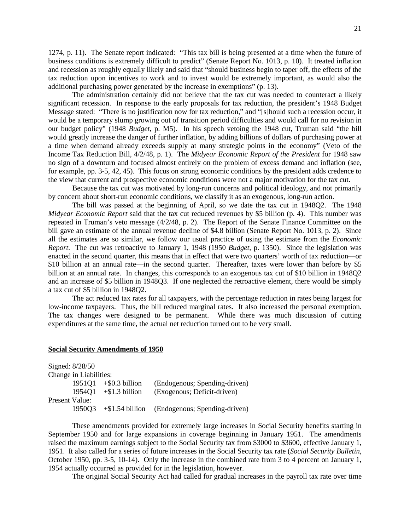1274, p. 11). The Senate report indicated: "This tax bill is being presented at a time when the future of business conditions is extremely difficult to predict" (Senate Report No. 1013, p. 10). It treated inflation and recession as roughly equally likely and said that "should business begin to taper off, the effects of the tax reduction upon incentives to work and to invest would be extremely important, as would also the additional purchasing power generated by the increase in exemptions" (p. 13).

The administration certainly did not believe that the tax cut was needed to counteract a likely significant recession. In response to the early proposals for tax reduction, the president's 1948 Budget Message stated: "There is no justification now for tax reduction," and "[s]hould such a recession occur, it would be a temporary slump growing out of transition period difficulties and would call for no revision in our budget policy" (1948 *Budget*, p. M5). In his speech vetoing the 1948 cut, Truman said "the bill would greatly increase the danger of further inflation, by adding billions of dollars of purchasing power at a time when demand already exceeds supply at many strategic points in the economy" (Veto of the Income Tax Reduction Bill, 4/2/48, p. 1). The *Midyear Economic Report of the President* for 1948 saw no sign of a downturn and focused almost entirely on the problem of excess demand and inflation (see, for example, pp. 3-5, 42, 45). This focus on strong economic conditions by the president adds credence to the view that current and prospective economic conditions were not a major motivation for the tax cut.

Because the tax cut was motivated by long-run concerns and political ideology, and not primarily by concern about short-run economic conditions, we classify it as an exogenous, long-run action.

The bill was passed at the beginning of April, so we date the tax cut in 1948Q2. The 1948 *Midyear Economic Report* said that the tax cut reduced revenues by \$5 billion (p. 4). This number was repeated in Truman's veto message (4/2/48, p. 2). The Report of the Senate Finance Committee on the bill gave an estimate of the annual revenue decline of \$4.8 billion (Senate Report No. 1013, p. 2). Since all the estimates are so similar, we follow our usual practice of using the estimate from the *Economic Report*. The cut was retroactive to January 1, 1948 (1950 *Budget*, p. 1350). Since the legislation was enacted in the second quarter, this means that in effect that were two quarters' worth of tax reduction—or \$10 billion at an annual rate—in the second quarter. Thereafter, taxes were lower than before by \$5 billion at an annual rate. In changes, this corresponds to an exogenous tax cut of \$10 billion in 1948Q2 and an increase of \$5 billion in 1948Q3. If one neglected the retroactive element, there would be simply a tax cut of \$5 billion in 1948Q2.

The act reduced tax rates for all taxpayers, with the percentage reduction in rates being largest for low-income taxpayers. Thus, the bill reduced marginal rates. It also increased the personal exemption. The tax changes were designed to be permanent. While there was much discussion of cutting expenditures at the same time, the actual net reduction turned out to be very small.

#### **Social Security Amendments of 1950**

| Signed: 8/28/50 |                                                                                |
|-----------------|--------------------------------------------------------------------------------|
|                 |                                                                                |
|                 | (Endogenous; Spending-driven)                                                  |
| 195401          | (Exogenous; Deficit-driven)                                                    |
| Present Value:  |                                                                                |
| 195003          | $+\$1.54$ billion (Endogenous; Spending-driven)                                |
|                 | Change in Liabilities:<br>$1951Q1 + $0.3 \text{ billion}$<br>$+$ \$1.3 billion |

These amendments provided for extremely large increases in Social Security benefits starting in September 1950 and for large expansions in coverage beginning in January 1951. The amendments raised the maximum earnings subject to the Social Security tax from \$3000 to \$3600, effective January 1, 1951. It also called for a series of future increases in the Social Security tax rate (*Social Security Bulletin*, October 1950, pp. 3-5, 10-14). Only the increase in the combined rate from 3 to 4 percent on January 1, 1954 actually occurred as provided for in the legislation, however.

The original Social Security Act had called for gradual increases in the payroll tax rate over time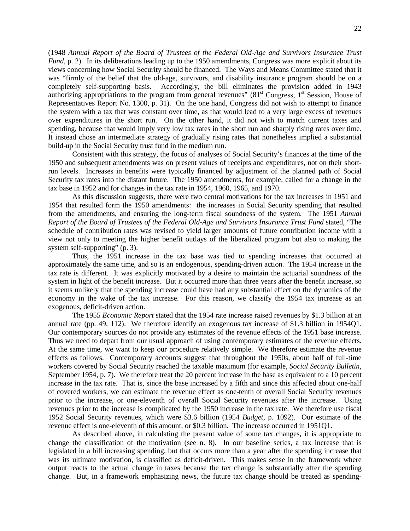(1948 *Annual Report of the Board of Trustees of the Federal Old-Age and Survivors Insurance Trust Fund*, p. 2). In its deliberations leading up to the 1950 amendments, Congress was more explicit about its views concerning how Social Security should be financed. The Ways and Means Committee stated that it was "firmly of the belief that the old-age, survivors, and disability insurance program should be on a completely self-supporting basis. Accordingly, the bill eliminates the provision added in 1943 authorizing appropriations to the program from general revenues"  $(81<sup>st</sup> Congress, 1<sup>st</sup> Session, House of$ Representatives Report No. 1300, p. 31). On the one hand, Congress did not wish to attempt to finance the system with a tax that was constant over time, as that would lead to a very large excess of revenues over expenditures in the short run. On the other hand, it did not wish to match current taxes and spending, because that would imply very low tax rates in the short run and sharply rising rates over time. It instead chose an intermediate strategy of gradually rising rates that nonetheless implied a substantial build-up in the Social Security trust fund in the medium run.

Consistent with this strategy, the focus of analyses of Social Security's finances at the time of the 1950 and subsequent amendments was on present values of receipts and expenditures, not on their shortrun levels. Increases in benefits were typically financed by adjustment of the planned path of Social Security tax rates into the distant future. The 1950 amendments, for example, called for a change in the tax base in 1952 and for changes in the tax rate in 1954, 1960, 1965, and 1970.

As this discussion suggests, there were two central motivations for the tax increases in 1951 and 1954 that resulted form the 1950 amendments: the increases in Social Security spending that resulted from the amendments, and ensuring the long-term fiscal soundness of the system. The 1951 *Annual Report of the Board of Trustees of the Federal Old-Age and Survivors Insurance Trust Fund* stated, "The schedule of contribution rates was revised to yield larger amounts of future contribution income with a view not only to meeting the higher benefit outlays of the liberalized program but also to making the system self-supporting" (p. 3).

Thus, the 1951 increase in the tax base was tied to spending increases that occurred at approximately the same time, and so is an endogenous, spending-driven action. The 1954 increase in the tax rate is different. It was explicitly motivated by a desire to maintain the actuarial soundness of the system in light of the benefit increase. But it occurred more than three years after the benefit increase, so it seems unlikely that the spending increase could have had any substantial effect on the dynamics of the economy in the wake of the tax increase. For this reason, we classify the 1954 tax increase as an exogenous, deficit-driven action.

The 1955 *Economic Report* stated that the 1954 rate increase raised revenues by \$1.3 billion at an annual rate (pp. 49, 112). We therefore identify an exogenous tax increase of \$1.3 billion in 1954Q1. Our contemporary sources do not provide any estimates of the revenue effects of the 1951 base increase. Thus we need to depart from our usual approach of using contemporary estimates of the revenue effects. At the same time, we want to keep our procedure relatively simple. We therefore estimate the revenue effects as follows. Contemporary accounts suggest that throughout the 1950s, about half of full-time workers covered by Social Security reached the taxable maximum (for example, *Social Security Bulletin*, September 1954, p. 7). We therefore treat the 20 percent increase in the base as equivalent to a 10 percent increase in the tax rate. That is, since the base increased by a fifth and since this affected about one-half of covered workers, we can estimate the revenue effect as one-tenth of overall Social Security revenues prior to the increase, or one-eleventh of overall Social Security revenues after the increase. Using revenues prior to the increase is complicated by the 1950 increase in the tax rate. We therefore use fiscal 1952 Social Security revenues, which were \$3.6 billion (1954 *Budget*, p. 1092). Our estimate of the revenue effect is one-eleventh of this amount, or \$0.3 billion. The increase occurred in 1951Q1.

As described above, in calculating the present value of some tax changes, it is appropriate to change the classification of the motivation (see n. 8). In our baseline series, a tax increase that is legislated in a bill increasing spending, but that occurs more than a year after the spending increase that was its ultimate motivation, is classified as deficit-driven. This makes sense in the framework where output reacts to the actual change in taxes because the tax change is substantially after the spending change. But, in a framework emphasizing news, the future tax change should be treated as spending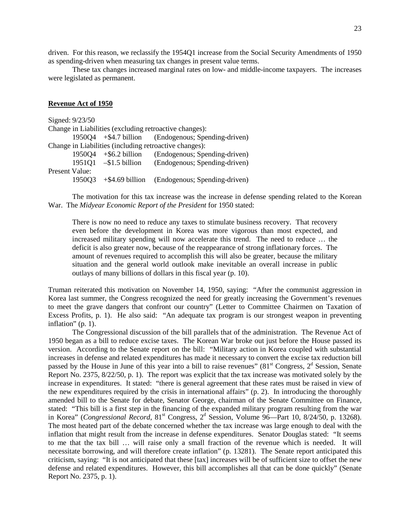driven. For this reason, we reclassify the 1954Q1 increase from the Social Security Amendments of 1950 as spending-driven when measuring tax changes in present value terms.

These tax changes increased marginal rates on low- and middle-income taxpayers. The increases were legislated as permanent.

## **Revenue Act of 1950**

|                                                        |                                          | $1950Q4 + $4.7 \text{ billion}$ (Endogenous; Spending-driven)                                                                |  |  |  |  |  |  |
|--------------------------------------------------------|------------------------------------------|------------------------------------------------------------------------------------------------------------------------------|--|--|--|--|--|--|
| Change in Liabilities (including retroactive changes): |                                          |                                                                                                                              |  |  |  |  |  |  |
|                                                        |                                          | (Endogenous; Spending-driven)                                                                                                |  |  |  |  |  |  |
|                                                        |                                          | (Endogenous; Spending-driven)                                                                                                |  |  |  |  |  |  |
|                                                        |                                          |                                                                                                                              |  |  |  |  |  |  |
|                                                        |                                          | 1950Q3 +\$4.69 billion (Endogenous; Spending-driven)                                                                         |  |  |  |  |  |  |
|                                                        | Signed: 9/23/50<br><b>Present Value:</b> | Change in Liabilities (excluding retroactive changes):<br>$1950Q4 + $6.2 \text{ billion}$<br>$1951Q1 - $1.5 \text{ billion}$ |  |  |  |  |  |  |

The motivation for this tax increase was the increase in defense spending related to the Korean War. The *Midyear Economic Report of the President* for 1950 stated:

There is now no need to reduce any taxes to stimulate business recovery. That recovery even before the development in Korea was more vigorous than most expected, and increased military spending will now accelerate this trend. The need to reduce … the deficit is also greater now, because of the reappearance of strong inflationary forces. The amount of revenues required to accomplish this will also be greater, because the military situation and the general world outlook make inevitable an overall increase in public outlays of many billions of dollars in this fiscal year (p. 10).

Truman reiterated this motivation on November 14, 1950, saying: "After the communist aggression in Korea last summer, the Congress recognized the need for greatly increasing the Government's revenues to meet the grave dangers that confront our country" (Letter to Committee Chairmen on Taxation of Excess Profits, p. 1). He also said: "An adequate tax program is our strongest weapon in preventing inflation" (p. 1).

The Congressional discussion of the bill parallels that of the administration. The Revenue Act of 1950 began as a bill to reduce excise taxes. The Korean War broke out just before the House passed its version. According to the Senate report on the bill: "Military action in Korea coupled with substantial increases in defense and related expenditures has made it necessary to convert the excise tax reduction bill passed by the House in June of this year into a bill to raise revenues"  $(81<sup>st</sup>$  Congress,  $2<sup>d</sup>$  Session, Senate Report No. 2375, 8/22/50, p. 1). The report was explicit that the tax increase was motivated solely by the increase in expenditures. It stated: "there is general agreement that these rates must be raised in view of the new expenditures required by the crisis in international affairs" (p. 2). In introducing the thoroughly amended bill to the Senate for debate, Senator George, chairman of the Senate Committee on Finance, stated: "This bill is a first step in the financing of the expanded military program resulting from the war in Korea" (*Congressional Record*, 81<sup>st</sup> Congress, 2<sup>d</sup> Session, Volume 96—Part 10, 8/24/50, p. 13268). The most heated part of the debate concerned whether the tax increase was large enough to deal with the inflation that might result from the increase in defense expenditures. Senator Douglas stated: "It seems to me that the tax bill … will raise only a small fraction of the revenue which is needed. It will necessitate borrowing, and will therefore create inflation" (p. 13281). The Senate report anticipated this criticism, saying: "It is not anticipated that these [tax] increases will be of sufficient size to offset the new defense and related expenditures. However, this bill accomplishes all that can be done quickly" (Senate Report No. 2375, p. 1).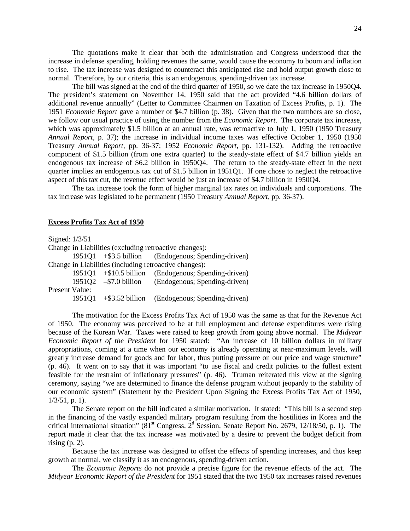The quotations make it clear that both the administration and Congress understood that the increase in defense spending, holding revenues the same, would cause the economy to boom and inflation to rise. The tax increase was designed to counteract this anticipated rise and hold output growth close to normal. Therefore, by our criteria, this is an endogenous, spending-driven tax increase.

The bill was signed at the end of the third quarter of 1950, so we date the tax increase in 1950Q4. The president's statement on November 14, 1950 said that the act provided "4.6 billion dollars of additional revenue annually" (Letter to Committee Chairmen on Taxation of Excess Profits, p. 1). The 1951 *Economic Report* gave a number of \$4.7 billion (p. 38). Given that the two numbers are so close, we follow our usual practice of using the number from the *Economic Report*. The corporate tax increase, which was approximately \$1.5 billion at an annual rate, was retroactive to July 1, 1950 (1950 Treasury *Annual Report*, p. 37); the increase in individual income taxes was effective October 1, 1950 (1950 Treasury *Annual Report*, pp. 36-37; 1952 *Economic Report*, pp. 131-132). Adding the retroactive component of \$1.5 billion (from one extra quarter) to the steady-state effect of \$4.7 billion yields an endogenous tax increase of \$6.2 billion in 1950Q4. The return to the steady-state effect in the next quarter implies an endogenous tax cut of \$1.5 billion in 1951Q1. If one chose to neglect the retroactive aspect of this tax cut, the revenue effect would be just an increase of \$4.7 billion in 1950Q4.

The tax increase took the form of higher marginal tax rates on individuals and corporations. The tax increase was legislated to be permanent (1950 Treasury *Annual Report*, pp. 36-37).

# **Excess Profits Tax Act of 1950**

Signed: 1/3/51

Change in Liabilities (excluding retroactive changes):

1951Q1 +\$3.5 billion (Endogenous; Spending-driven) Change in Liabilities (including retroactive changes):

|                | $1951Q1 + $10.5$ billion        | (Endogenous; Spending-driven) |
|----------------|---------------------------------|-------------------------------|
|                | $195102 - $7.0 \text{ billion}$ | (Endogenous; Spending-driven) |
| Present Value: |                                 |                               |
| 195101         | $+$ \$3.52 billion              | (Endogenous; Spending-driven) |

The motivation for the Excess Profits Tax Act of 1950 was the same as that for the Revenue Act of 1950. The economy was perceived to be at full employment and defense expenditures were rising because of the Korean War. Taxes were raised to keep growth from going above normal. The *Midyear Economic Report of the President* for 1950 stated: "An increase of 10 billion dollars in military appropriations, coming at a time when our economy is already operating at near-maximum levels, will greatly increase demand for goods and for labor, thus putting pressure on our price and wage structure" (p. 46). It went on to say that it was important "to use fiscal and credit policies to the fullest extent feasible for the restraint of inflationary pressures" (p. 46). Truman reiterated this view at the signing ceremony, saying "we are determined to finance the defense program without jeopardy to the stability of our economic system" (Statement by the President Upon Signing the Excess Profits Tax Act of 1950,  $1/3/51$ , p. 1).

The Senate report on the bill indicated a similar motivation. It stated: "This bill is a second step in the financing of the vastly expanded military program resulting from the hostilities in Korea and the critical international situation" ( $81<sup>st</sup>$  Congress,  $2<sup>d</sup>$  Session, Senate Report No. 2679, 12/18/50, p. 1). The report made it clear that the tax increase was motivated by a desire to prevent the budget deficit from rising  $(p, 2)$ .

Because the tax increase was designed to offset the effects of spending increases, and thus keep growth at normal, we classify it as an endogenous, spending-driven action.

The *Economic Reports* do not provide a precise figure for the revenue effects of the act. The *Midyear Economic Report of the President* for 1951 stated that the two 1950 tax increases raised revenues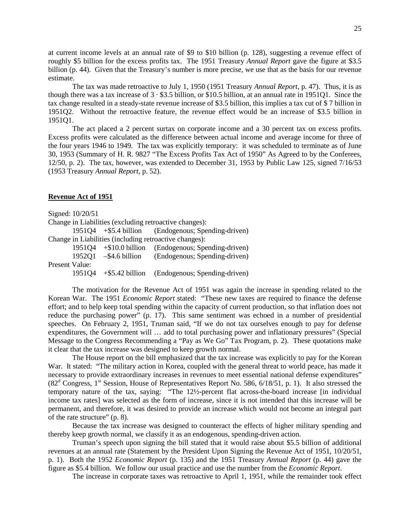at current income levels at an annual rate of \$9 to \$10 billion (p. 128), suggesting a revenue effect of roughly \$5 billion for the excess profits tax. The 1951 Treasury *Annual Report* gave the figure at \$3.5 billion (p. 44). Given that the Treasury's number is more precise, we use that as the basis for our revenue estimate.

The tax was made retroactive to July 1, 1950 (1951 Treasury *Annual Report*, p. 47). Thus, it is as though there was a tax increase of  $3 \cdot $3.5$  billion, or \$10.5 billion, at an annual rate in 1951Q1. Since the tax change resulted in a steady-state revenue increase of \$3.5 billion, this implies a tax cut of \$ 7 billion in 1951Q2. Without the retroactive feature, the revenue effect would be an increase of \$3.5 billion in 1951Q1.

The act placed a 2 percent surtax on corporate income and a 30 percent tax on excess profits. Excess profits were calculated as the difference between actual income and average income for three of the four years 1946 to 1949. The tax was explicitly temporary: it was scheduled to terminate as of June 30, 1953 (Summary of H. R. 9827 "The Excess Profits Tax Act of 1950" As Agreed to by the Conferees, 12/50, p. 2). The tax, however, was extended to December 31, 1953 by Public Law 125, signed 7/16/53 (1953 Treasury *Annual Report*, p. 52).

### **Revenue Act of 1951**

Signed: 10/20/51 Change in Liabilities (excluding retroactive changes): 1951Q4 +\$5.4 billion (Endogenous; Spending-driven) Change in Liabilities (including retroactive changes): 1951Q4 +\$10.0 billion (Endogenous; Spending-driven) 1952Q1 –\$4.6 billion (Endogenous; Spending-driven) Present Value: 1951Q4 +\$5.42 billion (Endogenous; Spending-driven)

The motivation for the Revenue Act of 1951 was again the increase in spending related to the Korean War. The 1951 *Economic Report* stated: "These new taxes are required to finance the defense effort; and to help keep total spending within the capacity of current production, so that inflation does not reduce the purchasing power" (p. 17). This same sentiment was echoed in a number of presidential speeches. On February 2, 1951, Truman said, "If we do not tax ourselves enough to pay for defense expenditures, the Government will … add to total purchasing power and inflationary pressures" (Special Message to the Congress Recommending a "Pay as We Go" Tax Program, p. 2). These quotations make it clear that the tax increase was designed to keep growth normal.

The House report on the bill emphasized that the tax increase was explicitly to pay for the Korean War. It stated: "The military action in Korea, coupled with the general threat to world peace, has made it necessary to provide extraordinary increases in revenues to meet essential national defense expenditures"  $(82<sup>d</sup>$  Congress, 1<sup>st</sup> Session, House of Representatives Report No. 586, 6/18/51, p. 1). It also stressed the temporary nature of the tax, saying: "The 12½-percent flat across-the-board increase [in individual income tax rates] was selected as the form of increase, since it is not intended that this increase will be permanent, and therefore, it was desired to provide an increase which would not become an integral part of the rate structure" (p. 8).

Because the tax increase was designed to counteract the effects of higher military spending and thereby keep growth normal, we classify it as an endogenous, spending-driven action.

Truman's speech upon signing the bill stated that it would raise about \$5.5 billion of additional revenues at an annual rate (Statement by the President Upon Signing the Revenue Act of 1951, 10/20/51, p. 1). Both the 1952 *Economic Report* (p. 135) and the 1951 Treasury *Annual Report* (p. 44) gave the figure as \$5.4 billion. We follow our usual practice and use the number from the *Economic Report*.

The increase in corporate taxes was retroactive to April 1, 1951, while the remainder took effect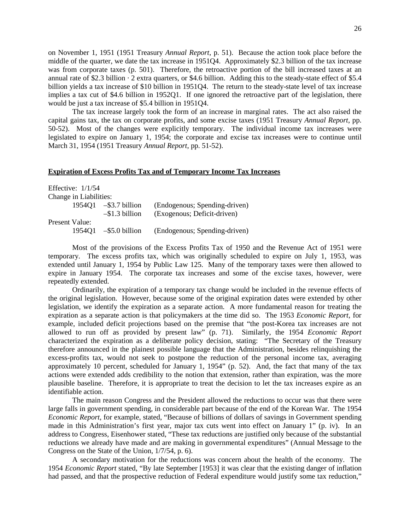on November 1, 1951 (1951 Treasury *Annual Report*, p. 51). Because the action took place before the middle of the quarter, we date the tax increase in 1951Q4. Approximately \$2.3 billion of the tax increase was from corporate taxes (p. 501). Therefore, the retroactive portion of the bill increased taxes at an annual rate of \$2.3 billion  $\cdot$  2 extra quarters, or \$4.6 billion. Adding this to the steady-state effect of \$5.4 billion yields a tax increase of \$10 billion in 1951Q4. The return to the steady-state level of tax increase implies a tax cut of \$4.6 billion in 1952Q1. If one ignored the retroactive part of the legislation, there would be just a tax increase of \$5.4 billion in 1951Q4.

The tax increase largely took the form of an increase in marginal rates. The act also raised the capital gains tax, the tax on corporate profits, and some excise taxes (1951 Treasury *Annual Report*, pp. 50-52). Most of the changes were explicitly temporary. The individual income tax increases were legislated to expire on January 1, 1954; the corporate and excise tax increases were to continue until March 31, 1954 (1951 Treasury *Annual Report*, pp. 51-52).

### **Expiration of Excess Profits Tax and of Temporary Income Tax Increases**

|                | Effective: $1/1/54$    |                          |                               |
|----------------|------------------------|--------------------------|-------------------------------|
|                | Change in Liabilities: |                          |                               |
|                |                        | 1954Q1 $-$ \$3.7 billion | (Endogenous; Spending-driven) |
|                |                        | $-\$1.3$ billion         | (Exogenous; Deficit-driven)   |
| Present Value: |                        |                          |                               |
|                |                        | $1954Q1 - $5.0$ billion  | (Endogenous; Spending-driven) |

Most of the provisions of the Excess Profits Tax of 1950 and the Revenue Act of 1951 were temporary. The excess profits tax, which was originally scheduled to expire on July 1, 1953, was extended until January 1, 1954 by Public Law 125. Many of the temporary taxes were then allowed to expire in January 1954. The corporate tax increases and some of the excise taxes, however, were repeatedly extended.

Ordinarily, the expiration of a temporary tax change would be included in the revenue effects of the original legislation. However, because some of the original expiration dates were extended by other legislation, we identify the expiration as a separate action. A more fundamental reason for treating the expiration as a separate action is that policymakers at the time did so. The 1953 *Economic Report*, for example, included deficit projections based on the premise that "the post-Korea tax increases are not allowed to run off as provided by present law" (p. 71). Similarly, the 1954 *Economic Report* characterized the expiration as a deliberate policy decision, stating: "The Secretary of the Treasury therefore announced in the plainest possible language that the Administration, besides relinquishing the excess-profits tax, would not seek to postpone the reduction of the personal income tax, averaging approximately 10 percent, scheduled for January 1, 1954" (p. 52). And, the fact that many of the tax actions were extended adds credibility to the notion that extension, rather than expiration, was the more plausible baseline. Therefore, it is appropriate to treat the decision to let the tax increases expire as an identifiable action.

The main reason Congress and the President allowed the reductions to occur was that there were large falls in government spending, in considerable part because of the end of the Korean War. The 1954 *Economic Report*, for example, stated, "Because of billions of dollars of savings in Government spending made in this Administration's first year, major tax cuts went into effect on January 1" (p. iv). In an address to Congress, Eisenhower stated, "These tax reductions are justified only because of the substantial reductions we already have made and are making in governmental expenditures" (Annual Message to the Congress on the State of the Union, 1/7/54, p. 6).

A secondary motivation for the reductions was concern about the health of the economy. The 1954 *Economic Report* stated, "By late September [1953] it was clear that the existing danger of inflation had passed, and that the prospective reduction of Federal expenditure would justify some tax reduction,"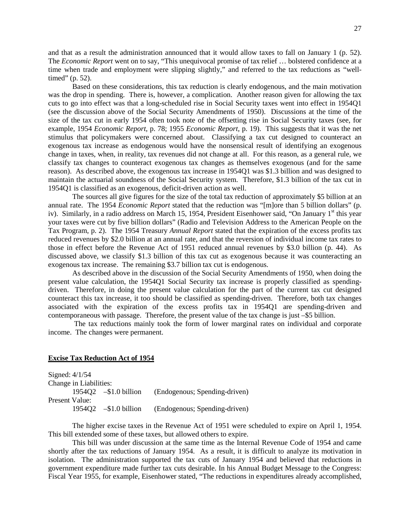and that as a result the administration announced that it would allow taxes to fall on January 1 (p. 52). The *Economic Report* went on to say, "This unequivocal promise of tax relief … bolstered confidence at a time when trade and employment were slipping slightly," and referred to the tax reductions as "welltimed" (p. 52).

Based on these considerations, this tax reduction is clearly endogenous, and the main motivation was the drop in spending. There is, however, a complication. Another reason given for allowing the tax cuts to go into effect was that a long-scheduled rise in Social Security taxes went into effect in 1954Q1 (see the discussion above of the Social Security Amendments of 1950). Discussions at the time of the size of the tax cut in early 1954 often took note of the offsetting rise in Social Security taxes (see, for example, 1954 *Economic Report*, p. 78; 1955 *Economic Report*, p. 19). This suggests that it was the net stimulus that policymakers were concerned about. Classifying a tax cut designed to counteract an exogenous tax increase as endogenous would have the nonsensical result of identifying an exogenous change in taxes, when, in reality, tax revenues did not change at all. For this reason, as a general rule, we classify tax changes to counteract exogenous tax changes as themselves exogenous (and for the same reason). As described above, the exogenous tax increase in 1954Q1 was \$1.3 billion and was designed to maintain the actuarial soundness of the Social Security system. Therefore, \$1.3 billion of the tax cut in 1954Q1 is classified as an exogenous, deficit-driven action as well.

The sources all give figures for the size of the total tax reduction of approximately \$5 billion at an annual rate. The 1954 *Economic Report* stated that the reduction was "[m]ore than 5 billion dollars" (p. iv). Similarly, in a radio address on March 15, 1954, President Eisenhower said, "On January  $1<sup>st</sup>$  this year your taxes were cut by five billion dollars" (Radio and Television Address to the American People on the Tax Program, p. 2). The 1954 Treasury *Annual Report* stated that the expiration of the excess profits tax reduced revenues by \$2.0 billion at an annual rate, and that the reversion of individual income tax rates to those in effect before the Revenue Act of 1951 reduced annual revenues by \$3.0 billion (p. 44). As discussed above, we classify \$1.3 billion of this tax cut as exogenous because it was counteracting an exogenous tax increase. The remaining \$3.7 billion tax cut is endogenous.

As described above in the discussion of the Social Security Amendments of 1950, when doing the present value calculation, the 1954Q1 Social Security tax increase is properly classified as spendingdriven. Therefore, in doing the present value calculation for the part of the current tax cut designed counteract this tax increase, it too should be classified as spending-driven. Therefore, both tax changes associated with the expiration of the excess profits tax in 1954Q1 are spending-driven and contemporaneous with passage. Therefore, the present value of the tax change is just –\$5 billion.

The tax reductions mainly took the form of lower marginal rates on individual and corporate income. The changes were permanent.

# **Excise Tax Reduction Act of 1954**

| Signed: $4/1/54$       |                          |                               |
|------------------------|--------------------------|-------------------------------|
| Change in Liabilities: |                          |                               |
|                        | 1954Q2 $-$ \$1.0 billion | (Endogenous; Spending-driven) |
| Present Value:         |                          |                               |
|                        | 1954Q2 $-$ \$1.0 billion | (Endogenous; Spending-driven) |

The higher excise taxes in the Revenue Act of 1951 were scheduled to expire on April 1, 1954. This bill extended some of these taxes, but allowed others to expire.

This bill was under discussion at the same time as the Internal Revenue Code of 1954 and came shortly after the tax reductions of January 1954. As a result, it is difficult to analyze its motivation in isolation. The administration supported the tax cuts of January 1954 and believed that reductions in government expenditure made further tax cuts desirable. In his Annual Budget Message to the Congress: Fiscal Year 1955, for example, Eisenhower stated, "The reductions in expenditures already accomplished,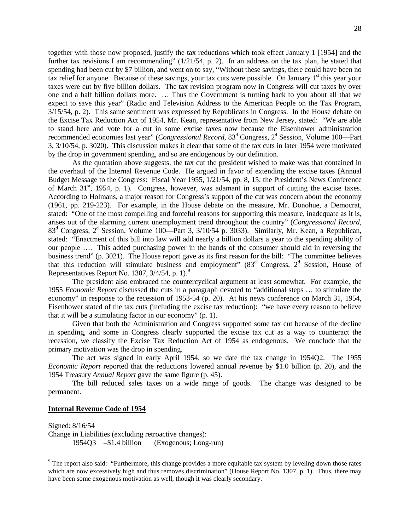together with those now proposed, justify the tax reductions which took effect January 1 [1954] and the further tax revisions I am recommending" (1/21/54, p. 2). In an address on the tax plan, he stated that spending had been cut by \$7 billion, and went on to say, "Without these savings, there could have been no tax relief for anyone. Because of these savings, your tax cuts were possible. On January 1<sup>st</sup> this year your taxes were cut by five billion dollars. The tax revision program now in Congress will cut taxes by over one and a half billion dollars more. … Thus the Government is turning back to you about all that we expect to save this year" (Radio and Television Address to the American People on the Tax Program, 3/15/54, p. 2). This same sentiment was expressed by Republicans in Congress. In the House debate on the Excise Tax Reduction Act of 1954, Mr. Kean, representative from New Jersey, stated: "We are able to stand here and vote for a cut in some excise taxes now because the Eisenhower administration recommended economies last year" (*Congressional Record*, 83<sup>d</sup> Congress, 2<sup>d</sup> Session, Volume 100—Part 3, 3/10/54, p. 3020). This discussion makes it clear that some of the tax cuts in later 1954 were motivated by the drop in government spending, and so are endogenous by our definition.

As the quotation above suggests, the tax cut the president wished to make was that contained in the overhaul of the Internal Revenue Code. He argued in favor of extending the excise taxes (Annual Budget Message to the Congress: Fiscal Year 1955, 1/21/54, pp. 8, 15; the President's News Conference of March 31<sup>st</sup>, 1954, p. 1). Congress, however, was adamant in support of cutting the excise taxes. According to Holmans, a major reason for Congress's support of the cut was concern about the economy (1961, pp. 219-223). For example, in the House debate on the measure, Mr. Donohue, a Democrat, stated: "One of the most compelling and forceful reasons for supporting this measure, inadequate as it is, arises out of the alarming current unemployment trend throughout the country" (*Congressional Record*, 83<sup>d</sup> Congress, 2<sup>d</sup> Session, Volume 100—Part 3, 3/10/54 p. 3033). Similarly, Mr. Kean, a Republican, stated: "Enactment of this bill into law will add nearly a billion dollars a year to the spending ability of our people …. This added purchasing power in the hands of the consumer should aid in reversing the business trend" (p. 3021). The House report gave as its first reason for the bill: "The committee believes that this reduction will stimulate business and employment"  $(83^d)$  Congress,  $2^d$  Session, House of Representatives Report No. 1307,  $3/4/54$ , p. 1).<sup>[9](#page-29-0)</sup>

The president also embraced the countercyclical argument at least somewhat. For example, the 1955 *Economic Report* discussed the cuts in a paragraph devoted to "additional steps … to stimulate the economy" in response to the recession of 1953-54 (p. 20). At his news conference on March 31, 1954, Eisenhower stated of the tax cuts (including the excise tax reduction): "we have every reason to believe that it will be a stimulating factor in our economy" (p. 1).

Given that both the Administration and Congress supported some tax cut because of the decline in spending, and some in Congress clearly supported the excise tax cut as a way to counteract the recession, we classify the Excise Tax Reduction Act of 1954 as endogenous. We conclude that the primary motivation was the drop in spending.

The act was signed in early April 1954, so we date the tax change in 1954Q2. The 1955 *Economic Report* reported that the reductions lowered annual revenue by \$1.0 billion (p. 20), and the 1954 Treasury *Annual Report* gave the same figure (p. 45).

The bill reduced sales taxes on a wide range of goods. The change was designed to be permanent.

# **Internal Revenue Code of 1954**

Signed: 8/16/54 Change in Liabilities (excluding retroactive changes): 1954Q3 –\$1.4 billion (Exogenous; Long-run)

<span id="page-29-0"></span><sup>&</sup>lt;sup>9</sup> The report also said: "Furthermore, this change provides a more equitable tax system by leveling down those rates which are now excessively high and thus removes discrimination" (House Report No. 1307, p. 1). Thus, there may have been some exogenous motivation as well, though it was clearly secondary.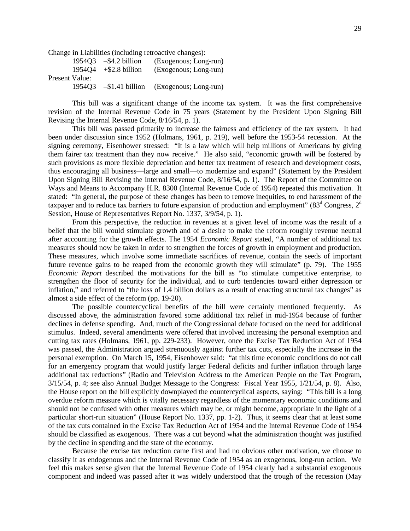Change in Liabilities (including retroactive changes):

|                | $195403 - $4.2 \text{ billion}$ | (Exogenous; Long-run) |
|----------------|---------------------------------|-----------------------|
| 195404         | $+$ \$2.8 billion               | (Exogenous; Long-run) |
| Present Value: |                                 |                       |
|                | $1954Q3 - $1.41$ billion        | (Exogenous; Long-run) |

This bill was a significant change of the income tax system. It was the first comprehensive revision of the Internal Revenue Code in 75 years (Statement by the President Upon Signing Bill Revising the Internal Revenue Code, 8/16/54, p. 1).

This bill was passed primarily to increase the fairness and efficiency of the tax system. It had been under discussion since 1952 (Holmans, 1961, p. 219), well before the 1953-54 recession. At the signing ceremony, Eisenhower stressed: "It is a law which will help millions of Americans by giving them fairer tax treatment than they now receive." He also said, "economic growth will be fostered by such provisions as more flexible depreciation and better tax treatment of research and development costs, thus encouraging all business—large and small—to modernize and expand" (Statement by the President Upon Signing Bill Revising the Internal Revenue Code, 8/16/54, p. 1). The Report of the Committee on Ways and Means to Accompany H.R. 8300 (Internal Revenue Code of 1954) repeated this motivation. It stated: "In general, the purpose of these changes has been to remove inequities, to end harassment of the taxpayer and to reduce tax barriers to future expansion of production and employment" ( $83<sup>d</sup>$  Congress,  $2<sup>d</sup>$ Session, House of Representatives Report No. 1337, 3/9/54, p. 1).

From this perspective, the reduction in revenues at a given level of income was the result of a belief that the bill would stimulate growth and of a desire to make the reform roughly revenue neutral after accounting for the growth effects. The 1954 *Economic Report* stated, "A number of additional tax measures should now be taken in order to strengthen the forces of growth in employment and production. These measures, which involve some immediate sacrifices of revenue, contain the seeds of important future revenue gains to be reaped from the economic growth they will stimulate" (p. 79). The 1955 *Economic Report* described the motivations for the bill as "to stimulate competitive enterprise, to strengthen the floor of security for the individual, and to curb tendencies toward either depression or inflation," and referred to "the loss of 1.4 billion dollars as a result of enacting structural tax changes" as almost a side effect of the reform (pp. 19-20).

The possible countercyclical benefits of the bill were certainly mentioned frequently. As discussed above, the administration favored some additional tax relief in mid-1954 because of further declines in defense spending. And, much of the Congressional debate focused on the need for additional stimulus. Indeed, several amendments were offered that involved increasing the personal exemption and cutting tax rates (Holmans, 1961, pp. 229-233). However, once the Excise Tax Reduction Act of 1954 was passed, the Administration argued strenuously against further tax cuts, especially the increase in the personal exemption. On March 15, 1954, Eisenhower said: "at this time economic conditions do not call for an emergency program that would justify larger Federal deficits and further inflation through large additional tax reductions" (Radio and Television Address to the American People on the Tax Program, 3/15/54, p. 4; see also Annual Budget Message to the Congress: Fiscal Year 1955, 1/21/54, p. 8). Also, the House report on the bill explicitly downplayed the countercyclical aspects, saying: "This bill is a long overdue reform measure which is vitally necessary regardless of the momentary economic conditions and should not be confused with other measures which may be, or might become, appropriate in the light of a particular short-run situation" (House Report No. 1337, pp. 1-2). Thus, it seems clear that at least some of the tax cuts contained in the Excise Tax Reduction Act of 1954 and the Internal Revenue Code of 1954 should be classified as exogenous. There was a cut beyond what the administration thought was justified by the decline in spending and the state of the economy.

Because the excise tax reduction came first and had no obvious other motivation, we choose to classify it as endogenous and the Internal Revenue Code of 1954 as an exogenous, long-run action. We feel this makes sense given that the Internal Revenue Code of 1954 clearly had a substantial exogenous component and indeed was passed after it was widely understood that the trough of the recession (May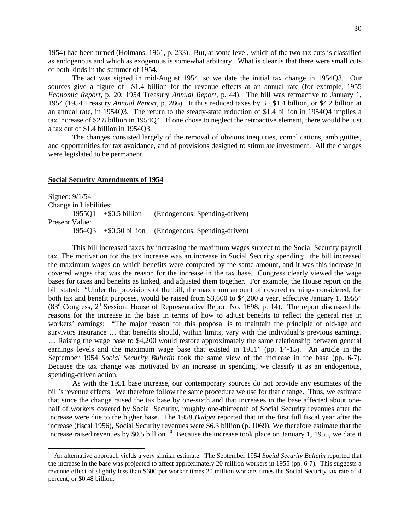1954) had been turned (Holmans, 1961, p. 233). But, at some level, which of the two tax cuts is classified as endogenous and which as exogenous is somewhat arbitrary. What is clear is that there were small cuts of both kinds in the summer of 1954.

The act was signed in mid-August 1954, so we date the initial tax change in 1954Q3. Our sources give a figure of –\$1.4 billion for the revenue effects at an annual rate (for example, 1955 *Economic Report*, p. 20; 1954 Treasury *Annual Report*, p. 44). The bill was retroactive to January 1, 1954 (1954 Treasury *Annual Report*, p. 286). It thus reduced taxes by 3 · \$1.4 billion, or \$4.2 billion at an annual rate, in 1954Q3. The return to the steady-state reduction of \$1.4 billion in 1954Q4 implies a tax increase of \$2.8 billion in 1954Q4. If one chose to neglect the retroactive element, there would be just a tax cut of \$1.4 billion in 1954Q3.

The changes consisted largely of the removal of obvious inequities, complications, ambiguities, and opportunities for tax avoidance, and of provisions designed to stimulate investment. All the changes were legislated to be permanent.

#### **Social Security Amendments of 1954**

| Signed: $9/1/54$ |                        |                         |                                                  |
|------------------|------------------------|-------------------------|--------------------------------------------------|
|                  | Change in Liabilities: |                         |                                                  |
|                  |                        | $1955Q1 + $0.5$ billion | (Endogenous; Spending-driven)                    |
| Present Value:   |                        |                         |                                                  |
|                  | 195403                 |                         | $+$ \$0.50 billion (Endogenous; Spending-driven) |

This bill increased taxes by increasing the maximum wages subject to the Social Security payroll tax. The motivation for the tax increase was an increase in Social Security spending: the bill increased the maximum wages on which benefits were computed by the same amount, and it was this increase in covered wages that was the reason for the increase in the tax base. Congress clearly viewed the wage bases for taxes and benefits as linked, and adjusted them together. For example, the House report on the bill stated: "Under the provisions of the bill, the maximum amount of covered earnings considered, for both tax and benefit purposes, would be raised from \$3,600 to \$4,200 a year, effective January 1, 1955"  $(83<sup>d</sup>$  Congress,  $2<sup>d</sup>$  Session, House of Representative Report No. 1698, p. 14). The report discussed the reasons for the increase in the base in terms of how to adjust benefits to reflect the general rise in workers' earnings: "The major reason for this proposal is to maintain the principle of old-age and survivors insurance … that benefits should, within limits, vary with the individual's previous earnings. … Raising the wage base to \$4,200 would restore approximately the same relationship between general earnings levels and the maximum wage base that existed in 1951" (pp. 14-15). An article in the September 1954 *Social Security Bulletin* took the same view of the increase in the base (pp. 6-7). Because the tax change was motivated by an increase in spending, we classify it as an endogenous, spending-driven action.

As with the 1951 base increase, our contemporary sources do not provide any estimates of the bill's revenue effects. We therefore follow the same procedure we use for that change. Thus, we estimate that since the change raised the tax base by one-sixth and that increases in the base affected about onehalf of workers covered by Social Security, roughly one-thirteenth of Social Security revenues after the increase were due to the higher base. The 1958 *Budget* reported that in the first full fiscal year after the increase (fiscal 1956), Social Security revenues were \$6.3 billion (p. 1069). We therefore estimate that the increase raised revenues by \$0.5 billion.<sup>[10](#page-31-0)</sup> Because the increase took place on January 1, 1955, we date it

<span id="page-31-0"></span><sup>&</sup>lt;sup>10</sup> An alternative approach yields a very similar estimate. The September 1954 *Social Security Bulletin* reported that the increase in the base was projected to affect approximately 20 million workers in 1955 (pp. 6-7). This suggests a revenue effect of slightly less than \$600 per worker times 20 million workers times the Social Security tax rate of 4 percent, or \$0.48 billion.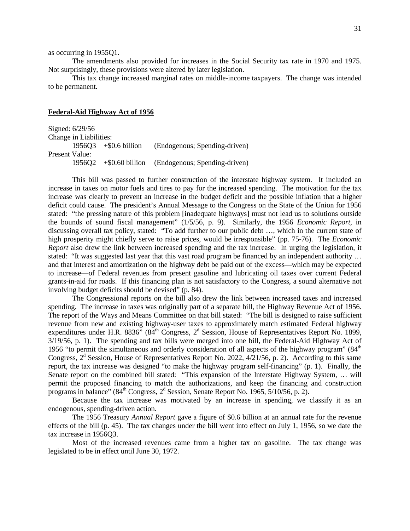as occurring in 1955Q1.

The amendments also provided for increases in the Social Security tax rate in 1970 and 1975. Not surprisingly, these provisions were altered by later legislation.

This tax change increased marginal rates on middle-income taxpayers. The change was intended to be permanent.

# **Federal-Aid Highway Act of 1956**

Signed: 6/29/56 Change in Liabilities: 1956Q3 +\$0.6 billion (Endogenous; Spending-driven) Present Value: 1956Q2 +\$0.60 billion (Endogenous; Spending-driven)

This bill was passed to further construction of the interstate highway system. It included an increase in taxes on motor fuels and tires to pay for the increased spending. The motivation for the tax increase was clearly to prevent an increase in the budget deficit and the possible inflation that a higher deficit could cause. The president's Annual Message to the Congress on the State of the Union for 1956 stated: "the pressing nature of this problem [inadequate highways] must not lead us to solutions outside the bounds of sound fiscal management" (1/5/56, p. 9). Similarly, the 1956 *Economic Report*, in discussing overall tax policy, stated: "To add further to our public debt …, which in the current state of high prosperity might chiefly serve to raise prices, would be irresponsible" (pp. 75-76). The *Economic Report* also drew the link between increased spending and the tax increase. In urging the legislation, it stated: "It was suggested last year that this vast road program be financed by an independent authority ... and that interest and amortization on the highway debt be paid out of the excess—which may be expected to increase—of Federal revenues from present gasoline and lubricating oil taxes over current Federal grants-in-aid for roads. If this financing plan is not satisfactory to the Congress, a sound alternative not involving budget deficits should be devised" (p. 84).

The Congressional reports on the bill also drew the link between increased taxes and increased spending. The increase in taxes was originally part of a separate bill, the Highway Revenue Act of 1956. The report of the Ways and Means Committee on that bill stated: "The bill is designed to raise sufficient revenue from new and existing highway-user taxes to approximately match estimated Federal highway expenditures under H.R. 8836" ( $84<sup>th</sup>$  Congress,  $2<sup>d</sup>$  Session, House of Representatives Report No. 1899, 3/19/56, p. 1). The spending and tax bills were merged into one bill, the Federal-Aid Highway Act of 1956 "to permit the simultaneous and orderly consideration of all aspects of the highway program"  $(84<sup>th</sup>$ Congress,  $2<sup>d</sup>$  Session, House of Representatives Report No. 2022,  $4/21/56$ , p. 2). According to this same report, the tax increase was designed "to make the highway program self-financing" (p. 1). Finally, the Senate report on the combined bill stated: "This expansion of the Interstate Highway System, … will permit the proposed financing to match the authorizations, and keep the financing and construction programs in balance" ( $84<sup>th</sup>$  Congress,  $2<sup>d</sup>$  Session, Senate Report No. 1965, 5/10/56, p. 2).

Because the tax increase was motivated by an increase in spending, we classify it as an endogenous, spending-driven action.

The 1956 Treasury *Annual Report* gave a figure of \$0.6 billion at an annual rate for the revenue effects of the bill (p. 45). The tax changes under the bill went into effect on July 1, 1956, so we date the tax increase in 1956Q3.

Most of the increased revenues came from a higher tax on gasoline. The tax change was legislated to be in effect until June 30, 1972.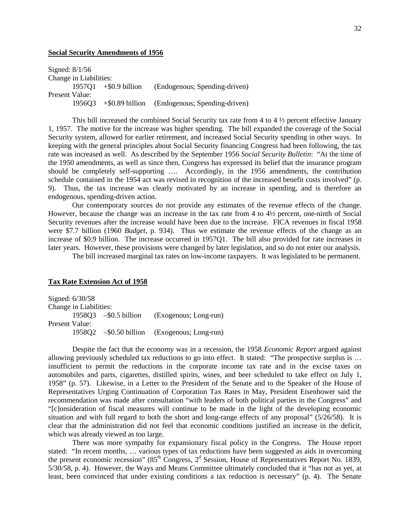#### **Social Security Amendments of 1956**

Signed: 8/1/56 Change in Liabilities: 1957Q1 +\$0.9 billion (Endogenous; Spending-driven) Present Value: 1956Q3 +\$0.89 billion (Endogenous; Spending-driven)

This bill increased the combined Social Security tax rate from 4 to 4 ½ percent effective January 1, 1957. The motive for the increase was higher spending. The bill expanded the coverage of the Social Security system, allowed for earlier retirement, and increased Social Security spending in other ways. In keeping with the general principles about Social Security financing Congress had been following, the tax rate was increased as well. As described by the September 1956 *Social Security Bulletin*: "At the time of the 1950 amendments, as well as since then, Congress has expressed its belief that the insurance program should be completely self-supporting …. Accordingly, in the 1956 amendments, the contribution schedule contained in the 1954 act was revised in recognition of the increased benefit costs involved" (p. 9). Thus, the tax increase was clearly motivated by an increase in spending, and is therefore an endogenous, spending-driven action.

Our contemporary sources do not provide any estimates of the revenue effects of the change. However, because the change was an increase in the tax rate from 4 to 4½ percent, one-ninth of Social Security revenues after the increase would have been due to the increase. FICA revenues in fiscal 1958 were \$7.7 billion (1960 *Budget*, p. 934). Thus we estimate the revenue effects of the change as an increase of \$0.9 billion. The increase occurred in 1957Q1. The bill also provided for rate increases in later years. However, these provisions were changed by later legislation, and so do not enter our analysis.

The bill increased marginal tax rates on low-income taxpayers. It was legislated to be permanent.

## **Tax Rate Extension Act of 1958**

Signed: 6/30/58 Change in Liabilities: 1958Q3 –\$0.5 billion (Exogenous; Long-run) Present Value: 1958Q2 –\$0.50 billion (Exogenous; Long-run)

Despite the fact that the economy was in a recession, the 1958 *Economic Report* argued against allowing previously scheduled tax reductions to go into effect. It stated: "The prospective surplus is … insufficient to permit the reductions in the corporate income tax rate and in the excise taxes on automobiles and parts, cigarettes, distilled spirits, wines, and beer scheduled to take effect on July 1, 1958" (p. 57). Likewise, in a Letter to the President of the Senate and to the Speaker of the House of Representatives Urging Continuation of Corporation Tax Rates in May, President Eisenhower said the recommendation was made after consultation "with leaders of both political parties in the Congress" and "[c]onsideration of fiscal measures will continue to be made in the light of the developing economic situation and with full regard to both the short and long-range effects of any proposal" (5/26/58). It is clear that the administration did not feel that economic conditions justified an increase in the deficit, which was already viewed as too large.

There was more sympathy for expansionary fiscal policy in the Congress. The House report stated: "In recent months, … various types of tax reductions have been suggested as aids in overcoming the present economic recession" ( $85<sup>th</sup>$  Congress,  $2<sup>d</sup>$  Session, House of Representatives Report No. 1839, 5/30/58, p. 4). However, the Ways and Means Committee ultimately concluded that it "has not as yet, at least, been convinced that under existing conditions a tax reduction is necessary" (p. 4). The Senate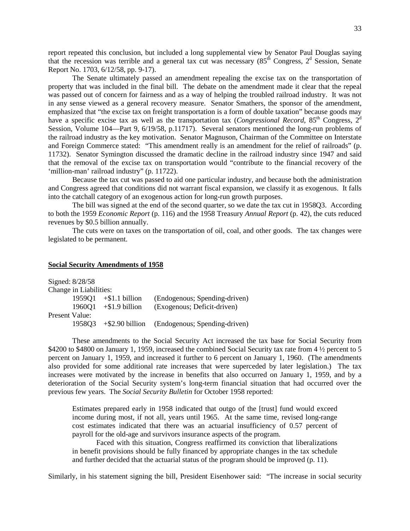report repeated this conclusion, but included a long supplemental view by Senator Paul Douglas saying that the recession was terrible and a general tax cut was necessary  $(85<sup>th</sup>$  Congress,  $2<sup>d</sup>$  Session, Senate Report No. 1703, 6/12/58, pp. 9-17).

The Senate ultimately passed an amendment repealing the excise tax on the transportation of property that was included in the final bill. The debate on the amendment made it clear that the repeal was passed out of concern for fairness and as a way of helping the troubled railroad industry. It was not in any sense viewed as a general recovery measure. Senator Smathers, the sponsor of the amendment, emphasized that "the excise tax on freight transportation is a form of double taxation" because goods may have a specific excise tax as well as the transportation tax (*Congressional Record*, 85<sup>th</sup> Congress, 2<sup>d</sup> Session, Volume 104—Part 9, 6/19/58, p.11717). Several senators mentioned the long-run problems of the railroad industry as the key motivation. Senator Magnuson, Chairman of the Committee on Interstate and Foreign Commerce stated: "This amendment really is an amendment for the relief of railroads" (p. 11732). Senator Symington discussed the dramatic decline in the railroad industry since 1947 and said that the removal of the excise tax on transportation would "contribute to the financial recovery of the 'million-man' railroad industry" (p. 11722).

Because the tax cut was passed to aid one particular industry, and because both the administration and Congress agreed that conditions did not warrant fiscal expansion, we classify it as exogenous. It falls into the catchall category of an exogenous action for long-run growth purposes.

The bill was signed at the end of the second quarter, so we date the tax cut in 1958Q3. According to both the 1959 *Economic Report* (p. 116) and the 1958 Treasury *Annual Report* (p. 42), the cuts reduced revenues by \$0.5 billion annually.

The cuts were on taxes on the transportation of oil, coal, and other goods. The tax changes were legislated to be permanent.

## **Social Security Amendments of 1958**

|                | Signed: 8/28/58        |                         |                                               |
|----------------|------------------------|-------------------------|-----------------------------------------------|
|                | Change in Liabilities: |                         |                                               |
|                |                        | $1959Q1 + $1.1 billion$ | (Endogenous; Spending-driven)                 |
|                | 196001                 | $+$ \$1.9 billion       | (Exogenous; Deficit-driven)                   |
| Present Value: |                        |                         |                                               |
|                | 195803                 |                         | +\$2.90 billion (Endogenous; Spending-driven) |

These amendments to the Social Security Act increased the tax base for Social Security from \$4200 to \$4800 on January 1, 1959, increased the combined Social Security tax rate from 4  $\frac{1}{2}$  percent to 5 percent on January 1, 1959, and increased it further to 6 percent on January 1, 1960. (The amendments also provided for some additional rate increases that were superceded by later legislation.) The tax increases were motivated by the increase in benefits that also occurred on January 1, 1959, and by a deterioration of the Social Security system's long-term financial situation that had occurred over the previous few years. The *Social Security Bulletin* for October 1958 reported:

Estimates prepared early in 1958 indicated that outgo of the [trust] fund would exceed income during most, if not all, years until 1965. At the same time, revised long-range cost estimates indicated that there was an actuarial insufficiency of 0.57 percent of payroll for the old-age and survivors insurance aspects of the program.

Faced with this situation, Congress reaffirmed its conviction that liberalizations in benefit provisions should be fully financed by appropriate changes in the tax schedule and further decided that the actuarial status of the program should be improved (p. 11).

Similarly, in his statement signing the bill, President Eisenhower said: "The increase in social security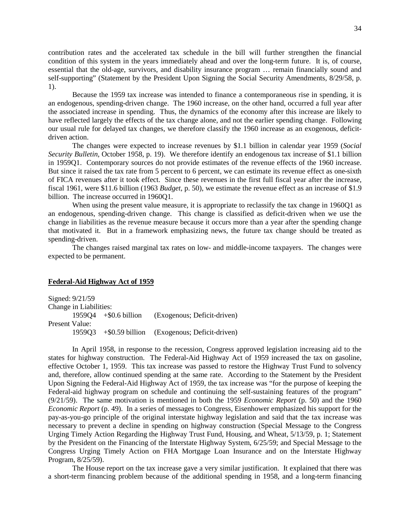contribution rates and the accelerated tax schedule in the bill will further strengthen the financial condition of this system in the years immediately ahead and over the long-term future. It is, of course, essential that the old-age, survivors, and disability insurance program … remain financially sound and self-supporting" (Statement by the President Upon Signing the Social Security Amendments, 8/29/58, p. 1).

Because the 1959 tax increase was intended to finance a contemporaneous rise in spending, it is an endogenous, spending-driven change. The 1960 increase, on the other hand, occurred a full year after the associated increase in spending. Thus, the dynamics of the economy after this increase are likely to have reflected largely the effects of the tax change alone, and not the earlier spending change. Following our usual rule for delayed tax changes, we therefore classify the 1960 increase as an exogenous, deficitdriven action.

The changes were expected to increase revenues by \$1.1 billion in calendar year 1959 (*Social Security Bulletin*, October 1958, p. 19). We therefore identify an endogenous tax increase of \$1.1 billion in 1959Q1. Contemporary sources do not provide estimates of the revenue effects of the 1960 increase. But since it raised the tax rate from 5 percent to 6 percent, we can estimate its revenue effect as one-sixth of FICA revenues after it took effect. Since these revenues in the first full fiscal year after the increase, fiscal 1961, were \$11.6 billion (1963 *Budget*, p. 50), we estimate the revenue effect as an increase of \$1.9 billion. The increase occurred in 1960Q1.

When using the present value measure, it is appropriate to reclassify the tax change in 1960Q1 as an endogenous, spending-driven change. This change is classified as deficit-driven when we use the change in liabilities as the revenue measure because it occurs more than a year after the spending change that motivated it. But in a framework emphasizing news, the future tax change should be treated as spending-driven.

The changes raised marginal tax rates on low- and middle-income taxpayers. The changes were expected to be permanent.

## **Federal-Aid Highway Act of 1959**

Signed: 9/21/59 Change in Liabilities: 1959Q4 +\$0.6 billion (Exogenous; Deficit-driven) Present Value: 1959Q3 +\$0.59 billion (Exogenous; Deficit-driven)

In April 1958, in response to the recession, Congress approved legislation increasing aid to the states for highway construction. The Federal-Aid Highway Act of 1959 increased the tax on gasoline, effective October 1, 1959. This tax increase was passed to restore the Highway Trust Fund to solvency and, therefore, allow continued spending at the same rate. According to the Statement by the President Upon Signing the Federal-Aid Highway Act of 1959, the tax increase was "for the purpose of keeping the Federal-aid highway program on schedule and continuing the self-sustaining features of the program" (9/21/59). The same motivation is mentioned in both the 1959 *Economic Report* (p. 50) and the 1960 *Economic Report* (p. 49). In a series of messages to Congress, Eisenhower emphasized his support for the pay-as-you-go principle of the original interstate highway legislation and said that the tax increase was necessary to prevent a decline in spending on highway construction (Special Message to the Congress Urging Timely Action Regarding the Highway Trust Fund, Housing, and Wheat, 5/13/59, p. 1; Statement by the President on the Financing of the Interstate Highway System, 6/25/59; and Special Message to the Congress Urging Timely Action on FHA Mortgage Loan Insurance and on the Interstate Highway Program, 8/25/59).

The House report on the tax increase gave a very similar justification. It explained that there was a short-term financing problem because of the additional spending in 1958, and a long-term financing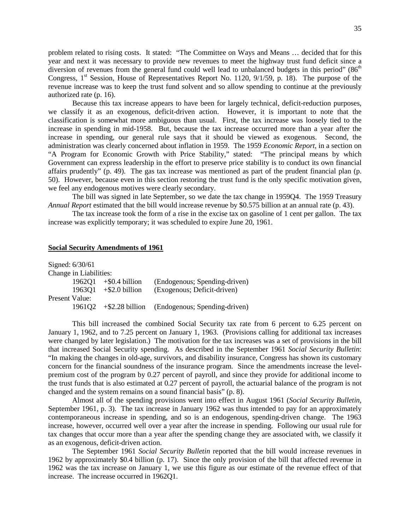problem related to rising costs. It stated: "The Committee on Ways and Means … decided that for this year and next it was necessary to provide new revenues to meet the highway trust fund deficit since a diversion of revenues from the general fund could well lead to unbalanced budgets in this period"  $(86<sup>th</sup>$ Congress,  $1<sup>st</sup>$  Session, House of Representatives Report No. 1120,  $9/1/59$ , p. 18). The purpose of the revenue increase was to keep the trust fund solvent and so allow spending to continue at the previously authorized rate (p. 16).

Because this tax increase appears to have been for largely technical, deficit-reduction purposes, we classify it as an exogenous, deficit-driven action. However, it is important to note that the classification is somewhat more ambiguous than usual. First, the tax increase was loosely tied to the increase in spending in mid-1958. But, because the tax increase occurred more than a year after the increase in spending, our general rule says that it should be viewed as exogenous. Second, the administration was clearly concerned about inflation in 1959. The 1959 *Economic Report*, in a section on "A Program for Economic Growth with Price Stability," stated: "The principal means by which Government can express leadership in the effort to preserve price stability is to conduct its own financial affairs prudently" (p. 49). The gas tax increase was mentioned as part of the prudent financial plan (p. 50). However, because even in this section restoring the trust fund is the only specific motivation given, we feel any endogenous motives were clearly secondary.

The bill was signed in late September, so we date the tax change in 1959Q4. The 1959 Treasury *Annual Report* estimated that the bill would increase revenue by \$0.575 billion at an annual rate (p. 43).

The tax increase took the form of a rise in the excise tax on gasoline of 1 cent per gallon. The tax increase was explicitly temporary; it was scheduled to expire June 20, 1961.

# **Social Security Amendments of 1961**

| Change in Liabilities:  |                               |
|-------------------------|-------------------------------|
| $1962Q1 + $0.4$ billion | (Endogenous; Spending-driven) |
| $+$ \$2.0 billion       | (Exogenous; Deficit-driven)   |
|                         |                               |
| $+$ \$2.28 billion      | (Endogenous; Spending-driven) |
|                         |                               |

This bill increased the combined Social Security tax rate from 6 percent to 6.25 percent on January 1, 1962, and to 7.25 percent on January 1, 1963. (Provisions calling for additional tax increases were changed by later legislation.) The motivation for the tax increases was a set of provisions in the bill that increased Social Security spending. As described in the September 1961 *Social Security Bulletin*: "In making the changes in old-age, survivors, and disability insurance, Congress has shown its customary concern for the financial soundness of the insurance program. Since the amendments increase the levelpremium cost of the program by 0.27 percent of payroll, and since they provide for additional income to the trust funds that is also estimated at 0.27 percent of payroll, the actuarial balance of the program is not changed and the system remains on a sound financial basis" (p. 8).

Almost all of the spending provisions went into effect in August 1961 (*Social Security Bulletin*, September 1961, p. 3). The tax increase in January 1962 was thus intended to pay for an approximately contemporaneous increase in spending, and so is an endogenous, spending-driven change. The 1963 increase, however, occurred well over a year after the increase in spending. Following our usual rule for tax changes that occur more than a year after the spending change they are associated with, we classify it as an exogenous, deficit-driven action.

The September 1961 *Social Security Bulletin* reported that the bill would increase revenues in 1962 by approximately \$0.4 billion (p. 17). Since the only provision of the bill that affected revenue in 1962 was the tax increase on January 1, we use this figure as our estimate of the revenue effect of that increase. The increase occurred in 1962Q1.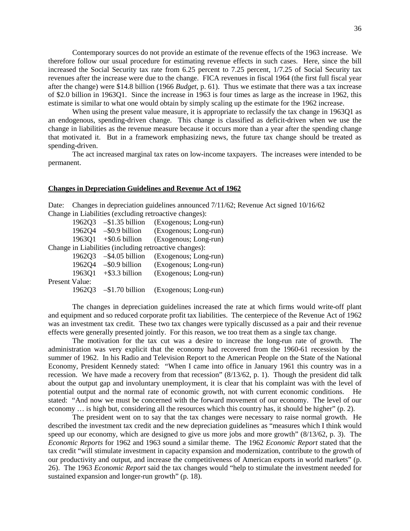Contemporary sources do not provide an estimate of the revenue effects of the 1963 increase. We therefore follow our usual procedure for estimating revenue effects in such cases. Here, since the bill increased the Social Security tax rate from 6.25 percent to 7.25 percent, 1/7.25 of Social Security tax revenues after the increase were due to the change. FICA revenues in fiscal 1964 (the first full fiscal year after the change) were \$14.8 billion (1966 *Budget*, p. 61). Thus we estimate that there was a tax increase of \$2.0 billion in 1963Q1. Since the increase in 1963 is four times as large as the increase in 1962, this estimate is similar to what one would obtain by simply scaling up the estimate for the 1962 increase.

When using the present value measure, it is appropriate to reclassify the tax change in 1963O1 as an endogenous, spending-driven change. This change is classified as deficit-driven when we use the change in liabilities as the revenue measure because it occurs more than a year after the spending change that motivated it. But in a framework emphasizing news, the future tax change should be treated as spending-driven.

The act increased marginal tax rates on low-income taxpayers. The increases were intended to be permanent.

## **Changes in Depreciation Guidelines and Revenue Act of 1962**

Date: Changes in depreciation guidelines announced  $7/11/62$ ; Revenue Act signed 10/16/62 Change in Liabilities (excluding retroactive changes):

1962Q3 –\$1.35 billion (Exogenous; Long-run) 1962Q4 –\$0.9 billion (Exogenous; Long-run) 1963Q1 +\$0.6 billion (Exogenous; Long-run) Change in Liabilities (including retroactive changes): 1962Q3 –\$4.05 billion (Exogenous; Long-run) 1962Q4 –\$0.9 billion (Exogenous; Long-run) 1963Q1 +\$3.3 billion (Exogenous; Long-run) Present Value: 1962Q3 –\$1.70 billion (Exogenous; Long-run)

The changes in depreciation guidelines increased the rate at which firms would write-off plant and equipment and so reduced corporate profit tax liabilities. The centerpiece of the Revenue Act of 1962 was an investment tax credit. These two tax changes were typically discussed as a pair and their revenue effects were generally presented jointly. For this reason, we too treat them as a single tax change.

The motivation for the tax cut was a desire to increase the long-run rate of growth. The administration was very explicit that the economy had recovered from the 1960-61 recession by the summer of 1962. In his Radio and Television Report to the American People on the State of the National Economy, President Kennedy stated: "When I came into office in January 1961 this country was in a recession. We have made a recovery from that recession" (8/13/62, p. 1). Though the president did talk about the output gap and involuntary unemployment, it is clear that his complaint was with the level of potential output and the normal rate of economic growth, not with current economic conditions. He stated: "And now we must be concerned with the forward movement of our economy. The level of our economy … is high but, considering all the resources which this country has, it should be higher" (p. 2).

The president went on to say that the tax changes were necessary to raise normal growth. He described the investment tax credit and the new depreciation guidelines as "measures which I think would speed up our economy, which are designed to give us more jobs and more growth" (8/13/62, p. 3). The *Economic Reports* for 1962 and 1963 sound a similar theme. The 1962 *Economic Report* stated that the tax credit "will stimulate investment in capacity expansion and modernization, contribute to the growth of our productivity and output, and increase the competitiveness of American exports in world markets" (p. 26). The 1963 *Economic Report* said the tax changes would "help to stimulate the investment needed for sustained expansion and longer-run growth" (p. 18).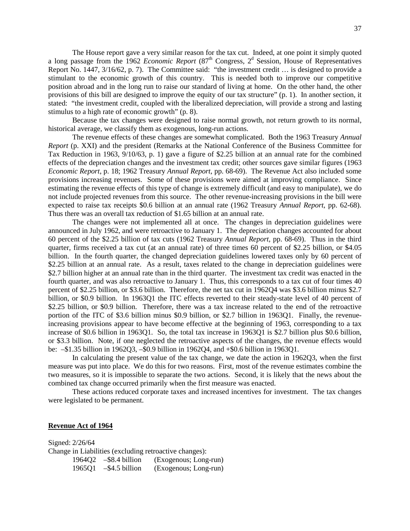The House report gave a very similar reason for the tax cut. Indeed, at one point it simply quoted a long passage from the 1962 *Economic Report* (87<sup>th</sup> Congress, 2<sup>d</sup> Session, House of Representatives Report No. 1447, 3/16/62, p. 7). The Committee said: "the investment credit … is designed to provide a stimulant to the economic growth of this country. This is needed both to improve our competitive position abroad and in the long run to raise our standard of living at home. On the other hand, the other provisions of this bill are designed to improve the equity of our tax structure" (p. 1). In another section, it stated: "the investment credit, coupled with the liberalized depreciation, will provide a strong and lasting stimulus to a high rate of economic growth" (p. 8).

Because the tax changes were designed to raise normal growth, not return growth to its normal, historical average, we classify them as exogenous, long-run actions.

The revenue effects of these changes are somewhat complicated. Both the 1963 Treasury *Annual Report* (p. XXI) and the president (Remarks at the National Conference of the Business Committee for Tax Reduction in 1963, 9/10/63, p. 1) gave a figure of \$2.25 billion at an annual rate for the combined effects of the depreciation changes and the investment tax credit; other sources gave similar figures (1963 *Economic Report*, p. 18; 1962 Treasury *Annual Report*, pp. 68-69). The Revenue Act also included some provisions increasing revenues. Some of these provisions were aimed at improving compliance. Since estimating the revenue effects of this type of change is extremely difficult (and easy to manipulate), we do not include projected revenues from this source. The other revenue-increasing provisions in the bill were expected to raise tax receipts \$0.6 billion at an annual rate (1962 Treasury *Annual Report*, pp. 62-68). Thus there was an overall tax reduction of \$1.65 billion at an annual rate.

The changes were not implemented all at once. The changes in depreciation guidelines were announced in July 1962, and were retroactive to January 1. The depreciation changes accounted for about 60 percent of the \$2.25 billion of tax cuts (1962 Treasury *Annual Report*, pp. 68-69). Thus in the third quarter, firms received a tax cut (at an annual rate) of three times 60 percent of \$2.25 billion, or \$4.05 billion. In the fourth quarter, the changed depreciation guidelines lowered taxes only by 60 percent of \$2.25 billion at an annual rate. As a result, taxes related to the change in depreciation guidelines were \$2.7 billion higher at an annual rate than in the third quarter. The investment tax credit was enacted in the fourth quarter, and was also retroactive to January 1. Thus, this corresponds to a tax cut of four times 40 percent of \$2.25 billion, or \$3.6 billion. Therefore, the net tax cut in 1962Q4 was \$3.6 billion minus \$2.7 billion, or \$0.9 billion. In 1963Q1 the ITC effects reverted to their steady-state level of 40 percent of \$2.25 billion, or \$0.9 billion. Therefore, there was a tax increase related to the end of the retroactive portion of the ITC of \$3.6 billion minus \$0.9 billion, or \$2.7 billion in 1963Q1. Finally, the revenueincreasing provisions appear to have become effective at the beginning of 1963, corresponding to a tax increase of \$0.6 billion in 1963Q1. So, the total tax increase in 1963Q1 is \$2.7 billion plus \$0.6 billion, or \$3.3 billion. Note, if one neglected the retroactive aspects of the changes, the revenue effects would be: –\$1.35 billion in 1962Q3, –\$0.9 billion in 1962Q4, and +\$0.6 billion in 1963Q1.

In calculating the present value of the tax change, we date the action in 1962Q3, when the first measure was put into place. We do this for two reasons. First, most of the revenue estimates combine the two measures, so it is impossible to separate the two actions. Second, it is likely that the news about the combined tax change occurred primarily when the first measure was enacted.

These actions reduced corporate taxes and increased incentives for investment. The tax changes were legislated to be permanent.

## **Revenue Act of 1964**

Signed: 2/26/64 Change in Liabilities (excluding retroactive changes): 1964Q2 –\$8.4 billion (Exogenous; Long-run) 1965Q1 –\$4.5 billion (Exogenous; Long-run)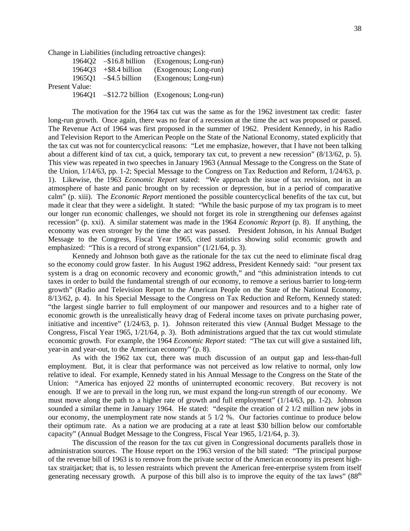Change in Liabilities (including retroactive changes):

|                | 196402 | $-$ \$16.8 billion | (Exogenous; Long-run)                     |
|----------------|--------|--------------------|-------------------------------------------|
|                | 196403 | $+$ \$8.4 billion  | (Exogenous; Long-run)                     |
|                | 1965O1 | $-$ \$4.5 billion  | (Exogenous; Long-run)                     |
| Present Value: |        |                    |                                           |
|                | 196401 |                    | $-$ \$12.72 billion (Exogenous; Long-run) |
|                |        |                    |                                           |

The motivation for the 1964 tax cut was the same as for the 1962 investment tax credit: faster long-run growth. Once again, there was no fear of a recession at the time the act was proposed or passed. The Revenue Act of 1964 was first proposed in the summer of 1962. President Kennedy, in his Radio and Television Report to the American People on the State of the National Economy, stated explicitly that the tax cut was not for countercyclical reasons: "Let me emphasize, however, that I have not been talking about a different kind of tax cut, a quick, temporary tax cut, to prevent a new recession" (8/13/62, p. 5). This view was repeated in two speeches in January 1963 (Annual Message to the Congress on the State of the Union, 1/14/63, pp. 1-2; Special Message to the Congress on Tax Reduction and Reform, 1/24/63, p. 1). Likewise, the 1963 *Economic Report* stated: "We approach the issue of tax revision, not in an atmosphere of haste and panic brought on by recession or depression, but in a period of comparative calm" (p. xiii). The *Economic Report* mentioned the possible countercyclical benefits of the tax cut, but made it clear that they were a sidelight. It stated: "While the basic purpose of my tax program is to meet our longer run economic challenges, we should not forget its role in strengthening our defenses against recession" (p. xxi). A similar statement was made in the 1964 *Economic Report* (p. 8). If anything, the economy was even stronger by the time the act was passed. President Johnson, in his Annual Budget Message to the Congress, Fiscal Year 1965, cited statistics showing solid economic growth and emphasized: "This is a record of strong expansion" (1/21/64, p. 3).

Kennedy and Johnson both gave as the rationale for the tax cut the need to eliminate fiscal drag so the economy could grow faster. In his August 1962 address, President Kennedy said: "our present tax system is a drag on economic recovery and economic growth," and "this administration intends to cut taxes in order to build the fundamental strength of our economy, to remove a serious barrier to long-term growth" (Radio and Television Report to the American People on the State of the National Economy, 8/13/62, p. 4). In his Special Message to the Congress on Tax Reduction and Reform, Kennedy stated: "the largest single barrier to full employment of our manpower and resources and to a higher rate of economic growth is the unrealistically heavy drag of Federal income taxes on private purchasing power, initiative and incentive" (1/24/63, p. 1). Johnson reiterated this view (Annual Budget Message to the Congress, Fiscal Year 1965, 1/21/64, p. 3). Both administrations argued that the tax cut would stimulate economic growth. For example, the 1964 *Economic Report* stated: "The tax cut will give a sustained lift, year-in and year-out, to the American economy" (p. 8).

As with the 1962 tax cut, there was much discussion of an output gap and less-than-full employment. But, it is clear that performance was not perceived as low relative to normal, only low relative to ideal. For example, Kennedy stated in his Annual Message to the Congress on the State of the Union: "America has enjoyed 22 months of uninterrupted economic recovery. But recovery is not enough. If we are to prevail in the long run, we must expand the long-run strength of our economy. We must move along the path to a higher rate of growth and full employment" (1/14/63, pp. 1-2). Johnson sounded a similar theme in January 1964. He stated: "despite the creation of 2 1/2 million new jobs in our economy, the unemployment rate now stands at 5 1/2 %. Our factories continue to produce below their optimum rate. As a nation we are producing at a rate at least \$30 billion below our comfortable capacity" (Annual Budget Message to the Congress, Fiscal Year 1965, 1/21/64, p. 3).

The discussion of the reason for the tax cut given in Congressional documents parallels those in administration sources. The House report on the 1963 version of the bill stated: "The principal purpose of the revenue bill of 1963 is to remove from the private sector of the American economy its present hightax straitjacket; that is, to lessen restraints which prevent the American free-enterprise system from itself generating necessary growth. A purpose of this bill also is to improve the equity of the tax laws"  $(88<sup>th</sup>$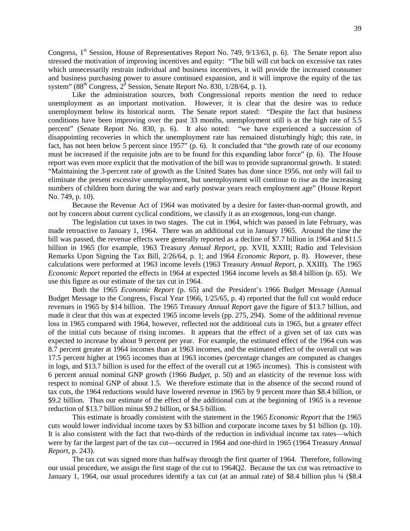Congress,  $1<sup>st</sup>$  Session, House of Representatives Report No. 749, 9/13/63, p. 6). The Senate report also stressed the motivation of improving incentives and equity: "The bill will cut back on excessive tax rates which unnecessarily restrain individual and business incentives, it will provide the increased consumer and business purchasing power to assure continued expansion, and it will improve the equity of the tax system" ( $88<sup>th</sup>$  Congress,  $2<sup>d</sup>$  Session, Senate Report No. 830, 1/28/64, p. 1).

Like the administration sources, both Congressional reports mention the need to reduce unemployment as an important motivation. However, it is clear that the desire was to reduce unemployment below its historical norm. The Senate report stated: "Despite the fact that business conditions have been improving over the past 33 months, unemployment still is at the high rate of 5.5 percent" (Senate Report No. 830, p. 6). It also noted: "we have experienced a succession of disappointing recoveries in which the unemployment rate has remained disturbingly high; this rate, in fact, has not been below 5 percent since 1957" (p. 6). It concluded that "the growth rate of our economy must be increased if the requisite jobs are to be found for this expanding labor force" (p. 6). The House report was even more explicit that the motivation of the bill was to provide supranormal growth. It stated: "Maintaining the 3-percent rate of growth as the United States has done since 1956, not only will fail to eliminate the present excessive unemployment, but unemployment will continue to rise as the increasing numbers of children born during the war and early postwar years reach employment age" (House Report No. 749, p. 10).

Because the Revenue Act of 1964 was motivated by a desire for faster-than-normal growth, and not by concern about current cyclical conditions, we classify it as an exogenous, long-run change.

The legislation cut taxes in two stages. The cut in 1964, which was passed in late February, was made retroactive to January 1, 1964. There was an additional cut in January 1965. Around the time the bill was passed, the revenue effects were generally reported as a decline of \$7.7 billion in 1964 and \$11.5 billion in 1965 (for example, 1963 Treasury *Annual Report*, pp. XVII, XXIII; Radio and Television Remarks Upon Signing the Tax Bill, 2/26/64, p. 1; and 1964 *Economic Report*, p. 8). However, these calculations were performed at 1963 income levels (1963 Treasury *Annual Report*, p. XXIII). The 1965 *Economic Report* reported the effects in 1964 at expected 1964 income levels as \$8.4 billion (p. 65). We use this figure as our estimate of the tax cut in 1964.

Both the 1965 *Economic Report* (p. 65) and the President's 1966 Budget Message (Annual Budget Message to the Congress, Fiscal Year 1966, 1/25/65, p. 4) reported that the full cut would reduce revenues in 1965 by \$14 billion. The 1965 Treasury *Annual Report* gave the figure of \$13.7 billion, and made it clear that this was at expected 1965 income levels (pp. 275, 294). Some of the additional revenue loss in 1965 compared with 1964, however, reflected not the additional cuts in 1965, but a greater effect of the initial cuts because of rising incomes. It appears that the effect of a given set of tax cuts was expected to increase by about 9 percent per year. For example, the estimated effect of the 1964 cuts was 8.7 percent greater at 1964 incomes than at 1963 incomes, and the estimated effect of the overall cut was 17.5 percent higher at 1965 incomes than at 1963 incomes (percentage changes are computed as changes in logs, and \$13.7 billion is used for the effect of the overall cut at 1965 incomes). This is consistent with 6 percent annual nominal GNP growth (1966 *Budget*, p. 50) and an elasticity of the revenue loss with respect to nominal GNP of about 1.5. We therefore estimate that in the absence of the second round of tax cuts, the 1964 reductions would have lowered revenue in 1965 by 9 percent more than \$8.4 billion, or \$9.2 billion. Thus our estimate of the effect of the additional cuts at the beginning of 1965 is a revenue reduction of \$13.7 billion minus \$9.2 billion, or \$4.5 billion.

This estimate is broadly consistent with the statement in the 1965 *Economic Report* that the 1965 cuts would lower individual income taxes by \$3 billion and corporate income taxes by \$1 billion (p. 10). It is also consistent with the fact that two-thirds of the reduction in individual income tax rates—which were by far the largest part of the tax cut—occurred in 1964 and one-third in 1965 (1964 Treasury *Annual Report*, p. 243).

The tax cut was signed more than halfway through the first quarter of 1964. Therefore, following our usual procedure, we assign the first stage of the cut to 1964Q2. Because the tax cut was retroactive to January 1, 1964, our usual procedures identify a tax cut (at an annual rate) of \$8.4 billion plus 1/4 (\$8.4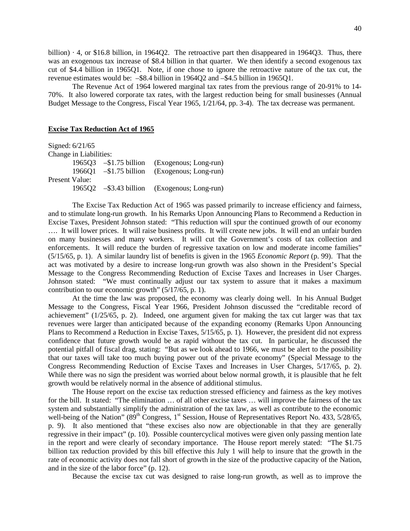billion) · 4, or \$16.8 billion, in 1964Q2. The retroactive part then disappeared in 1964Q3. Thus, there was an exogenous tax increase of \$8.4 billion in that quarter. We then identify a second exogenous tax cut of \$4.4 billion in 1965Q1. Note, if one chose to ignore the retroactive nature of the tax cut, the revenue estimates would be: –\$8.4 billion in 1964Q2 and –\$4.5 billion in 1965Q1.

The Revenue Act of 1964 lowered marginal tax rates from the previous range of 20-91% to 14- 70%. It also lowered corporate tax rates, with the largest reduction being for small businesses (Annual Budget Message to the Congress, Fiscal Year 1965, 1/21/64, pp. 3-4). The tax decrease was permanent.

## **Excise Tax Reduction Act of 1965**

Signed: 6/21/65 Change in Liabilities: 1965Q3 –\$1.75 billion (Exogenous; Long-run) 1966Q1 –\$1.75 billion (Exogenous; Long-run) Present Value: 1965Q2 –\$3.43 billion (Exogenous; Long-run)

The Excise Tax Reduction Act of 1965 was passed primarily to increase efficiency and fairness, and to stimulate long-run growth. In his Remarks Upon Announcing Plans to Recommend a Reduction in Excise Taxes, President Johnson stated: "This reduction will spur the continued growth of our economy …. It will lower prices. It will raise business profits. It will create new jobs. It will end an unfair burden on many businesses and many workers. It will cut the Government's costs of tax collection and enforcements. It will reduce the burden of regressive taxation on low and moderate income families" (5/15/65, p. 1). A similar laundry list of benefits is given in the 1965 *Economic Report* (p. 99). That the act was motivated by a desire to increase long-run growth was also shown in the President's Special Message to the Congress Recommending Reduction of Excise Taxes and Increases in User Charges. Johnson stated: "We must continually adjust our tax system to assure that it makes a maximum contribution to our economic growth" (5/17/65, p. 1).

At the time the law was proposed, the economy was clearly doing well. In his Annual Budget Message to the Congress, Fiscal Year 1966, President Johnson discussed the "creditable record of achievement" (1/25/65, p. 2). Indeed, one argument given for making the tax cut larger was that tax revenues were larger than anticipated because of the expanding economy (Remarks Upon Announcing Plans to Recommend a Reduction in Excise Taxes, 5/15/65, p. 1). However, the president did not express confidence that future growth would be as rapid without the tax cut. In particular, he discussed the potential pitfall of fiscal drag, stating: "But as we look ahead to 1966, we must be alert to the possibility that our taxes will take too much buying power out of the private economy" (Special Message to the Congress Recommending Reduction of Excise Taxes and Increases in User Charges, 5/17/65, p. 2). While there was no sign the president was worried about below normal growth, it is plausible that he felt growth would be relatively normal in the absence of additional stimulus.

The House report on the excise tax reduction stressed efficiency and fairness as the key motives for the bill. It stated: "The elimination … of all other excise taxes … will improve the fairness of the tax system and substantially simplify the administration of the tax law, as well as contribute to the economic well-being of the Nation" (89<sup>th</sup> Congress, 1<sup>st</sup> Session, House of Representatives Report No. 433, 5/28/65, p. 9). It also mentioned that "these excises also now are objectionable in that they are generally regressive in their impact" (p. 10). Possible countercyclical motives were given only passing mention late in the report and were clearly of secondary importance. The House report merely stated: "The \$1.75 billion tax reduction provided by this bill effective this July 1 will help to insure that the growth in the rate of economic activity does not fall short of growth in the size of the productive capacity of the Nation, and in the size of the labor force" (p. 12).

Because the excise tax cut was designed to raise long-run growth, as well as to improve the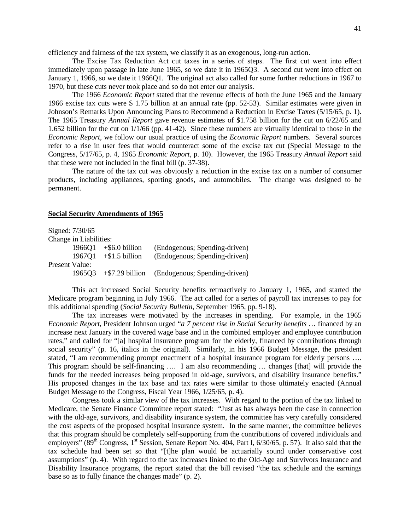efficiency and fairness of the tax system, we classify it as an exogenous, long-run action.

The Excise Tax Reduction Act cut taxes in a series of steps. The first cut went into effect immediately upon passage in late June 1965, so we date it in 1965Q3. A second cut went into effect on January 1, 1966, so we date it 1966Q1. The original act also called for some further reductions in 1967 to 1970, but these cuts never took place and so do not enter our analysis.

The 1966 *Economic Report* stated that the revenue effects of both the June 1965 and the January 1966 excise tax cuts were \$ 1.75 billion at an annual rate (pp. 52-53). Similar estimates were given in Johnson's Remarks Upon Announcing Plans to Recommend a Reduction in Excise Taxes (5/15/65, p. 1). The 1965 Treasury *Annual Report* gave revenue estimates of \$1.758 billion for the cut on 6/22/65 and 1.652 billion for the cut on 1/1/66 (pp. 41-42). Since these numbers are virtually identical to those in the *Economic Report*, we follow our usual practice of using the *Economic Report* numbers. Several sources refer to a rise in user fees that would counteract some of the excise tax cut (Special Message to the Congress, 5/17/65, p. 4, 1965 *Economic Report*, p. 10). However, the 1965 Treasury *Annual Report* said that these were not included in the final bill (p. 37-38).

The nature of the tax cut was obviously a reduction in the excise tax on a number of consumer products, including appliances, sporting goods, and automobiles. The change was designed to be permanent.

## **Social Security Amendments of 1965**

|                | Signed: 7/30/65        |                                  |                               |
|----------------|------------------------|----------------------------------|-------------------------------|
|                | Change in Liabilities: |                                  |                               |
|                |                        | $1966Q1 + $6.0 \text{ billion}$  | (Endogenous; Spending-driven) |
|                | 196701                 | $+$ \$1.5 billion                | (Endogenous; Spending-driven) |
| Present Value: |                        |                                  |                               |
|                |                        | $1965Q3 + $7.29 \text{ billion}$ | (Endogenous; Spending-driven) |

This act increased Social Security benefits retroactively to January 1, 1965, and started the Medicare program beginning in July 1966. The act called for a series of payroll tax increases to pay for this additional spending (*Social Security Bulletin*, September 1965, pp. 9-18).

The tax increases were motivated by the increases in spending. For example, in the 1965 *Economic Report*, President Johnson urged "*a 7 percent rise in Social Security benefits* … financed by an increase next January in the covered wage base and in the combined employer and employee contribution rates," and called for "[a] hospital insurance program for the elderly, financed by contributions through social security" (p. 16, italics in the original). Similarly, in his 1966 Budget Message, the president stated, "I am recommending prompt enactment of a hospital insurance program for elderly persons .... This program should be self-financing …. I am also recommending … changes [that] will provide the funds for the needed increases being proposed in old-age, survivors, and disability insurance benefits." His proposed changes in the tax base and tax rates were similar to those ultimately enacted (Annual Budget Message to the Congress, Fiscal Year 1966, 1/25/65, p. 4).

Congress took a similar view of the tax increases. With regard to the portion of the tax linked to Medicare, the Senate Finance Committee report stated: "Just as has always been the case in connection with the old-age, survivors, and disability insurance system, the committee has very carefully considered the cost aspects of the proposed hospital insurance system. In the same manner, the committee believes that this program should be completely self-supporting from the contributions of covered individuals and employers" (89<sup>th</sup> Congress, 1<sup>st</sup> Session, Senate Report No. 404, Part I, 6/30/65, p. 57). It also said that the tax schedule had been set so that "[t]he plan would be actuarially sound under conservative cost assumptions" (p. 4). With regard to the tax increases linked to the Old-Age and Survivors Insurance and Disability Insurance programs, the report stated that the bill revised "the tax schedule and the earnings base so as to fully finance the changes made" (p. 2).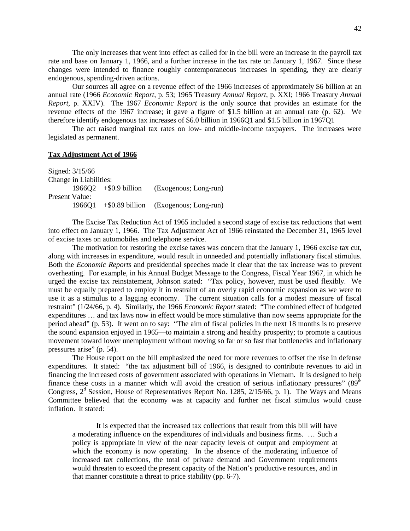The only increases that went into effect as called for in the bill were an increase in the payroll tax rate and base on January 1, 1966, and a further increase in the tax rate on January 1, 1967. Since these changes were intended to finance roughly contemporaneous increases in spending, they are clearly endogenous, spending-driven actions.

Our sources all agree on a revenue effect of the 1966 increases of approximately \$6 billion at an annual rate (1966 *Economic Report*, p. 53; 1965 Treasury *Annual Report*, p. XXI; 1966 Treasury *Annual Report*, p. XXIV). The 1967 *Economic Report* is the only source that provides an estimate for the revenue effects of the 1967 increase; it gave a figure of \$1.5 billion at an annual rate (p. 62). We therefore identify endogenous tax increases of \$6.0 billion in 1966Q1 and \$1.5 billion in 1967Q1

The act raised marginal tax rates on low- and middle-income taxpayers. The increases were legislated as permanent.

# **Tax Adjustment Act of 1966**

Signed: 3/15/66 Change in Liabilities: 1966Q2 +\$0.9 billion (Exogenous; Long-run) Present Value: 1966Q1 +\$0.89 billion (Exogenous; Long-run)

The Excise Tax Reduction Act of 1965 included a second stage of excise tax reductions that went into effect on January 1, 1966. The Tax Adjustment Act of 1966 reinstated the December 31, 1965 level of excise taxes on automobiles and telephone service.

The motivation for restoring the excise taxes was concern that the January 1, 1966 excise tax cut, along with increases in expenditure, would result in unneeded and potentially inflationary fiscal stimulus. Both the *Economic Reports* and presidential speeches made it clear that the tax increase was to prevent overheating. For example, in his Annual Budget Message to the Congress, Fiscal Year 1967, in which he urged the excise tax reinstatement, Johnson stated: "Tax policy, however, must be used flexibly. We must be equally prepared to employ it in restraint of an overly rapid economic expansion as we were to use it as a stimulus to a lagging economy. The current situation calls for a modest measure of fiscal restraint" (1/24/66, p. 4). Similarly, the 1966 *Economic Report* stated: "The combined effect of budgeted expenditures … and tax laws now in effect would be more stimulative than now seems appropriate for the period ahead" (p. 53). It went on to say: "The aim of fiscal policies in the next 18 months is to preserve the sound expansion enjoyed in 1965—to maintain a strong and healthy prosperity; to promote a cautious movement toward lower unemployment without moving so far or so fast that bottlenecks and inflationary pressures arise" (p. 54).

The House report on the bill emphasized the need for more revenues to offset the rise in defense expenditures. It stated: "the tax adjustment bill of 1966, is designed to contribute revenues to aid in financing the increased costs of government associated with operations in Vietnam. It is designed to help finance these costs in a manner which will avoid the creation of serious inflationary pressures"  $(89<sup>th</sup>$ Congress,  $2<sup>d</sup>$  Session, House of Representatives Report No. 1285, 2/15/66, p. 1). The Ways and Means Committee believed that the economy was at capacity and further net fiscal stimulus would cause inflation. It stated:

It is expected that the increased tax collections that result from this bill will have a moderating influence on the expenditures of individuals and business firms. … Such a policy is appropriate in view of the near capacity levels of output and employment at which the economy is now operating. In the absence of the moderating influence of increased tax collections, the total of private demand and Government requirements would threaten to exceed the present capacity of the Nation's productive resources, and in that manner constitute a threat to price stability (pp. 6-7).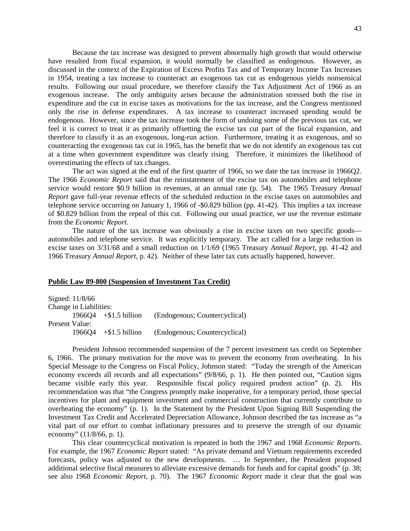Because the tax increase was designed to prevent abnormally high growth that would otherwise have resulted from fiscal expansion, it would normally be classified as endogenous. However, as discussed in the context of the Expiration of Excess Profits Tax and of Temporary Income Tax Increases in 1954, treating a tax increase to counteract an exogenous tax cut as endogenous yields nonsensical results. Following our usual procedure, we therefore classify the Tax Adjustment Act of 1966 as an exogenous increase. The only ambiguity arises because the administration stressed both the rise in expenditure and the cut in excise taxes as motivations for the tax increase, and the Congress mentioned only the rise in defense expenditures. A tax increase to counteract increased spending would be endogenous. However, since the tax increase took the form of undoing some of the previous tax cut, we feel it is correct to treat it as primarily offsetting the excise tax cut part of the fiscal expansion, and therefore to classify it as an exogenous, long-run action. Furthermore, treating it as exogenous, and so counteracting the exogenous tax cut in 1965, has the benefit that we do not identify an exogenous tax cut at a time when government expenditure was clearly rising. Therefore, it minimizes the likelihood of overestimating the effects of tax changes.

The act was signed at the end of the first quarter of 1966, so we date the tax increase in 1966Q2. The 1966 *Economic Report* said that the reinstatement of the excise tax on automobiles and telephone service would restore \$0.9 billion in revenues, at an annual rate (p. 54). The 1965 Treasury *Annual Report* gave full-year revenue effects of the scheduled reduction in the excise taxes on automobiles and telephone service occurring on January 1, 1966 of -\$0.829 billion (pp. 41-42). This implies a tax increase of \$0.829 billion from the repeal of this cut. Following our usual practice, we use the revenue estimate from the *Economic Report*.

The nature of the tax increase was obviously a rise in excise taxes on two specific goods automobiles and telephone service. It was explicitly temporary. The act called for a large reduction in excise taxes on 3/31/68 and a small reduction on 1/1/69 (1965 Treasury *Annual Report*, pp. 41-42 and 1966 Treasury *Annual Report*, p. 42). Neither of these later tax cuts actually happened, however.

#### **Public Law 89-800 (Suspension of Investment Tax Credit)**

Signed: 11/8/66 Change in Liabilities: 1966Q4 +\$1.5 billion (Endogenous; Countercyclical) Present Value: 1966Q4 +\$1.5 billion (Endogenous; Countercyclical)

President Johnson recommended suspension of the 7 percent investment tax credit on September 6, 1966. The primary motivation for the move was to prevent the economy from overheating. In his Special Message to the Congress on Fiscal Policy, Johnson stated: "Today the strength of the American economy exceeds all records and all expectations" (9/8/66, p. 1). He then pointed out, "Caution signs became visible early this year. Responsible fiscal policy required prudent action" (p. 2). His recommendation was that "the Congress promptly make inoperative, for a temporary period, those special incentives for plant and equipment investment and commercial construction that currently contribute to overheating the economy" (p. 1). In the Statement by the President Upon Signing Bill Suspending the Investment Tax Credit and Accelerated Depreciation Allowance, Johnson described the tax increase as "a vital part of our effort to combat inflationary pressures and to preserve the strength of our dynamic economy" (11/8/66, p. 1).

This clear countercyclical motivation is repeated in both the 1967 and 1968 *Economic Reports*. For example, the 1967 *Economic Report* stated: "As private demand and Vietnam requirements exceeded forecasts, policy was adjusted to the new developments. … In September, the President proposed additional selective fiscal measures to alleviate excessive demands for funds and for capital goods" (p. 38; see also 1968 *Economic Report*, p. 70). The 1967 *Economic Report* made it clear that the goal was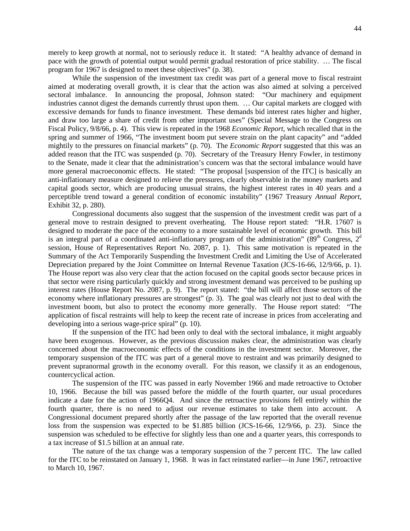merely to keep growth at normal, not to seriously reduce it. It stated: "A healthy advance of demand in pace with the growth of potential output would permit gradual restoration of price stability. … The fiscal program for 1967 is designed to meet these objectives" (p. 38).

While the suspension of the investment tax credit was part of a general move to fiscal restraint aimed at moderating overall growth, it is clear that the action was also aimed at solving a perceived sectoral imbalance. In announcing the proposal, Johnson stated: "Our machinery and equipment industries cannot digest the demands currently thrust upon them. … Our capital markets are clogged with excessive demands for funds to finance investment. These demands bid interest rates higher and higher, and draw too large a share of credit from other important uses" (Special Message to the Congress on Fiscal Policy, 9/8/66, p. 4). This view is repeated in the 1968 *Economic Report*, which recalled that in the spring and summer of 1966, "The investment boom put severe strain on the plant capacity" and "added mightily to the pressures on financial markets" (p. 70). The *Economic Report* suggested that this was an added reason that the ITC was suspended (p. 70). Secretary of the Treasury Henry Fowler, in testimony to the Senate, made it clear that the administration's concern was that the sectoral imbalance would have more general macroeconomic effects. He stated: "The proposal [suspension of the ITC] is basically an anti-inflationary measure designed to relieve the pressures, clearly observable in the money markets and capital goods sector, which are producing unusual strains, the highest interest rates in 40 years and a perceptible trend toward a general condition of economic instability" (1967 Treasury *Annual Report*, Exhibit 32, p. 280).

Congressional documents also suggest that the suspension of the investment credit was part of a general move to restrain designed to prevent overheating. The House report stated: "H.R. 17607 is designed to moderate the pace of the economy to a more sustainable level of economic growth. This bill is an integral part of a coordinated anti-inflationary program of the administration" ( $89<sup>th</sup>$  Congress,  $2<sup>d</sup>$ session, House of Representatives Report No. 2087, p. 1). This same motivation is repeated in the Summary of the Act Temporarily Suspending the Investment Credit and Limiting the Use of Accelerated Depreciation prepared by the Joint Committee on Internal Revenue Taxation (JCS-16-66, 12/9/66, p. 1). The House report was also very clear that the action focused on the capital goods sector because prices in that sector were rising particularly quickly and strong investment demand was perceived to be pushing up interest rates (House Report No. 2087, p. 9). The report stated: "the bill will affect those sectors of the economy where inflationary pressures are strongest" (p. 3). The goal was clearly not just to deal with the investment boom, but also to protect the economy more generally. The House report stated: "The application of fiscal restraints will help to keep the recent rate of increase in prices from accelerating and developing into a serious wage-price spiral" (p. 10).

If the suspension of the ITC had been only to deal with the sectoral imbalance, it might arguably have been exogenous. However, as the previous discussion makes clear, the administration was clearly concerned about the macroeconomic effects of the conditions in the investment sector. Moreover, the temporary suspension of the ITC was part of a general move to restraint and was primarily designed to prevent supranormal growth in the economy overall. For this reason, we classify it as an endogenous, countercyclical action.

The suspension of the ITC was passed in early November 1966 and made retroactive to October 10, 1966. Because the bill was passed before the middle of the fourth quarter, our usual procedures indicate a date for the action of 1966Q4. And since the retroactive provisions fell entirely within the fourth quarter, there is no need to adjust our revenue estimates to take them into account. A Congressional document prepared shortly after the passage of the law reported that the overall revenue loss from the suspension was expected to be \$1.885 billion (JCS-16-66, 12/9/66, p. 23). Since the suspension was scheduled to be effective for slightly less than one and a quarter years, this corresponds to a tax increase of \$1.5 billion at an annual rate.

The nature of the tax change was a temporary suspension of the 7 percent ITC. The law called for the ITC to be reinstated on January 1, 1968. It was in fact reinstated earlier—in June 1967, retroactive to March 10, 1967.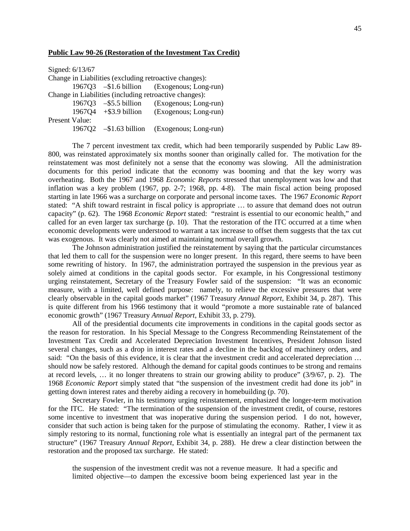### **Public Law 90-26 (Restoration of the Investment Tax Credit)**

| Signed: 6/13/67 |                                 |                                                        |
|-----------------|---------------------------------|--------------------------------------------------------|
|                 |                                 | Change in Liabilities (excluding retroactive changes): |
|                 |                                 | 1967Q3 - \$1.6 billion (Exogenous; Long-run)           |
|                 |                                 | Change in Liabilities (including retroactive changes): |
|                 | 1967Q3 $-$ \$5.5 billion        | (Exogenous; Long-run)                                  |
|                 | $1967Q4 + $3.9 \text{ billion}$ | (Exogenous; Long-run)                                  |
| Present Value:  |                                 |                                                        |
|                 | 1967Q2 - \$1.63 billion         | (Exogenous; Long-run)                                  |

The 7 percent investment tax credit, which had been temporarily suspended by Public Law 89- 800, was reinstated approximately six months sooner than originally called for. The motivation for the reinstatement was most definitely not a sense that the economy was slowing. All the administration documents for this period indicate that the economy was booming and that the key worry was overheating. Both the 1967 and 1968 *Economic Reports* stressed that unemployment was low and that inflation was a key problem (1967, pp. 2-7; 1968, pp. 4-8). The main fiscal action being proposed starting in late 1966 was a surcharge on corporate and personal income taxes. The 1967 *Economic Report* stated: "A shift toward restraint in fiscal policy is appropriate … to assure that demand does not outrun capacity" (p. 62). The 1968 *Economic Report* stated: "restraint is essential to our economic health," and called for an even larger tax surcharge (p. 10). That the restoration of the ITC occurred at a time when economic developments were understood to warrant a tax increase to offset them suggests that the tax cut was exogenous. It was clearly not aimed at maintaining normal overall growth.

The Johnson administration justified the reinstatement by saying that the particular circumstances that led them to call for the suspension were no longer present. In this regard, there seems to have been some rewriting of history. In 1967, the administration portrayed the suspension in the previous year as solely aimed at conditions in the capital goods sector. For example, in his Congressional testimony urging reinstatement, Secretary of the Treasury Fowler said of the suspension: "It was an economic measure, with a limited, well defined purpose: namely, to relieve the excessive pressures that were clearly observable in the capital goods market" (1967 Treasury *Annual Report*, Exhibit 34, p. 287). This is quite different from his 1966 testimony that it would "promote a more sustainable rate of balanced economic growth" (1967 Treasury *Annual Report*, Exhibit 33, p. 279).

All of the presidential documents cite improvements in conditions in the capital goods sector as the reason for restoration. In his Special Message to the Congress Recommending Reinstatement of the Investment Tax Credit and Accelerated Depreciation Investment Incentives, President Johnson listed several changes, such as a drop in interest rates and a decline in the backlog of machinery orders, and said: "On the basis of this evidence, it is clear that the investment credit and accelerated depreciation ... should now be safely restored. Although the demand for capital goods continues to be strong and remains at record levels, … it no longer threatens to strain our growing ability to produce" (3/9/67, p. 2). The 1968 *Economic Report* simply stated that "the suspension of the investment credit had done its job" in getting down interest rates and thereby aiding a recovery in homebuilding (p. 70).

Secretary Fowler, in his testimony urging reinstatement, emphasized the longer-term motivation for the ITC. He stated: "The termination of the suspension of the investment credit, of course, restores some incentive to investment that was inoperative during the suspension period. I do not, however, consider that such action is being taken for the purpose of stimulating the economy. Rather, I view it as simply restoring to its normal, functioning role what is essentially an integral part of the permanent tax structure" (1967 Treasury *Annual Report*, Exhibit 34, p. 288). He drew a clear distinction between the restoration and the proposed tax surcharge. He stated:

the suspension of the investment credit was not a revenue measure. It had a specific and limited objective—to dampen the excessive boom being experienced last year in the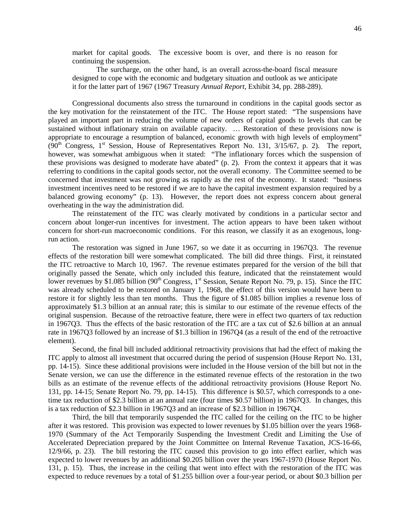market for capital goods. The excessive boom is over, and there is no reason for continuing the suspension.

The surcharge, on the other hand, is an overall across-the-board fiscal measure designed to cope with the economic and budgetary situation and outlook as we anticipate it for the latter part of 1967 (1967 Treasury *Annual Report*, Exhibit 34, pp. 288-289).

Congressional documents also stress the turnaround in conditions in the capital goods sector as the key motivation for the reinstatement of the ITC. The House report stated: "The suspensions have played an important part in reducing the volume of new orders of capital goods to levels that can be sustained without inflationary strain on available capacity. … Restoration of these provisions now is appropriate to encourage a resumption of balanced, economic growth with high levels of employment"  $(90<sup>th</sup>$  Congress, 1<sup>st</sup> Session, House of Representatives Report No. 131, 3/15/67, p. 2). The report, however, was somewhat ambiguous when it stated: "The inflationary forces which the suspension of these provisions was designed to moderate have abated" (p. 2). From the context it appears that it was referring to conditions in the capital goods sector, not the overall economy. The Committee seemed to be concerned that investment was not growing as rapidly as the rest of the economy. It stated: "business investment incentives need to be restored if we are to have the capital investment expansion required by a balanced growing economy" (p. 13). However, the report does not express concern about general overheating in the way the administration did.

The reinstatement of the ITC was clearly motivated by conditions in a particular sector and concern about longer-run incentives for investment. The action appears to have been taken without concern for short-run macroeconomic conditions. For this reason, we classify it as an exogenous, longrun action.

The restoration was signed in June 1967, so we date it as occurring in 1967Q3. The revenue effects of the restoration bill were somewhat complicated. The bill did three things. First, it reinstated the ITC retroactive to March 10, 1967. The revenue estimates prepared for the version of the bill that originally passed the Senate, which only included this feature, indicated that the reinstatement would lower revenues by \$1.085 billion ( $90<sup>th</sup>$  Congress, 1<sup>st</sup> Session, Senate Report No. 79, p. 15). Since the ITC was already scheduled to be restored on January 1, 1968, the effect of this version would have been to restore it for slightly less than ten months. Thus the figure of \$1.085 billion implies a revenue loss of approximately \$1.3 billion at an annual rate; this is similar to our estimate of the revenue effects of the original suspension. Because of the retroactive feature, there were in effect two quarters of tax reduction in 1967Q3. Thus the effects of the basic restoration of the ITC are a tax cut of \$2.6 billion at an annual rate in 1967Q3 followed by an increase of \$1.3 billion in 1967Q4 (as a result of the end of the retroactive element).

Second, the final bill included additional retroactivity provisions that had the effect of making the ITC apply to almost all investment that occurred during the period of suspension (House Report No. 131, pp. 14-15). Since these additional provisions were included in the House version of the bill but not in the Senate version, we can use the difference in the estimated revenue effects of the restoration in the two bills as an estimate of the revenue effects of the additional retroactivity provisions (House Report No. 131, pp. 14-15; Senate Report No. 79, pp. 14-15). This difference is \$0.57, which corresponds to a onetime tax reduction of \$2.3 billion at an annual rate (four times \$0.57 billion) in 1967Q3. In changes, this is a tax reduction of \$2.3 billion in 1967Q3 and an increase of \$2.3 billion in 1967Q4.

Third, the bill that temporarily suspended the ITC called for the ceiling on the ITC to be higher after it was restored. This provision was expected to lower revenues by \$1.05 billion over the years 1968- 1970 (Summary of the Act Temporarily Suspending the Investment Credit and Limiting the Use of Accelerated Depreciation prepared by the Joint Committee on Internal Revenue Taxation, JCS-16-66, 12/9/66, p. 23). The bill restoring the ITC caused this provision to go into effect earlier, which was expected to lower revenues by an additional \$0.205 billion over the years 1967-1970 (House Report No. 131, p. 15). Thus, the increase in the ceiling that went into effect with the restoration of the ITC was expected to reduce revenues by a total of \$1.255 billion over a four-year period, or about \$0.3 billion per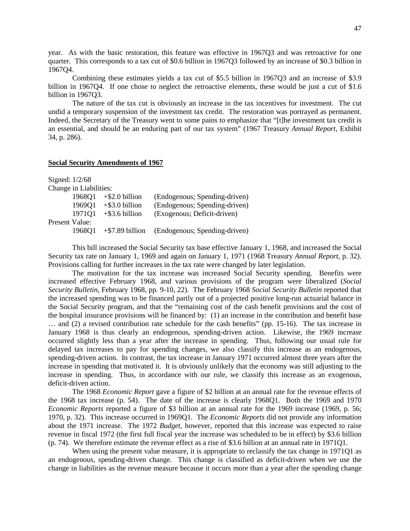year. As with the basic restoration, this feature was effective in 1967Q3 and was retroactive for one quarter. This corresponds to a tax cut of \$0.6 billion in 1967Q3 followed by an increase of \$0.3 billion in 1967Q4.

Combining these estimates yields a tax cut of \$5.5 billion in 1967Q3 and an increase of \$3.9 billion in 1967Q4. If one chose to neglect the retroactive elements, these would be just a cut of \$1.6 billion in 1967Q3.

The nature of the tax cut is obviously an increase in the tax incentives for investment. The cut undid a temporary suspension of the investment tax credit. The restoration was portrayed as permanent. Indeed, the Secretary of the Treasury went to some pains to emphasize that "[t]he investment tax credit is an essential, and should be an enduring part of our tax system" (1967 Treasury *Annual Report*, Exhibit 34, p. 286).

## **Social Security Amendments of 1967**

| Signed: $1/2/68$ |                        |                    |                               |
|------------------|------------------------|--------------------|-------------------------------|
|                  | Change in Liabilities: |                    |                               |
|                  | 196801                 | $+$ \$2.0 billion  | (Endogenous; Spending-driven) |
|                  | 196901                 | $+$ \$3.0 billion  | (Endogenous; Spending-driven) |
|                  | 1971Q1                 | $+$ \$3.6 billion  | (Exogenous; Deficit-driven)   |
| Present Value:   |                        |                    |                               |
|                  | 196801                 | $+$ \$7.89 billion | (Endogenous; Spending-driven) |
|                  |                        |                    |                               |

This bill increased the Social Security tax base effective January 1, 1968, and increased the Social Security tax rate on January 1, 1969 and again on January 1, 1971 (1968 Treasury *Annual Report*, p. 32). Provisions calling for further increases in the tax rate were changed by later legislation.

The motivation for the tax increase was increased Social Security spending. Benefits were increased effective February 1968, and various provisions of the program were liberalized (*Social Security Bulletin*, February 1968, pp. 9-10, 22). The February 1968 *Social Security Bulletin* reported that the increased spending was to be financed partly out of a projected positive long-run actuarial balance in the Social Security program, and that the "remaining cost of the cash benefit provisions and the cost of the hospital insurance provisions will be financed by: (1) an increase in the contribution and benefit base … and (2) a revised contribution rate schedule for the cash benefits" (pp. 15-16). The tax increase in January 1968 is thus clearly an endogenous, spending-driven action. Likewise, the 1969 increase occurred slightly less than a year after the increase in spending. Thus, following our usual rule for delayed tax increases to pay for spending changes, we also classify this increase as an endogenous, spending-driven action. In contrast, the tax increase in January 1971 occurred almost three years after the increase in spending that motivated it. It is obviously unlikely that the economy was still adjusting to the increase in spending. Thus, in accordance with our rule, we classify this increase as an exogenous, deficit-driven action.

The 1968 *Economic Report* gave a figure of \$2 billion at an annual rate for the revenue effects of the 1968 tax increase (p. 54). The date of the increase is clearly 1968Q1. Both the 1969 and 1970 *Economic Reports* reported a figure of \$3 billion at an annual rate for the 1969 increase (1969, p. 56; 1970, p. 32). This increase occurred in 1969Q1. The *Economic Reports* did not provide any information about the 1971 increase. The 1972 *Budget*, however, reported that this increase was expected to raise revenue in fiscal 1972 (the first full fiscal year the increase was scheduled to be in effect) by \$3.6 billion (p. 74). We therefore estimate the revenue effect as a rise of \$3.6 billion at an annual rate in 1971Q1.

When using the present value measure, it is appropriate to reclassify the tax change in 1971Q1 as an endogenous, spending-driven change. This change is classified as deficit-driven when we use the change in liabilities as the revenue measure because it occurs more than a year after the spending change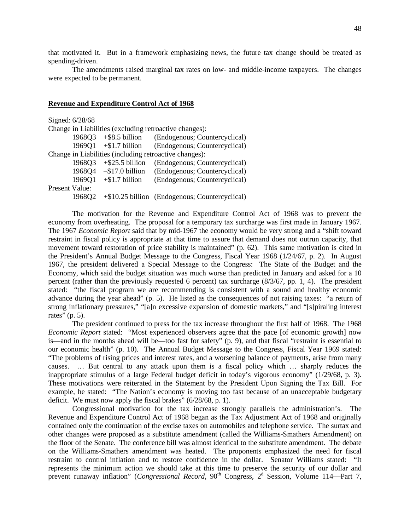that motivated it. But in a framework emphasizing news, the future tax change should be treated as spending-driven.

The amendments raised marginal tax rates on low- and middle-income taxpayers. The changes were expected to be permanent.

## **Revenue and Expenditure Control Act of 1968**

| Signed: 6/28/68 |        |                                 |                                                        |
|-----------------|--------|---------------------------------|--------------------------------------------------------|
|                 |        |                                 | Change in Liabilities (excluding retroactive changes): |
|                 | 1968Q3 | $+$ \$8.5 billion               | (Endogenous; Countercyclical)                          |
|                 |        | $1969Q1 + $1.7 \text{ billion}$ | (Endogenous; Countercyclical)                          |
|                 |        |                                 | Change in Liabilities (including retroactive changes): |
|                 | 1968Q3 | $+$ \$25.5 billion              | (Endogenous; Countercyclical)                          |
|                 |        | 1968Q4 - \$17.0 billion         | (Endogenous; Countercyclical)                          |
|                 | 1969Q1 | $+$ \$1.7 billion               | (Endogenous; Countercyclical)                          |
| Present Value:  |        |                                 |                                                        |
|                 | 196802 |                                 | $+\$10.25$ billion (Endogenous; Countercyclical)       |

The motivation for the Revenue and Expenditure Control Act of 1968 was to prevent the economy from overheating. The proposal for a temporary tax surcharge was first made in January 1967. The 1967 *Economic Report* said that by mid-1967 the economy would be very strong and a "shift toward restraint in fiscal policy is appropriate at that time to assure that demand does not outrun capacity, that movement toward restoration of price stability is maintained" (p. 62). This same motivation is cited in the President's Annual Budget Message to the Congress, Fiscal Year 1968 (1/24/67, p. 2). In August 1967, the president delivered a Special Message to the Congress: The State of the Budget and the Economy, which said the budget situation was much worse than predicted in January and asked for a 10 percent (rather than the previously requested 6 percent) tax surcharge (8/3/67, pp. 1, 4). The president stated: "the fiscal program we are recommending is consistent with a sound and healthy economic advance during the year ahead" (p. 5). He listed as the consequences of not raising taxes: "a return of strong inflationary pressures," "[a]n excessive expansion of domestic markets," and "[s]piraling interest rates" (p. 5).

The president continued to press for the tax increase throughout the first half of 1968. The 1968 *Economic Report* stated: "Most experienced observers agree that the pace [of economic growth] now is—and in the months ahead will be—too fast for safety" (p. 9), and that fiscal "restraint is essential to our economic health" (p. 10). The Annual Budget Message to the Congress, Fiscal Year 1969 stated: "The problems of rising prices and interest rates, and a worsening balance of payments, arise from many causes. … But central to any attack upon them is a fiscal policy which … sharply reduces the inappropriate stimulus of a large Federal budget deficit in today's vigorous economy" (1/29/68, p. 3). These motivations were reiterated in the Statement by the President Upon Signing the Tax Bill. For example, he stated: "The Nation's economy is moving too fast because of an unacceptable budgetary deficit. We must now apply the fiscal brakes" (6/28/68, p. 1).

Congressional motivation for the tax increase strongly parallels the administration's. The Revenue and Expenditure Control Act of 1968 began as the Tax Adjustment Act of 1968 and originally contained only the continuation of the excise taxes on automobiles and telephone service. The surtax and other changes were proposed as a substitute amendment (called the Williams-Smathers Amendment) on the floor of the Senate. The conference bill was almost identical to the substitute amendment. The debate on the Williams-Smathers amendment was heated. The proponents emphasized the need for fiscal restraint to control inflation and to restore confidence in the dollar. Senator Williams stated: "It represents the minimum action we should take at this time to preserve the security of our dollar and prevent runaway inflation" (*Congressional Record*, 90<sup>th</sup> Congress, 2<sup>d</sup> Session, Volume 114—Part 7,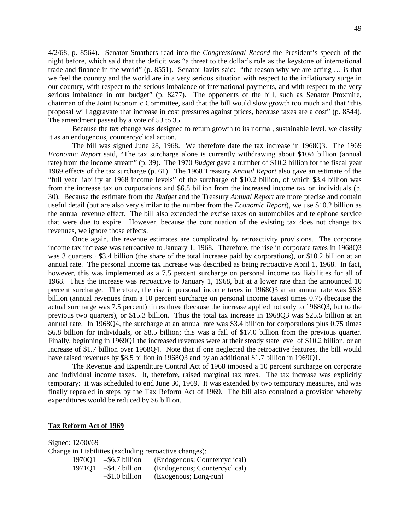4/2/68, p. 8564). Senator Smathers read into the *Congressional Record* the President's speech of the night before, which said that the deficit was "a threat to the dollar's role as the keystone of international trade and finance in the world" (p. 8551). Senator Javits said: "the reason why we are acting … is that we feel the country and the world are in a very serious situation with respect to the inflationary surge in our country, with respect to the serious imbalance of international payments, and with respect to the very serious imbalance in our budget" (p. 8277). The opponents of the bill, such as Senator Proxmire, chairman of the Joint Economic Committee, said that the bill would slow growth too much and that "this proposal will aggravate that increase in cost pressures against prices, because taxes are a cost" (p. 8544). The amendment passed by a vote of 53 to 35.

Because the tax change was designed to return growth to its normal, sustainable level, we classify it as an endogenous, countercyclical action.

The bill was signed June 28, 1968. We therefore date the tax increase in 1968Q3. The 1969 *Economic Report* said, "The tax surcharge alone is currently withdrawing about \$10½ billion (annual rate) from the income stream" (p. 39). The 1970 *Budget* gave a number of \$10.2 billion for the fiscal year 1969 effects of the tax surcharge (p. 61). The 1968 Treasury *Annual Report* also gave an estimate of the "full year liability at 1968 income levels" of the surcharge of \$10.2 billion, of which \$3.4 billion was from the increase tax on corporations and \$6.8 billion from the increased income tax on individuals (p. 30). Because the estimate from the *Budget* and the Treasury *Annual Report* are more precise and contain useful detail (but are also very similar to the number from the *Economic Report*), we use \$10.2 billion as the annual revenue effect. The bill also extended the excise taxes on automobiles and telephone service that were due to expire. However, because the continuation of the existing tax does not change tax revenues, we ignore those effects.

Once again, the revenue estimates are complicated by retroactivity provisions. The corporate income tax increase was retroactive to January 1, 1968. Therefore, the rise in corporate taxes in 1968Q3 was 3 quarters · \$3.4 billion (the share of the total increase paid by corporations), or \$10.2 billion at an annual rate. The personal income tax increase was described as being retroactive April 1, 1968. In fact, however, this was implemented as a 7.5 percent surcharge on personal income tax liabilities for all of 1968. Thus the increase was retroactive to January 1, 1968, but at a lower rate than the announced 10 percent surcharge. Therefore, the rise in personal income taxes in 1968Q3 at an annual rate was \$6.8 billion (annual revenues from a 10 percent surcharge on personal income taxes) times 0.75 (because the actual surcharge was 7.5 percent) times three (because the increase applied not only to 1968Q3, but to the previous two quarters), or \$15.3 billion. Thus the total tax increase in 1968Q3 was \$25.5 billion at an annual rate. In 1968Q4, the surcharge at an annual rate was \$3.4 billion for corporations plus 0.75 times \$6.8 billion for individuals, or \$8.5 billion; this was a fall of \$17.0 billion from the previous quarter. Finally, beginning in 1969Q1 the increased revenues were at their steady state level of \$10.2 billion, or an increase of \$1.7 billion over 1968Q4. Note that if one neglected the retroactive features, the bill would have raised revenues by \$8.5 billion in 1968Q3 and by an additional \$1.7 billion in 1969Q1.

The Revenue and Expenditure Control Act of 1968 imposed a 10 percent surcharge on corporate and individual income taxes. It, therefore, raised marginal tax rates. The tax increase was explicitly temporary: it was scheduled to end June 30, 1969. It was extended by two temporary measures, and was finally repealed in steps by the Tax Reform Act of 1969. The bill also contained a provision whereby expenditures would be reduced by \$6 billion.

## **Tax Reform Act of 1969**

Signed: 12/30/69 Change in Liabilities (excluding retroactive changes):<br>1970Q1 -\$6.7 billion (Endogenous: Cou (Endogenous: Countercyclical) 49

| 1, 1 U U 1 | $\psi$ <sup><math>\chi</math></sup> $\chi$ <sup><math>\chi</math></sup> $\chi$ $\chi$ $\chi$ $\chi$ $\chi$ $\chi$ | $(2.000, 0.000, 0.000, 0.000, 0.000, 0.000, 0.000, 0.000, 0.000, 0.000, 0.000, 0.000, 0.000, 0.000, 0.000, 0.000, 0.000, 0.000, 0.000, 0.000, 0.000, 0.000, 0.000, 0.000, 0.000, 0.000, 0.000, 0.000, 0.000, 0.000, 0.000, 0.$ |
|------------|-------------------------------------------------------------------------------------------------------------------|--------------------------------------------------------------------------------------------------------------------------------------------------------------------------------------------------------------------------------|
|            | $197101 - $4.7 \text{ billion}$                                                                                   | (Endogenous; Countercyclical)                                                                                                                                                                                                  |
|            | $-\$1.0$ billion                                                                                                  | (Exogenous; Long-run)                                                                                                                                                                                                          |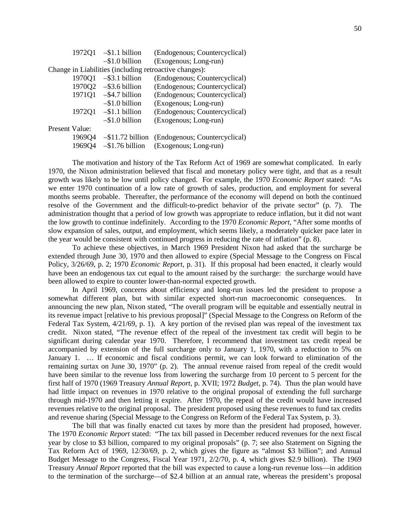|                | 1972Q1 | $-\$1.1$ billion    | (Endogenous; Countercyclical)                          |
|----------------|--------|---------------------|--------------------------------------------------------|
|                |        | $-\$1.0$ billion    | (Exogenous; Long-run)                                  |
|                |        |                     | Change in Liabilities (including retroactive changes): |
|                | 1970Q1 | $-$ \$3.1 billion   | (Endogenous; Countercyclical)                          |
|                | 1970Q2 | $-$ \$3.6 billion   | (Endogenous; Countercyclical)                          |
|                | 1971Q1 | $-$ \$4.7 billion   | (Endogenous; Countercyclical)                          |
|                |        | $-\$1.0$ billion    | (Exogenous; Long-run)                                  |
|                | 1972Q1 | $-\$1.1$ billion    | (Endogenous; Countercyclical)                          |
|                |        | $-\$1.0$ billion    | (Exogenous; Long-run)                                  |
| Present Value: |        |                     |                                                        |
|                | 1969Q4 | $-$ \$11.72 billion | (Endogenous; Countercyclical)                          |
|                | 196904 | $-$ \$1.76 billion  | (Exogenous; Long-run)                                  |

The motivation and history of the Tax Reform Act of 1969 are somewhat complicated. In early 1970, the Nixon administration believed that fiscal and monetary policy were tight, and that as a result growth was likely to be low until policy changed. For example, the 1970 *Economic Report* stated: "As we enter 1970 continuation of a low rate of growth of sales, production, and employment for several months seems probable. Thereafter, the performance of the economy will depend on both the continued resolve of the Government and the difficult-to-predict behavior of the private sector" (p. 7). The administration thought that a period of low growth was appropriate to reduce inflation, but it did not want the low growth to continue indefinitely. According to the 1970 *Economic Report*, "After some months of slow expansion of sales, output, and employment, which seems likely, a moderately quicker pace later in the year would be consistent with continued progress in reducing the rate of inflation" (p. 8).

To achieve these objectives, in March 1969 President Nixon had asked that the surcharge be extended through June 30, 1970 and then allowed to expire (Special Message to the Congress on Fiscal Policy, 3/26/69, p. 2; 1970 *Economic Report*, p. 31). If this proposal had been enacted, it clearly would have been an endogenous tax cut equal to the amount raised by the surcharge: the surcharge would have been allowed to expire to counter lower-than-normal expected growth.

In April 1969, concerns about efficiency and long-run issues led the president to propose a somewhat different plan, but with similar expected short-run macroeconomic consequences. In announcing the new plan, Nixon stated, "The overall program will be equitable and essentially neutral in its revenue impact [relative to his previous proposal]" (Special Message to the Congress on Reform of the Federal Tax System, 4/21/69, p. 1). A key portion of the revised plan was repeal of the investment tax credit. Nixon stated, "The revenue effect of the repeal of the investment tax credit will begin to be significant during calendar year 1970. Therefore, I recommend that investment tax credit repeal be accompanied by extension of the full surcharge only to January 1, 1970, with a reduction to 5% on January 1. … If economic and fiscal conditions permit, we can look forward to elimination of the remaining surtax on June 30, 1970" (p. 2). The annual revenue raised from repeal of the credit would have been similar to the revenue loss from lowering the surcharge from 10 percent to 5 percent for the first half of 1970 (1969 Treasury *Annual Report*, p. XVII; 1972 *Budget*, p. 74). Thus the plan would have had little impact on revenues in 1970 relative to the original proposal of extending the full surcharge through mid-1970 and then letting it expire. After 1970, the repeal of the credit would have increased revenues relative to the original proposal. The president proposed using these revenues to fund tax credits and revenue sharing (Special Message to the Congress on Reform of the Federal Tax System, p. 3).

The bill that was finally enacted cut taxes by more than the president had proposed, however. The 1970 *Economic Report* stated: "The tax bill passed in December reduced revenues for the next fiscal year by close to \$3 billion, compared to my original proposals" (p. 7; see also Statement on Signing the Tax Reform Act of 1969, 12/30/69, p. 2, which gives the figure as "almost \$3 billion"; and Annual Budget Message to the Congress, Fiscal Year 1971, 2/2/70, p. 4, which gives \$2.9 billion). The 1969 Treasury *Annual Report* reported that the bill was expected to cause a long-run revenue loss—in addition to the termination of the surcharge—of \$2.4 billion at an annual rate, whereas the president's proposal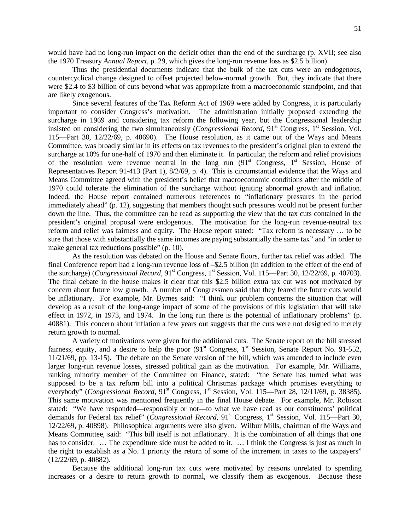would have had no long-run impact on the deficit other than the end of the surcharge (p. XVII; see also the 1970 Treasury *Annual Report*, p. 29, which gives the long-run revenue loss as \$2.5 billion).

Thus the presidential documents indicate that the bulk of the tax cuts were an endogenous, countercyclical change designed to offset projected below-normal growth. But, they indicate that there were \$2.4 to \$3 billion of cuts beyond what was appropriate from a macroeconomic standpoint, and that are likely exogenous.

Since several features of the Tax Reform Act of 1969 were added by Congress, it is particularly important to consider Congress's motivation. The administration initially proposed extending the surcharge in 1969 and considering tax reform the following year, but the Congressional leadership insisted on considering the two simultaneously (*Congressional Record*, 91<sup>st</sup> Congress, 1<sup>st</sup> Session, Vol. 115—Part 30, 12/22/69, p. 40690). The House resolution, as it came out of the Ways and Means Committee, was broadly similar in its effects on tax revenues to the president's original plan to extend the surcharge at 10% for one-half of 1970 and then eliminate it. In particular, the reform and relief provisions of the resolution were revenue neutral in the long run  $(91<sup>st</sup>$  Congress,  $1<sup>st</sup>$  Session, House of Representatives Report 91-413 (Part 1), 8/2/69, p. 4). This is circumstantial evidence that the Ways and Means Committee agreed with the president's belief that macroeconomic conditions after the middle of 1970 could tolerate the elimination of the surcharge without igniting abnormal growth and inflation. Indeed, the House report contained numerous references to "inflationary pressures in the period immediately ahead" (p. 12), suggesting that members thought such pressures would not be present further down the line. Thus, the committee can be read as supporting the view that the tax cuts contained in the president's original proposal were endogenous. The motivation for the long-run revenue-neutral tax reform and relief was fairness and equity. The House report stated: "Tax reform is necessary … to be sure that those with substantially the same incomes are paying substantially the same tax" and "in order to make general tax reductions possible" (p. 10).

As the resolution was debated on the House and Senate floors, further tax relief was added. The final Conference report had a long-run revenue loss of –\$2.5 billion (in addition to the effect of the end of the surcharge) (*Congressional Record*, 91<sup>st</sup> Congress, 1<sup>st</sup> Session, Vol. 115—Part 30, 12/22/69, p. 40703). The final debate in the house makes it clear that this \$2.5 billion extra tax cut was not motivated by concern about future low growth. A number of Congressmen said that they feared the future cuts would be inflationary. For example, Mr. Byrnes said: "I think our problem concerns the situation that will develop as a result of the long-range impact of some of the provisions of this legislation that will take effect in 1972, in 1973, and 1974. In the long run there is the potential of inflationary problems" (p. 40881). This concern about inflation a few years out suggests that the cuts were not designed to merely return growth to normal.

A variety of motivations were given for the additional cuts. The Senate report on the bill stressed fairness, equity, and a desire to help the poor  $(91<sup>st</sup>$  Congress,  $1<sup>st</sup>$  Session, Senate Report No. 91-552, 11/21/69, pp. 13-15). The debate on the Senate version of the bill, which was amended to include even larger long-run revenue losses, stressed political gain as the motivation. For example, Mr. Williams, ranking minority member of the Committee on Finance, stated: "the Senate has turned what was supposed to be a tax reform bill into a political Christmas package which promises everything to everybody" (*Congressional Record*, 91<sup>st</sup> Congress, 1<sup>st</sup> Session, Vol. 115—Part 28, 12/11/69, p. 38385). This same motivation was mentioned frequently in the final House debate. For example, Mr. Robison stated: "We have responded—responsibly or not—to what we have read as our constituents' political demands for Federal tax relief" (*Congressional Record*, 91<sup>st</sup> Congress, 1<sup>st</sup> Session, Vol. 115—Part 30, 12/22/69, p. 40898). Philosophical arguments were also given. Wilbur Mills, chairman of the Ways and Means Committee, said: "This bill itself is not inflationary. It is the combination of all things that one has to consider. ... The expenditure side must be added to it. ... I think the Congress is just as much in the right to establish as a No. 1 priority the return of some of the increment in taxes to the taxpayers" (12/22/69, p. 40882).

Because the additional long-run tax cuts were motivated by reasons unrelated to spending increases or a desire to return growth to normal, we classify them as exogenous. Because these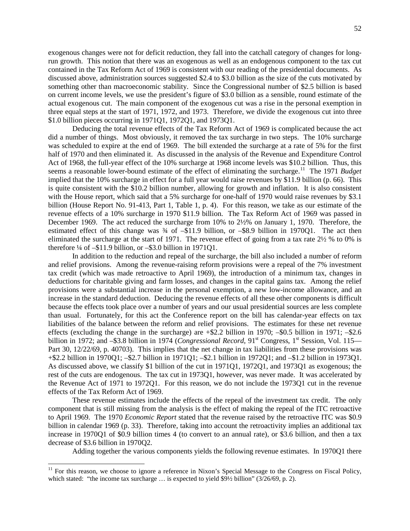exogenous changes were not for deficit reduction, they fall into the catchall category of changes for longrun growth. This notion that there was an exogenous as well as an endogenous component to the tax cut contained in the Tax Reform Act of 1969 is consistent with our reading of the presidential documents. As discussed above, administration sources suggested \$2.4 to \$3.0 billion as the size of the cuts motivated by something other than macroeconomic stability. Since the Congressional number of \$2.5 billion is based on current income levels, we use the president's figure of \$3.0 billion as a sensible, round estimate of the actual exogenous cut. The main component of the exogenous cut was a rise in the personal exemption in three equal steps at the start of 1971, 1972, and 1973. Therefore, we divide the exogenous cut into three \$1.0 billion pieces occurring in 1971Q1, 1972Q1, and 1973Q1.

Deducing the total revenue effects of the Tax Reform Act of 1969 is complicated because the act did a number of things. Most obviously, it removed the tax surcharge in two steps. The 10% surcharge was scheduled to expire at the end of 1969. The bill extended the surcharge at a rate of 5% for the first half of 1970 and then eliminated it. As discussed in the analysis of the Revenue and Expenditure Control Act of 1968, the full-year effect of the 10% surcharge at 1968 income levels was \$10.2 billion. Thus, this seems a reasonable lower-bound estimate of the effect of eliminating the surcharge.<sup>[11](#page-53-0)</sup> The 1971 *Budget* implied that the 10% surcharge in effect for a full year would raise revenues by \$11.9 billion (p. 66). This is quite consistent with the \$10.2 billion number, allowing for growth and inflation. It is also consistent with the House report, which said that a 5% surcharge for one-half of 1970 would raise revenues by \$3.1 billion (House Report No. 91-413, Part 1, Table 1, p. 4). For this reason, we take as our estimate of the revenue effects of a 10% surcharge in 1970 \$11.9 billion. The Tax Reform Act of 1969 was passed in December 1969. The act reduced the surcharge from 10% to 2½% on January 1, 1970. Therefore, the estimated effect of this change was ¾ of –\$11.9 billion, or –\$8.9 billion in 1970Q1. The act then eliminated the surcharge at the start of 1971. The revenue effect of going from a tax rate 2½ % to 0% is therefore ¼ of –\$11.9 billion, or –\$3.0 billion in 1971Q1.

In addition to the reduction and repeal of the surcharge, the bill also included a number of reform and relief provisions. Among the revenue-raising reform provisions were a repeal of the 7% investment tax credit (which was made retroactive to April 1969), the introduction of a minimum tax, changes in deductions for charitable giving and farm losses, and changes in the capital gains tax. Among the relief provisions were a substantial increase in the personal exemption, a new low-income allowance, and an increase in the standard deduction. Deducing the revenue effects of all these other components is difficult because the effects took place over a number of years and our usual presidential sources are less complete than usual. Fortunately, for this act the Conference report on the bill has calendar-year effects on tax liabilities of the balance between the reform and relief provisions. The estimates for these net revenue effects (excluding the change in the surcharge) are +\$2.2 billion in 1970; –\$0.5 billion in 1971; –\$2.6 billion in 1972; and –\$3.8 billion in 1974 (*Congressional Record*, 91<sup>st</sup> Congress, 1<sup>st</sup> Session, Vol. 115— Part 30, 12/22/69, p. 40703). This implies that the net change in tax liabilities from these provisions was +\$2.2 billion in 1970Q1; –\$2.7 billion in 1971Q1; –\$2.1 billion in 1972Q1; and –\$1.2 billion in 1973Q1. As discussed above, we classify \$1 billion of the cut in 1971Q1, 1972Q1, and 1973Q1 as exogenous; the rest of the cuts are endogenous. The tax cut in 1973Q1, however, was never made. It was accelerated by the Revenue Act of 1971 to 1972Q1. For this reason, we do not include the 1973Q1 cut in the revenue effects of the Tax Reform Act of 1969.

These revenue estimates include the effects of the repeal of the investment tax credit. The only component that is still missing from the analysis is the effect of making the repeal of the ITC retroactive to April 1969. The 1970 *Economic Report* stated that the revenue raised by the retroactive ITC was \$0.9 billion in calendar 1969 (p. 33). Therefore, taking into account the retroactivity implies an additional tax increase in 1970Q1 of \$0.9 billion times 4 (to convert to an annual rate), or \$3.6 billion, and then a tax decrease of \$3.6 billion in 1970Q2.

Adding together the various components yields the following revenue estimates. In 1970Q1 there

<span id="page-53-0"></span> $11$  For this reason, we choose to ignore a reference in Nixon's Special Message to the Congress on Fiscal Policy, which stated: "the income tax surcharge ... is expected to yield \$9½ billion" (3/26/69, p. 2).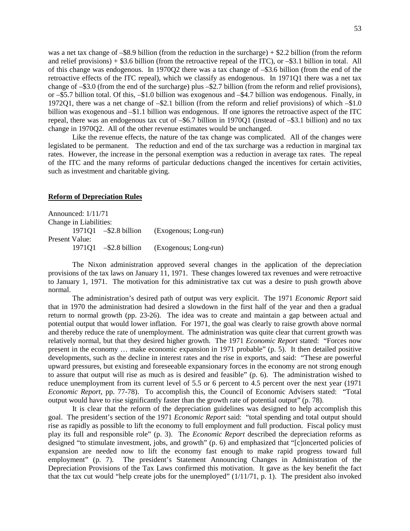was a net tax change of –\$8.9 billion (from the reduction in the surcharge) + \$2.2 billion (from the reform and relief provisions) + \$3.6 billion (from the retroactive repeal of the ITC), or –\$3.1 billion in total. All of this change was endogenous. In 1970Q2 there was a tax change of –\$3.6 billion (from the end of the retroactive effects of the ITC repeal), which we classify as endogenous. In 1971Q1 there was a net tax change of –\$3.0 (from the end of the surcharge) plus –\$2.7 billion (from the reform and relief provisions), or –\$5.7 billion total. Of this, –\$1.0 billion was exogenous and –\$4.7 billion was endogenous. Finally, in 1972Q1, there was a net change of –\$2.1 billion (from the reform and relief provisions) of which –\$1.0 billion was exogenous and –\$1.1 billion was endogenous. If one ignores the retroactive aspect of the ITC repeal, there was an endogenous tax cut of –\$6.7 billion in 1970Q1 (instead of –\$3.1 billion) and no tax change in 1970Q2. All of the other revenue estimates would be unchanged.

Like the revenue effects, the nature of the tax change was complicated. All of the changes were legislated to be permanent. The reduction and end of the tax surcharge was a reduction in marginal tax rates. However, the increase in the personal exemption was a reduction in average tax rates. The repeal of the ITC and the many reforms of particular deductions changed the incentives for certain activities, such as investment and charitable giving.

## **Reform of Depreciation Rules**

Announced: 1/11/71 Change in Liabilities: 1971Q1 –\$2.8 billion (Exogenous; Long-run) Present Value: 1971Q1 –\$2.8 billion (Exogenous; Long-run)

The Nixon administration approved several changes in the application of the depreciation provisions of the tax laws on January 11, 1971. These changes lowered tax revenues and were retroactive to January 1, 1971. The motivation for this administrative tax cut was a desire to push growth above normal.

The administration's desired path of output was very explicit. The 1971 *Economic Report* said that in 1970 the administration had desired a slowdown in the first half of the year and then a gradual return to normal growth (pp. 23-26). The idea was to create and maintain a gap between actual and potential output that would lower inflation. For 1971, the goal was clearly to raise growth above normal and thereby reduce the rate of unemployment. The administration was quite clear that current growth was relatively normal, but that they desired higher growth. The 1971 *Economic Report* stated: "Forces now present in the economy … make economic expansion in 1971 probable" (p. 5). It then detailed positive developments, such as the decline in interest rates and the rise in exports, and said: "These are powerful upward pressures, but existing and foreseeable expansionary forces in the economy are not strong enough to assure that output will rise as much as is desired and feasible" (p. 6). The administration wished to reduce unemployment from its current level of 5.5 or 6 percent to 4.5 percent over the next year (1971 *Economic Report*, pp. 77-78). To accomplish this, the Council of Economic Advisers stated: "Total output would have to rise significantly faster than the growth rate of potential output" (p. 78).

It is clear that the reform of the depreciation guidelines was designed to help accomplish this goal. The president's section of the 1971 *Economic Report* said: "total spending and total output should rise as rapidly as possible to lift the economy to full employment and full production. Fiscal policy must play its full and responsible role" (p. 3). The *Economic Report* described the depreciation reforms as designed "to stimulate investment, jobs, and growth" (p. 6) and emphasized that "[c]oncerted policies of expansion are needed now to lift the economy fast enough to make rapid progress toward full employment" (p. 7). The president's Statement Announcing Changes in Administration of the Depreciation Provisions of the Tax Laws confirmed this motivation. It gave as the key benefit the fact that the tax cut would "help create jobs for the unemployed"  $(1/11/71, p. 1)$ . The president also invoked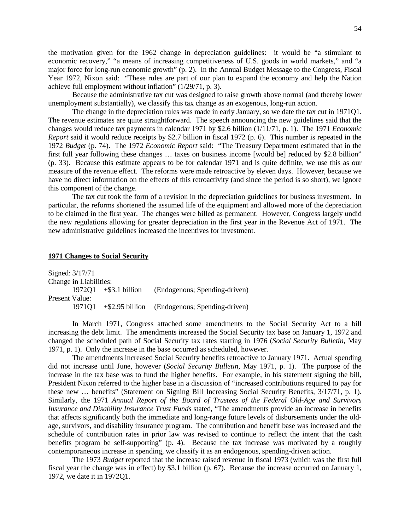the motivation given for the 1962 change in depreciation guidelines: it would be "a stimulant to economic recovery," "a means of increasing competitiveness of U.S. goods in world markets," and "a major force for long-run economic growth" (p. 2). In the Annual Budget Message to the Congress, Fiscal Year 1972, Nixon said: "These rules are part of our plan to expand the economy and help the Nation achieve full employment without inflation" (1/29/71, p. 3).

Because the administrative tax cut was designed to raise growth above normal (and thereby lower unemployment substantially), we classify this tax change as an exogenous, long-run action.

The change in the depreciation rules was made in early January, so we date the tax cut in 1971Q1. The revenue estimates are quite straightforward. The speech announcing the new guidelines said that the changes would reduce tax payments in calendar 1971 by \$2.6 billion (1/11/71, p. 1). The 1971 *Economic Report* said it would reduce receipts by \$2.7 billion in fiscal 1972 (p. 6). This number is repeated in the 1972 *Budget* (p. 74). The 1972 *Economic Report* said: "The Treasury Department estimated that in the first full year following these changes … taxes on business income [would be] reduced by \$2.8 billion" (p. 33). Because this estimate appears to be for calendar 1971 and is quite definite, we use this as our measure of the revenue effect. The reforms were made retroactive by eleven days. However, because we have no direct information on the effects of this retroactivity (and since the period is so short), we ignore this component of the change.

The tax cut took the form of a revision in the depreciation guidelines for business investment. In particular, the reforms shortened the assumed life of the equipment and allowed more of the depreciation to be claimed in the first year. The changes were billed as permanent. However, Congress largely undid the new regulations allowing for greater depreciation in the first year in the Revenue Act of 1971. The new administrative guidelines increased the incentives for investment.

# **1971 Changes to Social Security**

|                | Signed: 3/17/71        |                         |                                                   |
|----------------|------------------------|-------------------------|---------------------------------------------------|
|                | Change in Liabilities: |                         |                                                   |
|                |                        | $197201 + $3.1 billion$ | (Endogenous; Spending-driven)                     |
| Present Value: |                        |                         |                                                   |
|                | 197101                 |                         | $+\$ \$2.95 billion (Endogenous; Spending-driven) |

In March 1971, Congress attached some amendments to the Social Security Act to a bill increasing the debt limit. The amendments increased the Social Security tax base on January 1, 1972 and changed the scheduled path of Social Security tax rates starting in 1976 (*Social Security Bulletin*, May 1971, p. 1). Only the increase in the base occurred as scheduled, however.

The amendments increased Social Security benefits retroactive to January 1971. Actual spending did not increase until June, however (*Social Security Bulletin*, May 1971, p. 1). The purpose of the increase in the tax base was to fund the higher benefits. For example, in his statement signing the bill, President Nixon referred to the higher base in a discussion of "increased contributions required to pay for these new … benefits" (Statement on Signing Bill Increasing Social Security Benefits, 3/17/71, p. 1). Similarly, the 1971 *Annual Report of the Board of Trustees of the Federal Old-Age and Survivors Insurance and Disability Insurance Trust Funds* stated, "The amendments provide an increase in benefits that affects significantly both the immediate and long-range future levels of disbursements under the oldage, survivors, and disability insurance program. The contribution and benefit base was increased and the schedule of contribution rates in prior law was revised to continue to reflect the intent that the cash benefits program be self-supporting" (p. 4). Because the tax increase was motivated by a roughly contemporaneous increase in spending, we classify it as an endogenous, spending-driven action.

The 1973 *Budget* reported that the increase raised revenue in fiscal 1973 (which was the first full fiscal year the change was in effect) by \$3.1 billion (p. 67). Because the increase occurred on January 1, 1972, we date it in 1972Q1.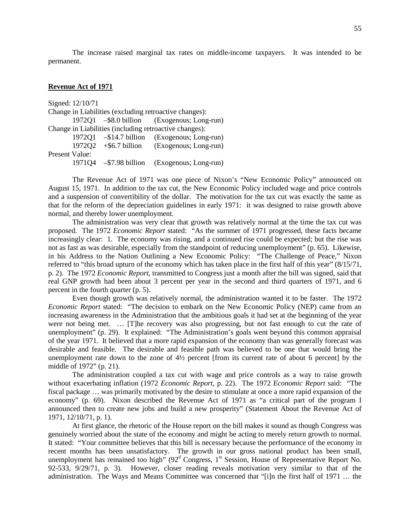The increase raised marginal tax rates on middle-income taxpayers. It was intended to be permanent.

## **Revenue Act of 1971**

|                       | Signed: 12/10/71 |                                                        |
|-----------------------|------------------|--------------------------------------------------------|
|                       |                  | Change in Liabilities (excluding retroactive changes): |
|                       |                  | 1972Q1 - \$8.0 billion (Exogenous; Long-run)           |
|                       |                  | Change in Liabilities (including retroactive changes): |
|                       |                  | 1972Q1 - \$14.7 billion (Exogenous; Long-run)          |
|                       |                  | $1972Q2 + $6.7 \text{ billion}$ (Exogenous; Long-run)  |
| <b>Present Value:</b> |                  |                                                        |
|                       |                  | 1971Q4 - \$7.98 billion (Exogenous; Long-run)          |

The Revenue Act of 1971 was one piece of Nixon's "New Economic Policy" announced on August 15, 1971. In addition to the tax cut, the New Economic Policy included wage and price controls and a suspension of convertibility of the dollar. The motivation for the tax cut was exactly the same as that for the reform of the depreciation guidelines in early 1971: it was designed to raise growth above normal, and thereby lower unemployment.

The administration was very clear that growth was relatively normal at the time the tax cut was proposed. The 1972 *Economic Report* stated: "As the summer of 1971 progressed, these facts became increasingly clear: 1. The economy was rising, and a continued rise could be expected; but the rise was not as fast as was desirable, especially from the standpoint of reducing unemployment" (p. 65). Likewise, in his Address to the Nation Outlining a New Economic Policy: "The Challenge of Peace," Nixon referred to "this broad upturn of the economy which has taken place in the first half of this year" (8/15/71, p. 2). The 1972 *Economic Report*, transmitted to Congress just a month after the bill was signed, said that real GNP growth had been about 3 percent per year in the second and third quarters of 1971, and 6 percent in the fourth quarter (p. 5).

Even though growth was relatively normal, the administration wanted it to be faster. The 1972 *Economic Report* stated: "The decision to embark on the New Economic Policy (NEP) came from an increasing awareness in the Administration that the ambitious goals it had set at the beginning of the year were not being met. … [T]he recovery was also progressing, but not fast enough to cut the rate of unemployment" (p. 29). It explained: "The Administration's goals went beyond this common appraisal of the year 1971. It believed that a more rapid expansion of the economy than was generally forecast was desirable and feasible. The desirable and feasible path was believed to be one that would bring the unemployment rate down to the zone of 4½ percent [from its current rate of about 6 percent] by the middle of 1972" (p. 21).

The administration coupled a tax cut with wage and price controls as a way to raise growth without exacerbating inflation (1972 *Economic Report*, p. 22). The 1972 *Economic Report* said: "The fiscal package … was primarily motivated by the desire to stimulate at once a more rapid expansion of the economy" (p. 69). Nixon described the Revenue Act of 1971 as "a critical part of the program I announced then to create new jobs and build a new prosperity" (Statement About the Revenue Act of 1971, 12/10/71, p. 1).

At first glance, the rhetoric of the House report on the bill makes it sound as though Congress was genuinely worried about the state of the economy and might be acting to merely return growth to normal. It stated: "Your committee believes that this bill is necessary because the performance of the economy in recent months has been unsatisfactory. The growth in our gross national product has been small, unemployment has remained too high"  $(92^d)$  Congress, 1<sup>st</sup> Session, House of Representative Report No. 92-533, 9/29/71, p. 3). However, closer reading reveals motivation very similar to that of the administration. The Ways and Means Committee was concerned that "[i]n the first half of 1971 … the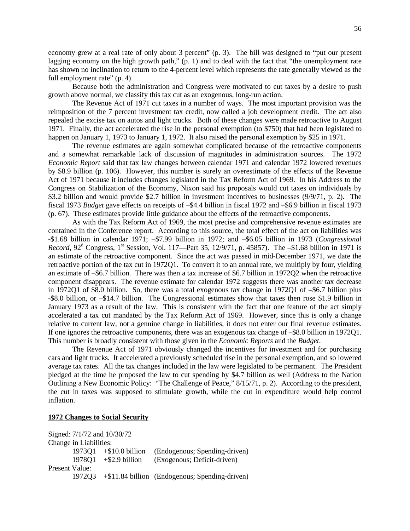economy grew at a real rate of only about 3 percent" (p. 3). The bill was designed to "put our present lagging economy on the high growth path," (p. 1) and to deal with the fact that "the unemployment rate has shown no inclination to return to the 4-percent level which represents the rate generally viewed as the full employment rate" (p. 4).

Because both the administration and Congress were motivated to cut taxes by a desire to push growth above normal, we classify this tax cut as an exogenous, long-run action.

The Revenue Act of 1971 cut taxes in a number of ways. The most important provision was the reimposition of the 7 percent investment tax credit, now called a job development credit. The act also repealed the excise tax on autos and light trucks. Both of these changes were made retroactive to August 1971. Finally, the act accelerated the rise in the personal exemption (to \$750) that had been legislated to happen on January 1, 1973 to January 1, 1972. It also raised the personal exemption by \$25 in 1971.

The revenue estimates are again somewhat complicated because of the retroactive components and a somewhat remarkable lack of discussion of magnitudes in administration sources. The 1972 *Economic Report* said that tax law changes between calendar 1971 and calendar 1972 lowered revenues by \$8.9 billion (p. 106). However, this number is surely an overestimate of the effects of the Revenue Act of 1971 because it includes changes legislated in the Tax Reform Act of 1969. In his Address to the Congress on Stabilization of the Economy, Nixon said his proposals would cut taxes on individuals by \$3.2 billion and would provide \$2.7 billion in investment incentives to businesses (9/9/71, p. 2). The fiscal 1973 *Budget* gave effects on receipts of –\$4.4 billion in fiscal 1972 and –\$6.9 billion in fiscal 1973 (p. 67). These estimates provide little guidance about the effects of the retroactive components.

As with the Tax Reform Act of 1969, the most precise and comprehensive revenue estimates are contained in the Conference report. According to this source, the total effect of the act on liabilities was -\$1.68 billion in calendar 1971; –\$7.99 billion in 1972; and –\$6.05 billion in 1973 (*Congressional Record*, 92<sup>d</sup> Congress, 1<sup>st</sup> Session, Vol. 117—Part 35, 12/9/71, p. 45857). The –\$1.68 billion in 1971 is an estimate of the retroactive component. Since the act was passed in mid-December 1971, we date the retroactive portion of the tax cut in 1972Q1. To convert it to an annual rate, we multiply by four, yielding an estimate of –\$6.7 billion. There was then a tax increase of \$6.7 billion in 1972Q2 when the retroactive component disappears. The revenue estimate for calendar 1972 suggests there was another tax decrease in 1972Q1 of \$8.0 billion. So, there was a total exogenous tax change in 1972Q1 of –\$6.7 billion plus -\$8.0 billion, or –\$14.7 billion. The Congressional estimates show that taxes then rose \$1.9 billion in January 1973 as a result of the law. This is consistent with the fact that one feature of the act simply accelerated a tax cut mandated by the Tax Reform Act of 1969. However, since this is only a change relative to current law, not a genuine change in liabilities, it does not enter our final revenue estimates. If one ignores the retroactive components, there was an exogenous tax change of –\$8.0 billion in 1972Q1. This number is broadly consistent with those given in the *Economic Reports* and the *Budget*.

The Revenue Act of 1971 obviously changed the incentives for investment and for purchasing cars and light trucks. It accelerated a previously scheduled rise in the personal exemption, and so lowered average tax rates. All the tax changes included in the law were legislated to be permanent. The President pledged at the time he proposed the law to cut spending by \$4.7 billion as well (Address to the Nation Outlining a New Economic Policy: "The Challenge of Peace," 8/15/71, p. 2). According to the president, the cut in taxes was supposed to stimulate growth, while the cut in expenditure would help control inflation.

## **1972 Changes to Social Security**

|                |                        | Signed: 7/1/72 and 10/30/72      |                                                       |
|----------------|------------------------|----------------------------------|-------------------------------------------------------|
|                | Change in Liabilities: |                                  |                                                       |
|                |                        | $1973Q1 + $10.0 \text{ billion}$ | (Endogenous; Spending-driven)                         |
|                |                        | $1978O1 + $2.9 \text{ billion}$  | (Exogenous; Deficit-driven)                           |
| Present Value: |                        |                                  |                                                       |
|                |                        |                                  | 1972Q3 +\$11.84 billion (Endogenous; Spending-driven) |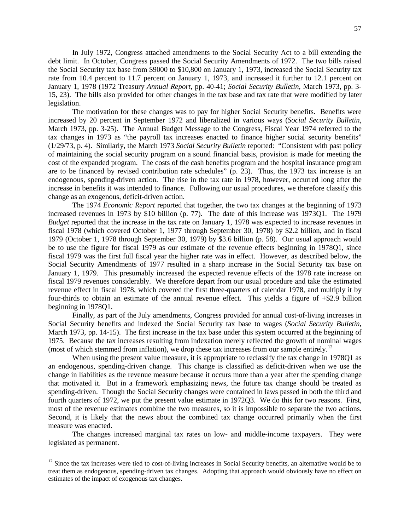In July 1972, Congress attached amendments to the Social Security Act to a bill extending the debt limit. In October, Congress passed the Social Security Amendments of 1972. The two bills raised the Social Security tax base from \$9000 to \$10,800 on January 1, 1973, increased the Social Security tax rate from 10.4 percent to 11.7 percent on January 1, 1973, and increased it further to 12.1 percent on January 1, 1978 (1972 Treasury *Annual Report*, pp. 40-41; *Social Security Bulletin*, March 1973, pp. 3- 15, 23). The bills also provided for other changes in the tax base and tax rate that were modified by later legislation.

The motivation for these changes was to pay for higher Social Security benefits. Benefits were increased by 20 percent in September 1972 and liberalized in various ways (*Social Security Bulletin*, March 1973, pp. 3-25). The Annual Budget Message to the Congress, Fiscal Year 1974 referred to the tax changes in 1973 as "the payroll tax increases enacted to finance higher social security benefits" (1/29/73, p. 4). Similarly, the March 1973 *Social Security Bulletin* reported: "Consistent with past policy of maintaining the social security program on a sound financial basis, provision is made for meeting the cost of the expanded program. The costs of the cash benefits program and the hospital insurance program are to be financed by revised contribution rate schedules" (p. 23). Thus, the 1973 tax increase is an endogenous, spending-driven action. The rise in the tax rate in 1978, however, occurred long after the increase in benefits it was intended to finance. Following our usual procedures, we therefore classify this change as an exogenous, deficit-driven action.

The 1974 *Economic Report* reported that together, the two tax changes at the beginning of 1973 increased revenues in 1973 by \$10 billion (p. 77). The date of this increase was 1973Q1. The 1979 *Budget* reported that the increase in the tax rate on January 1, 1978 was expected to increase revenues in fiscal 1978 (which covered October 1, 1977 through September 30, 1978) by \$2.2 billion, and in fiscal 1979 (October 1, 1978 through September 30, 1979) by \$3.6 billion (p. 58). Our usual approach would be to use the figure for fiscal 1979 as our estimate of the revenue effects beginning in 1978Q1, since fiscal 1979 was the first full fiscal year the higher rate was in effect. However, as described below, the Social Security Amendments of 1977 resulted in a sharp increase in the Social Security tax base on January 1, 1979. This presumably increased the expected revenue effects of the 1978 rate increase on fiscal 1979 revenues considerably. We therefore depart from our usual procedure and take the estimated revenue effect in fiscal 1978, which covered the first three-quarters of calendar 1978, and multiply it by four-thirds to obtain an estimate of the annual revenue effect. This yields a figure of +\$2.9 billion beginning in 1978Q1.

Finally, as part of the July amendments, Congress provided for annual cost-of-living increases in Social Security benefits and indexed the Social Security tax base to wages (*Social Security Bulletin*, March 1973, pp. 14-15). The first increase in the tax base under this system occurred at the beginning of 1975. Because the tax increases resulting from indexation merely reflected the growth of nominal wages (most of which stemmed from inflation), we drop these tax increases from our sample entirely.<sup>[12](#page-58-0)</sup>

When using the present value measure, it is appropriate to reclassify the tax change in 1978Q1 as an endogenous, spending-driven change. This change is classified as deficit-driven when we use the change in liabilities as the revenue measure because it occurs more than a year after the spending change that motivated it. But in a framework emphasizing news, the future tax change should be treated as spending-driven. Though the Social Security changes were contained in laws passed in both the third and fourth quarters of 1972, we put the present value estimate in 1972Q3. We do this for two reasons. First, most of the revenue estimates combine the two measures, so it is impossible to separate the two actions. Second, it is likely that the news about the combined tax change occurred primarily when the first measure was enacted.

The changes increased marginal tax rates on low- and middle-income taxpayers. They were legislated as permanent.

<span id="page-58-0"></span> $12$  Since the tax increases were tied to cost-of-living increases in Social Security benefits, an alternative would be to treat them as endogenous, spending-driven tax changes. Adopting that approach would obviously have no effect on estimates of the impact of exogenous tax changes.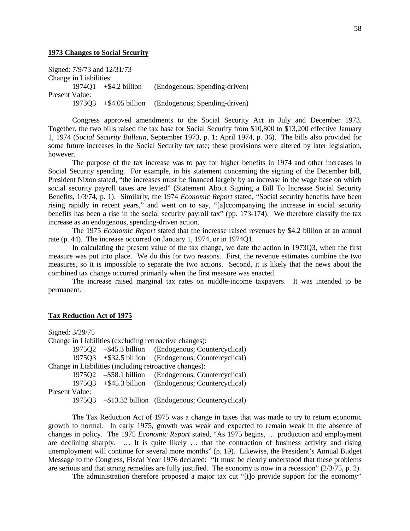## **1973 Changes to Social Security**

Signed: 7/9/73 and 12/31/73 Change in Liabilities: 1974Q1 +\$4.2 billion (Endogenous; Spending-driven) Present Value: 1973Q3 +\$4.05 billion (Endogenous; Spending-driven)

Congress approved amendments to the Social Security Act in July and December 1973. Together, the two bills raised the tax base for Social Security from \$10,800 to \$13,200 effective January 1, 1974 (*Social Security Bulletin*, September 1973, p. 1; April 1974, p. 36). The bills also provided for some future increases in the Social Security tax rate; these provisions were altered by later legislation, however.

The purpose of the tax increase was to pay for higher benefits in 1974 and other increases in Social Security spending. For example, in his statement concerning the signing of the December bill, President Nixon stated, "the increases must be financed largely by an increase in the wage base on which social security payroll taxes are levied" (Statement About Signing a Bill To Increase Social Security Benefits, 1/3/74, p. 1). Similarly, the 1974 *Economic Report* stated, "Social security benefits have been rising rapidly in recent years," and went on to say, "[a]ccompanying the increase in social security benefits has been a rise in the social security payroll tax" (pp. 173-174). We therefore classify the tax increase as an endogenous, spending-driven action.

The 1975 *Economic Report* stated that the increase raised revenues by \$4.2 billion at an annual rate (p. 44). The increase occurred on January 1, 1974, or in 1974Q1.

In calculating the present value of the tax change, we date the action in 1973Q3, when the first measure was put into place. We do this for two reasons. First, the revenue estimates combine the two measures, so it is impossible to separate the two actions. Second, it is likely that the news about the combined tax change occurred primarily when the first measure was enacted.

The increase raised marginal tax rates on middle-income taxpayers. It was intended to be permanent.

## **Tax Reduction Act of 1975**

Signed: 3/29/75 Change in Liabilities (excluding retroactive changes): 1975Q2 –\$45.3 billion (Endogenous; Countercyclical) 1975Q3 +\$32.5 billion (Endogenous; Countercyclical) Change in Liabilities (including retroactive changes): 1975Q2 –\$58.1 billion (Endogenous; Countercyclical) 1975Q3 +\$45.3 billion (Endogenous; Countercyclical) Present Value: 1975Q3 –\$13.32 billion (Endogenous; Countercyclical)

The Tax Reduction Act of 1975 was a change in taxes that was made to try to return economic growth to normal. In early 1975, growth was weak and expected to remain weak in the absence of changes in policy. The 1975 *Economic Report* stated, "As 1975 begins, … production and employment are declining sharply. … It is quite likely … that the contraction of business activity and rising unemployment will continue for several more months" (p. 19). Likewise, the President's Annual Budget Message to the Congress, Fiscal Year 1976 declared: "It must be clearly understood that these problems are serious and that strong remedies are fully justified. The economy is now in a recession" (2/3/75, p. 2).

The administration therefore proposed a major tax cut "[t]o provide support for the economy"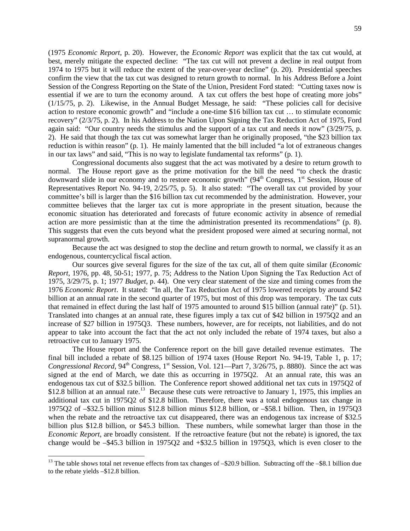(1975 *Economic Report*, p. 20). However, the *Economic Report* was explicit that the tax cut would, at best, merely mitigate the expected decline: "The tax cut will not prevent a decline in real output from 1974 to 1975 but it will reduce the extent of the year-over-year decline" (p. 20). Presidential speeches confirm the view that the tax cut was designed to return growth to normal. In his Address Before a Joint Session of the Congress Reporting on the State of the Union, President Ford stated: "Cutting taxes now is essential if we are to turn the economy around. A tax cut offers the best hope of creating more jobs" (1/15/75, p. 2). Likewise, in the Annual Budget Message, he said: "These policies call for decisive action to restore economic growth" and "include a one-time \$16 billion tax cut … to stimulate economic recovery" (2/3/75, p. 2). In his Address to the Nation Upon Signing the Tax Reduction Act of 1975, Ford again said: "Our country needs the stimulus and the support of a tax cut and needs it now" (3/29/75, p. 2). He said that though the tax cut was somewhat larger than he originally proposed, "the \$23 billion tax reduction is within reason" (p. 1). He mainly lamented that the bill included "a lot of extraneous changes in our tax laws" and said, "This is no way to legislate fundamental tax reforms" (p. 1).

Congressional documents also suggest that the act was motivated by a desire to return growth to normal. The House report gave as the prime motivation for the bill the need "to check the drastic downward slide in our economy and to restore economic growth"  $(94<sup>th</sup> Congress, 1<sup>st</sup> Session, House of$ Representatives Report No. 94-19, 2/25/75, p. 5). It also stated: "The overall tax cut provided by your committee's bill is larger than the \$16 billion tax cut recommended by the administration. However, your committee believes that the larger tax cut is more appropriate in the present situation, because the economic situation has deteriorated and forecasts of future economic activity in absence of remedial action are more pessimistic than at the time the administration presented its recommendations" (p. 8). This suggests that even the cuts beyond what the president proposed were aimed at securing normal, not supranormal growth.

Because the act was designed to stop the decline and return growth to normal, we classify it as an endogenous, countercyclical fiscal action.

Our sources give several figures for the size of the tax cut, all of them quite similar (*Economic Report*, 1976, pp. 48, 50-51; 1977, p. 75; Address to the Nation Upon Signing the Tax Reduction Act of 1975, 3/29/75, p. 1; 1977 *Budget*, p. 44). One very clear statement of the size and timing comes from the 1976 *Economic Report*. It stated: "In all, the Tax Reduction Act of 1975 lowered receipts by around \$42 billion at an annual rate in the second quarter of 1975, but most of this drop was temporary. The tax cuts that remained in effect during the last half of 1975 amounted to around \$15 billion (annual rate)" (p. 51). Translated into changes at an annual rate, these figures imply a tax cut of \$42 billion in 1975Q2 and an increase of \$27 billion in 1975Q3. These numbers, however, are for receipts, not liabilities, and do not appear to take into account the fact that the act not only included the rebate of 1974 taxes, but also a retroactive cut to January 1975.

The House report and the Conference report on the bill gave detailed revenue estimates. The final bill included a rebate of \$8.125 billion of 1974 taxes (House Report No. 94-19, Table 1, p. 17; *Congressional Record*,  $94^{\text{th}}$  Congress, 1<sup>st</sup> Session, Vol. 121—Part 7,  $3/26/75$ , p. 8880). Since the act was signed at the end of March, we date this as occurring in 1975Q2. At an annual rate, this was an endogenous tax cut of \$32.5 billion. The Conference report showed additional net tax cuts in 1975Q2 of \$12.8 billion at an annual rate.<sup>[13](#page-60-0)</sup> Because these cuts were retroactive to January 1, 1975, this implies an additional tax cut in 1975Q2 of \$12.8 billion. Therefore, there was a total endogenous tax change in 1975Q2 of –\$32.5 billion minus \$12.8 billion minus \$12.8 billion, or –\$58.1 billion. Then, in 1975Q3 when the rebate and the retroactive tax cut disappeared, there was an endogenous tax increase of \$32.5 billion plus \$12.8 billion, or \$45.3 billion. These numbers, while somewhat larger than those in the *Economic Report*, are broadly consistent. If the retroactive feature (but not the rebate) is ignored, the tax change would be –\$45.3 billion in 1975Q2 and +\$32.5 billion in 1975Q3, which is even closer to the

<span id="page-60-0"></span><sup>&</sup>lt;sup>13</sup> The table shows total net revenue effects from tax changes of  $-$ \$20.9 billion. Subtracting off the  $-$ \$8.1 billion due to the rebate yields –\$12.8 billion.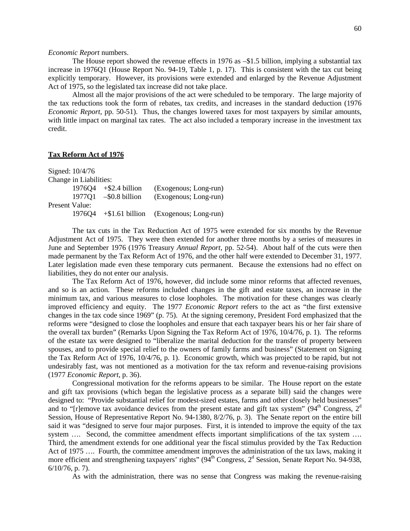## *Economic Report* numbers.

The House report showed the revenue effects in 1976 as –\$1.5 billion, implying a substantial tax increase in 1976Q1 (House Report No. 94-19, Table 1, p. 17). This is consistent with the tax cut being explicitly temporary. However, its provisions were extended and enlarged by the Revenue Adjustment Act of 1975, so the legislated tax increase did not take place.

Almost all the major provisions of the act were scheduled to be temporary. The large majority of the tax reductions took the form of rebates, tax credits, and increases in the standard deduction (1976 *Economic Report*, pp. 50-51). Thus, the changes lowered taxes for most taxpayers by similar amounts, with little impact on marginal tax rates. The act also included a temporary increase in the investment tax credit.

# **Tax Reform Act of 1976**

Signed: 10/4/76 Change in Liabilities: 1976Q4 +\$2.4 billion (Exogenous; Long-run) 1977Q1 –\$0.8 billion (Exogenous; Long-run) Present Value: 1976Q4 +\$1.61 billion (Exogenous; Long-run)

The tax cuts in the Tax Reduction Act of 1975 were extended for six months by the Revenue Adjustment Act of 1975. They were then extended for another three months by a series of measures in June and September 1976 (1976 Treasury *Annual Report*, pp. 52-54). About half of the cuts were then made permanent by the Tax Reform Act of 1976, and the other half were extended to December 31, 1977. Later legislation made even these temporary cuts permanent. Because the extensions had no effect on liabilities, they do not enter our analysis.

The Tax Reform Act of 1976, however, did include some minor reforms that affected revenues, and so is an action. These reforms included changes in the gift and estate taxes, an increase in the minimum tax, and various measures to close loopholes. The motivation for these changes was clearly improved efficiency and equity. The 1977 *Economic Report* refers to the act as "the first extensive changes in the tax code since 1969" (p. 75). At the signing ceremony, President Ford emphasized that the reforms were "designed to close the loopholes and ensure that each taxpayer bears his or her fair share of the overall tax burden" (Remarks Upon Signing the Tax Reform Act of 1976, 10/4/76, p. 1). The reforms of the estate tax were designed to "liberalize the marital deduction for the transfer of property between spouses, and to provide special relief to the owners of family farms and business" (Statement on Signing the Tax Reform Act of 1976, 10/4/76, p. 1). Economic growth, which was projected to be rapid, but not undesirably fast, was not mentioned as a motivation for the tax reform and revenue-raising provisions (1977 *Economic Report*, p. 36).

Congressional motivation for the reforms appears to be similar. The House report on the estate and gift tax provisions (which began the legislative process as a separate bill) said the changes were designed to: "Provide substantial relief for modest-sized estates, farms and other closely held businesses" and to "[r]emove tax avoidance devices from the present estate and gift tax system" ( $94<sup>th</sup>$  Congress,  $2<sup>d</sup>$ Session, House of Representative Report No. 94-1380, 8/2/76, p. 3). The Senate report on the entire bill said it was "designed to serve four major purposes. First, it is intended to improve the equity of the tax system .... Second, the committee amendment effects important simplifications of the tax system .... Third, the amendment extends for one additional year the fiscal stimulus provided by the Tax Reduction Act of 1975 …. Fourth, the committee amendment improves the administration of the tax laws, making it more efficient and strengthening taxpayers' rights"  $(94<sup>th</sup> Congress, 2<sup>d</sup> Session, Senate Report No. 94-938,$ 6/10/76, p. 7).

As with the administration, there was no sense that Congress was making the revenue-raising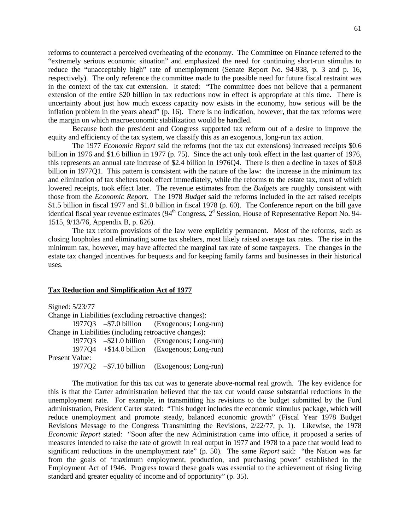reforms to counteract a perceived overheating of the economy. The Committee on Finance referred to the "extremely serious economic situation" and emphasized the need for continuing short-run stimulus to reduce the "unacceptably high" rate of unemployment (Senate Report No. 94-938, p. 3 and p. 16, respectively). The only reference the committee made to the possible need for future fiscal restraint was in the context of the tax cut extension. It stated: "The committee does not believe that a permanent extension of the entire \$20 billion in tax reductions now in effect is appropriate at this time. There is uncertainty about just how much excess capacity now exists in the economy, how serious will be the inflation problem in the years ahead" (p. 16). There is no indication, however, that the tax reforms were the margin on which macroeconomic stabilization would be handled.

Because both the president and Congress supported tax reform out of a desire to improve the equity and efficiency of the tax system, we classify this as an exogenous, long-run tax action.

The 1977 *Economic Report* said the reforms (not the tax cut extensions) increased receipts \$0.6 billion in 1976 and \$1.6 billion in 1977 (p. 75). Since the act only took effect in the last quarter of 1976, this represents an annual rate increase of \$2.4 billion in 1976Q4. There is then a decline in taxes of \$0.8 billion in 1977Q1. This pattern is consistent with the nature of the law: the increase in the minimum tax and elimination of tax shelters took effect immediately, while the reforms to the estate tax, most of which lowered receipts, took effect later. The revenue estimates from the *Budgets* are roughly consistent with those from the *Economic Report*. The 1978 *Budget* said the reforms included in the act raised receipts \$1.5 billion in fiscal 1977 and \$1.0 billion in fiscal 1978 (p. 60). The Conference report on the bill gave identical fiscal year revenue estimates ( $94<sup>th</sup>$  Congress,  $2<sup>d</sup>$  Session, House of Representative Report No. 94-1515, 9/13/76, Appendix B, p. 626).

The tax reform provisions of the law were explicitly permanent. Most of the reforms, such as closing loopholes and eliminating some tax shelters, most likely raised average tax rates. The rise in the minimum tax, however, may have affected the marginal tax rate of some taxpayers. The changes in the estate tax changed incentives for bequests and for keeping family farms and businesses in their historical uses.

#### **Tax Reduction and Simplification Act of 1977**

Signed: 5/23/77 Change in Liabilities (excluding retroactive changes): 1977Q3 –\$7.0 billion (Exogenous; Long-run) Change in Liabilities (including retroactive changes): 1977Q3 –\$21.0 billion (Exogenous; Long-run) 1977Q4 +\$14.0 billion (Exogenous; Long-run) Present Value: 1977Q2 –\$7.10 billion (Exogenous; Long-run)

The motivation for this tax cut was to generate above-normal real growth. The key evidence for this is that the Carter administration believed that the tax cut would cause substantial reductions in the unemployment rate. For example, in transmitting his revisions to the budget submitted by the Ford administration, President Carter stated: "This budget includes the economic stimulus package, which will reduce unemployment and promote steady, balanced economic growth" (Fiscal Year 1978 Budget Revisions Message to the Congress Transmitting the Revisions, 2/22/77, p. 1). Likewise, the 1978 *Economic Report* stated: "Soon after the new Administration came into office, it proposed a series of measures intended to raise the rate of growth in real output in 1977 and 1978 to a pace that would lead to significant reductions in the unemployment rate" (p. 50). The same *Report* said: "the Nation was far from the goals of 'maximum employment, production, and purchasing power' established in the Employment Act of 1946. Progress toward these goals was essential to the achievement of rising living standard and greater equality of income and of opportunity" (p. 35).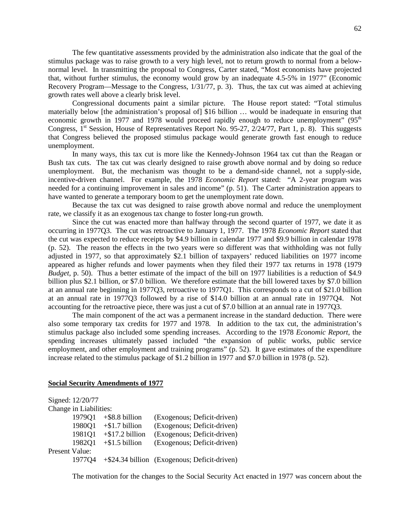The few quantitative assessments provided by the administration also indicate that the goal of the stimulus package was to raise growth to a very high level, not to return growth to normal from a belownormal level. In transmitting the proposal to Congress, Carter stated, "Most economists have projected that, without further stimulus, the economy would grow by an inadequate 4.5-5% in 1977" (Economic Recovery Program—Message to the Congress, 1/31/77, p. 3). Thus, the tax cut was aimed at achieving growth rates well above a clearly brisk level.

Congressional documents paint a similar picture. The House report stated: "Total stimulus materially below [the administration's proposal of] \$16 billion … would be inadequate in ensuring that economic growth in 1977 and 1978 would proceed rapidly enough to reduce unemployment"  $(95<sup>th</sup>$ Congress,  $1<sup>st</sup>$  Session, House of Representatives Report No. 95-27,  $2/24/77$ , Part 1, p. 8). This suggests that Congress believed the proposed stimulus package would generate growth fast enough to reduce unemployment.

In many ways, this tax cut is more like the Kennedy-Johnson 1964 tax cut than the Reagan or Bush tax cuts. The tax cut was clearly designed to raise growth above normal and by doing so reduce unemployment. But, the mechanism was thought to be a demand-side channel, not a supply-side, incentive-driven channel. For example, the 1978 *Economic Report* stated: "A 2-year program was needed for a continuing improvement in sales and income" (p. 51). The Carter administration appears to have wanted to generate a temporary boom to get the unemployment rate down.

Because the tax cut was designed to raise growth above normal and reduce the unemployment rate, we classify it as an exogenous tax change to foster long-run growth.

Since the cut was enacted more than halfway through the second quarter of 1977, we date it as occurring in 1977Q3. The cut was retroactive to January 1, 1977. The 1978 *Economic Report* stated that the cut was expected to reduce receipts by \$4.9 billion in calendar 1977 and \$9.9 billion in calendar 1978 (p. 52). The reason the effects in the two years were so different was that withholding was not fully adjusted in 1977, so that approximately \$2.1 billion of taxpayers' reduced liabilities on 1977 income appeared as higher refunds and lower payments when they filed their 1977 tax returns in 1978 (1979 *Budget*, p. 50). Thus a better estimate of the impact of the bill on 1977 liabilities is a reduction of \$4.9 billion plus \$2.1 billion, or \$7.0 billion. We therefore estimate that the bill lowered taxes by \$7.0 billion at an annual rate beginning in 1977Q3, retroactive to 1977Q1. This corresponds to a cut of \$21.0 billion at an annual rate in 1977Q3 followed by a rise of \$14.0 billion at an annual rate in 1977Q4. Not accounting for the retroactive piece, there was just a cut of \$7.0 billion at an annual rate in 1977Q3.

The main component of the act was a permanent increase in the standard deduction. There were also some temporary tax credits for 1977 and 1978. In addition to the tax cut, the administration's stimulus package also included some spending increases. According to the 1978 *Economic Report*, the spending increases ultimately passed included "the expansion of public works, public service employment, and other employment and training programs" (p. 52). It gave estimates of the expenditure increase related to the stimulus package of \$1.2 billion in 1977 and \$7.0 billion in 1978 (p. 52).

# **Social Security Amendments of 1977**

|                       | Signed: 12/20/77       |                    |                                                 |
|-----------------------|------------------------|--------------------|-------------------------------------------------|
|                       | Change in Liabilities: |                    |                                                 |
|                       | 197901                 | $+$ \$8.8 billion  | (Exogenous; Deficit-driven)                     |
|                       | 1980Q1                 | $+$ \$1.7 billion  | (Exogenous; Deficit-driven)                     |
|                       | 1981Q1                 | $+$ \$17.2 billion | (Exogenous; Deficit-driven)                     |
|                       | 1982Q1                 | $+$ \$1.5 billion  | (Exogenous; Deficit-driven)                     |
| <b>Present Value:</b> |                        |                    |                                                 |
|                       | 1977Q4                 |                    | $+$ \$24.34 billion (Exogenous; Deficit-driven) |

The motivation for the changes to the Social Security Act enacted in 1977 was concern about the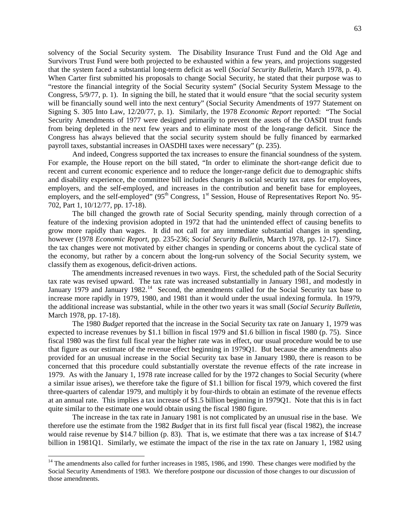solvency of the Social Security system. The Disability Insurance Trust Fund and the Old Age and Survivors Trust Fund were both projected to be exhausted within a few years, and projections suggested that the system faced a substantial long-term deficit as well (*Social Security Bulletin*, March 1978, p. 4). When Carter first submitted his proposals to change Social Security, he stated that their purpose was to "restore the financial integrity of the Social Security system" (Social Security System Message to the Congress, 5/9/77, p. 1). In signing the bill, he stated that it would ensure "that the social security system will be financially sound well into the next century" (Social Security Amendments of 1977 Statement on Signing S. 305 Into Law, 12/20/77, p. 1). Similarly, the 1978 *Economic Report* reported: "The Social Security Amendments of 1977 were designed primarily to prevent the assets of the OASDI trust funds from being depleted in the next few years and to eliminate most of the long-range deficit. Since the Congress has always believed that the social security system should be fully financed by earmarked payroll taxes, substantial increases in OASDHI taxes were necessary" (p. 235).

And indeed, Congress supported the tax increases to ensure the financial soundness of the system. For example, the House report on the bill stated, "In order to eliminate the short-range deficit due to recent and current economic experience and to reduce the longer-range deficit due to demographic shifts and disability experience, the committee bill includes changes in social security tax rates for employees, employers, and the self-employed, and increases in the contribution and benefit base for employees, employers, and the self-employed" (95<sup>th</sup> Congress, 1<sup>st</sup> Session, House of Representatives Report No. 95-702, Part 1, 10/12/77, pp. 17-18).

The bill changed the growth rate of Social Security spending, mainly through correction of a feature of the indexing provision adopted in 1972 that had the unintended effect of causing benefits to grow more rapidly than wages. It did not call for any immediate substantial changes in spending, however (1978 *Economic Report*, pp. 235-236; *Social Security Bulletin*, March 1978, pp. 12-17). Since the tax changes were not motivated by either changes in spending or concerns about the cyclical state of the economy, but rather by a concern about the long-run solvency of the Social Security system, we classify them as exogenous, deficit-driven actions.

The amendments increased revenues in two ways. First, the scheduled path of the Social Security tax rate was revised upward. The tax rate was increased substantially in January 1981, and modestly in January 1979 and January 1982.<sup>[14](#page-64-0)</sup> Second, the amendments called for the Social Security tax base to increase more rapidly in 1979, 1980, and 1981 than it would under the usual indexing formula. In 1979, the additional increase was substantial, while in the other two years it was small (*Social Security Bulletin*, March 1978, pp. 17-18).

The 1980 *Budget* reported that the increase in the Social Security tax rate on January 1, 1979 was expected to increase revenues by \$1.1 billion in fiscal 1979 and \$1.6 billion in fiscal 1980 (p. 75). Since fiscal 1980 was the first full fiscal year the higher rate was in effect, our usual procedure would be to use that figure as our estimate of the revenue effect beginning in 1979Q1. But because the amendments also provided for an unusual increase in the Social Security tax base in January 1980, there is reason to be concerned that this procedure could substantially overstate the revenue effects of the rate increase in 1979. As with the January 1, 1978 rate increase called for by the 1972 changes to Social Security (where a similar issue arises), we therefore take the figure of \$1.1 billion for fiscal 1979, which covered the first three-quarters of calendar 1979, and multiply it by four-thirds to obtain an estimate of the revenue effects at an annual rate. This implies a tax increase of \$1.5 billion beginning in 1979Q1. Note that this is in fact quite similar to the estimate one would obtain using the fiscal 1980 figure.

The increase in the tax rate in January 1981 is not complicated by an unusual rise in the base. We therefore use the estimate from the 1982 *Budget* that in its first full fiscal year (fiscal 1982), the increase would raise revenue by \$14.7 billion (p. 83). That is, we estimate that there was a tax increase of \$14.7 billion in 1981Q1. Similarly, we estimate the impact of the rise in the tax rate on January 1, 1982 using

<span id="page-64-0"></span><sup>&</sup>lt;sup>14</sup> The amendments also called for further increases in 1985, 1986, and 1990. These changes were modified by the Social Security Amendments of 1983. We therefore postpone our discussion of those changes to our discussion of those amendments.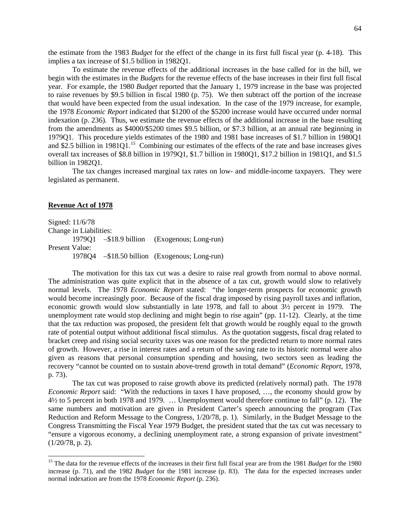the estimate from the 1983 *Budget* for the effect of the change in its first full fiscal year (p. 4-18). This implies a tax increase of \$1.5 billion in 1982Q1.

To estimate the revenue effects of the additional increases in the base called for in the bill, we begin with the estimates in the *Budgets* for the revenue effects of the base increases in their first full fiscal year. For example, the 1980 *Budget* reported that the January 1, 1979 increase in the base was projected to raise revenues by \$9.5 billion in fiscal 1980 (p. 75). We then subtract off the portion of the increase that would have been expected from the usual indexation. In the case of the 1979 increase, for example, the 1978 *Economic Report* indicated that \$1200 of the \$5200 increase would have occurred under normal indexation (p. 236). Thus, we estimate the revenue effects of the additional increase in the base resulting from the amendments as \$4000/\$5200 times \$9.5 billion, or \$7.3 billion, at an annual rate beginning in 1979Q1. This procedure yields estimates of the 1980 and 1981 base increases of \$1.7 billion in 1980Q1 and \$2.5 billion in 1981Q1.<sup>[15](#page-65-0)</sup> Combining our estimates of the effects of the rate and base increases gives overall tax increases of \$8.8 billion in 1979Q1, \$1.7 billion in 1980Q1, \$17.2 billion in 1981Q1, and \$1.5 billion in 1982Q1.

The tax changes increased marginal tax rates on low- and middle-income taxpayers. They were legislated as permanent.

#### **Revenue Act of 1978**

Signed: 11/6/78 Change in Liabilities: 1979Q1 –\$18.9 billion (Exogenous; Long-run) Present Value: 1978Q4 –\$18.50 billion (Exogenous; Long-run)

The motivation for this tax cut was a desire to raise real growth from normal to above normal. The administration was quite explicit that in the absence of a tax cut, growth would slow to relatively normal levels. The 1978 *Economic Report* stated: "the longer-term prospects for economic growth would become increasingly poor. Because of the fiscal drag imposed by rising payroll taxes and inflation, economic growth would slow substantially in late 1978, and fall to about 3½ percent in 1979. The unemployment rate would stop declining and might begin to rise again" (pp. 11-12). Clearly, at the time that the tax reduction was proposed, the president felt that growth would be roughly equal to the growth rate of potential output without additional fiscal stimulus. As the quotation suggests, fiscal drag related to bracket creep and rising social security taxes was one reason for the predicted return to more normal rates of growth. However, a rise in interest rates and a return of the saving rate to its historic normal were also given as reasons that personal consumption spending and housing, two sectors seen as leading the recovery "cannot be counted on to sustain above-trend growth in total demand" (*Economic Report*, 1978, p. 73).

The tax cut was proposed to raise growth above its predicted (relatively normal) path. The 1978 *Economic Report* said: "With the reductions in taxes I have proposed, …, the economy should grow by 4½ to 5 percent in both 1978 and 1979. … Unemployment would therefore continue to fall" (p. 12). The same numbers and motivation are given in President Carter's speech announcing the program (Tax Reduction and Reform Message to the Congress, 1/20/78, p. 1). Similarly, in the Budget Message to the Congress Transmitting the Fiscal Year 1979 Budget, the president stated that the tax cut was necessary to "ensure a vigorous economy, a declining unemployment rate, a strong expansion of private investment" (1/20/78, p. 2).

<span id="page-65-0"></span><sup>&</sup>lt;sup>15</sup> The data for the revenue effects of the increases in their first full fiscal year are from the 1981 *Budget* for the 1980 increase (p. 71), and the 1982 *Budget* for the 1981 increase (p. 83). The data for the expected increases under normal indexation are from the 1978 *Economic Report* (p. 236).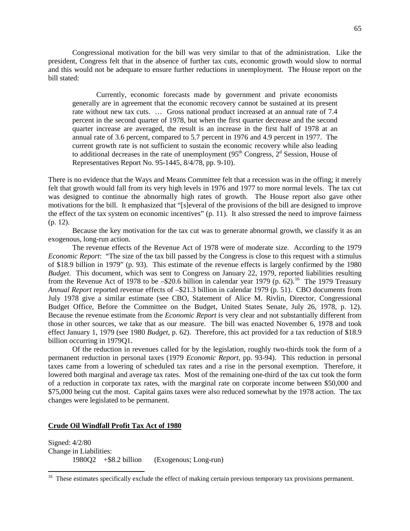Congressional motivation for the bill was very similar to that of the administration. Like the president, Congress felt that in the absence of further tax cuts, economic growth would slow to normal and this would not be adequate to ensure further reductions in unemployment. The House report on the bill stated:

Currently, economic forecasts made by government and private economists generally are in agreement that the economic recovery cannot be sustained at its present rate without new tax cuts. … Gross national product increased at an annual rate of 7.4 percent in the second quarter of 1978, but when the first quarter decrease and the second quarter increase are averaged, the result is an increase in the first half of 1978 at an annual rate of 3.6 percent, compared to 5.7 percent in 1976 and 4.9 percent in 1977. The current growth rate is not sufficient to sustain the economic recovery while also leading to additional decreases in the rate of unemployment  $(95<sup>th</sup> Congress, 2<sup>d</sup> Session, House of$ Representatives Report No. 95-1445, 8/4/78, pp. 9-10).

There is no evidence that the Ways and Means Committee felt that a recession was in the offing; it merely felt that growth would fall from its very high levels in 1976 and 1977 to more normal levels. The tax cut was designed to continue the abnormally high rates of growth. The House report also gave other motivations for the bill. It emphasized that "[s]everal of the provisions of the bill are designed to improve the effect of the tax system on economic incentives" (p. 11). It also stressed the need to improve fairness (p. 12).

Because the key motivation for the tax cut was to generate abnormal growth, we classify it as an exogenous, long-run action.

The revenue effects of the Revenue Act of 1978 were of moderate size. According to the 1979 *Economic Report*: "The size of the tax bill passed by the Congress is close to this request with a stimulus of \$18.9 billion in 1979" (p. 93). This estimate of the revenue effects is largely confirmed by the 1980 *Budget*. This document, which was sent to Congress on January 22, 1979, reported liabilities resulting from the Revenue Act of 1978 to be  $-$ \$20.6 billion in calendar year 1979 (p.  $62$ ).<sup>[16](#page-66-0)</sup> The 1979 Treasury *Annual Report* reported revenue effects of –\$21.3 billion in calendar 1979 (p. 51). CBO documents from July 1978 give a similar estimate (see CBO, Statement of Alice M. Rivlin, Director, Congressional Budget Office, Before the Committee on the Budget, United States Senate, July 26, 1978, p. 12). Because the revenue estimate from the *Economic Report* is very clear and not substantially different from those in other sources, we take that as our measure. The bill was enacted November 6, 1978 and took effect January 1, 1979 (see 1980 *Budget*, p. 62). Therefore, this act provided for a tax reduction of \$18.9 billion occurring in 1979Q1.

Of the reduction in revenues called for by the legislation, roughly two-thirds took the form of a permanent reduction in personal taxes (1979 *Economic Report*, pp. 93-94). This reduction in personal taxes came from a lowering of scheduled tax rates and a rise in the personal exemption. Therefore, it lowered both marginal and average tax rates. Most of the remaining one-third of the tax cut took the form of a reduction in corporate tax rates, with the marginal rate on corporate income between \$50,000 and \$75,000 being cut the most. Capital gains taxes were also reduced somewhat by the 1978 action. The tax changes were legislated to be permanent.

## **Crude Oil Windfall Profit Tax Act of 1980**

Signed: 4/2/80 Change in Liabilities: 1980Q2 +\$8.2 billion (Exogenous; Long-run)

<span id="page-66-0"></span><sup>&</sup>lt;sup>16</sup> These estimates specifically exclude the effect of making certain previous temporary tax provisions permanent.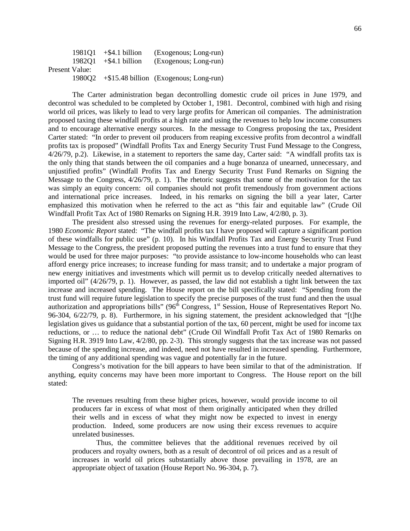|                |        | $198101 + $4.1 billion$ | (Exogenous; Long-run)                          |
|----------------|--------|-------------------------|------------------------------------------------|
|                | 198201 | $+$ \$4.1 billion       | (Exogenous; Long-run)                          |
| Present Value: |        |                         |                                                |
|                |        |                         | 1980Q2 + \$15.48 billion (Exogenous; Long-run) |

The Carter administration began decontrolling domestic crude oil prices in June 1979, and decontrol was scheduled to be completed by October 1, 1981. Decontrol, combined with high and rising world oil prices, was likely to lead to very large profits for American oil companies. The administration proposed taxing these windfall profits at a high rate and using the revenues to help low income consumers and to encourage alternative energy sources. In the message to Congress proposing the tax, President Carter stated: "In order to prevent oil producers from reaping excessive profits from decontrol a windfall profits tax is proposed" (Windfall Profits Tax and Energy Security Trust Fund Message to the Congress, 4/26/79, p.2). Likewise, in a statement to reporters the same day, Carter said: "A windfall profits tax is the only thing that stands between the oil companies and a huge bonanza of unearned, unnecessary, and unjustified profits" (Windfall Profits Tax and Energy Security Trust Fund Remarks on Signing the Message to the Congress, 4/26/79, p. 1). The rhetoric suggests that some of the motivation for the tax was simply an equity concern: oil companies should not profit tremendously from government actions and international price increases. Indeed, in his remarks on signing the bill a year later, Carter emphasized this motivation when he referred to the act as "this fair and equitable law" (Crude Oil Windfall Profit Tax Act of 1980 Remarks on Signing H.R. 3919 Into Law, 4/2/80, p. 3).

The president also stressed using the revenues for energy-related purposes. For example, the 1980 *Economic Report* stated: "The windfall profits tax I have proposed will capture a significant portion of these windfalls for public use" (p. 10). In his Windfall Profits Tax and Energy Security Trust Fund Message to the Congress, the president proposed putting the revenues into a trust fund to ensure that they would be used for three major purposes: "to provide assistance to low-income households who can least afford energy price increases; to increase funding for mass transit; and to undertake a major program of new energy initiatives and investments which will permit us to develop critically needed alternatives to imported oil" (4/26/79, p. 1). However, as passed, the law did not establish a tight link between the tax increase and increased spending. The House report on the bill specifically stated: "Spending from the trust fund will require future legislation to specify the precise purposes of the trust fund and then the usual authorization and appropriations bills" (96<sup>th</sup> Congress, 1<sup>st</sup> Session, House of Representatives Report No. 96-304, 6/22/79, p. 8). Furthermore, in his signing statement, the president acknowledged that "[t]he legislation gives us guidance that a substantial portion of the tax, 60 percent, might be used for income tax reductions, or … to reduce the national debt" (Crude Oil Windfall Profit Tax Act of 1980 Remarks on Signing H.R. 3919 Into Law, 4/2/80, pp. 2-3). This strongly suggests that the tax increase was not passed because of the spending increase, and indeed, need not have resulted in increased spending. Furthermore, the timing of any additional spending was vague and potentially far in the future.

Congress's motivation for the bill appears to have been similar to that of the administration. If anything, equity concerns may have been more important to Congress. The House report on the bill stated:

The revenues resulting from these higher prices, however, would provide income to oil producers far in excess of what most of them originally anticipated when they drilled their wells and in excess of what they might now be expected to invest in energy production. Indeed, some producers are now using their excess revenues to acquire unrelated businesses.

Thus, the committee believes that the additional revenues received by oil producers and royalty owners, both as a result of decontrol of oil prices and as a result of increases in world oil prices substantially above those prevailing in 1978, are an appropriate object of taxation (House Report No. 96-304, p. 7).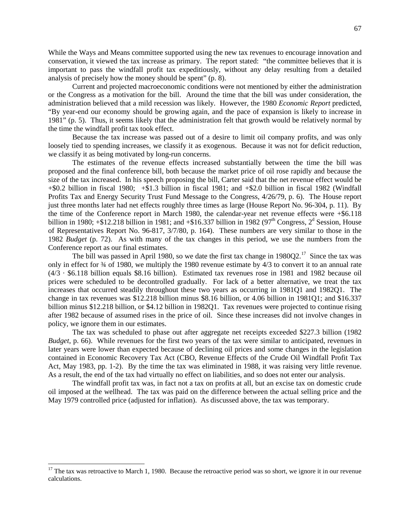While the Ways and Means committee supported using the new tax revenues to encourage innovation and conservation, it viewed the tax increase as primary. The report stated: "the committee believes that it is important to pass the windfall profit tax expeditiously, without any delay resulting from a detailed analysis of precisely how the money should be spent" (p. 8).

Current and projected macroeconomic conditions were not mentioned by either the administration or the Congress as a motivation for the bill. Around the time that the bill was under consideration, the administration believed that a mild recession was likely. However, the 1980 *Economic Report* predicted, "By year-end our economy should be growing again, and the pace of expansion is likely to increase in 1981" (p. 5). Thus, it seems likely that the administration felt that growth would be relatively normal by the time the windfall profit tax took effect.

Because the tax increase was passed out of a desire to limit oil company profits, and was only loosely tied to spending increases, we classify it as exogenous. Because it was not for deficit reduction, we classify it as being motivated by long-run concerns.

The estimates of the revenue effects increased substantially between the time the bill was proposed and the final conference bill, both because the market price of oil rose rapidly and because the size of the tax increased. In his speech proposing the bill, Carter said that the net revenue effect would be +\$0.2 billion in fiscal 1980; +\$1.3 billion in fiscal 1981; and +\$2.0 billion in fiscal 1982 (Windfall Profits Tax and Energy Security Trust Fund Message to the Congress, 4/26/79, p. 6). The House report just three months later had net effects roughly three times as large (House Report No. 96-304, p. 11). By the time of the Conference report in March 1980, the calendar-year net revenue effects were +\$6.118 billion in 1980;  $+$ \$12.218 billion in 1981; and  $+$ \$16.337 billion in 1982 (97<sup>th</sup> Congress, 2<sup>d</sup> Session, House of Representatives Report No. 96-817, 3/7/80, p. 164). These numbers are very similar to those in the 1982 *Budget* (p. 72). As with many of the tax changes in this period, we use the numbers from the Conference report as our final estimates.

The bill was passed in April 1980, so we date the first tax change in  $1980Q2$ .<sup>[17](#page-68-0)</sup> Since the tax was only in effect for ¾ of 1980, we multiply the 1980 revenue estimate by 4/3 to convert it to an annual rate (4/3 · \$6.118 billion equals \$8.16 billion). Estimated tax revenues rose in 1981 and 1982 because oil prices were scheduled to be decontrolled gradually. For lack of a better alternative, we treat the tax increases that occurred steadily throughout these two years as occurring in 1981Q1 and 1982Q1. The change in tax revenues was \$12.218 billion minus \$8.16 billion, or 4.06 billion in 1981Q1; and \$16.337 billion minus \$12.218 billion, or \$4.12 billion in 1982Q1. Tax revenues were projected to continue rising after 1982 because of assumed rises in the price of oil. Since these increases did not involve changes in policy, we ignore them in our estimates.

The tax was scheduled to phase out after aggregate net receipts exceeded \$227.3 billion (1982 *Budget*, p. 66). While revenues for the first two years of the tax were similar to anticipated, revenues in later years were lower than expected because of declining oil prices and some changes in the legislation contained in Economic Recovery Tax Act (CBO, Revenue Effects of the Crude Oil Windfall Profit Tax Act, May 1983, pp. 1-2). By the time the tax was eliminated in 1988, it was raising very little revenue. As a result, the end of the tax had virtually no effect on liabilities, and so does not enter our analysis.

The windfall profit tax was, in fact not a tax on profits at all, but an excise tax on domestic crude oil imposed at the wellhead. The tax was paid on the difference between the actual selling price and the May 1979 controlled price (adjusted for inflation). As discussed above, the tax was temporary.

<span id="page-68-0"></span> $17$  The tax was retroactive to March 1, 1980. Because the retroactive period was so short, we ignore it in our revenue calculations.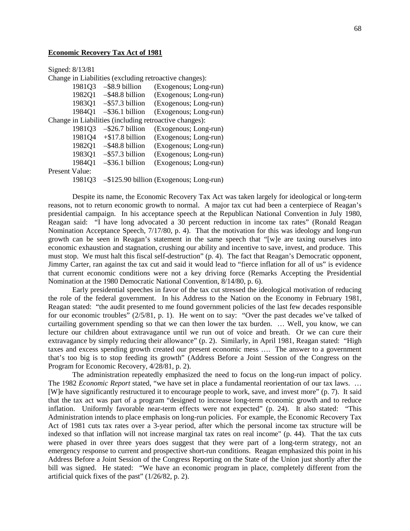## **Economic Recovery Tax Act of 1981**

Signed: 8/13/81

Change in Liabilities (excluding retroactive changes):

| 1981Q3                                                 | $-$ \$8.9 billion  | (Exogenous; Long-run)                   |  |  |
|--------------------------------------------------------|--------------------|-----------------------------------------|--|--|
| 1982Q1                                                 | $-$ \$48.8 billion | (Exogenous; Long-run)                   |  |  |
| 1983Q1                                                 | $-$ \$57.3 billion | (Exogenous; Long-run)                   |  |  |
| 1984O1                                                 | $-$ \$36.1 billion | (Exogenous; Long-run)                   |  |  |
| Change in Liabilities (including retroactive changes): |                    |                                         |  |  |
| 1981Q3                                                 | $-$ \$26.7 billion | (Exogenous; Long-run)                   |  |  |
| 1981Q4                                                 | $+$ \$17.8 billion | (Exogenous; Long-run)                   |  |  |
| 1982Q1                                                 | $-$ \$48.8 billion | (Exogenous; Long-run)                   |  |  |
| 1983Q1                                                 | $-$ \$57.3 billion | (Exogenous; Long-run)                   |  |  |
| 1984Q1                                                 | $-$ \$36.1 billion | (Exogenous; Long-run)                   |  |  |
| Present Value:                                         |                    |                                         |  |  |
| 198103                                                 |                    | -\$125.90 billion (Exogenous; Long-run) |  |  |

Despite its name, the Economic Recovery Tax Act was taken largely for ideological or long-term reasons, not to return economic growth to normal. A major tax cut had been a centerpiece of Reagan's presidential campaign. In his acceptance speech at the Republican National Convention in July 1980, Reagan said: "I have long advocated a 30 percent reduction in income tax rates" (Ronald Reagan Nomination Acceptance Speech, 7/17/80, p. 4). That the motivation for this was ideology and long-run growth can be seen in Reagan's statement in the same speech that "[w]e are taxing ourselves into economic exhaustion and stagnation, crushing our ability and incentive to save, invest, and produce. This must stop. We must halt this fiscal self-destruction" (p. 4). The fact that Reagan's Democratic opponent, Jimmy Carter, ran against the tax cut and said it would lead to "fierce inflation for all of us" is evidence that current economic conditions were not a key driving force (Remarks Accepting the Presidential Nomination at the 1980 Democratic National Convention, 8/14/80, p. 6).

Early presidential speeches in favor of the tax cut stressed the ideological motivation of reducing the role of the federal government. In his Address to the Nation on the Economy in February 1981, Reagan stated: "the audit presented to me found government policies of the last few decades responsible for our economic troubles" (2/5/81, p. 1). He went on to say: "Over the past decades we've talked of curtailing government spending so that we can then lower the tax burden. … Well, you know, we can lecture our children about extravagance until we run out of voice and breath. Or we can cure their extravagance by simply reducing their allowance" (p. 2). Similarly, in April 1981, Reagan stated: "High taxes and excess spending growth created our present economic mess …. The answer to a government that's too big is to stop feeding its growth" (Address Before a Joint Session of the Congress on the Program for Economic Recovery, 4/28/81, p. 2).

The administration repeatedly emphasized the need to focus on the long-run impact of policy. The 1982 *Economic Report* stated, "we have set in place a fundamental reorientation of our tax laws. … [W]e have significantly restructured it to encourage people to work, save, and invest more" (p. 7). It said that the tax act was part of a program "designed to increase long-term economic growth and to reduce inflation. Uniformly favorable near-term effects were not expected" (p. 24). It also stated: "This Administration intends to place emphasis on long-run policies. For example, the Economic Recovery Tax Act of 1981 cuts tax rates over a 3-year period, after which the personal income tax structure will be indexed so that inflation will not increase marginal tax rates on real income" (p. 44). That the tax cuts were phased in over three years does suggest that they were part of a long-term strategy, not an emergency response to current and prospective short-run conditions. Reagan emphasized this point in his Address Before a Joint Session of the Congress Reporting on the State of the Union just shortly after the bill was signed. He stated: "We have an economic program in place, completely different from the artificial quick fixes of the past" (1/26/82, p. 2).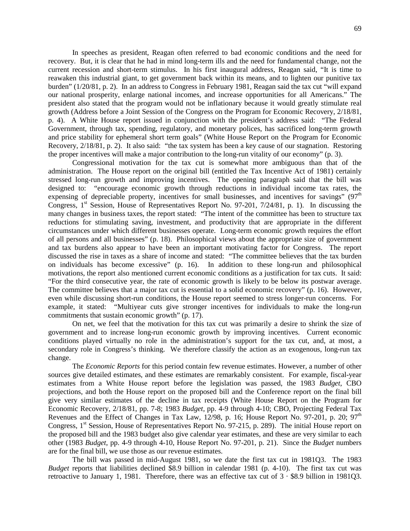In speeches as president, Reagan often referred to bad economic conditions and the need for recovery. But, it is clear that he had in mind long-term ills and the need for fundamental change, not the current recession and short-term stimulus. In his first inaugural address, Reagan said, "It is time to reawaken this industrial giant, to get government back within its means, and to lighten our punitive tax burden" (1/20/81, p. 2). In an address to Congress in February 1981, Reagan said the tax cut "will expand our national prosperity, enlarge national incomes, and increase opportunities for all Americans." The president also stated that the program would not be inflationary because it would greatly stimulate real growth (Address before a Joint Session of the Congress on the Program for Economic Recovery, 2/18/81, p. 4). A White House report issued in conjunction with the president's address said: "The Federal Government, through tax, spending, regulatory, and monetary polices, has sacrificed long-term growth and price stability for ephemeral short term goals" (White House Report on the Program for Economic Recovery, 2/18/81, p. 2). It also said: "the tax system has been a key cause of our stagnation. Restoring the proper incentives will make a major contribution to the long-run vitality of our economy" (p. 3).

Congressional motivation for the tax cut is somewhat more ambiguous than that of the administration. The House report on the original bill (entitled the Tax Incentive Act of 1981) certainly stressed long-run growth and improving incentives. The opening paragraph said that the bill was designed to: "encourage economic growth through reductions in individual income tax rates, the expensing of depreciable property, incentives for small businesses, and incentives for savings"  $(97<sup>th</sup>$ Congress,  $1<sup>st</sup>$  Session, House of Representatives Report No. 97-201, 7/24/81, p. 1). In discussing the many changes in business taxes, the report stated: "The intent of the committee has been to structure tax reductions for stimulating saving, investment, and productivity that are appropriate in the different circumstances under which different businesses operate. Long-term economic growth requires the effort of all persons and all businesses" (p. 18). Philosophical views about the appropriate size of government and tax burdens also appear to have been an important motivating factor for Congress. The report discussed the rise in taxes as a share of income and stated: "The committee believes that the tax burden on individuals has become excessive" (p. 16). In addition to these long-run and philosophical motivations, the report also mentioned current economic conditions as a justification for tax cuts. It said: "For the third consecutive year, the rate of economic growth is likely to be below its postwar average. The committee believes that a major tax cut is essential to a solid economic recovery" (p. 16). However, even while discussing short-run conditions, the House report seemed to stress longer-run concerns. For example, it stated: "Multiyear cuts give stronger incentives for individuals to make the long-run commitments that sustain economic growth" (p. 17).

On net, we feel that the motivation for this tax cut was primarily a desire to shrink the size of government and to increase long-run economic growth by improving incentives. Current economic conditions played virtually no role in the administration's support for the tax cut, and, at most, a secondary role in Congress's thinking. We therefore classify the action as an exogenous, long-run tax change.

The *Economic Reports* for this period contain few revenue estimates. However, a number of other sources give detailed estimates, and these estimates are remarkably consistent. For example, fiscal-year estimates from a White House report before the legislation was passed, the 1983 *Budget*, CBO projections, and both the House report on the proposed bill and the Conference report on the final bill give very similar estimates of the decline in tax receipts (White House Report on the Program for Economic Recovery, 2/18/81, pp. 7-8; 1983 *Budget*, pp. 4-9 through 4-10; CBO, Projecting Federal Tax Revenues and the Effect of Changes in Tax Law,  $12/98$ , p. 16; House Report No. 97-201, p. 20; 97<sup>th</sup> Congress, 1<sup>st</sup> Session, House of Representatives Report No. 97-215, p. 289). The initial House report on the proposed bill and the 1983 budget also give calendar year estimates, and these are very similar to each other (1983 *Budget*, pp. 4-9 through 4-10, House Report No. 97-201, p. 21). Since the *Budget* numbers are for the final bill, we use those as our revenue estimates.

The bill was passed in mid-August 1981, so we date the first tax cut in 1981Q3. The 1983 *Budget* reports that liabilities declined \$8.9 billion in calendar 1981 (p. 4-10). The first tax cut was retroactive to January 1, 1981. Therefore, there was an effective tax cut of 3 · \$8.9 billion in 1981Q3.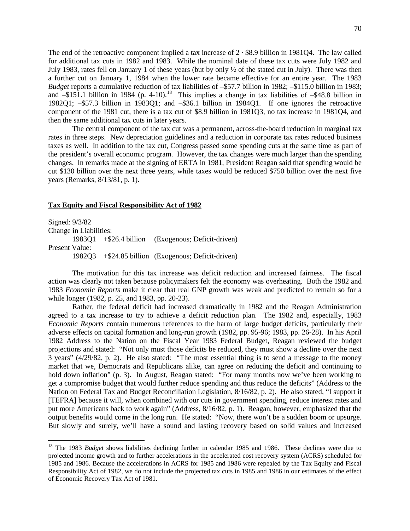The end of the retroactive component implied a tax increase of  $2 \cdot $8.9$  billion in 1981Q4. The law called for additional tax cuts in 1982 and 1983. While the nominal date of these tax cuts were July 1982 and July 1983, rates fell on January 1 of these years (but by only ½ of the stated cut in July). There was then a further cut on January 1, 1984 when the lower rate became effective for an entire year. The 1983 *Budget* reports a cumulative reduction of tax liabilities of –\$57.7 billion in 1982; –\$115.0 billion in 1983; and  $-151.1$  billion in 1984 (p. 4-10).<sup>[18](#page-71-0)</sup> This implies a change in tax liabilities of  $-48.8$  billion in 1982Q1; –\$57.3 billion in 1983Q1; and –\$36.1 billion in 1984Q1. If one ignores the retroactive component of the 1981 cut, there is a tax cut of \$8.9 billion in 1981Q3, no tax increase in 1981Q4, and then the same additional tax cuts in later years.

The central component of the tax cut was a permanent, across-the-board reduction in marginal tax rates in three steps. New depreciation guidelines and a reduction in corporate tax rates reduced business taxes as well. In addition to the tax cut, Congress passed some spending cuts at the same time as part of the president's overall economic program. However, the tax changes were much larger than the spending changes. In remarks made at the signing of ERTA in 1981, President Reagan said that spending would be cut \$130 billion over the next three years, while taxes would be reduced \$750 billion over the next five years (Remarks, 8/13/81, p. 1).

#### **Tax Equity and Fiscal Responsibility Act of 1982**

Signed: 9/3/82 Change in Liabilities: 1983Q1 +\$26.4 billion (Exogenous; Deficit-driven) Present Value: 1982Q3 +\$24.85 billion (Exogenous; Deficit-driven)

The motivation for this tax increase was deficit reduction and increased fairness. The fiscal action was clearly not taken because policymakers felt the economy was overheating. Both the 1982 and 1983 *Economic Reports* make it clear that real GNP growth was weak and predicted to remain so for a while longer (1982, p. 25, and 1983, pp. 20-23).

Rather, the federal deficit had increased dramatically in 1982 and the Reagan Administration agreed to a tax increase to try to achieve a deficit reduction plan. The 1982 and, especially, 1983 *Economic Reports* contain numerous references to the harm of large budget deficits, particularly their adverse effects on capital formation and long-run growth (1982, pp. 95-96; 1983, pp. 26-28). In his April 1982 Address to the Nation on the Fiscal Year 1983 Federal Budget, Reagan reviewed the budget projections and stated: "Not only must those deficits be reduced, they must show a decline over the next 3 years" (4/29/82, p. 2). He also stated: "The most essential thing is to send a message to the money market that we, Democrats and Republicans alike, can agree on reducing the deficit and continuing to hold down inflation" (p. 3). In August, Reagan stated: "For many months now we've been working to get a compromise budget that would further reduce spending and thus reduce the deficits" (Address to the Nation on Federal Tax and Budget Reconciliation Legislation, 8/16/82, p. 2). He also stated, "I support it [TEFRA] because it will, when combined with our cuts in government spending, reduce interest rates and put more Americans back to work again" (Address, 8/16/82, p. 1). Reagan, however, emphasized that the output benefits would come in the long run. He stated: "Now, there won't be a sudden boom or upsurge. But slowly and surely, we'll have a sound and lasting recovery based on solid values and increased

<span id="page-71-0"></span><sup>&</sup>lt;sup>18</sup> The 1983 *Budget* shows liabilities declining further in calendar 1985 and 1986. These declines were due to projected income growth and to further accelerations in the accelerated cost recovery system (ACRS) scheduled for 1985 and 1986. Because the accelerations in ACRS for 1985 and 1986 were repealed by the Tax Equity and Fiscal Responsibility Act of 1982, we do not include the projected tax cuts in 1985 and 1986 in our estimates of the effect of Economic Recovery Tax Act of 1981.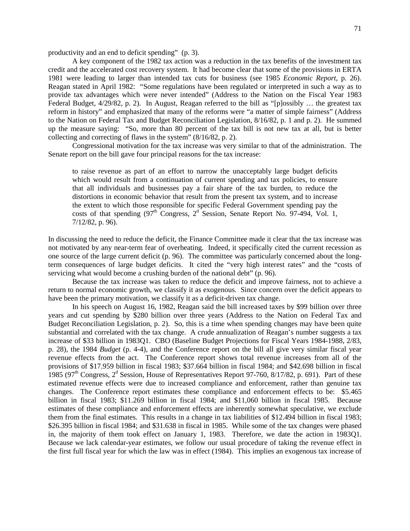productivity and an end to deficit spending" (p. 3).

A key component of the 1982 tax action was a reduction in the tax benefits of the investment tax credit and the accelerated cost recovery system. It had become clear that some of the provisions in ERTA 1981 were leading to larger than intended tax cuts for business (see 1985 *Economic Report*, p. 26). Reagan stated in April 1982: "Some regulations have been regulated or interpreted in such a way as to provide tax advantages which were never intended" (Address to the Nation on the Fiscal Year 1983 Federal Budget, 4/29/82, p. 2). In August, Reagan referred to the bill as "[p]ossibly … the greatest tax reform in history" and emphasized that many of the reforms were "a matter of simple fairness" (Address to the Nation on Federal Tax and Budget Reconciliation Legislation, 8/16/82, p. 1 and p. 2). He summed up the measure saying: "So, more than 80 percent of the tax bill is not new tax at all, but is better collecting and correcting of flaws in the system" (8/16/82, p. 2).

Congressional motivation for the tax increase was very similar to that of the administration. The Senate report on the bill gave four principal reasons for the tax increase:

to raise revenue as part of an effort to narrow the unacceptably large budget deficits which would result from a continuation of current spending and tax policies, to ensure that all individuals and businesses pay a fair share of the tax burden, to reduce the distortions in economic behavior that result from the present tax system, and to increase the extent to which those responsible for specific Federal Government spending pay the costs of that spending  $(97<sup>th</sup>$  Congress,  $2<sup>d</sup>$  Session, Senate Report No. 97-494, Vol. 1, 7/12/82, p. 96).

In discussing the need to reduce the deficit, the Finance Committee made it clear that the tax increase was not motivated by any near-term fear of overheating. Indeed, it specifically cited the current recession as one source of the large current deficit (p. 96). The committee was particularly concerned about the longterm consequences of large budget deficits. It cited the "very high interest rates" and the "costs of servicing what would become a crushing burden of the national debt" (p. 96).

Because the tax increase was taken to reduce the deficit and improve fairness, not to achieve a return to normal economic growth, we classify it as exogenous. Since concern over the deficit appears to have been the primary motivation, we classify it as a deficit-driven tax change.

In his speech on August 16, 1982, Reagan said the bill increased taxes by \$99 billion over three years and cut spending by \$280 billion over three years (Address to the Nation on Federal Tax and Budget Reconciliation Legislation, p. 2). So, this is a time when spending changes may have been quite substantial and correlated with the tax change. A crude annualization of Reagan's number suggests a tax increase of \$33 billion in 1983Q1. CBO (Baseline Budget Projections for Fiscal Years 1984-1988, 2/83, p. 28), the 1984 *Budget* (p. 4-4), and the Conference report on the bill all give very similar fiscal year revenue effects from the act. The Conference report shows total revenue increases from all of the provisions of \$17.959 billion in fiscal 1983; \$37.664 billion in fiscal 1984; and \$42.698 billion in fiscal 1985 (97<sup>th</sup> Congress,  $2^d$  Session, House of Representatives Report 97-760, 8/17/82, p. 691). Part of these estimated revenue effects were due to increased compliance and enforcement, rather than genuine tax changes. The Conference report estimates these compliance and enforcement effects to be: \$5.465 billion in fiscal 1983; \$11.269 billion in fiscal 1984; and \$11,060 billion in fiscal 1985. Because estimates of these compliance and enforcement effects are inherently somewhat speculative, we exclude them from the final estimates. This results in a change in tax liabilities of \$12.494 billion in fiscal 1983; \$26.395 billion in fiscal 1984; and \$31.638 in fiscal in 1985. While some of the tax changes were phased in, the majority of them took effect on January 1, 1983. Therefore, we date the action in 1983Q1. Because we lack calendar-year estimates, we follow our usual procedure of taking the revenue effect in the first full fiscal year for which the law was in effect (1984). This implies an exogenous tax increase of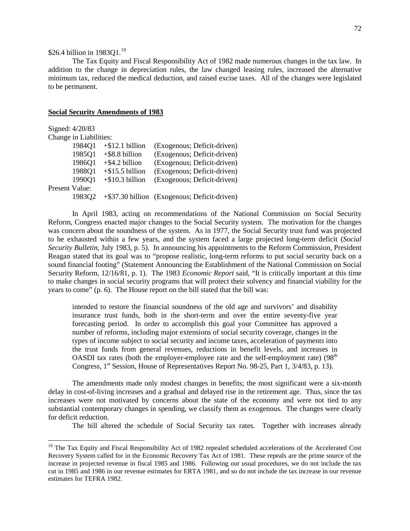# \$26.4 billion in [19](#page-73-0)8301.<sup>19</sup>

The Tax Equity and Fiscal Responsibility Act of 1982 made numerous changes in the tax law. In addition to the change in depreciation rules, the law changed leasing rules, increased the alternative minimum tax, reduced the medical deduction, and raised excise taxes. All of the changes were legislated to be permanent.

## **Social Security Amendments of 1983**

| Signed: 4/20/83        |        |                    |                                              |
|------------------------|--------|--------------------|----------------------------------------------|
| Change in Liabilities: |        |                    |                                              |
|                        | 1984Q1 | $+$ \$12.1 billion | (Exogenous; Deficit-driven)                  |
|                        | 1985Q1 | $+$ \$8.8 billion  | (Exogenous; Deficit-driven)                  |
|                        | 1986Q1 | $+$ \$4.2 billion  | (Exogenous; Deficit-driven)                  |
|                        | 1988Q1 | $+$ \$15.5 billion | (Exogenous; Deficit-driven)                  |
|                        | 1990Q1 | $+$ \$10.3 billion | (Exogenous; Deficit-driven)                  |
| <b>Present Value:</b>  |        |                    |                                              |
|                        | 198302 |                    | +\$37.30 billion (Exogenous; Deficit-driven) |

In April 1983, acting on recommendations of the National Commission on Social Security Reform, Congress enacted major changes to the Social Security system. The motivation for the changes was concern about the soundness of the system. As in 1977, the Social Security trust fund was projected to be exhausted within a few years, and the system faced a large projected long-term deficit (*Social Security Bulletin*, July 1983, p. 5). In announcing his appointments to the Reform Commission, President Reagan stated that its goal was to "propose realistic, long-term reforms to put social security back on a sound financial footing" (Statement Announcing the Establishment of the National Commission on Social Security Reform, 12/16/81, p. 1). The 1983 *Economic Report* said, "It is critically important at this time to make changes in social security programs that will protect their solvency and financial viability for the years to come" (p. 6). The House report on the bill stated that the bill was:

intended to restore the financial soundness of the old age and survivors' and disability insurance trust funds, both in the short-term and over the entire seventy-five year forecasting period. In order to accomplish this goal your Committee has approved a number of reforms, including major extensions of social security coverage, changes in the types of income subject to social security and income taxes, acceleration of payments into the trust funds from general revenues, reductions in benefit levels, and increases in OASDI tax rates (both the employer-employee rate and the self-employment rate)  $(98<sup>th</sup>$ Congress,  $1<sup>st</sup>$  Session, House of Representatives Report No. 98-25, Part 1, 3/4/83, p. 13).

The amendments made only modest changes in benefits; the most significant were a six-month delay in cost-of-living increases and a gradual and delayed rise in the retirement age. Thus, since the tax increases were not motivated by concerns about the state of the economy and were not tied to any substantial contemporary changes in spending, we classify them as exogenous. The changes were clearly for deficit reduction.

The bill altered the schedule of Social Security tax rates. Together with increases already

<span id="page-73-0"></span><sup>&</sup>lt;sup>19</sup> The Tax Equity and Fiscal Responsibility Act of 1982 repealed scheduled accelerations of the Accelerated Cost Recovery System called for in the Economic Recovery Tax Act of 1981. These repeals are the prime source of the increase in projected revenue in fiscal 1985 and 1986. Following our usual procedures, we do not include the tax cut in 1985 and 1986 in our revenue estimates for ERTA 1981, and so do not include the tax increase in our revenue estimates for TEFRA 1982.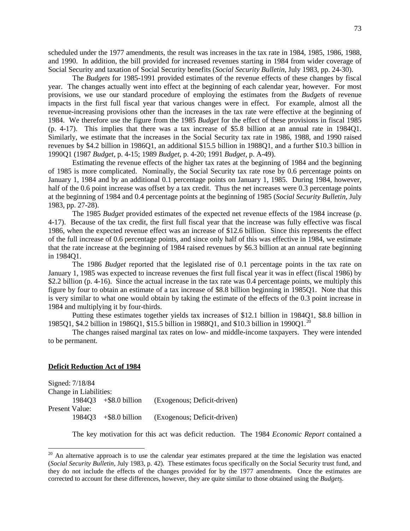scheduled under the 1977 amendments, the result was increases in the tax rate in 1984, 1985, 1986, 1988, and 1990. In addition, the bill provided for increased revenues starting in 1984 from wider coverage of Social Security and taxation of Social Security benefits (*Social Security Bulletin*, July 1983, pp. 24-30).

The *Budgets* for 1985-1991 provided estimates of the revenue effects of these changes by fiscal year. The changes actually went into effect at the beginning of each calendar year, however. For most provisions, we use our standard procedure of employing the estimates from the *Budgets* of revenue impacts in the first full fiscal year that various changes were in effect. For example, almost all the revenue-increasing provisions other than the increases in the tax rate were effective at the beginning of 1984. We therefore use the figure from the 1985 *Budget* for the effect of these provisions in fiscal 1985 (p. 4-17). This implies that there was a tax increase of \$5.8 billion at an annual rate in 1984Q1. Similarly, we estimate that the increases in the Social Security tax rate in 1986, 1988, and 1990 raised revenues by \$4.2 billion in 1986Q1, an additional \$15.5 billion in 1988Q1, and a further \$10.3 billion in 1990Q1 (1987 *Budget*, p. 4-15; 1989 *Budget*, p. 4-20; 1991 *Budget*, p. A-49).

Estimating the revenue effects of the higher tax rates at the beginning of 1984 and the beginning of 1985 is more complicated. Nominally, the Social Security tax rate rose by 0.6 percentage points on January 1, 1984 and by an additional 0.1 percentage points on January 1, 1985. During 1984, however, half of the 0.6 point increase was offset by a tax credit. Thus the net increases were 0.3 percentage points at the beginning of 1984 and 0.4 percentage points at the beginning of 1985 (*Social Security Bulletin*, July 1983, pp. 27-28).

The 1985 *Budget* provided estimates of the expected net revenue effects of the 1984 increase (p. 4-17). Because of the tax credit, the first full fiscal year that the increase was fully effective was fiscal 1986, when the expected revenue effect was an increase of \$12.6 billion. Since this represents the effect of the full increase of 0.6 percentage points, and since only half of this was effective in 1984, we estimate that the rate increase at the beginning of 1984 raised revenues by \$6.3 billion at an annual rate beginning in 1984Q1.

The 1986 *Budget* reported that the legislated rise of 0.1 percentage points in the tax rate on January 1, 1985 was expected to increase revenues the first full fiscal year it was in effect (fiscal 1986) by \$2.2 billion (p. 4-16). Since the actual increase in the tax rate was 0.4 percentage points, we multiply this figure by four to obtain an estimate of a tax increase of \$8.8 billion beginning in 1985Q1. Note that this is very similar to what one would obtain by taking the estimate of the effects of the 0.3 point increase in 1984 and multiplying it by four-thirds.

Putting these estimates together yields tax increases of \$12.1 billion in 1984Q1, \$8.8 billion in 1985Q1, \$4.2 billion in 1986Q1, \$15.5 billion in 1988Q1, and \$10.3 billion in 1990Q1.<sup>[20](#page-74-0)</sup>

The changes raised marginal tax rates on low- and middle-income taxpayers. They were intended to be permanent.

### **Deficit Reduction Act of 1984**

|                | Signed: 7/18/84        |                                 |                             |
|----------------|------------------------|---------------------------------|-----------------------------|
|                | Change in Liabilities: |                                 |                             |
|                |                        | $1984Q3 + $8.0 \text{ billion}$ | (Exogenous; Deficit-driven) |
| Present Value: |                        |                                 |                             |
|                |                        | $1984Q3 + $8.0 \text{ billion}$ | (Exogenous; Deficit-driven) |

The key motivation for this act was deficit reduction. The 1984 *Economic Report* contained a

<span id="page-74-0"></span> $20$  An alternative approach is to use the calendar year estimates prepared at the time the legislation was enacted (*Social Security Bulletin*, July 1983, p. 42). These estimates focus specifically on the Social Security trust fund, and they do not include the effects of the changes provided for by the 1977 amendments. Once the estimates are corrected to account for these differences, however, they are quite similar to those obtained using the *Budget*s.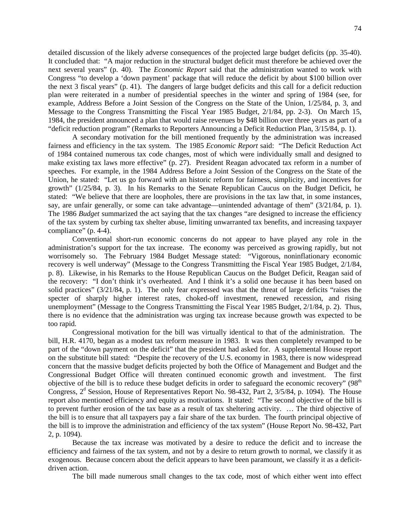detailed discussion of the likely adverse consequences of the projected large budget deficits (pp. 35-40). It concluded that: "A major reduction in the structural budget deficit must therefore be achieved over the next several years" (p. 40). The *Economic Report* said that the administration wanted to work with Congress "to develop a 'down payment' package that will reduce the deficit by about \$100 billion over the next 3 fiscal years" (p. 41). The dangers of large budget deficits and this call for a deficit reduction plan were reiterated in a number of presidential speeches in the winter and spring of 1984 (see, for example, Address Before a Joint Session of the Congress on the State of the Union, 1/25/84, p. 3, and Message to the Congress Transmitting the Fiscal Year 1985 Budget, 2/1/84, pp. 2-3). On March 15, 1984, the president announced a plan that would raise revenues by \$48 billion over three years as part of a "deficit reduction program" (Remarks to Reporters Announcing a Deficit Reduction Plan, 3/15/84, p. 1).

A secondary motivation for the bill mentioned frequently by the administration was increased fairness and efficiency in the tax system. The 1985 *Economic Report* said: "The Deficit Reduction Act of 1984 contained numerous tax code changes, most of which were individually small and designed to make existing tax laws more effective" (p. 27). President Reagan advocated tax reform in a number of speeches. For example, in the 1984 Address Before a Joint Session of the Congress on the State of the Union, he stated: "Let us go forward with an historic reform for fairness, simplicity, and incentives for growth" (1/25/84, p. 3). In his Remarks to the Senate Republican Caucus on the Budget Deficit, he stated: "We believe that there are loopholes, there are provisions in the tax law that, in some instances, say, are unfair generally, or some can take advantage—unintended advantage of them" (3/21/84, p. 1). The 1986 *Budget* summarized the act saying that the tax changes "are designed to increase the efficiency of the tax system by curbing tax shelter abuse, limiting unwarranted tax benefits, and increasing taxpayer compliance" (p. 4-4).

Conventional short-run economic concerns do not appear to have played any role in the administration's support for the tax increase. The economy was perceived as growing rapidly, but not worrisomely so. The February 1984 Budget Message stated: "Vigorous, noninflationary economic recovery is well underway" (Message to the Congress Transmitting the Fiscal Year 1985 Budget, 2/1/84, p. 8). Likewise, in his Remarks to the House Republican Caucus on the Budget Deficit, Reagan said of the recovery: "I don't think it's overheated. And I think it's a solid one because it has been based on solid practices" (3/21/84, p. 1). The only fear expressed was that the threat of large deficits "raises the specter of sharply higher interest rates, choked-off investment, renewed recession, and rising unemployment" (Message to the Congress Transmitting the Fiscal Year 1985 Budget, 2/1/84, p. 2). Thus, there is no evidence that the administration was urging tax increase because growth was expected to be too rapid.

Congressional motivation for the bill was virtually identical to that of the administration. The bill, H.R. 4170, began as a modest tax reform measure in 1983. It was then completely revamped to be part of the "down payment on the deficit" that the president had asked for. A supplemental House report on the substitute bill stated: "Despite the recovery of the U.S. economy in 1983, there is now widespread concern that the massive budget deficits projected by both the Office of Management and Budget and the Congressional Budget Office will threaten continued economic growth and investment. The first objective of the bill is to reduce these budget deficits in order to safeguard the economic recovery" (98<sup>th</sup>) Congress,  $2<sup>d</sup>$  Session, House of Representatives Report No. 98-432, Part 2, 3/5/84, p. 1094). The House report also mentioned efficiency and equity as motivations. It stated: "The second objective of the bill is to prevent further erosion of the tax base as a result of tax sheltering activity. … The third objective of the bill is to ensure that all taxpayers pay a fair share of the tax burden. The fourth principal objective of the bill is to improve the administration and efficiency of the tax system" (House Report No. 98-432, Part 2, p. 1094).

Because the tax increase was motivated by a desire to reduce the deficit and to increase the efficiency and fairness of the tax system, and not by a desire to return growth to normal, we classify it as exogenous. Because concern about the deficit appears to have been paramount, we classify it as a deficitdriven action.

The bill made numerous small changes to the tax code, most of which either went into effect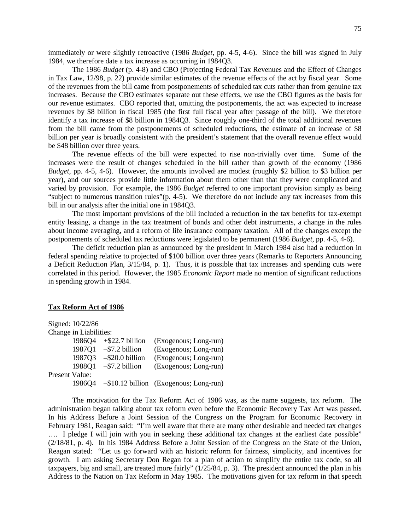immediately or were slightly retroactive (1986 *Budget*, pp. 4-5, 4-6). Since the bill was signed in July 1984, we therefore date a tax increase as occurring in 1984Q3.

The 1986 *Budget* (p. 4-8) and CBO (Projecting Federal Tax Revenues and the Effect of Changes in Tax Law, 12/98, p. 22) provide similar estimates of the revenue effects of the act by fiscal year. Some of the revenues from the bill came from postponements of scheduled tax cuts rather than from genuine tax increases. Because the CBO estimates separate out these effects, we use the CBO figures as the basis for our revenue estimates. CBO reported that, omitting the postponements, the act was expected to increase revenues by \$8 billion in fiscal 1985 (the first full fiscal year after passage of the bill). We therefore identify a tax increase of \$8 billion in 1984Q3. Since roughly one-third of the total additional revenues from the bill came from the postponements of scheduled reductions, the estimate of an increase of \$8 billion per year is broadly consistent with the president's statement that the overall revenue effect would be \$48 billion over three years.

The revenue effects of the bill were expected to rise non-trivially over time. Some of the increases were the result of changes scheduled in the bill rather than growth of the economy (1986 *Budget*, pp. 4-5, 4-6). However, the amounts involved are modest (roughly \$2 billion to \$3 billion per year), and our sources provide little information about them other than that they were complicated and varied by provision. For example, the 1986 *Budget* referred to one important provision simply as being "subject to numerous transition rules"(p. 4-5). We therefore do not include any tax increases from this bill in our analysis after the initial one in 1984Q3.

The most important provisions of the bill included a reduction in the tax benefits for tax-exempt entity leasing, a change in the tax treatment of bonds and other debt instruments, a change in the rules about income averaging, and a reform of life insurance company taxation. All of the changes except the postponements of scheduled tax reductions were legislated to be permanent (1986 *Budget*, pp. 4-5, 4-6).

The deficit reduction plan as announced by the president in March 1984 also had a reduction in federal spending relative to projected of \$100 billion over three years (Remarks to Reporters Announcing a Deficit Reduction Plan, 3/15/84, p. 1). Thus, it is possible that tax increases and spending cuts were correlated in this period. However, the 1985 *Economic Report* made no mention of significant reductions in spending growth in 1984.

### **Tax Reform Act of 1986**

|                | Signed: 10/22/86       |                                 |                                                |
|----------------|------------------------|---------------------------------|------------------------------------------------|
|                | Change in Liabilities: |                                 |                                                |
|                | 198604                 | $+$ \$22.7 billion              | (Exogenous; Long-run)                          |
|                |                        | $1987Q1 - $7.2 \text{ billion}$ | (Exogenous; Long-run)                          |
|                | 1987Q3                 | $-$ \$20.0 billion              | (Exogenous; Long-run)                          |
|                | 1988Q1                 | $-$ \$7.2 billion               | (Exogenous; Long-run)                          |
| Present Value: |                        |                                 |                                                |
|                |                        |                                 | 1986Q4 - \$10.12 billion (Exogenous; Long-run) |

The motivation for the Tax Reform Act of 1986 was, as the name suggests, tax reform. The administration began talking about tax reform even before the Economic Recovery Tax Act was passed. In his Address Before a Joint Session of the Congress on the Program for Economic Recovery in February 1981, Reagan said: "I'm well aware that there are many other desirable and needed tax changes …. I pledge I will join with you in seeking these additional tax changes at the earliest date possible" (2/18/81, p. 4). In his 1984 Address Before a Joint Session of the Congress on the State of the Union, Reagan stated: "Let us go forward with an historic reform for fairness, simplicity, and incentives for growth. I am asking Secretary Don Regan for a plan of action to simplify the entire tax code, so all taxpayers, big and small, are treated more fairly" (1/25/84, p. 3). The president announced the plan in his Address to the Nation on Tax Reform in May 1985. The motivations given for tax reform in that speech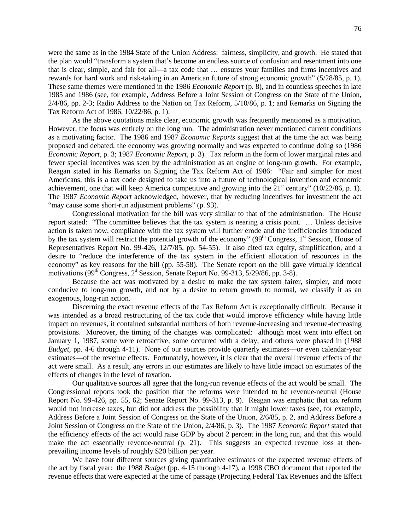were the same as in the 1984 State of the Union Address: fairness, simplicity, and growth. He stated that the plan would "transform a system that's become an endless source of confusion and resentment into one that is clear, simple, and fair for all—a tax code that … ensures your families and firms incentives and rewards for hard work and risk-taking in an American future of strong economic growth" (5/28/85, p. 1). These same themes were mentioned in the 1986 *Economic Report* (p. 8), and in countless speeches in late 1985 and 1986 (see, for example, Address Before a Joint Session of Congress on the State of the Union, 2/4/86, pp. 2-3; Radio Address to the Nation on Tax Reform, 5/10/86, p. 1; and Remarks on Signing the Tax Reform Act of 1986, 10/22/86, p. 1).

As the above quotations make clear, economic growth was frequently mentioned as a motivation. However, the focus was entirely on the long run. The administration never mentioned current conditions as a motivating factor. The 1986 and 1987 *Economic Reports* suggest that at the time the act was being proposed and debated, the economy was growing normally and was expected to continue doing so (1986 *Economic Report*, p. 3; 1987 *Economic Report*, p. 3). Tax reform in the form of lower marginal rates and fewer special incentives was seen by the administration as an engine of long-run growth. For example, Reagan stated in his Remarks on Signing the Tax Reform Act of 1986: "Fair and simpler for most Americans, this is a tax code designed to take us into a future of technological invention and economic achievement, one that will keep America competitive and growing into the  $21<sup>st</sup>$  century" (10/22/86, p. 1). The 1987 *Economic Report* acknowledged, however, that by reducing incentives for investment the act "may cause some short-run adjustment problems" (p. 93).

Congressional motivation for the bill was very similar to that of the administration. The House report stated: "The committee believes that the tax system is nearing a crisis point. … Unless decisive action is taken now, compliance with the tax system will further erode and the inefficiencies introduced by the tax system will restrict the potential growth of the economy" (99<sup>th</sup> Congress, 1<sup>st</sup> Session, House of Representatives Report No. 99-426, 12/7/85, pp. 54-55). It also cited tax equity, simplification, and a desire to "reduce the interference of the tax system in the efficient allocation of resources in the economy" as key reasons for the bill (pp. 55-58). The Senate report on the bill gave virtually identical motivations ( $99<sup>th</sup>$  Congress,  $2<sup>d</sup>$  Session, Senate Report No. 99-313,  $5/29/86$ , pp. 3-8).

Because the act was motivated by a desire to make the tax system fairer, simpler, and more conducive to long-run growth, and not by a desire to return growth to normal, we classify it as an exogenous, long-run action.

Discerning the exact revenue effects of the Tax Reform Act is exceptionally difficult. Because it was intended as a broad restructuring of the tax code that would improve efficiency while having little impact on revenues, it contained substantial numbers of both revenue-increasing and revenue-decreasing provisions. Moreover, the timing of the changes was complicated: although most went into effect on January 1, 1987, some were retroactive, some occurred with a delay, and others were phased in (1988 *Budget*, pp. 4-6 through 4-11). None of our sources provide quarterly estimates—or even calendar-year estimates—of the revenue effects. Fortunately, however, it is clear that the overall revenue effects of the act were small. As a result, any errors in our estimates are likely to have little impact on estimates of the effects of changes in the level of taxation.

Our qualitative sources all agree that the long-run revenue effects of the act would be small. The Congressional reports took the position that the reforms were intended to be revenue-neutral (House Report No. 99-426, pp. 55, 62; Senate Report No. 99-313, p. 9). Reagan was emphatic that tax reform would not increase taxes, but did not address the possibility that it might lower taxes (see, for example, Address Before a Joint Session of Congress on the State of the Union, 2/6/85, p. 2, and Address Before a Joint Session of Congress on the State of the Union, 2/4/86, p. 3). The 1987 *Economic Report* stated that the efficiency effects of the act would raise GDP by about 2 percent in the long run, and that this would make the act essentially revenue-neutral (p. 21). This suggests an expected revenue loss at thenprevailing income levels of roughly \$20 billion per year.

We have four different sources giving quantitative estimates of the expected revenue effects of the act by fiscal year: the 1988 *Budget* (pp. 4-15 through 4-17), a 1998 CBO document that reported the revenue effects that were expected at the time of passage (Projecting Federal Tax Revenues and the Effect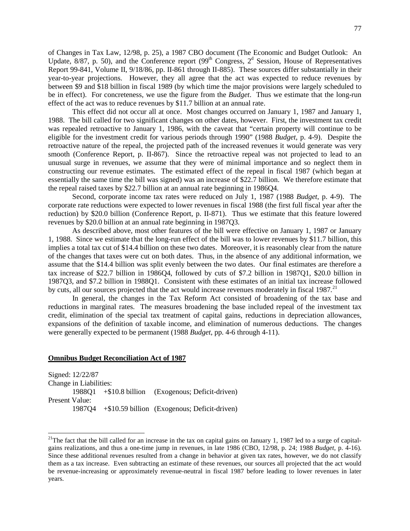of Changes in Tax Law, 12/98, p. 25), a 1987 CBO document (The Economic and Budget Outlook: An Update,  $8/87$ , p. 50), and the Conference report (99<sup>th</sup> Congress, 2<sup>d</sup> Session, House of Representatives Report 99-841, Volume II, 9/18/86, pp. II-861 through II-885). These sources differ substantially in their year-to-year projections. However, they all agree that the act was expected to reduce revenues by between \$9 and \$18 billion in fiscal 1989 (by which time the major provisions were largely scheduled to be in effect). For concreteness, we use the figure from the *Budget*. Thus we estimate that the long-run effect of the act was to reduce revenues by \$11.7 billion at an annual rate.

This effect did not occur all at once. Most changes occurred on January 1, 1987 and January 1, 1988. The bill called for two significant changes on other dates, however. First, the investment tax credit was repealed retroactive to January 1, 1986, with the caveat that "certain property will continue to be eligible for the investment credit for various periods through 1990" (1988 *Budget*, p. 4-9). Despite the retroactive nature of the repeal, the projected path of the increased revenues it would generate was very smooth (Conference Report, p. II-867). Since the retroactive repeal was not projected to lead to an unusual surge in revenues, we assume that they were of minimal importance and so neglect them in constructing our revenue estimates. The estimated effect of the repeal in fiscal 1987 (which began at essentially the same time the bill was signed) was an increase of \$22.7 billion. We therefore estimate that the repeal raised taxes by \$22.7 billion at an annual rate beginning in 1986Q4.

Second, corporate income tax rates were reduced on July 1, 1987 (1988 *Budget*, p. 4-9). The corporate rate reductions were expected to lower revenues in fiscal 1988 (the first full fiscal year after the reduction) by \$20.0 billion (Conference Report, p. II-871). Thus we estimate that this feature lowered revenues by \$20.0 billion at an annual rate beginning in 1987Q3.

As described above, most other features of the bill were effective on January 1, 1987 or January 1, 1988. Since we estimate that the long-run effect of the bill was to lower revenues by \$11.7 billion, this implies a total tax cut of \$14.4 billion on these two dates. Moreover, it is reasonably clear from the nature of the changes that taxes were cut on both dates. Thus, in the absence of any additional information, we assume that the \$14.4 billion was split evenly between the two dates. Our final estimates are therefore a tax increase of \$22.7 billion in 1986Q4, followed by cuts of \$7.2 billion in 1987Q1, \$20.0 billion in 1987Q3, and \$7.2 billion in 1988Q1. Consistent with these estimates of an initial tax increase followed by cuts, all our sources projected that the act would increase revenues moderately in fiscal 1987.<sup>[21](#page-78-0)</sup>

In general, the changes in the Tax Reform Act consisted of broadening of the tax base and reductions in marginal rates. The measures broadening the base included repeal of the investment tax credit, elimination of the special tax treatment of capital gains, reductions in depreciation allowances, expansions of the definition of taxable income, and elimination of numerous deductions. The changes were generally expected to be permanent (1988 *Budget*, pp. 4-6 through 4-11).

### **Omnibus Budget Reconciliation Act of 1987**

Signed: 12/22/87 Change in Liabilities: 1988Q1 +\$10.8 billion (Exogenous; Deficit-driven) Present Value: 1987Q4 +\$10.59 billion (Exogenous; Deficit-driven)

<span id="page-78-0"></span><sup>&</sup>lt;sup>21</sup>The fact that the bill called for an increase in the tax on capital gains on January 1, 1987 led to a surge of capitalgains realizations, and thus a one-time jump in revenues, in late 1986 (CBO, 12/98, p. 24; 1988 *Budget*, p. 4-16). Since these additional revenues resulted from a change in behavior at given tax rates, however, we do not classify them as a tax increase. Even subtracting an estimate of these revenues, our sources all projected that the act would be revenue-increasing or approximately revenue-neutral in fiscal 1987 before leading to lower revenues in later years.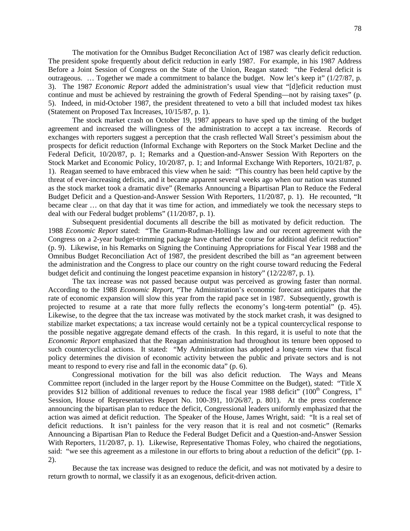The motivation for the Omnibus Budget Reconciliation Act of 1987 was clearly deficit reduction. The president spoke frequently about deficit reduction in early 1987. For example, in his 1987 Address Before a Joint Session of Congress on the State of the Union, Reagan stated: "the Federal deficit is outrageous. … Together we made a commitment to balance the budget. Now let's keep it" (1/27/87, p. 3). The 1987 *Economic Report* added the administration's usual view that "[d]eficit reduction must continue and must be achieved by restraining the growth of Federal Spending—not by raising taxes" (p. 5). Indeed, in mid-October 1987, the president threatened to veto a bill that included modest tax hikes (Statement on Proposed Tax Increases, 10/15/87, p. 1).

The stock market crash on October 19, 1987 appears to have sped up the timing of the budget agreement and increased the willingness of the administration to accept a tax increase. Records of exchanges with reporters suggest a perception that the crash reflected Wall Street's pessimism about the prospects for deficit reduction (Informal Exchange with Reporters on the Stock Market Decline and the Federal Deficit, 10/20/87, p. 1; Remarks and a Question-and-Answer Session With Reporters on the Stock Market and Economic Policy, 10/20/87, p. 1; and Informal Exchange With Reporters, 10/21/87, p. 1). Reagan seemed to have embraced this view when he said: "This country has been held captive by the threat of ever-increasing deficits, and it became apparent several weeks ago when our nation was stunned as the stock market took a dramatic dive" (Remarks Announcing a Bipartisan Plan to Reduce the Federal Budget Deficit and a Question-and-Answer Session With Reporters, 11/20/87, p. 1). He recounted, "It became clear … on that day that it was time for action, and immediately we took the necessary steps to deal with our Federal budget problems" (11/20/87, p. 1).

Subsequent presidential documents all describe the bill as motivated by deficit reduction. The 1988 *Economic Report* stated: "The Gramm-Rudman-Hollings law and our recent agreement with the Congress on a 2-year budget-trimming package have charted the course for additional deficit reduction" (p. 9). Likewise, in his Remarks on Signing the Continuing Appropriations for Fiscal Year 1988 and the Omnibus Budget Reconciliation Act of 1987, the president described the bill as "an agreement between the administration and the Congress to place our country on the right course toward reducing the Federal budget deficit and continuing the longest peacetime expansion in history" (12/22/87, p. 1).

The tax increase was not passed because output was perceived as growing faster than normal. According to the 1988 *Economic Report*, "The Administration's economic forecast anticipates that the rate of economic expansion will slow this year from the rapid pace set in 1987. Subsequently, growth is projected to resume at a rate that more fully reflects the economy's long-term potential" (p. 45). Likewise, to the degree that the tax increase was motivated by the stock market crash, it was designed to stabilize market expectations; a tax increase would certainly not be a typical countercyclical response to the possible negative aggregate demand effects of the crash. In this regard, it is useful to note that the *Economic Report* emphasized that the Reagan administration had throughout its tenure been opposed to such countercyclical actions. It stated: "My Administration has adopted a long-term view that fiscal policy determines the division of economic activity between the public and private sectors and is not meant to respond to every rise and fall in the economic data" (p. 6).

Congressional motivation for the bill was also deficit reduction. The Ways and Means Committee report (included in the larger report by the House Committee on the Budget), stated: "Title X provides \$12 billion of additional revenues to reduce the fiscal year 1988 deficit" (100<sup>th</sup> Congress, 1<sup>st</sup> Session, House of Representatives Report No. 100-391, 10/26/87, p. 801). At the press conference announcing the bipartisan plan to reduce the deficit, Congressional leaders uniformly emphasized that the action was aimed at deficit reduction. The Speaker of the House, James Wright, said: "It is a real set of deficit reductions. It isn't painless for the very reason that it is real and not cosmetic" (Remarks Announcing a Bipartisan Plan to Reduce the Federal Budget Deficit and a Question-and-Answer Session With Reporters, 11/20/87, p. 1). Likewise, Representative Thomas Foley, who chaired the negotiations, said: "we see this agreement as a milestone in our efforts to bring about a reduction of the deficit" (pp. 1- 2).

Because the tax increase was designed to reduce the deficit, and was not motivated by a desire to return growth to normal, we classify it as an exogenous, deficit-driven action.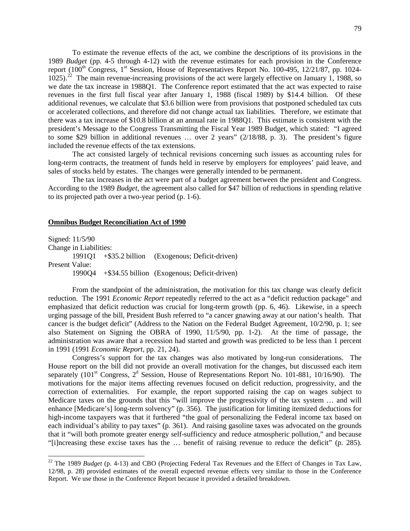To estimate the revenue effects of the act, we combine the descriptions of its provisions in the 1989 *Budget* (pp. 4-5 through 4-12) with the revenue estimates for each provision in the Conference report (100<sup>th</sup> Congress, 1<sup>st</sup> Session, House of Representatives Report No. 100-495, 12/21/87, pp. 1024-1025).<sup>[22](#page-80-0)</sup> The main revenue-increasing provisions of the act were largely effective on January 1, 1988, so we date the tax increase in 1988Q1. The Conference report estimated that the act was expected to raise revenues in the first full fiscal year after January 1, 1988 (fiscal 1989) by \$14.4 billion. Of these additional revenues, we calculate that \$3.6 billion were from provisions that postponed scheduled tax cuts or accelerated collections, and therefore did not change actual tax liabilities. Therefore, we estimate that there was a tax increase of \$10.8 billion at an annual rate in 1988Q1. This estimate is consistent with the president's Message to the Congress Transmitting the Fiscal Year 1989 Budget, which stated: "I agreed to some \$29 billion in additional revenues … over 2 years" (2/18/88, p. 3). The president's figure included the revenue effects of the tax extensions.

The act consisted largely of technical revisions concerning such issues as accounting rules for long-term contracts, the treatment of funds held in reserve by employers for employees' paid leave, and sales of stocks held by estates. The changes were generally intended to be permanent.

The tax increases in the act were part of a budget agreement between the president and Congress. According to the 1989 *Budget*, the agreement also called for \$47 billion of reductions in spending relative to its projected path over a two-year period (p. 1-6).

## **Omnibus Budget Reconciliation Act of 1990**

Signed: 11/5/90 Change in Liabilities: 1991Q1 +\$35.2 billion (Exogenous; Deficit-driven) Present Value: 1990Q4 +\$34.55 billion (Exogenous; Deficit-driven)

From the standpoint of the administration, the motivation for this tax change was clearly deficit reduction. The 1991 *Economic Report* repeatedly referred to the act as a "deficit reduction package" and emphasized that deficit reduction was crucial for long-term growth (pp. 6, 46). Likewise, in a speech urging passage of the bill, President Bush referred to "a cancer gnawing away at our nation's health. That cancer is the budget deficit" (Address to the Nation on the Federal Budget Agreement, 10/2/90, p. 1; see also Statement on Signing the OBRA of 1990, 11/5/90, pp. 1-2). At the time of passage, the administration was aware that a recession had started and growth was predicted to be less than 1 percent in 1991 (1991 *Economic Report*, pp. 21, 24).

Congress's support for the tax changes was also motivated by long-run considerations. The House report on the bill did not provide an overall motivation for the changes, but discussed each item separately (101<sup>st</sup> Congress,  $2<sup>d</sup>$  Session, House of Representations Report No. 101-881, 10/16/90). The motivations for the major items affecting revenues focused on deficit reduction, progressivity, and the correction of externalities. For example, the report supported raising the cap on wages subject to Medicare taxes on the grounds that this "will improve the progressivity of the tax system … and will enhance [Medicare's] long-term solvency" (p. 356). The justification for limiting itemized deductions for high-income taxpayers was that it furthered "the goal of personalizing the Federal income tax based on each individual's ability to pay taxes" (p. 361). And raising gasoline taxes was advocated on the grounds that it "will both promote greater energy self-sufficiency and reduce atmospheric pollution," and because "[i]ncreasing these excise taxes has the … benefit of raising revenue to reduce the deficit" (p. 285).

<span id="page-80-0"></span><sup>&</sup>lt;sup>22</sup> The 1989 *Budget* (p. 4-13) and CBO (Projecting Federal Tax Revenues and the Effect of Changes in Tax Law, 12/98, p. 28) provided estimates of the overall expected revenue effects very similar to those in the Conference Report. We use those in the Conference Report because it provided a detailed breakdown.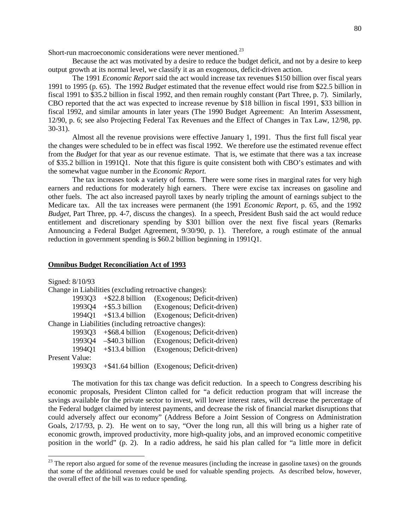Short-run macroeconomic considerations were never mentioned.<sup>[23](#page-81-0)</sup>

Because the act was motivated by a desire to reduce the budget deficit, and not by a desire to keep output growth at its normal level, we classify it as an exogenous, deficit-driven action.

The 1991 *Economic Report* said the act would increase tax revenues \$150 billion over fiscal years 1991 to 1995 (p. 65). The 1992 *Budget* estimated that the revenue effect would rise from \$22.5 billion in fiscal 1991 to \$35.2 billion in fiscal 1992, and then remain roughly constant (Part Three, p. 7). Similarly, CBO reported that the act was expected to increase revenue by \$18 billion in fiscal 1991, \$33 billion in fiscal 1992, and similar amounts in later years (The 1990 Budget Agreement: An Interim Assessment, 12/90, p. 6; see also Projecting Federal Tax Revenues and the Effect of Changes in Tax Law, 12/98, pp. 30-31).

Almost all the revenue provisions were effective January 1, 1991. Thus the first full fiscal year the changes were scheduled to be in effect was fiscal 1992. We therefore use the estimated revenue effect from the *Budget* for that year as our revenue estimate. That is, we estimate that there was a tax increase of \$35.2 billion in 1991Q1. Note that this figure is quite consistent both with CBO's estimates and with the somewhat vague number in the *Economic Report*.

The tax increases took a variety of forms. There were some rises in marginal rates for very high earners and reductions for moderately high earners. There were excise tax increases on gasoline and other fuels. The act also increased payroll taxes by nearly tripling the amount of earnings subject to the Medicare tax. All the tax increases were permanent (the 1991 *Economic Report*, p. 65, and the 1992 *Budget*, Part Three, pp. 4-7, discuss the changes). In a speech, President Bush said the act would reduce entitlement and discretionary spending by \$301 billion over the next five fiscal years (Remarks Announcing a Federal Budget Agreement, 9/30/90, p. 1). Therefore, a rough estimate of the annual reduction in government spending is \$60.2 billion beginning in 1991Q1.

#### **Omnibus Budget Reconciliation Act of 1993**

| Signed: 8/10/93                                        |                                 |                                              |  |
|--------------------------------------------------------|---------------------------------|----------------------------------------------|--|
| Change in Liabilities (excluding retroactive changes): |                                 |                                              |  |
| 1993Q3                                                 | $+$ \$22.8 billion              | (Exogenous; Deficit-driven)                  |  |
|                                                        | $1993Q4 + $5.3 \text{ billion}$ | (Exogenous; Deficit-driven)                  |  |
| 1994O1                                                 | $+$ \$13.4 billion              | (Exogenous; Deficit-driven)                  |  |
| Change in Liabilities (including retroactive changes): |                                 |                                              |  |
| 1993Q3                                                 | $+$ \$68.4 billion              | (Exogenous; Deficit-driven)                  |  |
| 1993Q4                                                 | $-$ \$40.3 billion              | (Exogenous; Deficit-driven)                  |  |
| 1994Q1                                                 | $+$ \$13.4 billion              | (Exogenous; Deficit-driven)                  |  |
| Present Value:                                         |                                 |                                              |  |
| 199303                                                 |                                 | +\$41.64 billion (Exogenous; Deficit-driven) |  |

The motivation for this tax change was deficit reduction. In a speech to Congress describing his economic proposals, President Clinton called for "a deficit reduction program that will increase the savings available for the private sector to invest, will lower interest rates, will decrease the percentage of the Federal budget claimed by interest payments, and decrease the risk of financial market disruptions that could adversely affect our economy" (Address Before a Joint Session of Congress on Administration Goals, 2/17/93, p. 2). He went on to say, "Over the long run, all this will bring us a higher rate of economic growth, improved productivity, more high-quality jobs, and an improved economic competitive position in the world" (p. 2). In a radio address, he said his plan called for "a little more in deficit

<span id="page-81-0"></span> $23$  The report also argued for some of the revenue measures (including the increase in gasoline taxes) on the grounds that some of the additional revenues could be used for valuable spending projects. As described below, however, the overall effect of the bill was to reduce spending.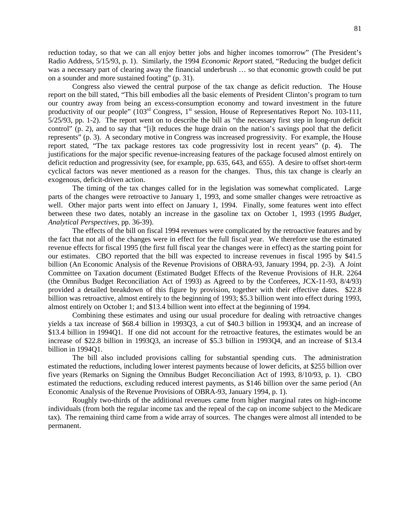reduction today, so that we can all enjoy better jobs and higher incomes tomorrow" (The President's Radio Address, 5/15/93, p. 1). Similarly, the 1994 *Economic Report* stated, "Reducing the budget deficit was a necessary part of clearing away the financial underbrush … so that economic growth could be put on a sounder and more sustained footing" (p. 31).

Congress also viewed the central purpose of the tax change as deficit reduction. The House report on the bill stated, "This bill embodies all the basic elements of President Clinton's program to turn our country away from being an excess-consumption economy and toward investment in the future productivity of our people"  $(103<sup>rd</sup>$  Congress, 1<sup>st</sup> session, House of Representatives Report No. 103-111, 5/25/93, pp. 1-2). The report went on to describe the bill as "the necessary first step in long-run deficit control" (p. 2), and to say that "[i]t reduces the huge drain on the nation's savings pool that the deficit represents" (p. 3). A secondary motive in Congress was increased progressivity. For example, the House report stated, "The tax package restores tax code progressivity lost in recent years" (p. 4). The justifications for the major specific revenue-increasing features of the package focused almost entirely on deficit reduction and progressivity (see, for example, pp. 635, 643, and 655). A desire to offset short-term cyclical factors was never mentioned as a reason for the changes. Thus, this tax change is clearly an exogenous, deficit-driven action.

The timing of the tax changes called for in the legislation was somewhat complicated. Large parts of the changes were retroactive to January 1, 1993, and some smaller changes were retroactive as well. Other major parts went into effect on January 1, 1994. Finally, some features went into effect between these two dates, notably an increase in the gasoline tax on October 1, 1993 (1995 *Budget*, *Analytical Perspectives*, pp. 36-39).

The effects of the bill on fiscal 1994 revenues were complicated by the retroactive features and by the fact that not all of the changes were in effect for the full fiscal year. We therefore use the estimated revenue effects for fiscal 1995 (the first full fiscal year the changes were in effect) as the starting point for our estimates. CBO reported that the bill was expected to increase revenues in fiscal 1995 by \$41.5 billion (An Economic Analysis of the Revenue Provisions of OBRA-93, January 1994, pp. 2-3). A Joint Committee on Taxation document (Estimated Budget Effects of the Revenue Provisions of H.R. 2264 (the Omnibus Budget Reconciliation Act of 1993) as Agreed to by the Conferees, JCX-11-93, 8/4/93) provided a detailed breakdown of this figure by provision, together with their effective dates. \$22.8 billion was retroactive, almost entirely to the beginning of 1993; \$5.3 billion went into effect during 1993, almost entirely on October 1; and \$13.4 billion went into effect at the beginning of 1994.

Combining these estimates and using our usual procedure for dealing with retroactive changes yields a tax increase of \$68.4 billion in 1993Q3, a cut of \$40.3 billion in 1993Q4, and an increase of \$13.4 billion in 1994Q1. If one did not account for the retroactive features, the estimates would be an increase of \$22.8 billion in 1993Q3, an increase of \$5.3 billion in 1993Q4, and an increase of \$13.4 billion in 1994Q1.

The bill also included provisions calling for substantial spending cuts. The administration estimated the reductions, including lower interest payments because of lower deficits, at \$255 billion over five years (Remarks on Signing the Omnibus Budget Reconciliation Act of 1993, 8/10/93, p. 1). CBO estimated the reductions, excluding reduced interest payments, as \$146 billion over the same period (An Economic Analysis of the Revenue Provisions of OBRA-93, January 1994, p. 1).

Roughly two-thirds of the additional revenues came from higher marginal rates on high-income individuals (from both the regular income tax and the repeal of the cap on income subject to the Medicare tax). The remaining third came from a wide array of sources. The changes were almost all intended to be permanent.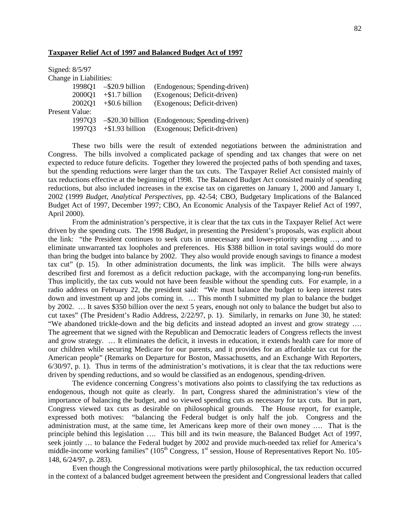#### **Taxpayer Relief Act of 1997 and Balanced Budget Act of 1997**

Signed: 8/5/97

Change in Liabilities:

|                | 1998Q1 | $-$ \$20.9 billion | (Endogenous; Spending-driven)                     |
|----------------|--------|--------------------|---------------------------------------------------|
|                | 2000Q1 | $+$ \$1.7 billion  | (Exogenous; Deficit-driven)                       |
|                | 200201 | $+$ \$0.6 billion  | (Exogenous; Deficit-driven)                       |
| Present Value: |        |                    |                                                   |
|                | 199703 |                    | $-$ \$20.30 billion (Endogenous; Spending-driven) |
|                | 199703 | $+$ \$1.93 billion | (Exogenous; Deficit-driven)                       |
|                |        |                    |                                                   |

These two bills were the result of extended negotiations between the administration and Congress. The bills involved a complicated package of spending and tax changes that were on net expected to reduce future deficits. Together they lowered the projected paths of both spending and taxes, but the spending reductions were larger than the tax cuts. The Taxpayer Relief Act consisted mainly of tax reductions effective at the beginning of 1998. The Balanced Budget Act consisted mainly of spending reductions, but also included increases in the excise tax on cigarettes on January 1, 2000 and January 1, 2002 (1999 *Budget*, *Analytical Perspectives*, pp. 42-54; CBO, Budgetary Implications of the Balanced Budget Act of 1997, December 1997; CBO, An Economic Analysis of the Taxpayer Relief Act of 1997, April 2000).

From the administration's perspective, it is clear that the tax cuts in the Taxpayer Relief Act were driven by the spending cuts. The 1998 *Budget*, in presenting the President's proposals, was explicit about the link: "the President continues to seek cuts in unnecessary and lower-priority spending …, and to eliminate unwarranted tax loopholes and preferences. His \$388 billion in total savings would do more than bring the budget into balance by 2002. They also would provide enough savings to finance a modest tax cut" (p. 15). In other administration documents, the link was implicit. The bills were always described first and foremost as a deficit reduction package, with the accompanying long-run benefits. Thus implicitly, the tax cuts would not have been feasible without the spending cuts. For example, in a radio address on February 22, the president said: "We must balance the budget to keep interest rates down and investment up and jobs coming in. … This month I submitted my plan to balance the budget by 2002. … It saves \$350 billion over the next 5 years, enough not only to balance the budget but also to cut taxes" (The President's Radio Address, 2/22/97, p. 1). Similarly, in remarks on June 30, he stated: "We abandoned trickle-down and the big deficits and instead adopted an invest and grow strategy …. The agreement that we signed with the Republican and Democratic leaders of Congress reflects the invest and grow strategy. … It eliminates the deficit, it invests in education, it extends health care for more of our children while securing Medicare for our parents, and it provides for an affordable tax cut for the American people" (Remarks on Departure for Boston, Massachusetts, and an Exchange With Reporters, 6/30/97, p. 1). Thus in terms of the administration's motivations, it is clear that the tax reductions were driven by spending reductions, and so would be classified as an endogenous, spending-driven.

The evidence concerning Congress's motivations also points to classifying the tax reductions as endogenous, though not quite as clearly. In part, Congress shared the administration's view of the importance of balancing the budget, and so viewed spending cuts as necessary for tax cuts. But in part, Congress viewed tax cuts as desirable on philosophical grounds. The House report, for example, expressed both motives: "balancing the Federal budget is only half the job. Congress and the administration must, at the same time, let Americans keep more of their own money …. That is the principle behind this legislation …. This bill and its twin measure, the Balanced Budget Act of 1997, seek jointly ... to balance the Federal budget by 2002 and provide much-needed tax relief for America's middle-income working families" (105<sup>th</sup> Congress, 1<sup>st</sup> session, House of Representatives Report No. 105-148, 6/24/97, p. 283).

Even though the Congressional motivations were partly philosophical, the tax reduction occurred in the context of a balanced budget agreement between the president and Congressional leaders that called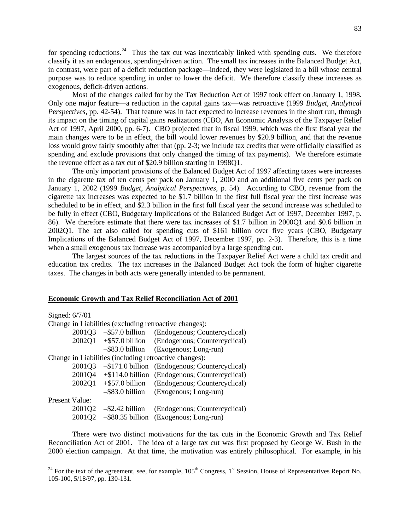for spending reductions.<sup>[24](#page-84-0)</sup> Thus the tax cut was inextricably linked with spending cuts. We therefore classify it as an endogenous, spending-driven action. The small tax increases in the Balanced Budget Act, in contrast, were part of a deficit reduction package—indeed, they were legislated in a bill whose central purpose was to reduce spending in order to lower the deficit. We therefore classify these increases as exogenous, deficit-driven actions.

Most of the changes called for by the Tax Reduction Act of 1997 took effect on January 1, 1998. Only one major feature—a reduction in the capital gains tax—was retroactive (1999 *Budget*, *Analytical Perspectives*, pp. 42-54). That feature was in fact expected to increase revenues in the short run, through its impact on the timing of capital gains realizations (CBO, An Economic Analysis of the Taxpayer Relief Act of 1997, April 2000, pp. 6-7). CBO projected that in fiscal 1999, which was the first fiscal year the main changes were to be in effect, the bill would lower revenues by \$20.9 billion, and that the revenue loss would grow fairly smoothly after that (pp. 2-3; we include tax credits that were officially classified as spending and exclude provisions that only changed the timing of tax payments). We therefore estimate the revenue effect as a tax cut of \$20.9 billion starting in 1998Q1.

The only important provisions of the Balanced Budget Act of 1997 affecting taxes were increases in the cigarette tax of ten cents per pack on January 1, 2000 and an additional five cents per pack on January 1, 2002 (1999 *Budget*, *Analytical Perspectives*, p. 54). According to CBO, revenue from the cigarette tax increases was expected to be \$1.7 billion in the first full fiscal year the first increase was scheduled to be in effect, and \$2.3 billion in the first full fiscal year the second increase was scheduled to be fully in effect (CBO, Budgetary Implications of the Balanced Budget Act of 1997, December 1997, p. 86). We therefore estimate that there were tax increases of \$1.7 billion in 2000Q1 and \$0.6 billion in 2002Q1. The act also called for spending cuts of \$161 billion over five years (CBO, Budgetary Implications of the Balanced Budget Act of 1997, December 1997, pp. 2-3). Therefore, this is a time when a small exogenous tax increase was accompanied by a large spending cut.

The largest sources of the tax reductions in the Taxpayer Relief Act were a child tax credit and education tax credits. The tax increases in the Balanced Budget Act took the form of higher cigarette taxes. The changes in both acts were generally intended to be permanent.

### **Economic Growth and Tax Relief Reconciliation Act of 2001**

| Signed: 6/7/01                                         |        |                                  |                                                |
|--------------------------------------------------------|--------|----------------------------------|------------------------------------------------|
| Change in Liabilities (excluding retroactive changes): |        |                                  |                                                |
|                                                        |        | $2001Q3 - $57.0 \text{ billion}$ | (Endogenous; Countercyclical)                  |
|                                                        |        | $2002Q1 + $57.0$ billion         | (Endogenous; Countercyclical)                  |
|                                                        |        | $-$ \$83.0 billion               | (Exogenous; Long-run)                          |
| Change in Liabilities (including retroactive changes): |        |                                  |                                                |
|                                                        | 2001Q3 |                                  | -\$171.0 billion (Endogenous; Countercyclical) |
|                                                        | 2001Q4 |                                  | +\$114.0 billion (Endogenous; Countercyclical) |
|                                                        | 2002Q1 | $+$ \$57.0 billion               | (Endogenous; Countercyclical)                  |
|                                                        |        | $-$ \$83.0 billion               | (Exogenous; Long-run)                          |
| Present Value:                                         |        |                                  |                                                |
|                                                        | 2001Q2 | $-$ \$2.42 billion               | (Endogenous; Countercyclical)                  |
|                                                        | 200102 |                                  | -\$80.35 billion (Exogenous; Long-run)         |

There were two distinct motivations for the tax cuts in the Economic Growth and Tax Relief Reconciliation Act of 2001. The idea of a large tax cut was first proposed by George W. Bush in the 2000 election campaign. At that time, the motivation was entirely philosophical. For example, in his

<span id="page-84-0"></span><sup>&</sup>lt;sup>24</sup> For the text of the agreement, see, for example,  $105<sup>th</sup>$  Congress, 1<sup>st</sup> Session, House of Representatives Report No. 105-100, 5/18/97, pp. 130-131.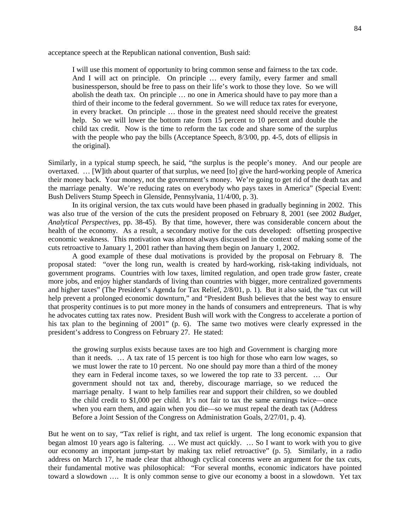acceptance speech at the Republican national convention, Bush said:

I will use this moment of opportunity to bring common sense and fairness to the tax code. And I will act on principle. On principle … every family, every farmer and small businessperson, should be free to pass on their life's work to those they love. So we will abolish the death tax. On principle … no one in America should have to pay more than a third of their income to the federal government. So we will reduce tax rates for everyone, in every bracket. On principle … those in the greatest need should receive the greatest help. So we will lower the bottom rate from 15 percent to 10 percent and double the child tax credit. Now is the time to reform the tax code and share some of the surplus with the people who pay the bills (Acceptance Speech,  $8/3/00$ , pp. 4-5, dots of ellipsis in the original).

Similarly, in a typical stump speech, he said, "the surplus is the people's money. And our people are overtaxed. … [W]ith about quarter of that surplus, we need [to] give the hard-working people of America their money back. Your money, not the government's money. We're going to get rid of the death tax and the marriage penalty. We're reducing rates on everybody who pays taxes in America" (Special Event: Bush Delivers Stump Speech in Glenside, Pennsylvania, 11/4/00, p. 3).

In its original version, the tax cuts would have been phased in gradually beginning in 2002. This was also true of the version of the cuts the president proposed on February 8, 2001 (see 2002 *Budget*, *Analytical Perspectives*, pp. 38-45). By that time, however, there was considerable concern about the health of the economy. As a result, a secondary motive for the cuts developed: offsetting prospective economic weakness. This motivation was almost always discussed in the context of making some of the cuts retroactive to January 1, 2001 rather than having them begin on January 1, 2002.

A good example of these dual motivations is provided by the proposal on February 8. The proposal stated: "over the long run, wealth is created by hard-working, risk-taking individuals, not government programs. Countries with low taxes, limited regulation, and open trade grow faster, create more jobs, and enjoy higher standards of living than countries with bigger, more centralized governments and higher taxes" (The President's Agenda for Tax Relief, 2/8/01, p. 1). But it also said, the "tax cut will help prevent a prolonged economic downturn," and "President Bush believes that the best way to ensure that prosperity continues is to put more money in the hands of consumers and entrepreneurs. That is why he advocates cutting tax rates now. President Bush will work with the Congress to accelerate a portion of his tax plan to the beginning of 2001" (p. 6). The same two motives were clearly expressed in the president's address to Congress on February 27. He stated:

the growing surplus exists because taxes are too high and Government is charging more than it needs. … A tax rate of 15 percent is too high for those who earn low wages, so we must lower the rate to 10 percent. No one should pay more than a third of the money they earn in Federal income taxes, so we lowered the top rate to 33 percent. … Our government should not tax and, thereby, discourage marriage, so we reduced the marriage penalty. I want to help families rear and support their children, so we doubled the child credit to \$1,000 per child. It's not fair to tax the same earnings twice—once when you earn them, and again when you die—so we must repeal the death tax (Address Before a Joint Session of the Congress on Administration Goals, 2/27/01, p. 4).

But he went on to say, "Tax relief is right, and tax relief is urgent. The long economic expansion that began almost 10 years ago is faltering. … We must act quickly. … So I want to work with you to give our economy an important jump-start by making tax relief retroactive" (p. 5). Similarly, in a radio address on March 17, he made clear that although cyclical concerns were an argument for the tax cuts, their fundamental motive was philosophical: "For several months, economic indicators have pointed toward a slowdown …. It is only common sense to give our economy a boost in a slowdown. Yet tax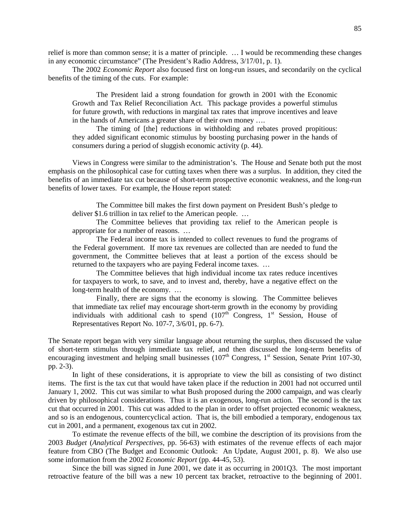relief is more than common sense; it is a matter of principle. … I would be recommending these changes in any economic circumstance" (The President's Radio Address, 3/17/01, p. 1).

The 2002 *Economic Report* also focused first on long-run issues, and secondarily on the cyclical benefits of the timing of the cuts. For example:

The President laid a strong foundation for growth in 2001 with the Economic Growth and Tax Relief Reconciliation Act. This package provides a powerful stimulus for future growth, with reductions in marginal tax rates that improve incentives and leave in the hands of Americans a greater share of their own money ….

The timing of [the] reductions in withholding and rebates proved propitious: they added significant economic stimulus by boosting purchasing power in the hands of consumers during a period of sluggish economic activity (p. 44).

Views in Congress were similar to the administration's. The House and Senate both put the most emphasis on the philosophical case for cutting taxes when there was a surplus. In addition, they cited the benefits of an immediate tax cut because of short-term prospective economic weakness, and the long-run benefits of lower taxes. For example, the House report stated:

The Committee bill makes the first down payment on President Bush's pledge to deliver \$1.6 trillion in tax relief to the American people. …

The Committee believes that providing tax relief to the American people is appropriate for a number of reasons. …

The Federal income tax is intended to collect revenues to fund the programs of the Federal government. If more tax revenues are collected than are needed to fund the government, the Committee believes that at least a portion of the excess should be returned to the taxpayers who are paying Federal income taxes. …

The Committee believes that high individual income tax rates reduce incentives for taxpayers to work, to save, and to invest and, thereby, have a negative effect on the long-term health of the economy. …

Finally, there are signs that the economy is slowing. The Committee believes that immediate tax relief may encourage short-term growth in the economy by providing individuals with additional cash to spend  $(107<sup>th</sup>$  Congress, 1<sup>st</sup> Session, House of Representatives Report No. 107-7, 3/6/01, pp. 6-7).

The Senate report began with very similar language about returning the surplus, then discussed the value of short-term stimulus through immediate tax relief, and then discussed the long-term benefits of encouraging investment and helping small businesses  $(107<sup>th</sup> Congress, 1<sup>st</sup> Session, Senate Print 107-30,$ pp. 2-3).

In light of these considerations, it is appropriate to view the bill as consisting of two distinct items. The first is the tax cut that would have taken place if the reduction in 2001 had not occurred until January 1, 2002. This cut was similar to what Bush proposed during the 2000 campaign, and was clearly driven by philosophical considerations. Thus it is an exogenous, long-run action. The second is the tax cut that occurred in 2001. This cut was added to the plan in order to offset projected economic weakness, and so is an endogenous, countercyclical action. That is, the bill embodied a temporary, endogenous tax cut in 2001, and a permanent, exogenous tax cut in 2002.

To estimate the revenue effects of the bill, we combine the description of its provisions from the 2003 *Budget* (*Analytical Perspectives*, pp. 56-63) with estimates of the revenue effects of each major feature from CBO (The Budget and Economic Outlook: An Update, August 2001, p. 8). We also use some information from the 2002 *Economic Report* (pp. 44-45, 53).

Since the bill was signed in June 2001, we date it as occurring in 2001Q3. The most important retroactive feature of the bill was a new 10 percent tax bracket, retroactive to the beginning of 2001.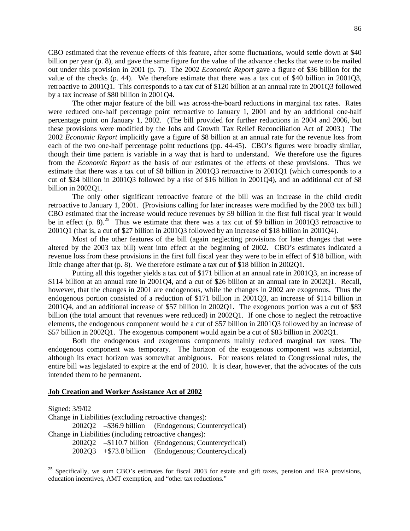CBO estimated that the revenue effects of this feature, after some fluctuations, would settle down at \$40 billion per year (p. 8), and gave the same figure for the value of the advance checks that were to be mailed out under this provision in 2001 (p. 7). The 2002 *Economic Report* gave a figure of \$36 billion for the value of the checks (p. 44). We therefore estimate that there was a tax cut of \$40 billion in 2001Q3, retroactive to 2001Q1. This corresponds to a tax cut of \$120 billion at an annual rate in 2001Q3 followed by a tax increase of \$80 billion in 2001Q4.

The other major feature of the bill was across-the-board reductions in marginal tax rates. Rates were reduced one-half percentage point retroactive to January 1, 2001 and by an additional one-half percentage point on January 1, 2002. (The bill provided for further reductions in 2004 and 2006, but these provisions were modified by the Jobs and Growth Tax Relief Reconciliation Act of 2003.) The 2002 *Economic Report* implicitly gave a figure of \$8 billion at an annual rate for the revenue loss from each of the two one-half percentage point reductions (pp. 44-45). CBO's figures were broadly similar, though their time pattern is variable in a way that is hard to understand. We therefore use the figures from the *Economic Report* as the basis of our estimates of the effects of these provisions. Thus we estimate that there was a tax cut of \$8 billion in 2001Q3 retroactive to 2001Q1 (which corresponds to a cut of \$24 billion in 2001Q3 followed by a rise of \$16 billion in 2001Q4), and an additional cut of \$8 billion in 2002Q1.

The only other significant retroactive feature of the bill was an increase in the child credit retroactive to January 1, 2001. (Provisions calling for later increases were modified by the 2003 tax bill.) CBO estimated that the increase would reduce revenues by \$9 billion in the first full fiscal year it would be in effect (p. 8).<sup>[25](#page-87-0)</sup> Thus we estimate that there was a tax cut of \$9 billion in 2001Q3 retroactive to 2001Q1 (that is, a cut of \$27 billion in 2001Q3 followed by an increase of \$18 billion in 2001Q4).

Most of the other features of the bill (again neglecting provisions for later changes that were altered by the 2003 tax bill) went into effect at the beginning of 2002. CBO's estimates indicated a revenue loss from these provisions in the first full fiscal year they were to be in effect of \$18 billion, with little change after that (p. 8). We therefore estimate a tax cut of \$18 billion in 2002Q1.

Putting all this together yields a tax cut of \$171 billion at an annual rate in 2001Q3, an increase of \$114 billion at an annual rate in 2001Q4, and a cut of \$26 billion at an annual rate in 2002Q1. Recall, however, that the changes in 2001 are endogenous, while the changes in 2002 are exogenous. Thus the endogenous portion consisted of a reduction of \$171 billion in 2001Q3, an increase of \$114 billion in 2001Q4, and an additional increase of \$57 billion in 2002Q1. The exogenous portion was a cut of \$83 billion (the total amount that revenues were reduced) in 2002Q1. If one chose to neglect the retroactive elements, the endogenous component would be a cut of \$57 billion in 2001Q3 followed by an increase of \$57 billion in 2002Q1. The exogenous component would again be a cut of \$83 billion in 2002Q1.

Both the endogenous and exogenous components mainly reduced marginal tax rates. The endogenous component was temporary. The horizon of the exogenous component was substantial, although its exact horizon was somewhat ambiguous. For reasons related to Congressional rules, the entire bill was legislated to expire at the end of 2010. It is clear, however, that the advocates of the cuts intended them to be permanent.

### **Job Creation and Worker Assistance Act of 2002**

Signed: 3/9/02 Change in Liabilities (excluding retroactive changes): 2002Q2 –\$36.9 billion (Endogenous; Countercyclical) Change in Liabilities (including retroactive changes): 2002Q2 –\$110.7 billion (Endogenous; Countercyclical) 2002Q3 +\$73.8 billion (Endogenous; Countercyclical)

<span id="page-87-0"></span><sup>&</sup>lt;sup>25</sup> Specifically, we sum CBO's estimates for fiscal 2003 for estate and gift taxes, pension and IRA provisions, education incentives, AMT exemption, and "other tax reductions."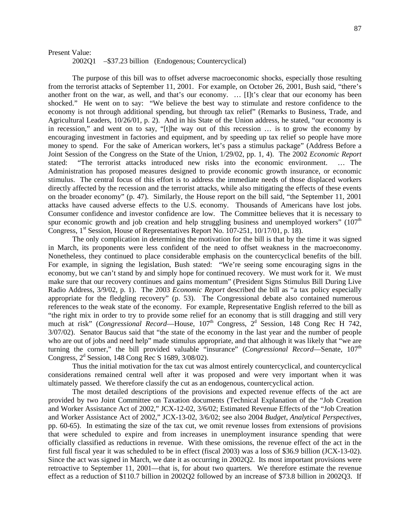## Present Value:

2002Q1 –\$37.23 billion (Endogenous; Countercyclical)

The purpose of this bill was to offset adverse macroeconomic shocks, especially those resulting from the terrorist attacks of September 11, 2001. For example, on October 26, 2001, Bush said, "there's another front on the war, as well, and that's our economy. ... [I]t's clear that our economy has been shocked." He went on to say: "We believe the best way to stimulate and restore confidence to the economy is not through additional spending, but through tax relief" (Remarks to Business, Trade, and Agricultural Leaders, 10/26/01, p. 2). And in his State of the Union address, he stated, "our economy is in recession," and went on to say, "[t]he way out of this recession … is to grow the economy by encouraging investment in factories and equipment, and by speeding up tax relief so people have more money to spend. For the sake of American workers, let's pass a stimulus package" (Address Before a Joint Session of the Congress on the State of the Union, 1/29/02, pp. 1, 4). The 2002 *Economic Report* stated: "The terrorist attacks introduced new risks into the economic environment. … The Administration has proposed measures designed to provide economic growth insurance, or economic stimulus. The central focus of this effort is to address the immediate needs of those displaced workers directly affected by the recession and the terrorist attacks, while also mitigating the effects of these events on the broader economy" (p. 47). Similarly, the House report on the bill said, "the September 11, 2001 attacks have caused adverse effects to the U.S. economy. Thousands of Americans have lost jobs. Consumer confidence and investor confidence are low. The Committee believes that it is necessary to spur economic growth and job creation and help struggling business and unemployed workers"  $(107<sup>th</sup>$ Congress, 1<sup>st</sup> Session, House of Representatives Report No. 107-251, 10/17/01, p. 18).

The only complication in determining the motivation for the bill is that by the time it was signed in March, its proponents were less confident of the need to offset weakness in the macroeconomy. Nonetheless, they continued to place considerable emphasis on the countercyclical benefits of the bill. For example, in signing the legislation, Bush stated: "We're seeing some encouraging signs in the economy, but we can't stand by and simply hope for continued recovery. We must work for it. We must make sure that our recovery continues and gains momentum" (President Signs Stimulus Bill During Live Radio Address, 3/9/02, p. 1). The 2003 *Economic Report* described the bill as "a tax policy especially appropriate for the fledgling recovery" (p. 53). The Congressional debate also contained numerous references to the weak state of the economy. For example, Representative English referred to the bill as "the right mix in order to try to provide some relief for an economy that is still dragging and still very much at risk" (*Congressional Record*—House, 107<sup>th</sup> Congress, 2<sup>d</sup> Session, 148 Cong Rec H 742, 3/07/02). Senator Baucus said that "the state of the economy in the last year and the number of people who are out of jobs and need help" made stimulus appropriate, and that although it was likely that "we are turning the corner," the bill provided valuable "insurance" (*Congressional Record*—Senate, 107<sup>th</sup> Congress,  $2<sup>d</sup>$  Session, 148 Cong Rec S 1689, 3/08/02).

Thus the initial motivation for the tax cut was almost entirely countercyclical, and countercyclical considerations remained central well after it was proposed and were very important when it was ultimately passed. We therefore classify the cut as an endogenous, countercyclical action.

The most detailed descriptions of the provisions and expected revenue effects of the act are provided by two Joint Committee on Taxation documents (Technical Explanation of the "Job Creation and Worker Assistance Act of 2002," JCX-12-02, 3/6/02; Estimated Revenue Effects of the "Job Creation and Worker Assistance Act of 2002," JCX-13-02, 3/6/02; see also 2004 *Budget*, *Analytical Perspectives*, pp. 60-65). In estimating the size of the tax cut, we omit revenue losses from extensions of provisions that were scheduled to expire and from increases in unemployment insurance spending that were officially classified as reductions in revenue. With these omissions, the revenue effect of the act in the first full fiscal year it was scheduled to be in effect (fiscal 2003) was a loss of \$36.9 billion (JCX-13-02). Since the act was signed in March, we date it as occurring in 2002Q2. Its most important provisions were retroactive to September 11, 2001—that is, for about two quarters. We therefore estimate the revenue effect as a reduction of \$110.7 billion in 2002Q2 followed by an increase of \$73.8 billion in 2002Q3. If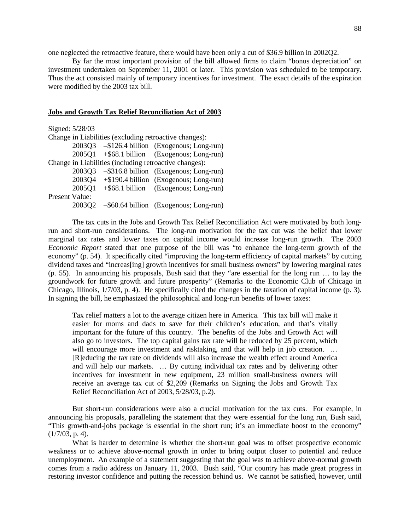one neglected the retroactive feature, there would have been only a cut of \$36.9 billion in 2002Q2.

By far the most important provision of the bill allowed firms to claim "bonus depreciation" on investment undertaken on September 11, 2001 or later. This provision was scheduled to be temporary. Thus the act consisted mainly of temporary incentives for investment. The exact details of the expiration were modified by the 2003 tax bill.

## **Jobs and Growth Tax Relief Reconciliation Act of 2003**

|                                                        | Signed: 5/28/03 |  |                                                        |
|--------------------------------------------------------|-----------------|--|--------------------------------------------------------|
|                                                        |                 |  | Change in Liabilities (excluding retroactive changes): |
|                                                        |                 |  | 2003Q3 - \$126.4 billion (Exogenous; Long-run)         |
|                                                        |                 |  | 2005Q1 +\$68.1 billion (Exogenous; Long-run)           |
| Change in Liabilities (including retroactive changes): |                 |  |                                                        |
|                                                        |                 |  | 2003Q3 - \$316.8 billion (Exogenous; Long-run)         |
|                                                        |                 |  | 2003Q4 + \$190.4 billion (Exogenous; Long-run)         |
|                                                        | 2005Q1          |  | +\$68.1 billion (Exogenous; Long-run)                  |
| Present Value:                                         |                 |  |                                                        |
|                                                        |                 |  | 2003Q2 - \$60.64 billion (Exogenous; Long-run)         |
|                                                        |                 |  |                                                        |

The tax cuts in the Jobs and Growth Tax Relief Reconciliation Act were motivated by both longrun and short-run considerations. The long-run motivation for the tax cut was the belief that lower marginal tax rates and lower taxes on capital income would increase long-run growth. The 2003 *Economic Report* stated that one purpose of the bill was "to enhance the long-term growth of the economy" (p. 54). It specifically cited "improving the long-term efficiency of capital markets" by cutting dividend taxes and "increas[ing] growth incentives for small business owners" by lowering marginal rates (p. 55). In announcing his proposals, Bush said that they "are essential for the long run … to lay the groundwork for future growth and future prosperity" (Remarks to the Economic Club of Chicago in Chicago, Illinois, 1/7/03, p. 4). He specifically cited the changes in the taxation of capital income (p. 3). In signing the bill, he emphasized the philosophical and long-run benefits of lower taxes:

Tax relief matters a lot to the average citizen here in America. This tax bill will make it easier for moms and dads to save for their children's education, and that's vitally important for the future of this country. The benefits of the Jobs and Growth Act will also go to investors. The top capital gains tax rate will be reduced by 25 percent, which will encourage more investment and risktaking, and that will help in job creation. ... [R]educing the tax rate on dividends will also increase the wealth effect around America and will help our markets. … By cutting individual tax rates and by delivering other incentives for investment in new equipment, 23 million small-business owners will receive an average tax cut of \$2,209 (Remarks on Signing the Jobs and Growth Tax Relief Reconciliation Act of 2003, 5/28/03, p.2).

But short-run considerations were also a crucial motivation for the tax cuts. For example, in announcing his proposals, paralleling the statement that they were essential for the long run, Bush said, "This growth-and-jobs package is essential in the short run; it's an immediate boost to the economy"  $(1/7/03, p. 4).$ 

What is harder to determine is whether the short-run goal was to offset prospective economic weakness or to achieve above-normal growth in order to bring output closer to potential and reduce unemployment. An example of a statement suggesting that the goal was to achieve above-normal growth comes from a radio address on January 11, 2003. Bush said, "Our country has made great progress in restoring investor confidence and putting the recession behind us. We cannot be satisfied, however, until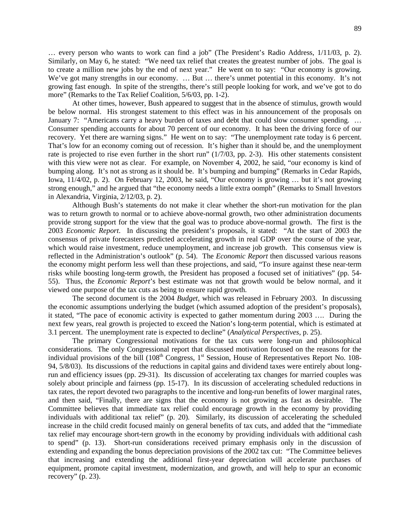… every person who wants to work can find a job" (The President's Radio Address, 1/11/03, p. 2). Similarly, on May 6, he stated: "We need tax relief that creates the greatest number of jobs. The goal is to create a million new jobs by the end of next year." He went on to say: "Our economy is growing. We've got many strengths in our economy. ... But ... there's unmet potential in this economy. It's not growing fast enough. In spite of the strengths, there's still people looking for work, and we've got to do more" (Remarks to the Tax Relief Coalition, 5/6/03, pp. 1-2).

At other times, however, Bush appeared to suggest that in the absence of stimulus, growth would be below normal. His strongest statement to this effect was in his announcement of the proposals on January 7: "Americans carry a heavy burden of taxes and debt that could slow consumer spending. ... Consumer spending accounts for about 70 percent of our economy. It has been the driving force of our recovery. Yet there are warning signs." He went on to say: "The unemployment rate today is 6 percent. That's low for an economy coming out of recession. It's higher than it should be, and the unemployment rate is projected to rise even further in the short run" (1/7/03, pp. 2-3). His other statements consistent with this view were not as clear. For example, on November 4, 2002, he said, "our economy is kind of bumping along. It's not as strong as it should be. It's bumping and bumping" (Remarks in Cedar Rapids, Iowa, 11/4/02, p. 2). On February 12, 2003, he said, "Our economy is growing … but it's not growing strong enough," and he argued that "the economy needs a little extra oomph" (Remarks to Small Investors in Alexandria, Virginia, 2/12/03, p. 2).

Although Bush's statements do not make it clear whether the short-run motivation for the plan was to return growth to normal or to achieve above-normal growth, two other administration documents provide strong support for the view that the goal was to produce above-normal growth. The first is the 2003 *Economic Report*. In discussing the president's proposals, it stated: "At the start of 2003 the consensus of private forecasters predicted accelerating growth in real GDP over the course of the year, which would raise investment, reduce unemployment, and increase job growth. This consensus view is reflected in the Administration's outlook" (p. 54). The *Economic Report* then discussed various reasons the economy might perform less well than these projections, and said, "To insure against these near-term risks while boosting long-term growth, the President has proposed a focused set of initiatives" (pp. 54- 55). Thus, the *Economic Report*'s best estimate was not that growth would be below normal, and it viewed one purpose of the tax cuts as being to ensure rapid growth.

The second document is the 2004 *Budget*, which was released in February 2003. In discussing the economic assumptions underlying the budget (which assumed adoption of the president's proposals), it stated, "The pace of economic activity is expected to gather momentum during 2003 …. During the next few years, real growth is projected to exceed the Nation's long-term potential, which is estimated at 3.1 percent. The unemployment rate is expected to decline" (*Analytical Perspectives*, p. 25).

The primary Congressional motivations for the tax cuts were long-run and philosophical considerations. The only Congressional report that discussed motivation focused on the reasons for the individual provisions of the bill  $(108<sup>th</sup> Congress, 1<sup>st</sup> Session, House of Representatives Report No. 108-$ 94, 5/8/03). Its discussions of the reductions in capital gains and dividend taxes were entirely about longrun and efficiency issues (pp. 29-31). Its discussion of accelerating tax changes for married couples was solely about principle and fairness (pp. 15-17). In its discussion of accelerating scheduled reductions in tax rates, the report devoted two paragraphs to the incentive and long-run benefits of lower marginal rates, and then said, "Finally, there are signs that the economy is not growing as fast as desirable. The Committee believes that immediate tax relief could encourage growth in the economy by providing individuals with additional tax relief" (p. 20). Similarly, its discussion of accelerating the scheduled increase in the child credit focused mainly on general benefits of tax cuts, and added that the "immediate tax relief may encourage short-tern growth in the economy by providing individuals with additional cash to spend" (p. 13). Short-run considerations received primary emphasis only in the discussion of extending and expanding the bonus depreciation provisions of the 2002 tax cut: "The Committee believes that increasing and extending the additional first-year depreciation will accelerate purchases of equipment, promote capital investment, modernization, and growth, and will help to spur an economic recovery" (p. 23).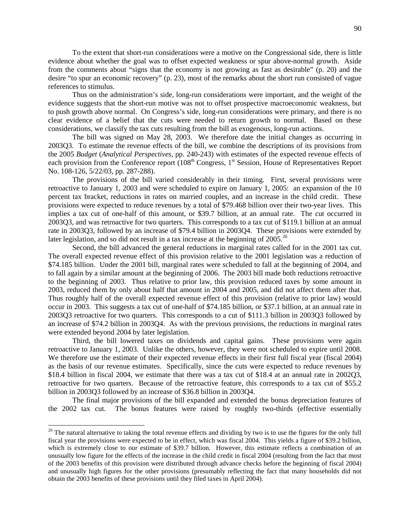To the extent that short-run considerations were a motive on the Congressional side, there is little evidence about whether the goal was to offset expected weakness or spur above-normal growth. Aside from the comments about "signs that the economy is not growing as fast as desirable" (p. 20) and the desire "to spur an economic recovery" (p. 23), most of the remarks about the short run consisted of vague references to stimulus.

Thus on the administration's side, long-run considerations were important, and the weight of the evidence suggests that the short-run motive was not to offset prospective macroeconomic weakness, but to push growth above normal. On Congress's side, long-run considerations were primary, and there is no clear evidence of a belief that the cuts were needed to return growth to normal. Based on these considerations, we classify the tax cuts resulting from the bill as exogenous, long-run actions.

The bill was signed on May 28, 2003. We therefore date the initial changes as occurring in 2003Q3. To estimate the revenue effects of the bill, we combine the descriptions of its provisions from the 2005 *Budget* (*Analytical Perspectives*, pp. 240-243) with estimates of the expected revenue effects of each provision from the Conference report (108<sup>th</sup> Congress, 1<sup>st</sup> Session, House of Representatives Report No. 108-126, 5/22/03, pp. 287-288).

The provisions of the bill varied considerably in their timing. First, several provisions were retroactive to January 1, 2003 and were scheduled to expire on January 1, 2005: an expansion of the 10 percent tax bracket, reductions in rates on married couples, and an increase in the child credit. These provisions were expected to reduce revenues by a total of \$79.468 billion over their two-year lives. This implies a tax cut of one-half of this amount, or \$39.7 billion, at an annual rate. The cut occurred in 2003Q3, and was retroactive for two quarters. This corresponds to a tax cut of \$119.1 billion at an annual rate in 2003Q3, followed by an increase of \$79.4 billion in 2003Q4. These provisions were extended by later legislation, and so did not result in a tax increase at the beginning of  $2005$ .<sup>[26](#page-91-0)</sup>

Second, the bill advanced the general reductions in marginal rates called for in the 2001 tax cut. The overall expected revenue effect of this provision relative to the 2001 legislation was a reduction of \$74.185 billion. Under the 2001 bill, marginal rates were scheduled to fall at the beginning of 2004, and to fall again by a similar amount at the beginning of 2006. The 2003 bill made both reductions retroactive to the beginning of 2003. Thus relative to prior law, this provision reduced taxes by some amount in 2003, reduced them by only about half that amount in 2004 and 2005, and did not affect them after that. Thus roughly half of the overall expected revenue effect of this provision (relative to prior law) would occur in 2003. This suggests a tax cut of one-half of \$74.185 billion, or \$37.1 billion, at an annual rate in 2003Q3 retroactive for two quarters. This corresponds to a cut of \$111.3 billion in 2003Q3 followed by an increase of \$74.2 billion in 2003Q4. As with the previous provisions, the reductions in marginal rates were extended beyond 2004 by later legislation.

Third, the bill lowered taxes on dividends and capital gains. These provisions were again retroactive to January 1, 2003. Unlike the others, however, they were not scheduled to expire until 2008. We therefore use the estimate of their expected revenue effects in their first full fiscal year (fiscal 2004) as the basis of our revenue estimates. Specifically, since the cuts were expected to reduce revenues by \$18.4 billion in fiscal 2004, we estimate that there was a tax cut of \$18.4 at an annual rate in 2002Q3, retroactive for two quarters. Because of the retroactive feature, this corresponds to a tax cut of \$55.2 billion in 2003Q3 followed by an increase of \$36.8 billion in 2003Q4.

The final major provisions of the bill expanded and extended the bonus depreciation features of the 2002 tax cut. The bonus features were raised by roughly two-thirds (effective essentially

<span id="page-91-0"></span> $26$  The natural alternative to taking the total revenue effects and dividing by two is to use the figures for the only full fiscal year the provisions were expected to be in effect, which was fiscal 2004. This yields a figure of \$39.2 billion, which is extremely close to our estimate of \$39.7 billion. However, this estimate reflects a combination of an unusually low figure for the effects of the increase in the child credit in fiscal 2004 (resulting from the fact that most of the 2003 benefits of this provision were distributed through advance checks before the beginning of fiscal 2004) and unusually high figures for the other provisions (presumably reflecting the fact that many households did not obtain the 2003 benefits of these provisions until they filed taxes in April 2004).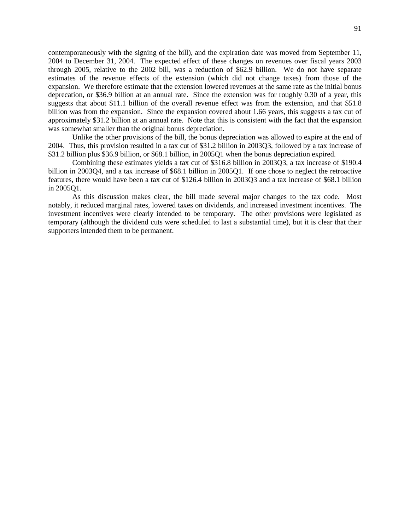contemporaneously with the signing of the bill), and the expiration date was moved from September 11, 2004 to December 31, 2004. The expected effect of these changes on revenues over fiscal years 2003 through 2005, relative to the 2002 bill, was a reduction of \$62.9 billion. We do not have separate estimates of the revenue effects of the extension (which did not change taxes) from those of the expansion. We therefore estimate that the extension lowered revenues at the same rate as the initial bonus deprecation, or \$36.9 billion at an annual rate. Since the extension was for roughly 0.30 of a year, this suggests that about \$11.1 billion of the overall revenue effect was from the extension, and that \$51.8 billion was from the expansion. Since the expansion covered about 1.66 years, this suggests a tax cut of approximately \$31.2 billion at an annual rate. Note that this is consistent with the fact that the expansion was somewhat smaller than the original bonus depreciation.

Unlike the other provisions of the bill, the bonus depreciation was allowed to expire at the end of 2004. Thus, this provision resulted in a tax cut of \$31.2 billion in 2003Q3, followed by a tax increase of \$31.2 billion plus \$36.9 billion, or \$68.1 billion, in 2005Q1 when the bonus depreciation expired.

Combining these estimates yields a tax cut of \$316.8 billion in 2003Q3, a tax increase of \$190.4 billion in 2003Q4, and a tax increase of \$68.1 billion in 2005Q1. If one chose to neglect the retroactive features, there would have been a tax cut of \$126.4 billion in 2003Q3 and a tax increase of \$68.1 billion in 2005Q1.

As this discussion makes clear, the bill made several major changes to the tax code. Most notably, it reduced marginal rates, lowered taxes on dividends, and increased investment incentives. The investment incentives were clearly intended to be temporary. The other provisions were legislated as temporary (although the dividend cuts were scheduled to last a substantial time), but it is clear that their supporters intended them to be permanent.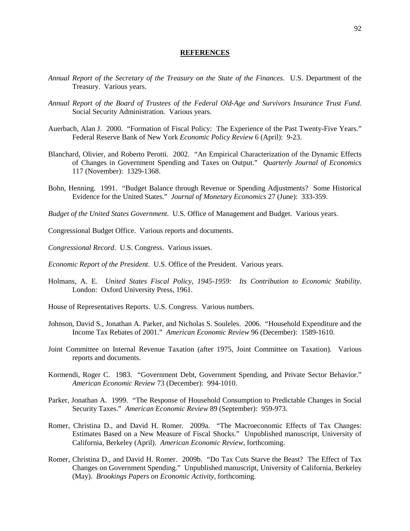#### **REFERENCES**

- *Annual Report of the Secretary of the Treasury on the State of the Finances*. U.S. Department of the Treasury. Various years.
- *Annual Report of the Board of Trustees of the Federal Old-Age and Survivors Insurance Trust Fund*. Social Security Administration. Various years.
- Auerbach, Alan J. 2000. "Formation of Fiscal Policy: The Experience of the Past Twenty-Five Years." Federal Reserve Bank of New York *Economic Policy Review* 6 (April): 9-23.
- Blanchard, Olivier, and Roberto Perotti. 2002. "An Empirical Characterization of the Dynamic Effects of Changes in Government Spending and Taxes on Output." *Quarterly Journal of Economics* 117 (November): 1329-1368.
- Bohn, Henning. 1991. "Budget Balance through Revenue or Spending Adjustments? Some Historical Evidence for the United States." *Journal of Monetary Economics* 27 (June): 333-359.
- *Budget of the United States Government*. U.S. Office of Management and Budget. Various years.
- Congressional Budget Office. Various reports and documents.
- *Congressional Record*. U.S. Congress. Various issues.
- *Economic Report of the President*. U.S. Office of the President. Various years.
- Holmans, A. E. *United States Fiscal Policy, 1945-1959: Its Contribution to Economic Stability*. London: Oxford University Press, 1961.
- House of Representatives Reports. U.S. Congress. Various numbers.
- Johnson, David S., Jonathan A. Parker, and Nicholas S. Souleles. 2006. "Household Expenditure and the Income Tax Rebates of 2001." *American Economic Review* 96 (December): 1589-1610.
- Joint Committee on Internal Revenue Taxation (after 1975, Joint Committee on Taxation). Various reports and documents.
- Kormendi, Roger C. 1983. "Government Debt, Government Spending, and Private Sector Behavior." *American Economic Review* 73 (December): 994-1010.
- Parker, Jonathan A. 1999. "The Response of Household Consumption to Predictable Changes in Social Security Taxes." *American Economic Review* 89 (September): 959-973.
- Romer, Christina D., and David H. Romer. 2009a. "The Macroeconomic Effects of Tax Changes: Estimates Based on a New Measure of Fiscal Shocks." Unpublished manuscript, University of California, Berkeley (April). *American Economic Review*, forthcoming.
- Romer, Christina D., and David H. Romer. 2009b. "Do Tax Cuts Starve the Beast? The Effect of Tax Changes on Government Spending." Unpublished manuscript, University of California, Berkeley (May). *Brookings Papers on Economic Activity*, forthcoming.